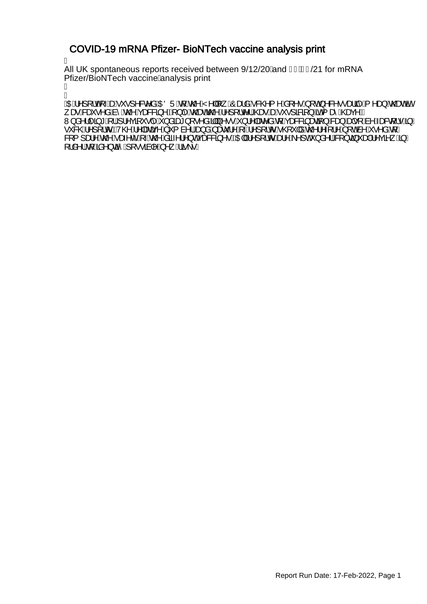### COVID-19 mRNA Pfizer- BioNTech vaccine analysis print

Á

All UK spontaneous reports received between  $9/12/20$  and FI  $EG/21$  for mRNA Pfizer/BioNTech vaccine/analysis print

Á ł

**\$OE**A^][¦of\*-hee*A`•]^&c^åAOE`QÜA{A;@*AY^\\\["K*O`asaA;&@{^A\${|^•A}[o4,^&^•;•asqi^A;^as}As@eeAëv , æR&eš•^å,And^,AnzOAçæ&&3,^EA\}|^An CheaeNgOA^][,Ic^|ACae+AaeA\`;•]&Ba{}AanA{ æ ACaeç^E W}å^}|^ã\*A{{A}^çã\*•|^A}åãet}[•^åA��]}^••A}}!^|æe^åAq{Açæ&&ã}æaã{}A&aa}Aaф•[Aà^Aæ&q{!•A§/ •`&@A^][¦oEV@A^|æã{^A`{à^¦A<del>Q}</del>åAæč¦^A^}[¦oA@`|åA@}'^{¦^A[o&^A^•^åA{*|* &[{]æ!^^,An@^Aæ;^C^A\~An@^,Asã~^;|^}cAşæ&&3^•EAQE||A^][¦or^&e}^A^]cA`}å^|/&{}c3}~@\$A^çã^\_A\$}  $\int$  $\frac{3}{4}$   $\frac{1}{4}$   $\frac{1}{4}$   $\frac{1}{4}$   $\frac{1}{4}$   $\frac{1}{4}$   $\frac{1}{4}$   $\frac{1}{4}$   $\frac{1}{4}$   $\frac{1}{4}$   $\frac{1}{4}$   $\frac{1}{4}$   $\frac{1}{4}$   $\frac{1}{4}$   $\frac{1}{4}$   $\frac{1}{4}$   $\frac{1}{4}$   $\frac{1}{4}$   $\frac{1}{4}$   $\frac{1}{4}$   $\frac{1}{4}$   $\frac{1}{4$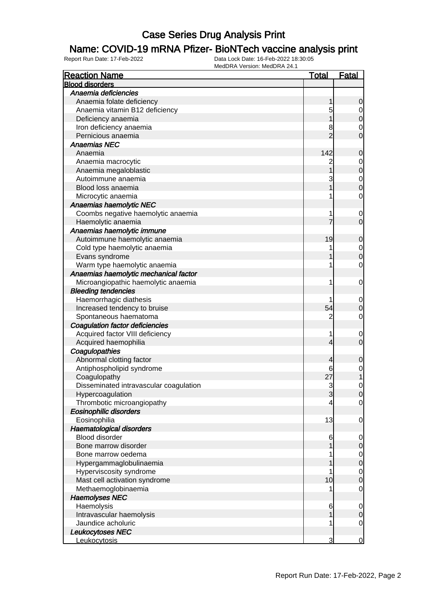### Name: COVID-19 mRNA Pfizer- BioNTech vaccine analysis print

| <b>Reaction Name</b>                   | <b>Total</b>   | <b>Fatal</b>                         |
|----------------------------------------|----------------|--------------------------------------|
| <b>Blood disorders</b>                 |                |                                      |
| Anaemia deficiencies                   |                |                                      |
| Anaemia folate deficiency              | 1              | $\mathbf 0$                          |
| Anaemia vitamin B12 deficiency         | 5              |                                      |
| Deficiency anaemia                     |                | $\begin{matrix} 0 \\ 0 \end{matrix}$ |
| Iron deficiency anaemia                | 8              |                                      |
| Pernicious anaemia                     | $\overline{2}$ | $\begin{matrix}0\\0\end{matrix}$     |
| <b>Anaemias NEC</b>                    |                |                                      |
| Anaemia                                | 142            | $\mathbf 0$                          |
| Anaemia macrocytic                     | 2              |                                      |
| Anaemia megaloblastic                  | 1              | $\begin{matrix}0\\0\end{matrix}$     |
| Autoimmune anaemia                     | 3              |                                      |
| Blood loss anaemia                     |                | $\begin{matrix} 0 \\ 0 \end{matrix}$ |
| Microcytic anaemia                     |                | $\mathbf 0$                          |
| Anaemias haemolytic NEC                |                |                                      |
| Coombs negative haemolytic anaemia     | 1              | $\mathbf{0}$                         |
| Haemolytic anaemia                     |                | $\overline{0}$                       |
| Anaemias haemolytic immune             |                |                                      |
| Autoimmune haemolytic anaemia          | 19             | $\mathbf 0$                          |
| Cold type haemolytic anaemia           |                |                                      |
| Evans syndrome                         |                | $\begin{matrix} 0 \\ 0 \end{matrix}$ |
| Warm type haemolytic anaemia           | 1              | $\mathbf 0$                          |
| Anaemias haemolytic mechanical factor  |                |                                      |
|                                        | 1              |                                      |
| Microangiopathic haemolytic anaemia    |                | $\mathbf 0$                          |
| <b>Bleeding tendencies</b>             |                |                                      |
| Haemorrhagic diathesis                 |                | $\mathbf{0}$                         |
| Increased tendency to bruise           | 54             | $\mathbf 0$                          |
| Spontaneous haematoma                  | $\overline{2}$ | $\mathbf 0$                          |
| Coagulation factor deficiencies        |                |                                      |
| Acquired factor VIII deficiency        | 1              | $\mathbf{0}$                         |
| Acquired haemophilia                   | 4              | $\overline{0}$                       |
| Coagulopathies                         |                |                                      |
| Abnormal clotting factor               | 4              | $\mathbf 0$                          |
| Antiphospholipid syndrome              | 6              | $\begin{matrix} 0 \\ 1 \end{matrix}$ |
| Coagulopathy                           | 27             |                                      |
| Disseminated intravascular coagulation | 3              | $\mathbf 0$                          |
| Hypercoagulation                       | 3              | 0                                    |
| Thrombotic microangiopathy             | 4              | $\overline{0}$                       |
| <b>Eosinophilic disorders</b>          |                |                                      |
| Eosinophilia                           | 13             | $\mathbf 0$                          |
| Haematological disorders               |                |                                      |
| Blood disorder                         | 6              | $\overline{0}$                       |
| Bone marrow disorder                   |                | $\mathbf 0$                          |
| Bone marrow oedema                     |                | $\overline{0}$                       |
| Hypergammaglobulinaemia                |                | $\pmb{0}$                            |
| Hyperviscosity syndrome                |                | $\overline{0}$                       |
| Mast cell activation syndrome          | 10             | $\mathbf 0$                          |
| Methaemoglobinaemia                    |                | $\mathbf 0$                          |
| <b>Haemolyses NEC</b>                  |                |                                      |
| Haemolysis                             | 6              | $\overline{0}$                       |
| Intravascular haemolysis               | 1              | $\mathbf 0$                          |
| Jaundice acholuric                     | 1              | $\overline{0}$                       |
| Leukocytoses NEC                       |                |                                      |
| Leukocytosis                           | 3              | $\overline{0}$                       |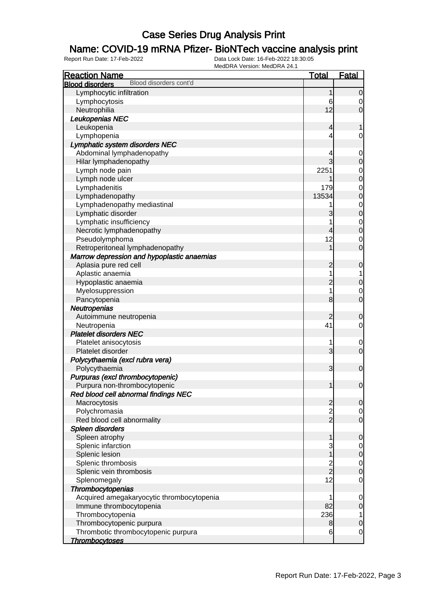### Name: COVID-19 mRNA Pfizer- BioNTech vaccine analysis print

| <b>Reaction Name</b>                             | <b>Total</b>   | <b>Fatal</b>     |
|--------------------------------------------------|----------------|------------------|
| Blood disorders cont'd<br><b>Blood disorders</b> |                |                  |
| Lymphocytic infiltration                         | 1              | $\overline{0}$   |
| Lymphocytosis                                    | 6              | 0                |
| Neutrophilia                                     | 12             | $\mathbf 0$      |
| Leukopenias NEC                                  |                |                  |
| Leukopenia                                       | 4              |                  |
| Lymphopenia                                      | 4              | 0                |
| Lymphatic system disorders NEC                   |                |                  |
| Abdominal lymphadenopathy                        | 4              | $\mathbf 0$      |
| Hilar lymphadenopathy                            | 3              | $\boldsymbol{0}$ |
| Lymph node pain                                  | 2251           | $\mathbf 0$      |
| Lymph node ulcer                                 |                | $\mathbf 0$      |
| Lymphadenitis                                    | 179            | $\mathbf 0$      |
| Lymphadenopathy                                  | 13534          | $\mathbf 0$      |
| Lymphadenopathy mediastinal                      |                | $\mathbf 0$      |
| Lymphatic disorder                               | 3              | $\mathbf 0$      |
| Lymphatic insufficiency                          |                | $\mathbf 0$      |
| Necrotic lymphadenopathy                         | 4              | $\boldsymbol{0}$ |
| Pseudolymphoma                                   | 12             | 0                |
| Retroperitoneal lymphadenopathy                  | 1              | $\mathbf 0$      |
| Marrow depression and hypoplastic anaemias       |                |                  |
| Aplasia pure red cell                            | $\overline{c}$ | $\mathbf 0$      |
| Aplastic anaemia                                 | 1              |                  |
| Hypoplastic anaemia                              | $\overline{c}$ | $\boldsymbol{0}$ |
| Myelosuppression                                 | 1              | 0                |
| Pancytopenia                                     | 8              | $\mathbf 0$      |
| Neutropenias                                     |                |                  |
| Autoimmune neutropenia                           | 2              | $\mathbf 0$      |
| Neutropenia                                      | 41             | 0                |
| <b>Platelet disorders NEC</b>                    |                |                  |
| Platelet anisocytosis                            | 1              | $\mathbf 0$      |
| Platelet disorder                                | 3              | $\mathbf 0$      |
| Polycythaemia (excl rubra vera)                  |                |                  |
| Polycythaemia                                    | 3              | $\mathbf 0$      |
| Purpuras (excl thrombocytopenic)                 |                |                  |
| Purpura non-thrombocytopenic                     | 1              | $\mathbf 0$      |
| Red blood cell abnormal findings NEC             |                |                  |
| Macrocytosis                                     | $\overline{c}$ | $\mathbf 0$      |
| Polychromasia                                    |                | 0                |
| Red blood cell abnormality                       | $\frac{2}{2}$  | $\mathbf 0$      |
| Spleen disorders                                 |                |                  |
| Spleen atrophy                                   | 1              | $\mathbf 0$      |
| Splenic infarction                               | 3              | $\overline{0}$   |
| Splenic lesion                                   | 1              | $\mathbf 0$      |
| Splenic thrombosis                               |                | $\overline{0}$   |
| Splenic vein thrombosis                          | $\frac{2}{2}$  | $\boldsymbol{0}$ |
| Splenomegaly                                     | 12             | $\mathbf 0$      |
| Thrombocytopenias                                |                |                  |
| Acquired amegakaryocytic thrombocytopenia        | 1              | $\mathbf 0$      |
| Immune thrombocytopenia                          | 82             | $\mathbf 0$      |
| Thrombocytopenia                                 | 236            | 1                |
| Thrombocytopenic purpura                         | 8              | $\pmb{0}$        |
| Thrombotic thrombocytopenic purpura              | 6              | $\mathbf 0$      |
| <b>Thrombocytoses</b>                            |                |                  |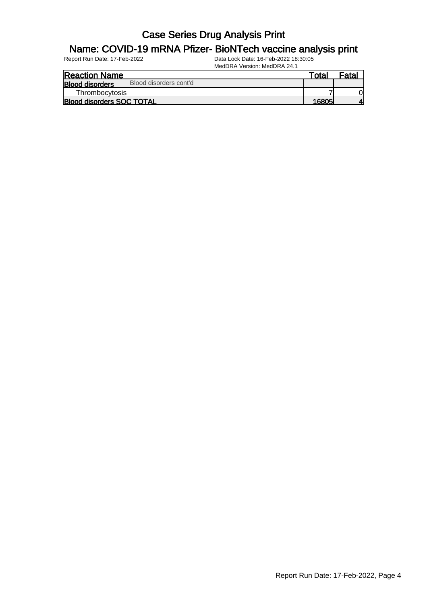#### Name: COVID-19 mRNA Pfizer- BioNTech vaccine analysis print

| <b>Reaction Name</b>                             | Total | $F$ ata |
|--------------------------------------------------|-------|---------|
| Blood disorders cont'd<br><b>Blood disorders</b> |       |         |
| Thrombocytosis                                   |       |         |
| <b>Blood disorders SOC TOTAL</b>                 | 16805 |         |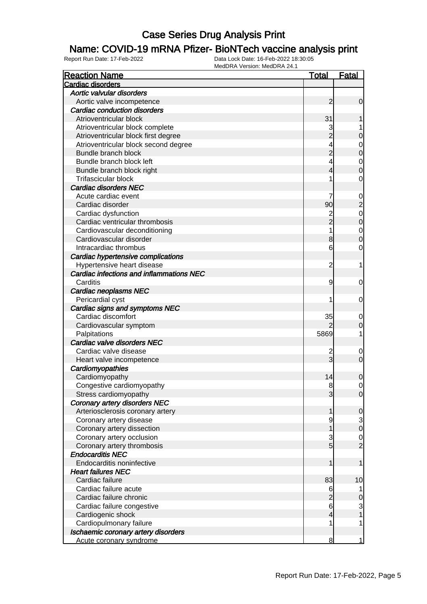#### Name: COVID-19 mRNA Pfizer- BioNTech vaccine analysis print

| <b>Reaction Name</b>                     | <u>Total</u>             | <b>Fatal</b>                     |
|------------------------------------------|--------------------------|----------------------------------|
| Cardiac disorders                        |                          |                                  |
| Aortic valvular disorders                |                          |                                  |
| Aortic valve incompetence                | $\overline{2}$           | $\boldsymbol{0}$                 |
| Cardiac conduction disorders             |                          |                                  |
| Atrioventricular block                   | 31                       |                                  |
| Atrioventricular block complete          |                          | 1                                |
| Atrioventricular block first degree      | 3<br>2                   | $\mathbf 0$                      |
| Atrioventricular block second degree     | 4                        | $\mathbf{0}$                     |
| Bundle branch block                      | $\overline{c}$           | $\overline{0}$                   |
| Bundle branch block left                 | 4                        |                                  |
| Bundle branch block right                | 4                        | $\begin{matrix}0\\0\end{matrix}$ |
| Trifascicular block                      | 1                        | $\mathbf 0$                      |
| <b>Cardiac disorders NEC</b>             |                          |                                  |
| Acute cardiac event                      | 7                        | $\mathbf 0$                      |
| Cardiac disorder                         | 90                       | $\overline{\mathbf{c}}$          |
| Cardiac dysfunction                      |                          |                                  |
| Cardiac ventricular thrombosis           | 2<br>2                   | $\begin{matrix}0\\0\end{matrix}$ |
| Cardiovascular deconditioning            | 1                        | $\begin{matrix}0\\0\end{matrix}$ |
| Cardiovascular disorder                  | 8                        |                                  |
| Intracardiac thrombus                    | 6                        | $\mathbf 0$                      |
| Cardiac hypertensive complications       |                          |                                  |
| Hypertensive heart disease               | $\overline{c}$           | 1                                |
| Cardiac infections and inflammations NEC |                          |                                  |
| Carditis                                 | 9                        | $\mathbf 0$                      |
| <b>Cardiac neoplasms NEC</b>             |                          |                                  |
| Pericardial cyst                         | 1                        | $\mathbf 0$                      |
| Cardiac signs and symptoms NEC           |                          |                                  |
| Cardiac discomfort                       | 35                       | $\mathbf 0$                      |
| Cardiovascular symptom                   |                          | $\mathbf 0$                      |
| Palpitations                             | 5869                     | 1                                |
| Cardiac valve disorders NEC              |                          |                                  |
| Cardiac valve disease                    | 2                        | $\mathbf 0$                      |
| Heart valve incompetence                 | $\overline{3}$           | $\mathbf 0$                      |
| Cardiomyopathies                         |                          |                                  |
| Cardiomyopathy                           | 14                       | $\mathbf 0$                      |
| Congestive cardiomyopathy                | 8                        | $\mathbf 0$                      |
| Stress cardiomyopathy                    | $\mathbf{3}$             | 0                                |
| <b>Coronary artery disorders NEC</b>     |                          |                                  |
| Arteriosclerosis coronary artery         | 1                        | $\mathbf 0$                      |
| Coronary artery disease                  | 9                        | $\mathbf{3}$                     |
| Coronary artery dissection               | 1                        | $\mathbf 0$                      |
| Coronary artery occlusion                | $\frac{3}{5}$            | $\mathbf{0}$                     |
| Coronary artery thrombosis               |                          | $\overline{2}$                   |
| <b>Endocarditis NEC</b>                  |                          |                                  |
| Endocarditis noninfective                | 1                        | 1                                |
| <b>Heart failures NEC</b>                |                          |                                  |
| Cardiac failure                          | 83                       | 10                               |
| Cardiac failure acute                    | 6                        |                                  |
| Cardiac failure chronic                  | $\overline{c}$           | $\mathbf 0$                      |
| Cardiac failure congestive               | $6\phantom{.}$           | 3                                |
| Cardiogenic shock                        | $\overline{\mathcal{L}}$ | 1                                |
| Cardiopulmonary failure                  | 1                        | 1                                |
| Ischaemic coronary artery disorders      |                          |                                  |
| Acute coronary syndrome                  | 8                        | 1                                |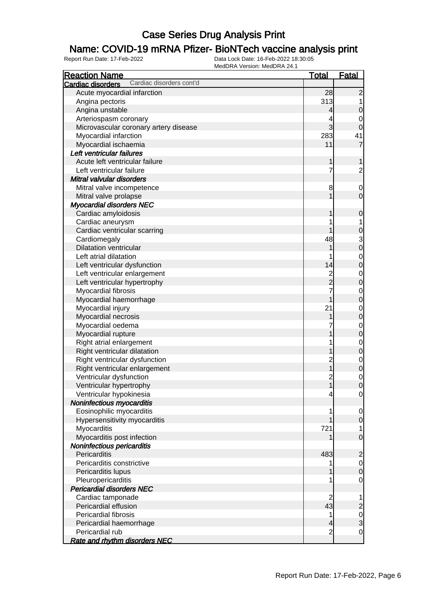### Name: COVID-19 mRNA Pfizer- BioNTech vaccine analysis print

| <b>Reaction Name</b>                          | <u>Total</u>            | <b>Fatal</b>               |
|-----------------------------------------------|-------------------------|----------------------------|
| Cardiac disorders cont'd<br>Cardiac disorders |                         |                            |
| Acute myocardial infarction                   | 28                      | $\overline{2}$             |
| Angina pectoris                               | 313                     |                            |
| Angina unstable                               | 4                       | $\mathbf 0$                |
| Arteriospasm coronary                         |                         | 0                          |
| Microvascular coronary artery disease         | 3                       | $\mathbf 0$                |
| Myocardial infarction                         | 283                     | 41                         |
| Myocardial ischaemia                          | 11                      | $\overline{7}$             |
| Left ventricular failures                     |                         |                            |
| Acute left ventricular failure                | 1                       |                            |
| Left ventricular failure                      | 7                       | $\overline{2}$             |
| Mitral valvular disorders                     |                         |                            |
| Mitral valve incompetence                     | 8                       | $\mathbf 0$                |
| Mitral valve prolapse                         |                         | $\overline{0}$             |
| <b>Myocardial disorders NEC</b>               |                         |                            |
| Cardiac amyloidosis                           |                         | $\mathbf 0$                |
| Cardiac aneurysm                              |                         |                            |
| Cardiac ventricular scarring                  |                         | $\mathbf 0$                |
| Cardiomegaly                                  | 48                      | 3                          |
| <b>Dilatation ventricular</b>                 |                         | $\overline{0}$             |
| Left atrial dilatation                        |                         |                            |
| Left ventricular dysfunction                  | 14                      | $\mathbf 0$<br>$\mathbf 0$ |
| Left ventricular enlargement                  |                         |                            |
|                                               | 2<br>2                  | $\mathbf 0$<br>$\mathbf 0$ |
| Left ventricular hypertrophy                  |                         |                            |
| Myocardial fibrosis                           | 7                       | $\mathbf 0$                |
| Myocardial haemorrhage                        | 1                       | $\mathbf 0$                |
| Myocardial injury                             | 21                      | $\mathbf 0$                |
| Myocardial necrosis                           |                         | $\mathbf 0$                |
| Myocardial oedema                             |                         | $\mathbf 0$                |
| Myocardial rupture                            |                         | $\mathbf 0$                |
| Right atrial enlargement                      |                         | $\mathbf 0$                |
| Right ventricular dilatation                  |                         | $\mathbf 0$                |
| Right ventricular dysfunction                 | $\overline{\mathbf{c}}$ | $\mathbf 0$                |
| Right ventricular enlargement                 | $\overline{\mathbf{1}}$ | $\mathbf 0$                |
| Ventricular dysfunction                       | $\overline{\mathbf{c}}$ | $\mathbf 0$                |
| Ventricular hypertrophy                       | $\mathbf{1}$            | $\mathbf 0$                |
| Ventricular hypokinesia                       | 4                       | $\overline{0}$             |
| Noninfectious myocarditis                     |                         |                            |
| Eosinophilic myocarditis                      |                         | $\overline{0}$             |
| Hypersensitivity myocarditis                  |                         | $\mathbf 0$                |
| Myocarditis                                   | 721                     | 1                          |
| Myocarditis post infection                    |                         | $\overline{0}$             |
| Noninfectious pericarditis                    |                         |                            |
| Pericarditis                                  | 483                     | $\overline{c}$             |
| Pericarditis constrictive                     |                         | $\overline{0}$             |
| Pericarditis lupus                            |                         | $\mathbf 0$                |
| Pleuropericarditis                            |                         | 0                          |
| <b>Pericardial disorders NEC</b>              |                         |                            |
| Cardiac tamponade                             | $\overline{c}$          | 1                          |
| Pericardial effusion                          | 43                      | $\overline{c}$             |
| Pericardial fibrosis                          |                         | $\mathbf 0$                |
| Pericardial haemorrhage                       | 4                       | 3                          |
| Pericardial rub                               | $\overline{c}$          | $\mathbf 0$                |
| Rate and rhythm disorders NEC                 |                         |                            |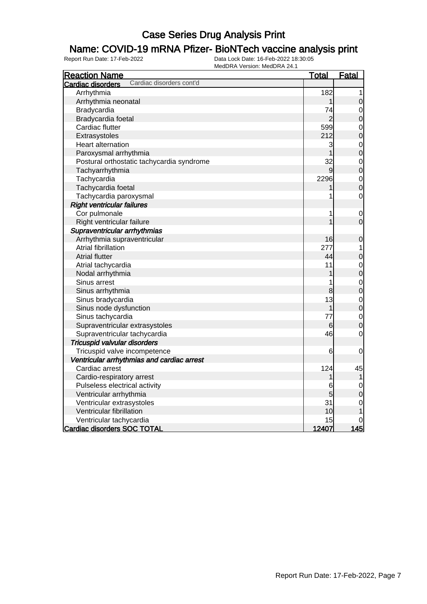### Name: COVID-19 mRNA Pfizer- BioNTech vaccine analysis print

| <b>Reaction Name</b>                          | <b>Total</b>   | Fatal          |
|-----------------------------------------------|----------------|----------------|
| Cardiac disorders cont'd<br>Cardiac disorders |                |                |
| Arrhythmia                                    | 182            | 1              |
| Arrhythmia neonatal                           | 1              | $\mathbf 0$    |
| Bradycardia                                   | 74             | $\mathbf 0$    |
| Bradycardia foetal                            | $\overline{c}$ | $\overline{0}$ |
| Cardiac flutter                               | 599            | $\mathbf 0$    |
| Extrasystoles                                 | 212            | $\overline{0}$ |
| Heart alternation                             | 3              | $\mathbf{0}$   |
| Paroxysmal arrhythmia                         |                | $\overline{0}$ |
| Postural orthostatic tachycardia syndrome     | 32             | $\mathbf 0$    |
| Tachyarrhythmia                               | 9              | $\overline{0}$ |
| Tachycardia                                   | 2296           | $\mathbf{0}$   |
| Tachycardia foetal                            |                | $\overline{0}$ |
| Tachycardia paroxysmal                        | 1              | $\mathbf 0$    |
| <b>Right ventricular failures</b>             |                |                |
| Cor pulmonale                                 | 1              | $\mathbf 0$    |
| Right ventricular failure                     |                | $\mathbf 0$    |
| Supraventricular arrhythmias                  |                |                |
| Arrhythmia supraventricular                   | 16             | $\mathbf 0$    |
| <b>Atrial fibrillation</b>                    | 277            | 1              |
| <b>Atrial flutter</b>                         | 44             | $\mathbf 0$    |
| Atrial tachycardia                            | 11             | $\mathbf 0$    |
| Nodal arrhythmia                              |                | $\overline{0}$ |
| Sinus arrest                                  |                | $\mathbf 0$    |
| Sinus arrhythmia                              | 8              | $\overline{0}$ |
| Sinus bradycardia                             | 13             | $\mathbf 0$    |
| Sinus node dysfunction                        |                | $\overline{0}$ |
| Sinus tachycardia                             | 77             | $\mathbf 0$    |
| Supraventricular extrasystoles                | 6              | $\overline{0}$ |
| Supraventricular tachycardia                  | 46             | $\mathbf 0$    |
| <b>Tricuspid valvular disorders</b>           |                |                |
| Tricuspid valve incompetence                  | 6              | $\mathbf 0$    |
| Ventricular arrhythmias and cardiac arrest    |                |                |
| Cardiac arrest                                | 124            | 45             |
| Cardio-respiratory arrest                     |                |                |
| Pulseless electrical activity                 | 6              | $\mathbf 0$    |
| Ventricular arrhythmia                        | 5              | $\overline{0}$ |
| Ventricular extrasystoles                     | 31             | $\mathbf 0$    |
| Ventricular fibrillation                      | 10             | 1              |
| Ventricular tachycardia                       | 15             |                |
| <b>Cardiac disorders SOC TOTAL</b>            | 12407          | 145            |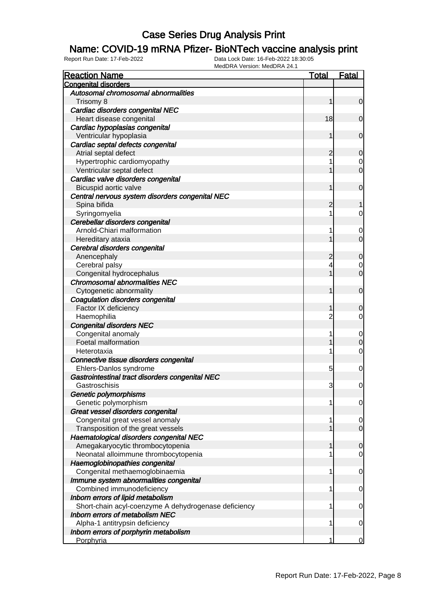#### Name: COVID-19 mRNA Pfizer- BioNTech vaccine analysis print

| <b>Reaction Name</b>                                 | <u>Total</u>   | <b>Fatal</b>   |
|------------------------------------------------------|----------------|----------------|
| <b>Congenital disorders</b>                          |                |                |
| Autosomal chromosomal abnormalities                  |                |                |
| Trisomy 8                                            | 1              | $\mathbf 0$    |
| Cardiac disorders congenital NEC                     |                |                |
| Heart disease congenital                             | 18             | 0              |
| Cardiac hypoplasias congenital                       |                |                |
| Ventricular hypoplasia                               | 1              | $\mathbf 0$    |
| Cardiac septal defects congenital                    |                |                |
| Atrial septal defect                                 | 2              | 0              |
| Hypertrophic cardiomyopathy                          | 1              | 0              |
| Ventricular septal defect                            | 1              | $\overline{0}$ |
| Cardiac valve disorders congenital                   |                |                |
| Bicuspid aortic valve                                | 1              | $\mathbf 0$    |
| Central nervous system disorders congenital NEC      |                |                |
| Spina bifida                                         | 2              |                |
| Syringomyelia                                        | 1              | 0              |
| Cerebellar disorders congenital                      |                |                |
| Arnold-Chiari malformation                           | 1              | 0              |
| Hereditary ataxia                                    |                | $\overline{0}$ |
| Cerebral disorders congenital                        |                |                |
| Anencephaly                                          | 2              | 0              |
| Cerebral palsy                                       | 4              | 0              |
| Congenital hydrocephalus                             | 1              | $\overline{0}$ |
| <b>Chromosomal abnormalities NEC</b>                 |                |                |
| Cytogenetic abnormality                              | 1              | $\mathbf 0$    |
| Coagulation disorders congenital                     |                |                |
| Factor IX deficiency                                 | 1              | 0              |
| Haemophilia                                          | $\overline{2}$ | 0              |
| <b>Congenital disorders NEC</b>                      |                |                |
| Congenital anomaly                                   | 1              | $\mathbf 0$    |
| Foetal malformation                                  |                | 0              |
| Heterotaxia                                          | 1              | $\mathbf 0$    |
| Connective tissue disorders congenital               |                |                |
| Ehlers-Danlos syndrome                               | 5              | 0              |
| Gastrointestinal tract disorders congenital NEC      |                |                |
| Gastroschisis                                        | 3              | 0              |
| Genetic polymorphisms                                |                |                |
| Genetic polymorphism                                 | 1              | 0              |
| Great vessel disorders congenital                    |                |                |
| Congenital great vessel anomaly                      | 1              | 0              |
| Transposition of the great vessels                   |                | $\mathbf 0$    |
| Haematological disorders congenital NEC              |                |                |
| Amegakaryocytic thrombocytopenia                     | 1              | 0              |
| Neonatal alloimmune thrombocytopenia                 | 1              | $\overline{0}$ |
| Haemoglobinopathies congenital                       |                |                |
| Congenital methaemoglobinaemia                       | 1              | 0              |
| Immune system abnormalities congenital               |                |                |
| Combined immunodeficiency                            | 1              | 0              |
| Inborn errors of lipid metabolism                    |                |                |
| Short-chain acyl-coenzyme A dehydrogenase deficiency | 1              | 0              |
| <b>Inborn errors of metabolism NEC</b>               |                |                |
| Alpha-1 antitrypsin deficiency                       | 1              | 0              |
| Inborn errors of porphyrin metabolism                |                |                |
| Porphyria                                            | 1              | 0              |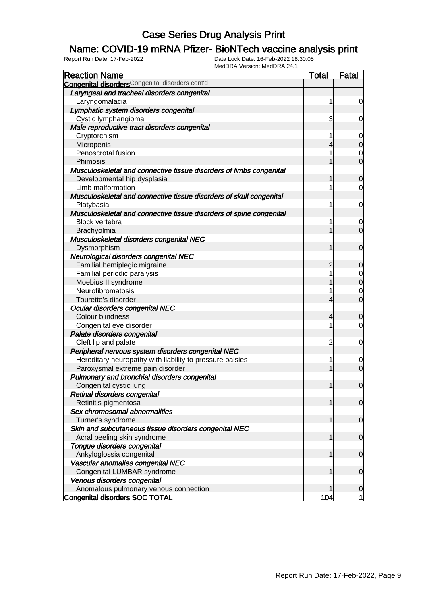### Name: COVID-19 mRNA Pfizer- BioNTech vaccine analysis print

| <b>Reaction Name</b>                                                | <b>Total</b> | <b>Fatal</b>                     |
|---------------------------------------------------------------------|--------------|----------------------------------|
| <b>Congenital disorders</b> Congenital disorders cont'd             |              |                                  |
| Laryngeal and tracheal disorders congenital                         |              |                                  |
| Laryngomalacia                                                      | 1            | $\overline{0}$                   |
| Lymphatic system disorders congenital                               |              |                                  |
| Cystic lymphangioma                                                 | 3            | $\overline{0}$                   |
| Male reproductive tract disorders congenital                        |              |                                  |
| Cryptorchism                                                        | 1            | $\overline{0}$                   |
| Micropenis                                                          | 4            | $\overline{O}$                   |
| Penoscrotal fusion                                                  |              | $\mathbf 0$                      |
| Phimosis                                                            |              | $\overline{0}$                   |
| Musculoskeletal and connective tissue disorders of limbs congenital |              |                                  |
| Developmental hip dysplasia                                         |              | $\mathbf 0$                      |
| Limb malformation                                                   |              | $\mathbf 0$                      |
| Musculoskeletal and connective tissue disorders of skull congenital |              |                                  |
| Platybasia                                                          | 1            | $\overline{0}$                   |
| Musculoskeletal and connective tissue disorders of spine congenital |              |                                  |
| <b>Block vertebra</b>                                               |              |                                  |
|                                                                     |              | $\overline{0}$<br>$\overline{0}$ |
| Brachyolmia                                                         |              |                                  |
| Musculoskeletal disorders congenital NEC                            |              |                                  |
| Dysmorphism                                                         | 1            | $\overline{0}$                   |
| Neurological disorders congenital NEC                               |              |                                  |
| Familial hemiplegic migraine                                        | 2            | $\mathbf 0$                      |
| Familial periodic paralysis                                         |              | $\overline{0}$                   |
| Moebius II syndrome                                                 |              | $\overline{0}$                   |
| Neurofibromatosis                                                   |              | $\mathbf 0$                      |
| Tourette's disorder                                                 | 4            | $\overline{0}$                   |
| Ocular disorders congenital NEC                                     |              |                                  |
| Colour blindness                                                    | 4            | $\mathbf 0$                      |
| Congenital eye disorder                                             |              | $\mathbf 0$                      |
| Palate disorders congenital                                         |              |                                  |
| Cleft lip and palate                                                | 2            | $\mathbf 0$                      |
| Peripheral nervous system disorders congenital NEC                  |              |                                  |
| Hereditary neuropathy with liability to pressure palsies            | 1            | $\mathbf 0$                      |
| Paroxysmal extreme pain disorder                                    |              | $\overline{0}$                   |
| Pulmonary and bronchial disorders congenital                        |              |                                  |
| Congenital cystic lung                                              | 1            | $\overline{0}$                   |
| Retinal disorders congenital                                        |              |                                  |
| Retinitis pigmentosa                                                |              | $\overline{0}$                   |
| Sex chromosomal abnormalities                                       |              |                                  |
| Turner's syndrome                                                   |              | $\overline{0}$                   |
| Skin and subcutaneous tissue disorders congenital NEC               |              |                                  |
| Acral peeling skin syndrome                                         | 1            | $\overline{0}$                   |
| Tongue disorders congenital                                         |              |                                  |
| Ankyloglossia congenital                                            |              | $\overline{0}$                   |
| Vascular anomalies congenital NEC                                   |              |                                  |
| Congenital LUMBAR syndrome                                          |              | $\overline{0}$                   |
| Venous disorders congenital                                         |              |                                  |
| Anomalous pulmonary venous connection                               |              | $\mathbf 0$                      |
| <b>Congenital disorders SOC TOTAL</b>                               | 104          | 1                                |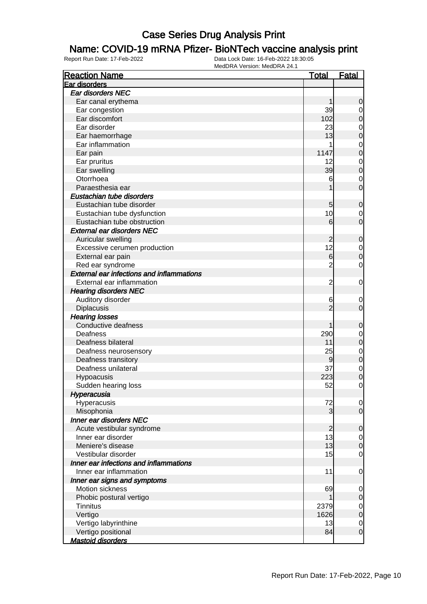#### Name: COVID-19 mRNA Pfizer- BioNTech vaccine analysis print

| Ear disorders                                      |                                 |
|----------------------------------------------------|---------------------------------|
|                                                    |                                 |
| Ear disorders NEC                                  |                                 |
| Ear canal erythema<br>1                            | 0                               |
| 39<br>Ear congestion                               | $\mathbf 0$                     |
| Ear discomfort<br>102                              | 0                               |
| 23<br>Ear disorder                                 | $\mathbf 0$                     |
| 13<br>Ear haemorrhage                              | $\mathbf 0$                     |
| Ear inflammation<br>1                              | $\mathbf 0$                     |
| 1147<br>Ear pain                                   | $\mathbf 0$                     |
| 12<br>Ear pruritus                                 | $\mathbf 0$                     |
| Ear swelling<br>39                                 | $\mathbf 0$                     |
| Otorrhoea<br>6                                     | $\mathbf 0$                     |
| Paraesthesia ear                                   | $\mathbf 0$                     |
| Eustachian tube disorders                          |                                 |
| Eustachian tube disorder<br>5                      | 0                               |
| 10<br>Eustachian tube dysfunction                  | $\mathbf 0$                     |
| Eustachian tube obstruction<br>6                   | $\mathbf 0$                     |
| <b>External ear disorders NEC</b>                  |                                 |
| Auricular swelling<br>2                            | 0                               |
| 12<br>Excessive cerumen production                 | $\mathbf 0$                     |
| External ear pain<br>$6 \,$                        | $\mathbf 0$                     |
| $\overline{2}$<br>Red ear syndrome                 | 0                               |
| <b>External ear infections and inflammations</b>   |                                 |
| External ear inflammation<br>$\overline{2}$        | 0                               |
| <b>Hearing disorders NEC</b>                       |                                 |
| Auditory disorder<br>6                             | $\mathbf 0$                     |
| $\overline{c}$<br><b>Diplacusis</b>                | $\mathbf 0$                     |
| <b>Hearing losses</b>                              |                                 |
| Conductive deafness                                | 0                               |
| 290<br>Deafness                                    | $\mathbf 0$                     |
| Deafness bilateral<br>11                           | 0                               |
| 25<br>Deafness neurosensory                        | $\mathbf 0$                     |
| Deafness transitory<br>9                           | $\boldsymbol{0}$                |
| 37<br>Deafness unilateral                          | $\mathbf 0$                     |
| 223<br>Hypoacusis                                  | $\mathbf 0$                     |
| 52<br>Sudden hearing loss                          | $\mathbf{0}$                    |
| Hyperacusia                                        |                                 |
| Hyperacusis<br>72                                  | $\overline{0}$                  |
| 3<br>Misophonia                                    | $\overline{0}$                  |
| Inner ear disorders NEC                            |                                 |
| Acute vestibular syndrome<br>$\overline{2}$        | 0                               |
| 13<br>Inner ear disorder                           | $\overline{0}$                  |
| Meniere's disease<br>13                            | $\mathbf 0$                     |
| 15<br>Vestibular disorder                          | 0                               |
| Inner ear infections and inflammations             |                                 |
| Inner ear inflammation<br>11                       | 0                               |
| Inner ear signs and symptoms                       |                                 |
| Motion sickness                                    |                                 |
| 69                                                 | 0                               |
| Phobic postural vertigo<br><b>Tinnitus</b><br>2379 | 0                               |
| 1626                                               | $\mathbf 0$                     |
| Vertigo<br>13                                      | $\mathbf 0$                     |
| Vertigo labyrinthine<br>84                         | $\mathbf 0$<br>$\boldsymbol{0}$ |
| Vertigo positional<br><b>Mastoid disorders</b>     |                                 |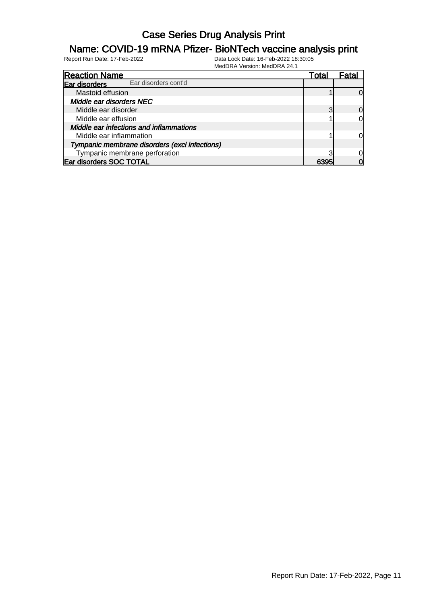#### Name: COVID-19 mRNA Pfizer- BioNTech vaccine analysis print

| <b>Reaction Name</b>                          | Total | Fatal    |
|-----------------------------------------------|-------|----------|
| Ear disorders cont'd<br>Ear disorders         |       |          |
| Mastoid effusion                              |       | Ωl       |
| Middle ear disorders NEC                      |       |          |
| Middle ear disorder                           |       | $\Omega$ |
| Middle ear effusion                           |       | $\Omega$ |
| Middle ear infections and inflammations       |       |          |
| Middle ear inflammation                       |       | $\Omega$ |
| Tympanic membrane disorders (excl infections) |       |          |
| Tympanic membrane perforation                 |       | Ωl       |
| Ear disorders SOC TOTAL                       | 6305  |          |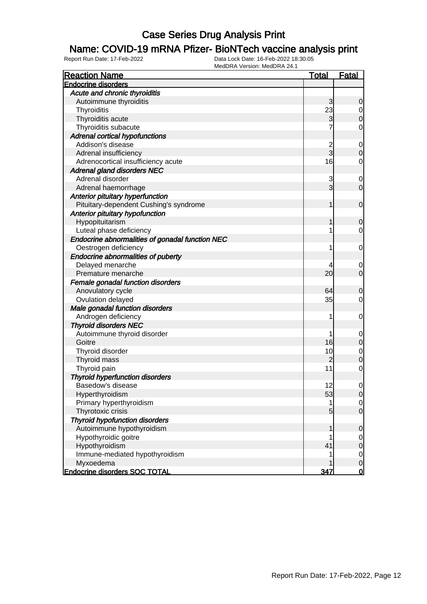#### Name: COVID-19 mRNA Pfizer- BioNTech vaccine analysis print

| <b>Endocrine disorders</b><br>Acute and chronic thyroiditis<br>Autoimmune thyroiditis<br>3<br>23<br>Thyroiditis<br>3<br>Thyroiditis acute<br>Thyroiditis subacute<br><b>Adrenal cortical hypofunctions</b><br>Addison's disease<br>$\overline{\mathbf{c}}$<br>3<br>Adrenal insufficiency<br>16<br>Adrenocortical insufficiency acute<br><b>Adrenal gland disorders NEC</b><br>Adrenal disorder<br>3<br>3<br>Adrenal haemorrhage<br>Anterior pituitary hyperfunction<br>Pituitary-dependent Cushing's syndrome<br>1<br>Anterior pituitary hypofunction<br>Hypopituitarism<br>1<br>Luteal phase deficiency<br>1<br>Endocrine abnormalities of gonadal function NEC<br>Oestrogen deficiency<br>1<br>Endocrine abnormalities of puberty<br>Delayed menarche<br>20<br>Premature menarche<br>Female gonadal function disorders<br>Anovulatory cycle<br>64<br>35<br>Ovulation delayed<br>Male gonadal function disorders<br>Androgen deficiency<br>1<br><b>Thyroid disorders NEC</b><br>Autoimmune thyroid disorder<br>1 |
|-------------------------------------------------------------------------------------------------------------------------------------------------------------------------------------------------------------------------------------------------------------------------------------------------------------------------------------------------------------------------------------------------------------------------------------------------------------------------------------------------------------------------------------------------------------------------------------------------------------------------------------------------------------------------------------------------------------------------------------------------------------------------------------------------------------------------------------------------------------------------------------------------------------------------------------------------------------------------------------------------------------------|
|                                                                                                                                                                                                                                                                                                                                                                                                                                                                                                                                                                                                                                                                                                                                                                                                                                                                                                                                                                                                                   |
|                                                                                                                                                                                                                                                                                                                                                                                                                                                                                                                                                                                                                                                                                                                                                                                                                                                                                                                                                                                                                   |
|                                                                                                                                                                                                                                                                                                                                                                                                                                                                                                                                                                                                                                                                                                                                                                                                                                                                                                                                                                                                                   |
|                                                                                                                                                                                                                                                                                                                                                                                                                                                                                                                                                                                                                                                                                                                                                                                                                                                                                                                                                                                                                   |
|                                                                                                                                                                                                                                                                                                                                                                                                                                                                                                                                                                                                                                                                                                                                                                                                                                                                                                                                                                                                                   |
|                                                                                                                                                                                                                                                                                                                                                                                                                                                                                                                                                                                                                                                                                                                                                                                                                                                                                                                                                                                                                   |
|                                                                                                                                                                                                                                                                                                                                                                                                                                                                                                                                                                                                                                                                                                                                                                                                                                                                                                                                                                                                                   |
|                                                                                                                                                                                                                                                                                                                                                                                                                                                                                                                                                                                                                                                                                                                                                                                                                                                                                                                                                                                                                   |
|                                                                                                                                                                                                                                                                                                                                                                                                                                                                                                                                                                                                                                                                                                                                                                                                                                                                                                                                                                                                                   |
|                                                                                                                                                                                                                                                                                                                                                                                                                                                                                                                                                                                                                                                                                                                                                                                                                                                                                                                                                                                                                   |
|                                                                                                                                                                                                                                                                                                                                                                                                                                                                                                                                                                                                                                                                                                                                                                                                                                                                                                                                                                                                                   |
|                                                                                                                                                                                                                                                                                                                                                                                                                                                                                                                                                                                                                                                                                                                                                                                                                                                                                                                                                                                                                   |
|                                                                                                                                                                                                                                                                                                                                                                                                                                                                                                                                                                                                                                                                                                                                                                                                                                                                                                                                                                                                                   |
|                                                                                                                                                                                                                                                                                                                                                                                                                                                                                                                                                                                                                                                                                                                                                                                                                                                                                                                                                                                                                   |
|                                                                                                                                                                                                                                                                                                                                                                                                                                                                                                                                                                                                                                                                                                                                                                                                                                                                                                                                                                                                                   |
|                                                                                                                                                                                                                                                                                                                                                                                                                                                                                                                                                                                                                                                                                                                                                                                                                                                                                                                                                                                                                   |
|                                                                                                                                                                                                                                                                                                                                                                                                                                                                                                                                                                                                                                                                                                                                                                                                                                                                                                                                                                                                                   |
|                                                                                                                                                                                                                                                                                                                                                                                                                                                                                                                                                                                                                                                                                                                                                                                                                                                                                                                                                                                                                   |
|                                                                                                                                                                                                                                                                                                                                                                                                                                                                                                                                                                                                                                                                                                                                                                                                                                                                                                                                                                                                                   |
|                                                                                                                                                                                                                                                                                                                                                                                                                                                                                                                                                                                                                                                                                                                                                                                                                                                                                                                                                                                                                   |
|                                                                                                                                                                                                                                                                                                                                                                                                                                                                                                                                                                                                                                                                                                                                                                                                                                                                                                                                                                                                                   |
|                                                                                                                                                                                                                                                                                                                                                                                                                                                                                                                                                                                                                                                                                                                                                                                                                                                                                                                                                                                                                   |
|                                                                                                                                                                                                                                                                                                                                                                                                                                                                                                                                                                                                                                                                                                                                                                                                                                                                                                                                                                                                                   |
|                                                                                                                                                                                                                                                                                                                                                                                                                                                                                                                                                                                                                                                                                                                                                                                                                                                                                                                                                                                                                   |
|                                                                                                                                                                                                                                                                                                                                                                                                                                                                                                                                                                                                                                                                                                                                                                                                                                                                                                                                                                                                                   |
|                                                                                                                                                                                                                                                                                                                                                                                                                                                                                                                                                                                                                                                                                                                                                                                                                                                                                                                                                                                                                   |
|                                                                                                                                                                                                                                                                                                                                                                                                                                                                                                                                                                                                                                                                                                                                                                                                                                                                                                                                                                                                                   |
|                                                                                                                                                                                                                                                                                                                                                                                                                                                                                                                                                                                                                                                                                                                                                                                                                                                                                                                                                                                                                   |
|                                                                                                                                                                                                                                                                                                                                                                                                                                                                                                                                                                                                                                                                                                                                                                                                                                                                                                                                                                                                                   |
|                                                                                                                                                                                                                                                                                                                                                                                                                                                                                                                                                                                                                                                                                                                                                                                                                                                                                                                                                                                                                   |
| 16<br>Goitre                                                                                                                                                                                                                                                                                                                                                                                                                                                                                                                                                                                                                                                                                                                                                                                                                                                                                                                                                                                                      |
| 10<br>Thyroid disorder                                                                                                                                                                                                                                                                                                                                                                                                                                                                                                                                                                                                                                                                                                                                                                                                                                                                                                                                                                                            |
| $\overline{2}$<br>Thyroid mass<br>11                                                                                                                                                                                                                                                                                                                                                                                                                                                                                                                                                                                                                                                                                                                                                                                                                                                                                                                                                                              |
| Thyroid pain                                                                                                                                                                                                                                                                                                                                                                                                                                                                                                                                                                                                                                                                                                                                                                                                                                                                                                                                                                                                      |
| <b>Thyroid hyperfunction disorders</b><br>Basedow's disease<br>12                                                                                                                                                                                                                                                                                                                                                                                                                                                                                                                                                                                                                                                                                                                                                                                                                                                                                                                                                 |
| Hyperthyroidism<br>53                                                                                                                                                                                                                                                                                                                                                                                                                                                                                                                                                                                                                                                                                                                                                                                                                                                                                                                                                                                             |
| Primary hyperthyroidism<br>1                                                                                                                                                                                                                                                                                                                                                                                                                                                                                                                                                                                                                                                                                                                                                                                                                                                                                                                                                                                      |
| Thyrotoxic crisis<br>5                                                                                                                                                                                                                                                                                                                                                                                                                                                                                                                                                                                                                                                                                                                                                                                                                                                                                                                                                                                            |
| <b>Thyroid hypofunction disorders</b>                                                                                                                                                                                                                                                                                                                                                                                                                                                                                                                                                                                                                                                                                                                                                                                                                                                                                                                                                                             |
| Autoimmune hypothyroidism<br>1                                                                                                                                                                                                                                                                                                                                                                                                                                                                                                                                                                                                                                                                                                                                                                                                                                                                                                                                                                                    |
| Hypothyroidic goitre                                                                                                                                                                                                                                                                                                                                                                                                                                                                                                                                                                                                                                                                                                                                                                                                                                                                                                                                                                                              |
| Hypothyroidism<br>41                                                                                                                                                                                                                                                                                                                                                                                                                                                                                                                                                                                                                                                                                                                                                                                                                                                                                                                                                                                              |
| Immune-mediated hypothyroidism<br>1                                                                                                                                                                                                                                                                                                                                                                                                                                                                                                                                                                                                                                                                                                                                                                                                                                                                                                                                                                               |
| Myxoedema                                                                                                                                                                                                                                                                                                                                                                                                                                                                                                                                                                                                                                                                                                                                                                                                                                                                                                                                                                                                         |
| <b>Endocrine disorders SOC TOTAL</b><br>347                                                                                                                                                                                                                                                                                                                                                                                                                                                                                                                                                                                                                                                                                                                                                                                                                                                                                                                                                                       |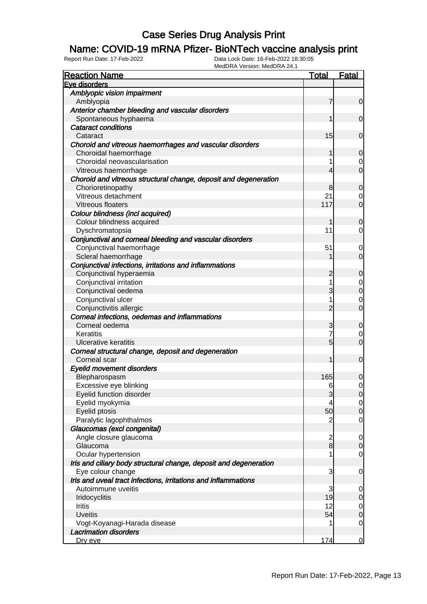#### Name: COVID-19 mRNA Pfizer- BioNTech vaccine analysis print

| <b>Reaction Name</b>                                              | <b>Total</b>    | <b>Fatal</b>   |
|-------------------------------------------------------------------|-----------------|----------------|
| Eve disorders                                                     |                 |                |
| Amblyopic vision impairment                                       |                 |                |
| Amblyopia                                                         | 7               | $\overline{0}$ |
| Anterior chamber bleeding and vascular disorders                  |                 |                |
| Spontaneous hyphaema                                              | 1               | $\mathbf 0$    |
| <b>Cataract conditions</b>                                        |                 |                |
| Cataract                                                          | 15              | $\mathbf 0$    |
| Choroid and vitreous haemorrhages and vascular disorders          |                 |                |
| Choroidal haemorrhage                                             | 1               | 0              |
| Choroidal neovascularisation                                      |                 | 0              |
| Vitreous haemorrhage                                              | 4               | $\mathbf 0$    |
| Choroid and vitreous structural change, deposit and degeneration  |                 |                |
| Chorioretinopathy                                                 | 8               | 0              |
| Vitreous detachment                                               | 21              | 0              |
| Vitreous floaters                                                 | 117             | $\mathbf 0$    |
| Colour blindness (incl acquired)                                  |                 |                |
| Colour blindness acquired                                         | 1               | 0              |
| Dyschromatopsia                                                   | 11              | $\overline{0}$ |
| Conjunctival and corneal bleeding and vascular disorders          |                 |                |
| Conjunctival haemorrhage                                          | 51              | 0              |
| Scleral haemorrhage                                               |                 | $\mathbf 0$    |
| Conjunctival infections, irritations and inflammations            |                 |                |
| Conjunctival hyperaemia                                           | $\overline{c}$  | $\mathbf 0$    |
| Conjunctival irritation                                           | 1               | $\overline{0}$ |
| Conjunctival oedema                                               | 3               | $\mathbf 0$    |
| Conjunctival ulcer                                                | 1               | 0              |
| Conjunctivitis allergic                                           | $\overline{2}$  | $\mathbf 0$    |
| Corneal infections, oedemas and inflammations                     |                 |                |
| Corneal oedema                                                    | 3               | $\mathbf 0$    |
| Keratitis                                                         | 7               | 0              |
| <b>Ulcerative keratitis</b>                                       | $5\overline{)}$ | $\mathbf 0$    |
| Corneal structural change, deposit and degeneration               |                 |                |
| Corneal scar                                                      | 1               | $\mathbf 0$    |
| <b>Eyelid movement disorders</b>                                  |                 |                |
| Blepharospasm                                                     | 165             | 0              |
| Excessive eye blinking                                            | 6               | $\mathbf 0$    |
| Eyelid function disorder                                          | 3               | $\overline{0}$ |
| Eyelid myokymia                                                   | 4               | $\overline{0}$ |
| Eyelid ptosis                                                     | 50              | $\mathbf 0$    |
| Paralytic lagophthalmos                                           | 2               | $\mathbf 0$    |
| Glaucomas (excl congenital)                                       |                 |                |
| Angle closure glaucoma                                            | $\overline{c}$  | $\mathbf 0$    |
| Glaucoma                                                          | $\bf{8}$        | $\mathbf 0$    |
| Ocular hypertension                                               |                 | $\mathbf 0$    |
| Iris and ciliary body structural change, deposit and degeneration |                 |                |
| Eye colour change                                                 | 3               | $\mathbf 0$    |
| Iris and uveal tract infections, irritations and inflammations    |                 |                |
| Autoimmune uveitis                                                | 3               | $\mathbf 0$    |
| Iridocyclitis                                                     | 19              | $\mathbf 0$    |
| Iritis                                                            | 12              | $\overline{0}$ |
| <b>Uveitis</b>                                                    | 54              | $\mathbf 0$    |
| Vogt-Koyanagi-Harada disease                                      |                 | $\mathbf 0$    |
| <b>Lacrimation disorders</b>                                      |                 |                |
| Dry eye                                                           | 174             | $\overline{0}$ |
|                                                                   |                 |                |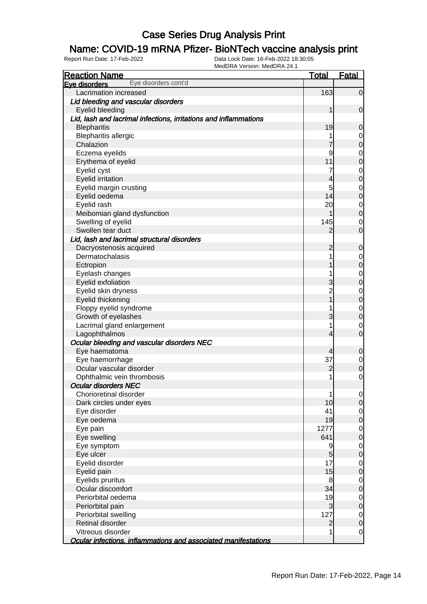### Name: COVID-19 mRNA Pfizer- BioNTech vaccine analysis print

| <b>Reaction Name</b>                                             | <b>Total</b>   | <b>Fatal</b>     |
|------------------------------------------------------------------|----------------|------------------|
| Eye disorders cont'd<br>Eye disorders                            |                |                  |
| Lacrimation increased                                            | 163            | $\overline{0}$   |
| Lid bleeding and vascular disorders                              |                |                  |
| Eyelid bleeding                                                  | 1              | $\mathbf 0$      |
| Lid, lash and lacrimal infections, irritations and inflammations |                |                  |
| <b>Blepharitis</b>                                               | 19             | $\mathbf 0$      |
| <b>Blepharitis allergic</b>                                      |                | 0                |
| Chalazion                                                        | 7              | $\overline{0}$   |
| Eczema eyelids                                                   | 9              | $\mathbf 0$      |
| Erythema of eyelid                                               | 11             | $\overline{0}$   |
| Eyelid cyst                                                      | 7              | $\mathbf 0$      |
| <b>Eyelid irritation</b>                                         | 4              | $\overline{0}$   |
| Eyelid margin crusting                                           | 5              | $\mathbf 0$      |
| Eyelid oedema                                                    | 14             | $\overline{0}$   |
| Eyelid rash                                                      | 20             | $\mathbf 0$      |
| Meibomian gland dysfunction                                      |                | $\overline{0}$   |
| Swelling of eyelid                                               | 145            | $\mathbf 0$      |
| Swollen tear duct                                                | 2              | $\overline{0}$   |
| Lid, lash and lacrimal structural disorders                      |                |                  |
| Dacryostenosis acquired                                          | $\overline{c}$ | $\boldsymbol{0}$ |
| Dermatochalasis                                                  |                | $\mathbf 0$      |
| Ectropion                                                        |                | $\overline{0}$   |
| Eyelash changes                                                  |                | $\mathbf 0$      |
| Eyelid exfoliation                                               | 3              | $\overline{0}$   |
| Eyelid skin dryness                                              | $\overline{c}$ | $\mathbf 0$      |
| Eyelid thickening                                                |                | $\mathbf 0$      |
| Floppy eyelid syndrome                                           |                | $\mathbf 0$      |
| Growth of eyelashes                                              | 3              | $\overline{0}$   |
| Lacrimal gland enlargement                                       |                | $\mathbf 0$      |
| Lagophthalmos                                                    | 4              | $\mathbf 0$      |
| Ocular bleeding and vascular disorders NEC                       |                |                  |
| Eye haematoma                                                    | 4              | $\mathbf 0$      |
| Eye haemorrhage                                                  | 37             | $\mathbf 0$      |
| Ocular vascular disorder                                         | $\overline{c}$ | $\mathbf 0$      |
| Ophthalmic vein thrombosis                                       | 1              | $\mathbf 0$      |
| <b>Ocular disorders NEC</b>                                      |                |                  |
| Chorioretinal disorder                                           | 1              | $\overline{0}$   |
| Dark circles under eyes                                          | 10             | 0                |
| Eye disorder                                                     | 41             | $\overline{0}$   |
| Eye oedema                                                       | 19             | $\mathbf 0$      |
| Eye pain                                                         | 1277           | $\mathbf 0$      |
| Eye swelling                                                     | 641            | $\mathbf 0$      |
| Eye symptom                                                      | 9              | $\overline{0}$   |
| Eye ulcer                                                        | 5              | $\mathbf 0$      |
| Eyelid disorder                                                  | 17             | $\mathbf 0$      |
| Eyelid pain                                                      | 15             | $\mathbf 0$      |
| Eyelids pruritus                                                 | 8              | $\mathbf 0$      |
| Ocular discomfort                                                | 34             | $\mathbf 0$      |
| Periorbital oedema                                               | 19             | $\mathbf 0$      |
| Periorbital pain                                                 | 3              | $\mathbf 0$      |
| Periorbital swelling                                             | 127            | $\overline{0}$   |
| Retinal disorder                                                 | $\overline{c}$ | $\mathbf 0$      |
| Vitreous disorder                                                | 1              | $\mathbf 0$      |
| Ocular infections, inflammations and associated manifestations   |                |                  |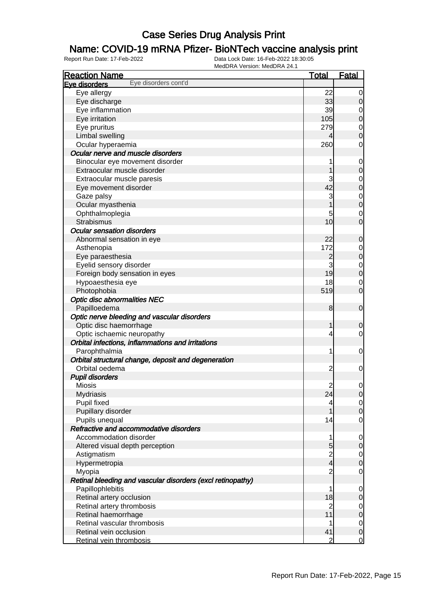### Name: COVID-19 mRNA Pfizer- BioNTech vaccine analysis print

| <b>Reaction Name</b>                                       | <u>Total</u>   | <u>Fatal</u>   |
|------------------------------------------------------------|----------------|----------------|
| Eye disorders cont'd<br>Eye disorders                      |                |                |
| Eye allergy                                                | 22             | 0              |
| Eye discharge                                              | 33             | 0              |
| Eye inflammation                                           | 39             | 0              |
| Eye irritation                                             | 105            | 0              |
| Eye pruritus                                               | 279            | 0              |
| Limbal swelling                                            | 4              | 0              |
| Ocular hyperaemia                                          | 260            | 0              |
| Ocular nerve and muscle disorders                          |                |                |
| Binocular eye movement disorder                            | 1              | $\mathbf 0$    |
| Extraocular muscle disorder                                |                | 0              |
| Extraocular muscle paresis                                 | 3              | 0              |
| Eye movement disorder                                      | 42             | 0              |
| Gaze palsy                                                 | 3              | 0              |
| Ocular myasthenia                                          |                | $\mathbf 0$    |
| Ophthalmoplegia                                            | 5              | 0              |
| <b>Strabismus</b>                                          | 10             | 0              |
| <b>Ocular sensation disorders</b>                          |                |                |
| Abnormal sensation in eye                                  | 22             | 0              |
| Asthenopia                                                 | 172            | 0              |
| Eye paraesthesia                                           | $\overline{c}$ | $\mathbf 0$    |
| Eyelid sensory disorder                                    | 3              | $\mathbf 0$    |
| Foreign body sensation in eyes                             | 19             | $\mathbf 0$    |
| Hypoaesthesia eye                                          | 18             | 0              |
| Photophobia                                                | 519            | $\mathbf 0$    |
| <b>Optic disc abnormalities NEC</b>                        |                |                |
| Papilloedema                                               | 8              | $\mathbf 0$    |
| Optic nerve bleeding and vascular disorders                |                |                |
| Optic disc haemorrhage                                     | 1              | 0              |
| Optic ischaemic neuropathy                                 | 4              | 0              |
| Orbital infections, inflammations and irritations          |                |                |
| Parophthalmia                                              | 1              | $\mathbf 0$    |
| Orbital structural change, deposit and degeneration        |                |                |
| Orbital oedema                                             | $\overline{c}$ | 0              |
| <b>Pupil disorders</b>                                     |                |                |
| <b>Miosis</b>                                              | $\overline{c}$ | 0              |
| <b>Mydriasis</b>                                           | 24             | $\overline{0}$ |
| Pupil fixed                                                | 4              | $\overline{0}$ |
| Pupillary disorder                                         |                | $\mathbf 0$    |
| Pupils unequal                                             | 14             | 0              |
| Refractive and accommodative disorders                     |                |                |
| Accommodation disorder                                     | 1              | $\mathbf 0$    |
| Altered visual depth perception                            | 5              | 0              |
| Astigmatism                                                |                | $\overline{0}$ |
| Hypermetropia                                              | $\frac{2}{4}$  | $\mathbf 0$    |
| Myopia                                                     | $\overline{c}$ | $\mathbf 0$    |
| Retinal bleeding and vascular disorders (excl retinopathy) |                |                |
| Papillophlebitis                                           | 1              | 0              |
| Retinal artery occlusion                                   | 18             | 0              |
| Retinal artery thrombosis                                  | $\overline{c}$ | $\overline{0}$ |
| Retinal haemorrhage                                        | 11             | 0              |
| Retinal vascular thrombosis                                |                | $\overline{0}$ |
| Retinal vein occlusion                                     | 41             | $\mathbf 0$    |
| Retinal vein thrombosis                                    | 2              | $\mathbf 0$    |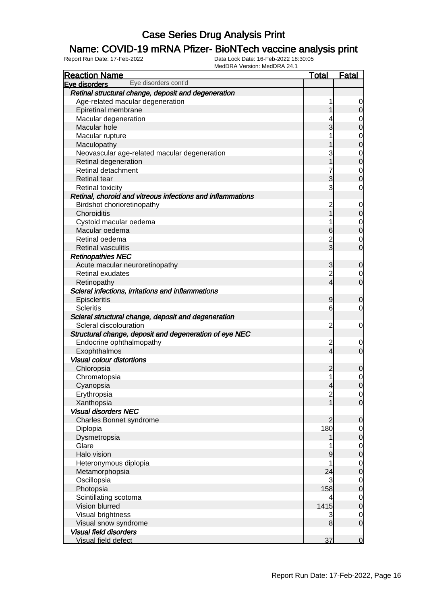### Name: COVID-19 mRNA Pfizer- BioNTech vaccine analysis print

| Eve disorders<br>Retinal structural change, deposit and degeneration<br>Age-related macular degeneration<br>1<br>$\overline{0}$<br>1<br>Epiretinal membrane<br>Macular degeneration<br>4<br>$\overline{0}$<br>$\overline{3}$<br>Macular hole<br>Macular rupture<br>1<br>$\begin{matrix}0\\0\end{matrix}$<br>1<br>Maculopathy<br>3<br>Neovascular age-related macular degeneration<br>$\begin{matrix}0\\0\end{matrix}$<br>$\overline{1}$<br>Retinal degeneration<br>7<br>Retinal detachment<br>$\mathbf 0$<br>$\overline{0}$<br>$\overline{3}$<br><b>Retinal tear</b><br>3<br><b>Retinal toxicity</b><br>Retinal, choroid and vitreous infections and inflammations<br>Birdshot chorioretinopathy<br>$\overline{c}$<br>$\mathbf 0$<br>$\overline{1}$<br>Choroiditis<br>Cystoid macular oedema<br>1<br>$\overline{0}$<br>$\overline{0}$<br>$6 \overline{}$<br>Macular oedema<br>$\frac{2}{3}$<br>Retinal oedema<br>$\overline{0}$<br><b>Retinal vasculitis</b><br><b>Retinopathies NEC</b><br>3<br>Acute macular neuroretinopathy<br>$\mathbf 0$<br>$\overline{\mathbf{c}}$<br>Retinal exudates<br>$\overline{0}$<br>$\overline{O}$<br>$\overline{4}$<br>Retinopathy<br>Scleral infections, irritations and inflammations<br>Episcleritis<br>9<br>$\mathbf 0$<br><b>Scleritis</b><br>6<br>$\mathbf 0$<br>Scleral structural change, deposit and degeneration<br>Scleral discolouration<br>$\overline{c}$<br>$\mathbf 0$<br>Structural change, deposit and degeneration of eye NEC<br>Endocrine ophthalmopathy<br>$\overline{\mathbf{c}}$<br>$\mathbf 0$<br>$\overline{O}$<br>$\overline{4}$<br>Exophthalmos<br><b>Visual colour distortions</b><br>Chloropsia<br>$\overline{c}$<br>$\mathbf 0$<br>Chromatopsia<br>1<br>$\mathbf 0$<br>$\mathbf 0$<br>Cyanopsia<br>$\overline{4}$<br>Erythropsia<br>$\frac{2}{1}$<br> 0 <br>$\overline{O}$<br>Xanthopsia<br><b>Visual disorders NEC</b><br>Charles Bonnet syndrome<br>$\overline{2}$<br>$\mathbf 0$<br>180<br>Diplopia<br>$\mathbf 0$<br>$\overline{0}$<br>Dysmetropsia<br>1<br>Glare<br>$\begin{matrix} 0 \\ 0 \end{matrix}$<br>Halo vision<br>9<br>Heteronymous diplopia<br>1<br>$\begin{matrix}0\\0\end{matrix}$<br>Metamorphopsia<br>24<br>Oscillopsia<br>3<br>$\mathbf 0$<br>$\overline{0}$<br>158<br>Photopsia<br>Scintillating scotoma<br>$\mathbf 0$<br>4<br>$\overline{0}$<br>Vision blurred<br>1415<br>Visual brightness<br>3<br>$\overline{0}$<br>$\mathbf 0$<br>Visual snow syndrome<br>8<br><b>Visual field disorders</b> | <b>Reaction Name</b> | <b>Total</b> | <b>Fatal</b>     |
|-------------------------------------------------------------------------------------------------------------------------------------------------------------------------------------------------------------------------------------------------------------------------------------------------------------------------------------------------------------------------------------------------------------------------------------------------------------------------------------------------------------------------------------------------------------------------------------------------------------------------------------------------------------------------------------------------------------------------------------------------------------------------------------------------------------------------------------------------------------------------------------------------------------------------------------------------------------------------------------------------------------------------------------------------------------------------------------------------------------------------------------------------------------------------------------------------------------------------------------------------------------------------------------------------------------------------------------------------------------------------------------------------------------------------------------------------------------------------------------------------------------------------------------------------------------------------------------------------------------------------------------------------------------------------------------------------------------------------------------------------------------------------------------------------------------------------------------------------------------------------------------------------------------------------------------------------------------------------------------------------------------------------------------------------------------------------------------------------------------------------------------------------------------------------------------------------------------------------------------------------------------------------------------------------------------------------------------------------------------------------------------------------------------------------------------------------------------------------------------|----------------------|--------------|------------------|
|                                                                                                                                                                                                                                                                                                                                                                                                                                                                                                                                                                                                                                                                                                                                                                                                                                                                                                                                                                                                                                                                                                                                                                                                                                                                                                                                                                                                                                                                                                                                                                                                                                                                                                                                                                                                                                                                                                                                                                                                                                                                                                                                                                                                                                                                                                                                                                                                                                                                                     | Eye disorders cont'd |              |                  |
|                                                                                                                                                                                                                                                                                                                                                                                                                                                                                                                                                                                                                                                                                                                                                                                                                                                                                                                                                                                                                                                                                                                                                                                                                                                                                                                                                                                                                                                                                                                                                                                                                                                                                                                                                                                                                                                                                                                                                                                                                                                                                                                                                                                                                                                                                                                                                                                                                                                                                     |                      |              |                  |
|                                                                                                                                                                                                                                                                                                                                                                                                                                                                                                                                                                                                                                                                                                                                                                                                                                                                                                                                                                                                                                                                                                                                                                                                                                                                                                                                                                                                                                                                                                                                                                                                                                                                                                                                                                                                                                                                                                                                                                                                                                                                                                                                                                                                                                                                                                                                                                                                                                                                                     |                      |              |                  |
|                                                                                                                                                                                                                                                                                                                                                                                                                                                                                                                                                                                                                                                                                                                                                                                                                                                                                                                                                                                                                                                                                                                                                                                                                                                                                                                                                                                                                                                                                                                                                                                                                                                                                                                                                                                                                                                                                                                                                                                                                                                                                                                                                                                                                                                                                                                                                                                                                                                                                     |                      |              |                  |
|                                                                                                                                                                                                                                                                                                                                                                                                                                                                                                                                                                                                                                                                                                                                                                                                                                                                                                                                                                                                                                                                                                                                                                                                                                                                                                                                                                                                                                                                                                                                                                                                                                                                                                                                                                                                                                                                                                                                                                                                                                                                                                                                                                                                                                                                                                                                                                                                                                                                                     |                      |              | $\overline{0}$   |
|                                                                                                                                                                                                                                                                                                                                                                                                                                                                                                                                                                                                                                                                                                                                                                                                                                                                                                                                                                                                                                                                                                                                                                                                                                                                                                                                                                                                                                                                                                                                                                                                                                                                                                                                                                                                                                                                                                                                                                                                                                                                                                                                                                                                                                                                                                                                                                                                                                                                                     |                      |              |                  |
|                                                                                                                                                                                                                                                                                                                                                                                                                                                                                                                                                                                                                                                                                                                                                                                                                                                                                                                                                                                                                                                                                                                                                                                                                                                                                                                                                                                                                                                                                                                                                                                                                                                                                                                                                                                                                                                                                                                                                                                                                                                                                                                                                                                                                                                                                                                                                                                                                                                                                     |                      |              |                  |
|                                                                                                                                                                                                                                                                                                                                                                                                                                                                                                                                                                                                                                                                                                                                                                                                                                                                                                                                                                                                                                                                                                                                                                                                                                                                                                                                                                                                                                                                                                                                                                                                                                                                                                                                                                                                                                                                                                                                                                                                                                                                                                                                                                                                                                                                                                                                                                                                                                                                                     |                      |              |                  |
|                                                                                                                                                                                                                                                                                                                                                                                                                                                                                                                                                                                                                                                                                                                                                                                                                                                                                                                                                                                                                                                                                                                                                                                                                                                                                                                                                                                                                                                                                                                                                                                                                                                                                                                                                                                                                                                                                                                                                                                                                                                                                                                                                                                                                                                                                                                                                                                                                                                                                     |                      |              |                  |
|                                                                                                                                                                                                                                                                                                                                                                                                                                                                                                                                                                                                                                                                                                                                                                                                                                                                                                                                                                                                                                                                                                                                                                                                                                                                                                                                                                                                                                                                                                                                                                                                                                                                                                                                                                                                                                                                                                                                                                                                                                                                                                                                                                                                                                                                                                                                                                                                                                                                                     |                      |              |                  |
|                                                                                                                                                                                                                                                                                                                                                                                                                                                                                                                                                                                                                                                                                                                                                                                                                                                                                                                                                                                                                                                                                                                                                                                                                                                                                                                                                                                                                                                                                                                                                                                                                                                                                                                                                                                                                                                                                                                                                                                                                                                                                                                                                                                                                                                                                                                                                                                                                                                                                     |                      |              |                  |
|                                                                                                                                                                                                                                                                                                                                                                                                                                                                                                                                                                                                                                                                                                                                                                                                                                                                                                                                                                                                                                                                                                                                                                                                                                                                                                                                                                                                                                                                                                                                                                                                                                                                                                                                                                                                                                                                                                                                                                                                                                                                                                                                                                                                                                                                                                                                                                                                                                                                                     |                      |              |                  |
|                                                                                                                                                                                                                                                                                                                                                                                                                                                                                                                                                                                                                                                                                                                                                                                                                                                                                                                                                                                                                                                                                                                                                                                                                                                                                                                                                                                                                                                                                                                                                                                                                                                                                                                                                                                                                                                                                                                                                                                                                                                                                                                                                                                                                                                                                                                                                                                                                                                                                     |                      |              | $\mathbf 0$      |
|                                                                                                                                                                                                                                                                                                                                                                                                                                                                                                                                                                                                                                                                                                                                                                                                                                                                                                                                                                                                                                                                                                                                                                                                                                                                                                                                                                                                                                                                                                                                                                                                                                                                                                                                                                                                                                                                                                                                                                                                                                                                                                                                                                                                                                                                                                                                                                                                                                                                                     |                      |              |                  |
|                                                                                                                                                                                                                                                                                                                                                                                                                                                                                                                                                                                                                                                                                                                                                                                                                                                                                                                                                                                                                                                                                                                                                                                                                                                                                                                                                                                                                                                                                                                                                                                                                                                                                                                                                                                                                                                                                                                                                                                                                                                                                                                                                                                                                                                                                                                                                                                                                                                                                     |                      |              |                  |
|                                                                                                                                                                                                                                                                                                                                                                                                                                                                                                                                                                                                                                                                                                                                                                                                                                                                                                                                                                                                                                                                                                                                                                                                                                                                                                                                                                                                                                                                                                                                                                                                                                                                                                                                                                                                                                                                                                                                                                                                                                                                                                                                                                                                                                                                                                                                                                                                                                                                                     |                      |              | $\boldsymbol{0}$ |
|                                                                                                                                                                                                                                                                                                                                                                                                                                                                                                                                                                                                                                                                                                                                                                                                                                                                                                                                                                                                                                                                                                                                                                                                                                                                                                                                                                                                                                                                                                                                                                                                                                                                                                                                                                                                                                                                                                                                                                                                                                                                                                                                                                                                                                                                                                                                                                                                                                                                                     |                      |              |                  |
|                                                                                                                                                                                                                                                                                                                                                                                                                                                                                                                                                                                                                                                                                                                                                                                                                                                                                                                                                                                                                                                                                                                                                                                                                                                                                                                                                                                                                                                                                                                                                                                                                                                                                                                                                                                                                                                                                                                                                                                                                                                                                                                                                                                                                                                                                                                                                                                                                                                                                     |                      |              |                  |
|                                                                                                                                                                                                                                                                                                                                                                                                                                                                                                                                                                                                                                                                                                                                                                                                                                                                                                                                                                                                                                                                                                                                                                                                                                                                                                                                                                                                                                                                                                                                                                                                                                                                                                                                                                                                                                                                                                                                                                                                                                                                                                                                                                                                                                                                                                                                                                                                                                                                                     |                      |              |                  |
|                                                                                                                                                                                                                                                                                                                                                                                                                                                                                                                                                                                                                                                                                                                                                                                                                                                                                                                                                                                                                                                                                                                                                                                                                                                                                                                                                                                                                                                                                                                                                                                                                                                                                                                                                                                                                                                                                                                                                                                                                                                                                                                                                                                                                                                                                                                                                                                                                                                                                     |                      |              | $\overline{O}$   |
|                                                                                                                                                                                                                                                                                                                                                                                                                                                                                                                                                                                                                                                                                                                                                                                                                                                                                                                                                                                                                                                                                                                                                                                                                                                                                                                                                                                                                                                                                                                                                                                                                                                                                                                                                                                                                                                                                                                                                                                                                                                                                                                                                                                                                                                                                                                                                                                                                                                                                     |                      |              |                  |
|                                                                                                                                                                                                                                                                                                                                                                                                                                                                                                                                                                                                                                                                                                                                                                                                                                                                                                                                                                                                                                                                                                                                                                                                                                                                                                                                                                                                                                                                                                                                                                                                                                                                                                                                                                                                                                                                                                                                                                                                                                                                                                                                                                                                                                                                                                                                                                                                                                                                                     |                      |              |                  |
|                                                                                                                                                                                                                                                                                                                                                                                                                                                                                                                                                                                                                                                                                                                                                                                                                                                                                                                                                                                                                                                                                                                                                                                                                                                                                                                                                                                                                                                                                                                                                                                                                                                                                                                                                                                                                                                                                                                                                                                                                                                                                                                                                                                                                                                                                                                                                                                                                                                                                     |                      |              |                  |
|                                                                                                                                                                                                                                                                                                                                                                                                                                                                                                                                                                                                                                                                                                                                                                                                                                                                                                                                                                                                                                                                                                                                                                                                                                                                                                                                                                                                                                                                                                                                                                                                                                                                                                                                                                                                                                                                                                                                                                                                                                                                                                                                                                                                                                                                                                                                                                                                                                                                                     |                      |              |                  |
|                                                                                                                                                                                                                                                                                                                                                                                                                                                                                                                                                                                                                                                                                                                                                                                                                                                                                                                                                                                                                                                                                                                                                                                                                                                                                                                                                                                                                                                                                                                                                                                                                                                                                                                                                                                                                                                                                                                                                                                                                                                                                                                                                                                                                                                                                                                                                                                                                                                                                     |                      |              |                  |
|                                                                                                                                                                                                                                                                                                                                                                                                                                                                                                                                                                                                                                                                                                                                                                                                                                                                                                                                                                                                                                                                                                                                                                                                                                                                                                                                                                                                                                                                                                                                                                                                                                                                                                                                                                                                                                                                                                                                                                                                                                                                                                                                                                                                                                                                                                                                                                                                                                                                                     |                      |              |                  |
|                                                                                                                                                                                                                                                                                                                                                                                                                                                                                                                                                                                                                                                                                                                                                                                                                                                                                                                                                                                                                                                                                                                                                                                                                                                                                                                                                                                                                                                                                                                                                                                                                                                                                                                                                                                                                                                                                                                                                                                                                                                                                                                                                                                                                                                                                                                                                                                                                                                                                     |                      |              |                  |
|                                                                                                                                                                                                                                                                                                                                                                                                                                                                                                                                                                                                                                                                                                                                                                                                                                                                                                                                                                                                                                                                                                                                                                                                                                                                                                                                                                                                                                                                                                                                                                                                                                                                                                                                                                                                                                                                                                                                                                                                                                                                                                                                                                                                                                                                                                                                                                                                                                                                                     |                      |              |                  |
|                                                                                                                                                                                                                                                                                                                                                                                                                                                                                                                                                                                                                                                                                                                                                                                                                                                                                                                                                                                                                                                                                                                                                                                                                                                                                                                                                                                                                                                                                                                                                                                                                                                                                                                                                                                                                                                                                                                                                                                                                                                                                                                                                                                                                                                                                                                                                                                                                                                                                     |                      |              |                  |
|                                                                                                                                                                                                                                                                                                                                                                                                                                                                                                                                                                                                                                                                                                                                                                                                                                                                                                                                                                                                                                                                                                                                                                                                                                                                                                                                                                                                                                                                                                                                                                                                                                                                                                                                                                                                                                                                                                                                                                                                                                                                                                                                                                                                                                                                                                                                                                                                                                                                                     |                      |              |                  |
|                                                                                                                                                                                                                                                                                                                                                                                                                                                                                                                                                                                                                                                                                                                                                                                                                                                                                                                                                                                                                                                                                                                                                                                                                                                                                                                                                                                                                                                                                                                                                                                                                                                                                                                                                                                                                                                                                                                                                                                                                                                                                                                                                                                                                                                                                                                                                                                                                                                                                     |                      |              |                  |
|                                                                                                                                                                                                                                                                                                                                                                                                                                                                                                                                                                                                                                                                                                                                                                                                                                                                                                                                                                                                                                                                                                                                                                                                                                                                                                                                                                                                                                                                                                                                                                                                                                                                                                                                                                                                                                                                                                                                                                                                                                                                                                                                                                                                                                                                                                                                                                                                                                                                                     |                      |              |                  |
|                                                                                                                                                                                                                                                                                                                                                                                                                                                                                                                                                                                                                                                                                                                                                                                                                                                                                                                                                                                                                                                                                                                                                                                                                                                                                                                                                                                                                                                                                                                                                                                                                                                                                                                                                                                                                                                                                                                                                                                                                                                                                                                                                                                                                                                                                                                                                                                                                                                                                     |                      |              |                  |
|                                                                                                                                                                                                                                                                                                                                                                                                                                                                                                                                                                                                                                                                                                                                                                                                                                                                                                                                                                                                                                                                                                                                                                                                                                                                                                                                                                                                                                                                                                                                                                                                                                                                                                                                                                                                                                                                                                                                                                                                                                                                                                                                                                                                                                                                                                                                                                                                                                                                                     |                      |              |                  |
|                                                                                                                                                                                                                                                                                                                                                                                                                                                                                                                                                                                                                                                                                                                                                                                                                                                                                                                                                                                                                                                                                                                                                                                                                                                                                                                                                                                                                                                                                                                                                                                                                                                                                                                                                                                                                                                                                                                                                                                                                                                                                                                                                                                                                                                                                                                                                                                                                                                                                     |                      |              |                  |
|                                                                                                                                                                                                                                                                                                                                                                                                                                                                                                                                                                                                                                                                                                                                                                                                                                                                                                                                                                                                                                                                                                                                                                                                                                                                                                                                                                                                                                                                                                                                                                                                                                                                                                                                                                                                                                                                                                                                                                                                                                                                                                                                                                                                                                                                                                                                                                                                                                                                                     |                      |              |                  |
|                                                                                                                                                                                                                                                                                                                                                                                                                                                                                                                                                                                                                                                                                                                                                                                                                                                                                                                                                                                                                                                                                                                                                                                                                                                                                                                                                                                                                                                                                                                                                                                                                                                                                                                                                                                                                                                                                                                                                                                                                                                                                                                                                                                                                                                                                                                                                                                                                                                                                     |                      |              |                  |
|                                                                                                                                                                                                                                                                                                                                                                                                                                                                                                                                                                                                                                                                                                                                                                                                                                                                                                                                                                                                                                                                                                                                                                                                                                                                                                                                                                                                                                                                                                                                                                                                                                                                                                                                                                                                                                                                                                                                                                                                                                                                                                                                                                                                                                                                                                                                                                                                                                                                                     |                      |              |                  |
|                                                                                                                                                                                                                                                                                                                                                                                                                                                                                                                                                                                                                                                                                                                                                                                                                                                                                                                                                                                                                                                                                                                                                                                                                                                                                                                                                                                                                                                                                                                                                                                                                                                                                                                                                                                                                                                                                                                                                                                                                                                                                                                                                                                                                                                                                                                                                                                                                                                                                     |                      |              |                  |
|                                                                                                                                                                                                                                                                                                                                                                                                                                                                                                                                                                                                                                                                                                                                                                                                                                                                                                                                                                                                                                                                                                                                                                                                                                                                                                                                                                                                                                                                                                                                                                                                                                                                                                                                                                                                                                                                                                                                                                                                                                                                                                                                                                                                                                                                                                                                                                                                                                                                                     |                      |              |                  |
|                                                                                                                                                                                                                                                                                                                                                                                                                                                                                                                                                                                                                                                                                                                                                                                                                                                                                                                                                                                                                                                                                                                                                                                                                                                                                                                                                                                                                                                                                                                                                                                                                                                                                                                                                                                                                                                                                                                                                                                                                                                                                                                                                                                                                                                                                                                                                                                                                                                                                     |                      |              |                  |
|                                                                                                                                                                                                                                                                                                                                                                                                                                                                                                                                                                                                                                                                                                                                                                                                                                                                                                                                                                                                                                                                                                                                                                                                                                                                                                                                                                                                                                                                                                                                                                                                                                                                                                                                                                                                                                                                                                                                                                                                                                                                                                                                                                                                                                                                                                                                                                                                                                                                                     |                      |              |                  |
|                                                                                                                                                                                                                                                                                                                                                                                                                                                                                                                                                                                                                                                                                                                                                                                                                                                                                                                                                                                                                                                                                                                                                                                                                                                                                                                                                                                                                                                                                                                                                                                                                                                                                                                                                                                                                                                                                                                                                                                                                                                                                                                                                                                                                                                                                                                                                                                                                                                                                     |                      |              |                  |
|                                                                                                                                                                                                                                                                                                                                                                                                                                                                                                                                                                                                                                                                                                                                                                                                                                                                                                                                                                                                                                                                                                                                                                                                                                                                                                                                                                                                                                                                                                                                                                                                                                                                                                                                                                                                                                                                                                                                                                                                                                                                                                                                                                                                                                                                                                                                                                                                                                                                                     |                      |              |                  |
|                                                                                                                                                                                                                                                                                                                                                                                                                                                                                                                                                                                                                                                                                                                                                                                                                                                                                                                                                                                                                                                                                                                                                                                                                                                                                                                                                                                                                                                                                                                                                                                                                                                                                                                                                                                                                                                                                                                                                                                                                                                                                                                                                                                                                                                                                                                                                                                                                                                                                     |                      |              |                  |
|                                                                                                                                                                                                                                                                                                                                                                                                                                                                                                                                                                                                                                                                                                                                                                                                                                                                                                                                                                                                                                                                                                                                                                                                                                                                                                                                                                                                                                                                                                                                                                                                                                                                                                                                                                                                                                                                                                                                                                                                                                                                                                                                                                                                                                                                                                                                                                                                                                                                                     |                      |              |                  |
|                                                                                                                                                                                                                                                                                                                                                                                                                                                                                                                                                                                                                                                                                                                                                                                                                                                                                                                                                                                                                                                                                                                                                                                                                                                                                                                                                                                                                                                                                                                                                                                                                                                                                                                                                                                                                                                                                                                                                                                                                                                                                                                                                                                                                                                                                                                                                                                                                                                                                     |                      |              |                  |
|                                                                                                                                                                                                                                                                                                                                                                                                                                                                                                                                                                                                                                                                                                                                                                                                                                                                                                                                                                                                                                                                                                                                                                                                                                                                                                                                                                                                                                                                                                                                                                                                                                                                                                                                                                                                                                                                                                                                                                                                                                                                                                                                                                                                                                                                                                                                                                                                                                                                                     |                      |              |                  |
|                                                                                                                                                                                                                                                                                                                                                                                                                                                                                                                                                                                                                                                                                                                                                                                                                                                                                                                                                                                                                                                                                                                                                                                                                                                                                                                                                                                                                                                                                                                                                                                                                                                                                                                                                                                                                                                                                                                                                                                                                                                                                                                                                                                                                                                                                                                                                                                                                                                                                     |                      |              |                  |
|                                                                                                                                                                                                                                                                                                                                                                                                                                                                                                                                                                                                                                                                                                                                                                                                                                                                                                                                                                                                                                                                                                                                                                                                                                                                                                                                                                                                                                                                                                                                                                                                                                                                                                                                                                                                                                                                                                                                                                                                                                                                                                                                                                                                                                                                                                                                                                                                                                                                                     |                      |              |                  |
|                                                                                                                                                                                                                                                                                                                                                                                                                                                                                                                                                                                                                                                                                                                                                                                                                                                                                                                                                                                                                                                                                                                                                                                                                                                                                                                                                                                                                                                                                                                                                                                                                                                                                                                                                                                                                                                                                                                                                                                                                                                                                                                                                                                                                                                                                                                                                                                                                                                                                     |                      |              |                  |
|                                                                                                                                                                                                                                                                                                                                                                                                                                                                                                                                                                                                                                                                                                                                                                                                                                                                                                                                                                                                                                                                                                                                                                                                                                                                                                                                                                                                                                                                                                                                                                                                                                                                                                                                                                                                                                                                                                                                                                                                                                                                                                                                                                                                                                                                                                                                                                                                                                                                                     |                      |              |                  |
|                                                                                                                                                                                                                                                                                                                                                                                                                                                                                                                                                                                                                                                                                                                                                                                                                                                                                                                                                                                                                                                                                                                                                                                                                                                                                                                                                                                                                                                                                                                                                                                                                                                                                                                                                                                                                                                                                                                                                                                                                                                                                                                                                                                                                                                                                                                                                                                                                                                                                     |                      |              |                  |
| 37<br>Visual field defect                                                                                                                                                                                                                                                                                                                                                                                                                                                                                                                                                                                                                                                                                                                                                                                                                                                                                                                                                                                                                                                                                                                                                                                                                                                                                                                                                                                                                                                                                                                                                                                                                                                                                                                                                                                                                                                                                                                                                                                                                                                                                                                                                                                                                                                                                                                                                                                                                                                           |                      |              | $\overline{0}$   |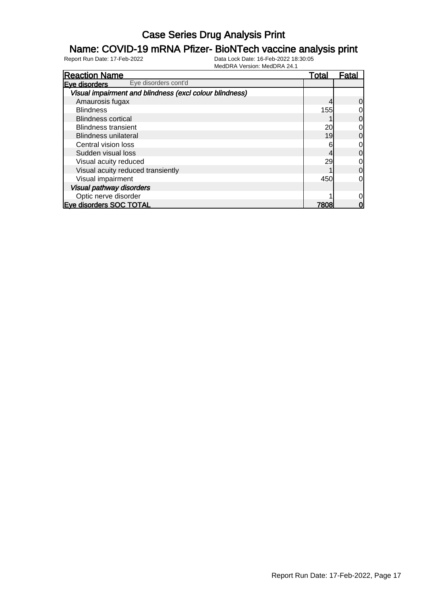#### Name: COVID-19 mRNA Pfizer- BioNTech vaccine analysis print

| <b>Reaction Name</b>                                    | <u>Total</u> | Fatal |
|---------------------------------------------------------|--------------|-------|
| Eye disorders cont'd<br>Eve disorders                   |              |       |
| Visual impairment and blindness (excl colour blindness) |              |       |
| Amaurosis fugax                                         |              | 0     |
| <b>Blindness</b>                                        | 155          | 0     |
| <b>Blindness cortical</b>                               |              | 0     |
| <b>Blindness transient</b>                              | 20           | 0     |
| <b>Blindness unilateral</b>                             | 19           | 0     |
| Central vision loss                                     | 6            | 0     |
| Sudden visual loss                                      |              | 0     |
| Visual acuity reduced                                   | 29           | 0     |
| Visual acuity reduced transiently                       |              | 0     |
| Visual impairment                                       | 450          | 0     |
| <b>Visual pathway disorders</b>                         |              |       |
| Optic nerve disorder                                    |              |       |
| <b>Eve disorders SOC TOTAL</b>                          | 7808         | 0     |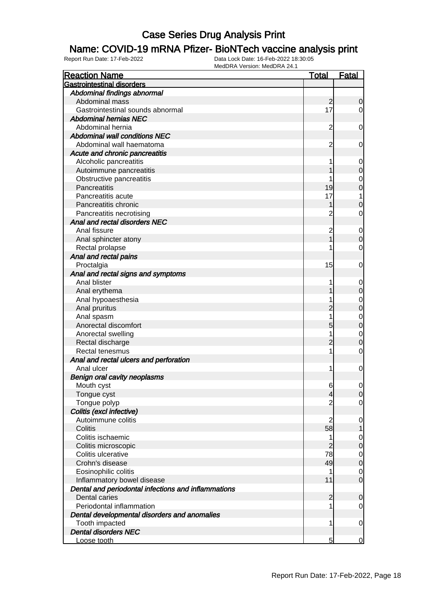#### Name: COVID-19 mRNA Pfizer- BioNTech vaccine analysis print

| <b>Reaction Name</b>                                | <u>Total</u>   | <b>Fatal</b>   |
|-----------------------------------------------------|----------------|----------------|
| <b>Gastrointestinal disorders</b>                   |                |                |
| Abdominal findings abnormal                         |                |                |
| Abdominal mass                                      | $\overline{c}$ | $\mathbf 0$    |
| Gastrointestinal sounds abnormal                    | 17             | $\overline{0}$ |
| <b>Abdominal hernias NEC</b>                        |                |                |
| Abdominal hernia                                    | $\overline{c}$ | $\mathbf 0$    |
| <b>Abdominal wall conditions NEC</b>                |                |                |
| Abdominal wall haematoma                            | $\overline{c}$ | $\mathbf 0$    |
| Acute and chronic pancreatitis                      |                |                |
| Alcoholic pancreatitis                              |                | 0              |
| Autoimmune pancreatitis                             |                | $\mathbf 0$    |
| Obstructive pancreatitis                            |                | $\mathbf 0$    |
| Pancreatitis                                        | 19             | $\mathbf 0$    |
| Pancreatitis acute                                  | 17             | 1              |
| Pancreatitis chronic                                |                | 0              |
| Pancreatitis necrotising                            | $\overline{c}$ | 0              |
| Anal and rectal disorders NEC                       |                |                |
| Anal fissure                                        | $\overline{c}$ | 0              |
| Anal sphincter atony                                |                | $\mathbf 0$    |
| Rectal prolapse                                     |                | $\mathbf 0$    |
| Anal and rectal pains                               |                |                |
| Proctalgia                                          | 15             | $\mathbf 0$    |
| Anal and rectal signs and symptoms                  |                |                |
| Anal blister                                        |                | $\mathbf 0$    |
| Anal erythema                                       |                | $\mathbf 0$    |
| Anal hypoaesthesia                                  |                | $\mathbf 0$    |
| Anal pruritus                                       | 2              | $\mathbf 0$    |
| Anal spasm                                          |                | $\mathbf 0$    |
| Anorectal discomfort                                | 5              | $\mathbf 0$    |
| Anorectal swelling                                  |                | $\mathbf 0$    |
| Rectal discharge                                    | $\overline{c}$ | $\mathbf 0$    |
| Rectal tenesmus                                     | 1              | $\mathbf 0$    |
| Anal and rectal ulcers and perforation              |                |                |
| Anal ulcer                                          | 1              | $\mathbf 0$    |
| Benign oral cavity neoplasms                        |                |                |
| Mouth cyst                                          | 6              | 0              |
| Tongue cyst                                         | $\overline{4}$ | $\overline{0}$ |
| Tongue polyp                                        | $\overline{2}$ | $\overline{0}$ |
| Colitis (excl infective)                            |                |                |
| Autoimmune colitis                                  | $\overline{2}$ | 0              |
| Colitis                                             | 58             | 1              |
| Colitis ischaemic                                   | 1              | 0              |
| Colitis microscopic                                 | $\overline{2}$ | $\mathbf 0$    |
| Colitis ulcerative                                  | 78             | $\mathbf 0$    |
| Crohn's disease                                     | 49             | $\mathbf 0$    |
| Eosinophilic colitis                                |                | 0              |
| Inflammatory bowel disease                          | 11             | $\mathbf 0$    |
| Dental and periodontal infections and inflammations |                |                |
| Dental caries                                       | $\overline{c}$ | $\mathbf 0$    |
| Periodontal inflammation                            |                | $\overline{0}$ |
| Dental developmental disorders and anomalies        |                |                |
| Tooth impacted                                      | 1              | $\mathbf 0$    |
| <b>Dental disorders NEC</b>                         |                |                |
| Loose tooth                                         | $5\overline{}$ | $\overline{0}$ |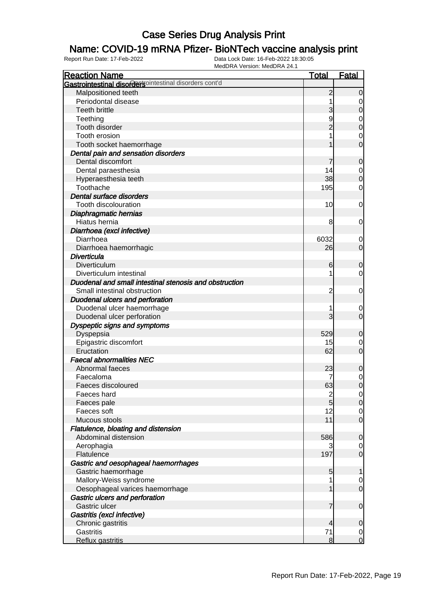### Name: COVID-19 mRNA Pfizer- BioNTech vaccine analysis print

| <b>Reaction Name</b>                                   | <b>Total</b>   | <b>Fatal</b>                  |
|--------------------------------------------------------|----------------|-------------------------------|
| Gastrointestinal disordersointestinal disorders cont'd |                |                               |
| Malpositioned teeth                                    | $\overline{2}$ | $\mathbf 0$                   |
| Periodontal disease                                    |                | 0                             |
| <b>Teeth brittle</b>                                   | 3              | $\mathbf 0$                   |
| Teething                                               | 9              | $\mathbf 0$                   |
| Tooth disorder                                         | $\overline{c}$ | $\mathbf 0$                   |
| Tooth erosion                                          |                | 0                             |
| Tooth socket haemorrhage                               |                | $\overline{0}$                |
| Dental pain and sensation disorders                    |                |                               |
| Dental discomfort                                      |                | $\mathbf 0$                   |
| Dental paraesthesia                                    | 14             | 0                             |
| Hyperaesthesia teeth                                   | 38             | $\boldsymbol{0}$              |
| Toothache                                              | 195            | 0                             |
| Dental surface disorders                               |                |                               |
| Tooth discolouration                                   | 10             | 0                             |
| Diaphragmatic hernias                                  |                |                               |
| Hiatus hernia                                          | 8              | 0                             |
| Diarrhoea (excl infective)                             |                |                               |
| Diarrhoea                                              | 6032           | 0                             |
| Diarrhoea haemorrhagic                                 | 26             | $\mathbf 0$                   |
| Diverticula                                            |                |                               |
| Diverticulum                                           | 6              | $\mathbf 0$                   |
| Diverticulum intestinal                                |                | 0                             |
| Duodenal and small intestinal stenosis and obstruction |                |                               |
| Small intestinal obstruction                           | $\overline{c}$ | 0                             |
| Duodenal ulcers and perforation                        |                |                               |
| Duodenal ulcer haemorrhage                             |                | 0                             |
| Duodenal ulcer perforation                             | 3              | $\mathbf 0$                   |
| Dyspeptic signs and symptoms                           |                |                               |
| Dyspepsia                                              | 529            | 0                             |
| Epigastric discomfort                                  | 15             | 0                             |
| Eructation                                             | 62             | $\mathbf 0$                   |
| <b>Faecal abnormalities NEC</b>                        |                |                               |
| Abnormal faeces                                        | 23             |                               |
| Faecaloma                                              |                | 0<br>$\mathbf 0$              |
| Faeces discoloured                                     | 63             | $\mathbf 0$                   |
| Faeces hard                                            |                |                               |
| Faeces pale                                            | $\frac{2}{5}$  | $\overline{0}$<br>$\mathbf 0$ |
| Faeces soft                                            | 12             | $\overline{0}$                |
| Mucous stools                                          | 11             | $\mathbf 0$                   |
| Flatulence, bloating and distension                    |                |                               |
| Abdominal distension                                   | 586            | $\mathbf 0$                   |
| Aerophagia                                             | 3              | 0                             |
| Flatulence                                             | 197            | $\mathbf 0$                   |
|                                                        |                |                               |
| Gastric and oesophageal haemorrhages                   |                |                               |
| Gastric haemorrhage<br>Mallory-Weiss syndrome          | 5              | 1                             |
|                                                        |                | 0                             |
| Oesophageal varices haemorrhage                        |                | $\mathbf 0$                   |
| Gastric ulcers and perforation                         |                |                               |
| Gastric ulcer                                          | 7              | $\mathbf 0$                   |
| Gastritis (excl infective)                             |                |                               |
| Chronic gastritis                                      | 4              | $\mathbf 0$                   |
| <b>Gastritis</b>                                       | 71             | $\overline{0}$                |
| Reflux gastritis                                       | 8              | $\overline{0}$                |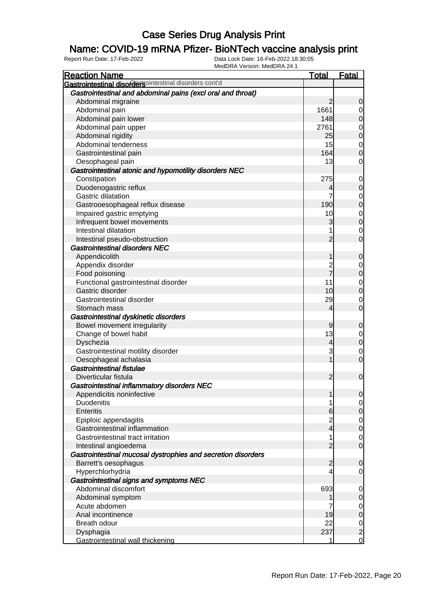### Name: COVID-19 mRNA Pfizer- BioNTech vaccine analysis print

| <b>Reaction Name</b>                                         | <b>Total</b>   | <b>Fatal</b>                              |
|--------------------------------------------------------------|----------------|-------------------------------------------|
| Gastrointestinal disordersointestinal disorders cont'd       |                |                                           |
| Gastrointestinal and abdominal pains (excl oral and throat)  |                |                                           |
| Abdominal migraine                                           | $\overline{2}$ | $\mathbf 0$                               |
| Abdominal pain                                               | 1661           | $\overline{0}$                            |
| Abdominal pain lower                                         | 148            | $\overline{0}$                            |
| Abdominal pain upper                                         | 2761           |                                           |
| Abdominal rigidity                                           | 25             | $0\atop 0$                                |
| Abdominal tenderness                                         | 15             | $\overline{0}$                            |
| Gastrointestinal pain                                        | 164            | $\overline{0}$                            |
| Oesophageal pain                                             | 13             | $\overline{0}$                            |
| Gastrointestinal atonic and hypomotility disorders NEC       |                |                                           |
| Constipation                                                 | 275            | $\mathbf 0$                               |
| Duodenogastric reflux                                        | 4              | $\pmb{0}$                                 |
| <b>Gastric dilatation</b>                                    | 7              | $\overline{0}$                            |
| Gastrooesophageal reflux disease                             | 190            | $\overline{0}$                            |
| Impaired gastric emptying                                    | 10             |                                           |
| Infrequent bowel movements                                   | 3              | $0$<br>0                                  |
| Intestinal dilatation                                        | 1              | $\mathbf 0$                               |
| Intestinal pseudo-obstruction                                | $\overline{2}$ | $\overline{0}$                            |
| Gastrointestinal disorders NEC                               |                |                                           |
| Appendicolith                                                | 1              | $\mathbf 0$                               |
| Appendix disorder                                            |                | $\mathbf 0$                               |
| Food poisoning                                               | 2<br>7         | $\overline{0}$                            |
| Functional gastrointestinal disorder                         | 11             | $\mathbf{0}$                              |
| Gastric disorder                                             | 10             | $\overline{0}$                            |
| Gastrointestinal disorder                                    | 29             | $\mathbf 0$                               |
| Stomach mass                                                 | $\overline{4}$ | $\mathbf 0$                               |
| Gastrointestinal dyskinetic disorders                        |                |                                           |
| Bowel movement irregularity                                  | 9              | $\mathbf 0$                               |
| Change of bowel habit                                        | 13             | $\overline{0}$                            |
| Dyschezia                                                    | $\overline{4}$ | $\overline{0}$                            |
| Gastrointestinal motility disorder                           | 3              | $\mathbf 0$                               |
| Oesophageal achalasia                                        | $\mathbf{1}$   | $\overline{0}$                            |
| <b>Gastrointestinal fistulae</b>                             |                |                                           |
| Diverticular fistula                                         | $\overline{2}$ | $\boldsymbol{0}$                          |
| Gastrointestinal inflammatory disorders NEC                  |                |                                           |
| Appendicitis noninfective                                    | $\mathbf{1}$   | 0                                         |
| <b>Duodenitis</b>                                            | 1              | $\overline{0}$                            |
| <b>Enteritis</b>                                             | 6              | $\mathsf{O}$                              |
| Epiploic appendagitis                                        | $\overline{c}$ | $\overline{0}$                            |
| Gastrointestinal inflammation                                | $\overline{4}$ | $\overline{0}$                            |
| Gastrointestinal tract irritation                            | 1              | $\mathbf 0$                               |
| Intestinal angioedema                                        | $\overline{2}$ | $\overline{0}$                            |
| Gastrointestinal mucosal dystrophies and secretion disorders |                |                                           |
| Barrett's oesophagus                                         | $\overline{a}$ | $\mathbf 0$                               |
| Hyperchlorhydria                                             | 4              | $\mathbf 0$                               |
| Gastrointestinal signs and symptoms NEC                      |                |                                           |
| Abdominal discomfort                                         | 693            | $\mathbf 0$                               |
| Abdominal symptom                                            | 1              | $\pmb{0}$                                 |
| Acute abdomen                                                |                | $\overline{0}$                            |
| Anal incontinence                                            | 19             | $\overline{0}$                            |
| Breath odour                                                 | 22             |                                           |
| Dysphagia                                                    | 237            | $\begin{matrix} 0 \\ 2 \\ 0 \end{matrix}$ |
| Gastrointestinal wall thickening                             | 1              |                                           |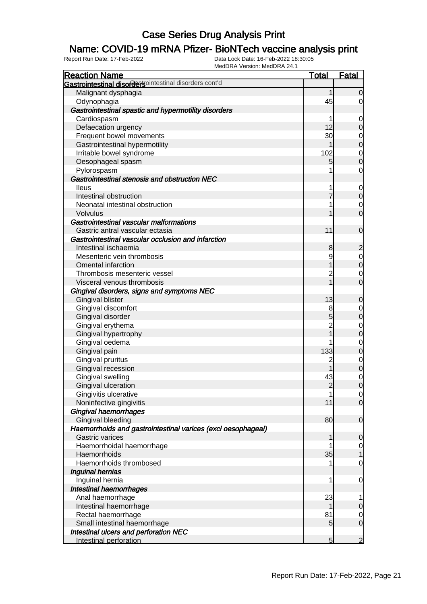### Name: COVID-19 mRNA Pfizer- BioNTech vaccine analysis print

| <b>Reaction Name</b>                                         | <b>Total</b>   | <b>Fatal</b>   |
|--------------------------------------------------------------|----------------|----------------|
| Gastrointestinal disordersointestinal disorders cont'd       |                |                |
| Malignant dysphagia                                          | 1              | $\overline{0}$ |
| Odynophagia                                                  | 45             | $\overline{0}$ |
| Gastrointestinal spastic and hypermotility disorders         |                |                |
| Cardiospasm                                                  |                | $\overline{0}$ |
| Defaecation urgency                                          | 12             | $\overline{0}$ |
| Frequent bowel movements                                     | 30             | $\overline{0}$ |
| Gastrointestinal hypermotility                               | 1              | $\overline{0}$ |
| Irritable bowel syndrome                                     | 102            | $\mathbf 0$    |
| Oesophageal spasm                                            | 5              | $\overline{0}$ |
| Pylorospasm                                                  |                | $\mathbf 0$    |
| Gastrointestinal stenosis and obstruction NEC                |                |                |
| <b>Ileus</b>                                                 |                | $\overline{0}$ |
| Intestinal obstruction                                       | 7              | $\overline{0}$ |
| Neonatal intestinal obstruction                              |                | $\mathbf 0$    |
| Volvulus                                                     |                | $\overline{0}$ |
| Gastrointestinal vascular malformations                      |                |                |
| Gastric antral vascular ectasia                              | 11             | $\mathbf 0$    |
| Gastrointestinal vascular occlusion and infarction           |                |                |
| Intestinal ischaemia                                         | 8              | $\overline{a}$ |
| Mesenteric vein thrombosis                                   | 9              | $\mathbf 0$    |
| <b>Omental infarction</b>                                    |                | $\overline{0}$ |
| Thrombosis mesenteric vessel                                 | 2              | $\mathbf 0$    |
| Visceral venous thrombosis                                   |                | $\overline{O}$ |
| Gingival disorders, signs and symptoms NEC                   |                |                |
| Gingival blister                                             | 13             | $\mathbf 0$    |
| Gingival discomfort                                          | 8              | $\overline{0}$ |
| Gingival disorder                                            | 5              | $\overline{0}$ |
| Gingival erythema                                            |                | $\mathbf{0}$   |
| Gingival hypertrophy                                         |                | $\overline{0}$ |
| Gingival oedema                                              |                | $\mathbf 0$    |
| Gingival pain                                                | 133            | $\overline{0}$ |
| Gingival pruritus                                            | 2              | $\mathbf{0}$   |
| Gingival recession                                           |                | $\overline{0}$ |
| Gingival swelling                                            | 43             | $\mathbf 0$    |
| Gingival ulceration                                          | $\overline{2}$ | $\overline{0}$ |
| Gingivitis ulcerative                                        | 1              | $\overline{0}$ |
| Noninfective gingivitis                                      | 11             | $\overline{O}$ |
| Gingival haemorrhages                                        |                |                |
| Gingival bleeding                                            | 80             | $\mathbf 0$    |
| Haemorrhoids and gastrointestinal varices (excl oesophageal) |                |                |
| <b>Gastric varices</b>                                       |                | $\mathbf 0$    |
| Haemorrhoidal haemorrhage                                    |                | $\overline{0}$ |
| Haemorrhoids                                                 | 35             | $\mathbf{1}$   |
| Haemorrhoids thrombosed                                      |                | $\mathbf 0$    |
| Inguinal hernias                                             |                |                |
| Inguinal hernia                                              | 1              | $\mathbf 0$    |
| Intestinal haemorrhages                                      |                |                |
| Anal haemorrhage                                             | 23             | 1              |
| Intestinal haemorrhage                                       |                | $\mathbf 0$    |
| Rectal haemorrhage                                           | 81             | $\overline{0}$ |
| Small intestinal haemorrhage                                 | 5              | $\overline{O}$ |
| Intestinal ulcers and perforation NEC                        |                |                |
| Intestinal perforation                                       | 5              | $\overline{2}$ |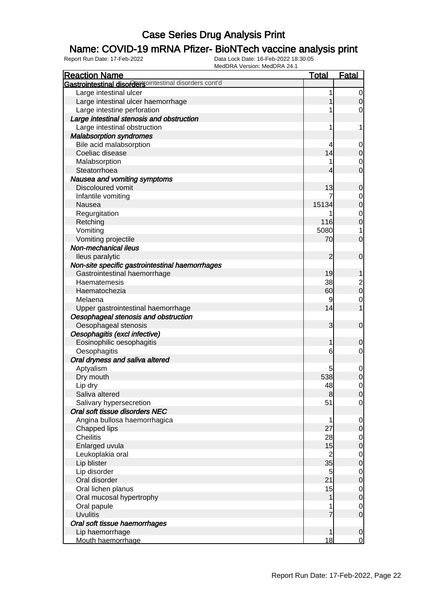### Name: COVID-19 mRNA Pfizer- BioNTech vaccine analysis print

| <b>Reaction Name</b>                                   | <b>Total</b>   | <b>Fatal</b>            |
|--------------------------------------------------------|----------------|-------------------------|
| Gastrointestinal disordersointestinal disorders cont'd |                |                         |
| Large intestinal ulcer                                 | 1              | $\overline{0}$          |
| Large intestinal ulcer haemorrhage                     |                | $\overline{0}$          |
| Large intestine perforation                            |                | 0                       |
| Large intestinal stenosis and obstruction              |                |                         |
| Large intestinal obstruction                           | 1              | 1                       |
| <b>Malabsorption syndromes</b>                         |                |                         |
| Bile acid malabsorption                                | 4              | 0                       |
| Coeliac disease                                        | 14             | $\mathbf 0$             |
| Malabsorption                                          |                | 0                       |
| Steatorrhoea                                           | 4              | $\overline{0}$          |
| Nausea and vomiting symptoms                           |                |                         |
| Discoloured vomit                                      | 13             | 0                       |
| Infantile vomiting                                     |                | 0                       |
| Nausea                                                 | 15134          | $\mathbf 0$             |
| Regurgitation                                          |                | $\mathbf 0$             |
| Retching                                               | 116            | $\mathbf 0$             |
| Vomiting                                               | 5080           | 1                       |
| Vomiting projectile                                    | 70             | $\overline{0}$          |
| Non-mechanical ileus                                   |                |                         |
| lleus paralytic                                        | $\overline{2}$ | $\mathbf 0$             |
| Non-site specific gastrointestinal haemorrhages        |                |                         |
| Gastrointestinal haemorrhage                           | 19             |                         |
| Haematemesis                                           | 38             | $\overline{\mathbf{c}}$ |
| Haematochezia                                          | 60             | $\mathbf 0$             |
| Melaena                                                | 9              | 0                       |
| Upper gastrointestinal haemorrhage                     | 14             |                         |
| Oesophageal stenosis and obstruction                   |                |                         |
| Oesophageal stenosis                                   | 3              | $\mathbf 0$             |
| Oesophagitis (excl infective)                          |                |                         |
| Eosinophilic oesophagitis                              | 1              | 0                       |
| Oesophagitis                                           | 6              | 0                       |
| Oral dryness and saliva altered                        |                |                         |
| Aptyalism                                              | 5              | $\mathbf 0$             |
| Dry mouth                                              | 538            | $\mathbf 0$             |
| Lip dry                                                | 48             | $\overline{0}$          |
| Saliva altered                                         | 8              | 0                       |
| Salivary hypersecretion                                | 51             | $\overline{0}$          |
| Oral soft tissue disorders NEC                         |                |                         |
| Angina bullosa haemorrhagica                           |                | $\overline{0}$          |
| Chapped lips                                           | 27             | $\mathbf 0$             |
| <b>Cheilitis</b>                                       | 28             | $\overline{0}$          |
| Enlarged uvula                                         | 15             | $\mathbf 0$             |
| Leukoplakia oral                                       | $\overline{c}$ | $\overline{0}$          |
| Lip blister                                            | 35             | $\mathbf 0$             |
| Lip disorder                                           | 5              | $\overline{0}$          |
| Oral disorder                                          | 21             | $\mathbf 0$             |
| Oral lichen planus                                     | 15             | $\overline{0}$          |
| Oral mucosal hypertrophy                               |                | $\mathbf 0$             |
| Oral papule                                            |                | $\overline{0}$          |
| <b>Uvulitis</b>                                        |                | $\overline{0}$          |
| Oral soft tissue haemorrhages                          |                |                         |
| Lip haemorrhage                                        |                | $\mathbf 0$             |
| Mouth haemorrhage                                      | 18             | $\mathbf 0$             |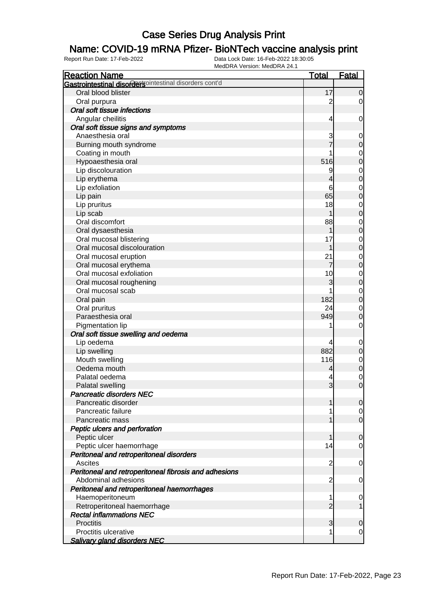### Name: COVID-19 mRNA Pfizer- BioNTech vaccine analysis print

| <b>Reaction Name</b>                                   | <b>Total</b>   | Fatal            |
|--------------------------------------------------------|----------------|------------------|
| Gastrointestinal disordersointestinal disorders cont'd |                |                  |
| Oral blood blister                                     | 17             | $\overline{0}$   |
| Oral purpura                                           | $\overline{c}$ | 0                |
| Oral soft tissue infections                            |                |                  |
| Angular cheilitis                                      | 4              | 0                |
| Oral soft tissue signs and symptoms                    |                |                  |
| Anaesthesia oral                                       | 3              | $\mathbf 0$      |
| Burning mouth syndrome                                 |                | $\boldsymbol{0}$ |
| Coating in mouth                                       |                | $\mathbf 0$      |
| Hypoaesthesia oral                                     | 516            | $\mathbf 0$      |
| Lip discolouration                                     | 9              | $\mathbf 0$      |
| Lip erythema                                           | 4              | $\overline{0}$   |
| Lip exfoliation                                        | 6              | $\mathbf 0$      |
| Lip pain                                               | 65             | $\mathbf 0$      |
| Lip pruritus                                           | 18             | $\mathbf 0$      |
| Lip scab                                               | 1              | $\mathbf 0$      |
| Oral discomfort                                        | 88             | $\mathbf 0$      |
| Oral dysaesthesia                                      | 1              | $\mathbf 0$      |
| Oral mucosal blistering                                | 17             | $\mathbf 0$      |
| Oral mucosal discolouration                            | 1              | $\mathbf 0$      |
| Oral mucosal eruption                                  | 21             | $\mathbf 0$      |
| Oral mucosal erythema                                  | 7              | $\mathbf 0$      |
| Oral mucosal exfoliation                               | 10             | $\mathbf 0$      |
| Oral mucosal roughening                                | 3              | $\mathbf 0$      |
| Oral mucosal scab                                      |                | $\mathbf 0$      |
| Oral pain                                              | 182            | $\overline{0}$   |
| Oral pruritus                                          | 24             | $\mathbf 0$      |
| Paraesthesia oral                                      | 949            | $\mathbf 0$      |
| Pigmentation lip                                       |                | $\mathbf 0$      |
| Oral soft tissue swelling and oedema                   |                |                  |
| Lip oedema                                             | 4              | $\mathbf 0$      |
| Lip swelling                                           | 882            | $\mathbf 0$      |
| Mouth swelling                                         | 116            | $\mathbf 0$      |
| Oedema mouth                                           | 4              | $\mathbf 0$      |
| Palatal oedema                                         |                | $\mathbf 0$      |
| Palatal swelling                                       | $\overline{3}$ | $\overline{0}$   |
| <b>Pancreatic disorders NEC</b>                        |                |                  |
| Pancreatic disorder                                    | 1              | $\overline{0}$   |
| Pancreatic failure                                     |                | $\overline{0}$   |
| Pancreatic mass                                        |                | $\overline{0}$   |
| Peptic ulcers and perforation                          |                |                  |
| Peptic ulcer                                           | 1              | $\mathbf 0$      |
| Peptic ulcer haemorrhage                               | 14             | 0                |
| Peritoneal and retroperitoneal disorders               |                |                  |
| <b>Ascites</b>                                         | 2              | 0                |
| Peritoneal and retroperitoneal fibrosis and adhesions  |                |                  |
| Abdominal adhesions                                    | 2              | 0                |
| Peritoneal and retroperitoneal haemorrhages            |                |                  |
| Haemoperitoneum                                        | 1              | $\mathbf 0$      |
| Retroperitoneal haemorrhage                            | $\overline{2}$ |                  |
| <b>Rectal inflammations NEC</b>                        |                |                  |
| <b>Proctitis</b>                                       | 3              | $\mathbf 0$      |
| Proctitis ulcerative                                   |                | 0                |
| <b>Salivary gland disorders NEC</b>                    |                |                  |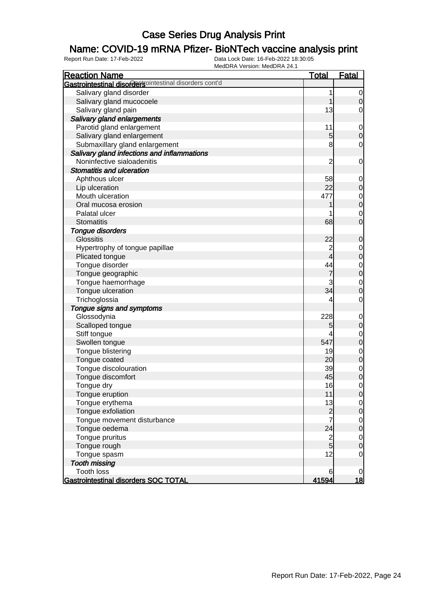#### Name: COVID-19 mRNA Pfizer- BioNTech vaccine analysis print

| <b>Reaction Name</b>                                   | <u>Total</u>            | <b>Fatal</b>                         |
|--------------------------------------------------------|-------------------------|--------------------------------------|
| Gastrointestinal disordersointestinal disorders cont'd |                         |                                      |
| Salivary gland disorder                                | 1                       | $\overline{0}$                       |
| Salivary gland mucocoele                               | 1                       | $\mathbf 0$                          |
| Salivary gland pain                                    | 13                      | $\mathbf 0$                          |
| Salivary gland enlargements                            |                         |                                      |
| Parotid gland enlargement                              | 11                      | $\mathbf 0$                          |
| Salivary gland enlargement                             | 5                       | $\boldsymbol{0}$                     |
| Submaxillary gland enlargement                         | 8                       | $\mathbf 0$                          |
| Salivary gland infections and inflammations            |                         |                                      |
| Noninfective sialoadenitis                             | $\overline{c}$          | $\mathbf 0$                          |
| Stomatitis and ulceration                              |                         |                                      |
| Aphthous ulcer                                         | 58                      | $\mathbf 0$                          |
| Lip ulceration                                         | 22                      | $\pmb{0}$                            |
| Mouth ulceration                                       | 477                     |                                      |
| Oral mucosa erosion                                    |                         | $\begin{matrix} 0 \\ 0 \end{matrix}$ |
| Palatal ulcer                                          |                         | $\mathbf{0}$                         |
| <b>Stomatitis</b>                                      | 68                      | $\mathbf 0$                          |
| Tongue disorders                                       |                         |                                      |
| <b>Glossitis</b>                                       | 22                      | $\mathbf 0$                          |
| Hypertrophy of tongue papillae                         | $\overline{2}$          | $\mathbf{0}$                         |
| Plicated tongue                                        | 4                       | $\overline{0}$                       |
| Tongue disorder                                        | 44                      |                                      |
| Tongue geographic                                      | $\overline{7}$          | $\begin{matrix}0\\0\end{matrix}$     |
| Tongue haemorrhage                                     | 3                       | $\mathbf{0}$                         |
| Tongue ulceration                                      | 34                      | $\overline{0}$                       |
| Trichoglossia                                          | 4                       | $\mathbf 0$                          |
| Tongue signs and symptoms                              |                         |                                      |
| Glossodynia                                            | 228                     | $\mathbf 0$                          |
| Scalloped tongue                                       | 5                       | $\mathbf 0$                          |
| Stiff tongue                                           |                         | $\mathbf{0}$                         |
| Swollen tongue                                         | 547                     | $\overline{0}$                       |
| Tongue blistering                                      | 19                      | $\mathbf{0}$                         |
| Tongue coated                                          | 20                      | $\overline{0}$                       |
| Tongue discolouration                                  | 39                      | $\mathbf{0}$                         |
| Tongue discomfort                                      | 45                      | $\mathbf 0$                          |
| Tongue dry                                             | 16                      | $\mathbf 0$                          |
| Tongue eruption                                        | 11                      | $\overline{0}$                       |
| Tongue erythema                                        | 13                      | $\overline{0}$                       |
| Tongue exfoliation                                     |                         | $\pmb{0}$                            |
| Tongue movement disturbance                            | $\frac{2}{7}$           | $\mathbf 0$                          |
| Tongue oedema                                          | 24                      | $\overline{0}$                       |
| Tongue pruritus                                        | $\overline{\mathbf{c}}$ | $\mathbf 0$                          |
| Tongue rough                                           | 5 <sup>1</sup>          | $\mathbf 0$                          |
| Tongue spasm                                           | 12                      | $\mathbf 0$                          |
| <b>Tooth missing</b>                                   |                         |                                      |
| <b>Tooth loss</b>                                      | 6                       | $\overline{0}$                       |
| Gastrointestinal disorders SOC TOTAL                   | 41594                   | <u> 18</u>                           |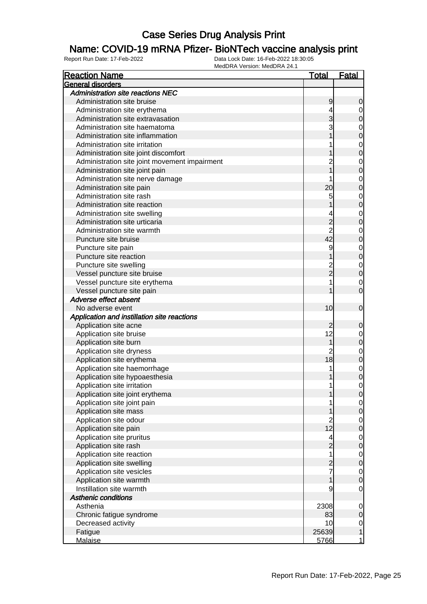### Name: COVID-19 mRNA Pfizer- BioNTech vaccine analysis print

| <b>Reaction Name</b>                          | Total           | <u>Fatal</u>   |
|-----------------------------------------------|-----------------|----------------|
| General disorders                             |                 |                |
| <b>Administration site reactions NEC</b>      |                 |                |
| Administration site bruise                    | 9               | 0              |
| Administration site erythema                  | 4               | $\mathbf 0$    |
| Administration site extravasation             |                 | 0              |
| Administration site haematoma                 |                 | $\mathbf 0$    |
| Administration site inflammation              |                 | 0              |
| Administration site irritation                |                 | $\mathbf 0$    |
| Administration site joint discomfort          |                 | 0              |
| Administration site joint movement impairment |                 | $\mathbf 0$    |
| Administration site joint pain                |                 | 0              |
| Administration site nerve damage              |                 | $\mathbf 0$    |
| Administration site pain                      | 20              | 0              |
| Administration site rash                      | 5               | $\mathbf 0$    |
| Administration site reaction                  |                 | 0              |
| Administration site swelling                  | 4               | $\mathbf 0$    |
| Administration site urticaria                 |                 | 0              |
| Administration site warmth                    | $\overline{2}$  | $\mathbf 0$    |
| Puncture site bruise                          | 42              | 0              |
| Puncture site pain                            | 9               | $\mathbf 0$    |
| Puncture site reaction                        |                 | 0              |
| Puncture site swelling                        |                 | $\mathbf 0$    |
| Vessel puncture site bruise                   | $\overline{2}$  | 0              |
| Vessel puncture site erythema                 |                 | $\mathbf 0$    |
| Vessel puncture site pain                     |                 | 0              |
| Adverse effect absent                         |                 |                |
| No adverse event                              | 10              | $\overline{0}$ |
| Application and instillation site reactions   |                 |                |
| Application site acne                         |                 | 0              |
| Application site bruise                       | 12              | $\mathbf 0$    |
| Application site burn                         |                 | 0              |
| Application site dryness                      | 2               | $\mathbf 0$    |
| Application site erythema                     | 18              | 0              |
| Application site haemorrhage                  |                 | $\mathbf 0$    |
| Application site hypoaesthesia                |                 | 0              |
| Application site irritation                   | 1               | 0              |
| Application site joint erythema               |                 | $\overline{O}$ |
| Application site joint pain                   |                 | $\overline{0}$ |
| Application site mass                         |                 | $\mathbf 0$    |
| Application site odour                        | $\overline{c}$  | $\mathbf 0$    |
| Application site pain                         | 12 <sup>2</sup> | $\mathbf 0$    |
| Application site pruritus                     | 4               | $\mathbf 0$    |
| Application site rash                         | $\overline{2}$  | $\mathbf 0$    |
| Application site reaction                     | 1               | $\mathbf 0$    |
| Application site swelling                     | 2               | $\mathbf 0$    |
| Application site vesicles                     | 7               | $\mathbf 0$    |
| Application site warmth                       |                 | $\overline{0}$ |
| Instillation site warmth                      | 9               | $\mathbf 0$    |
| <b>Asthenic conditions</b>                    |                 |                |
| Asthenia                                      | 2308            | $\mathbf 0$    |
| Chronic fatigue syndrome                      | 83              | $\mathbf 0$    |
| Decreased activity                            | 10              | $\overline{0}$ |
| Fatigue                                       | 25639           | $\mathbf 1$    |
| <b>Malaise</b>                                | 5766            | $\mathbf{1}$   |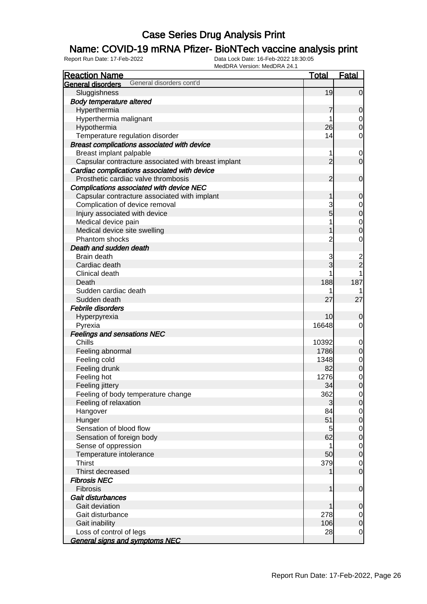#### Name: COVID-19 mRNA Pfizer- BioNTech vaccine analysis print

| <b>Reaction Name</b>                                | <b>Total</b>   | <b>Fatal</b>   |
|-----------------------------------------------------|----------------|----------------|
| General disorders cont'd<br>General disorders       |                |                |
| Sluggishness                                        | 19             | $\overline{0}$ |
| <b>Body temperature altered</b>                     |                |                |
| Hyperthermia                                        |                | $\mathbf 0$    |
| Hyperthermia malignant                              |                | 0              |
| Hypothermia                                         | 26             | $\mathbf 0$    |
| Temperature regulation disorder                     | 14             | 0              |
| Breast complications associated with device         |                |                |
| Breast implant palpable                             | 1              | 0              |
| Capsular contracture associated with breast implant | $\overline{2}$ | $\overline{0}$ |
| Cardiac complications associated with device        |                |                |
| Prosthetic cardiac valve thrombosis                 | $\overline{2}$ | $\mathbf 0$    |
| Complications associated with device NEC            |                |                |
| Capsular contracture associated with implant        | 1              | $\mathbf 0$    |
| Complication of device removal                      | 3              | $\mathbf 0$    |
| Injury associated with device                       | 5              | $\mathbf 0$    |
| Medical device pain                                 |                | $\mathbf 0$    |
| Medical device site swelling                        |                | $\overline{0}$ |
| Phantom shocks                                      |                | 0              |
| Death and sudden death                              |                |                |
| Brain death                                         | 3              | $\overline{c}$ |
| Cardiac death                                       | 3              | $\overline{2}$ |
| Clinical death                                      |                |                |
| Death                                               | 188            | 187            |
| Sudden cardiac death                                |                |                |
| Sudden death                                        | 27             | 27             |
| Febrile disorders                                   |                |                |
| Hyperpyrexia                                        | 10             | 0              |
| Pyrexia                                             | 16648          | 0              |
| <b>Feelings and sensations NEC</b>                  |                |                |
| Chills                                              | 10392          | $\mathbf 0$    |
| Feeling abnormal                                    | 1786           | $\overline{0}$ |
| Feeling cold                                        | 1348           | $\mathbf 0$    |
| Feeling drunk                                       | 82             | $\mathbf 0$    |
| Feeling hot                                         | 1276           | $\mathbf 0$    |
| Feeling jittery                                     | 34             | $\mathbf 0$    |
| Feeling of body temperature change                  | 362            | $\overline{0}$ |
| Feeling of relaxation                               | 3              | $\overline{0}$ |
| Hangover                                            | 84             | $\overline{0}$ |
| Hunger                                              | 51             | $\mathbf 0$    |
| Sensation of blood flow                             | 5              | $\mathbf 0$    |
| Sensation of foreign body                           | 62             | $\mathbf 0$    |
| Sense of oppression                                 | 1              | $\mathbf 0$    |
| Temperature intolerance                             | 50             | $\mathbf 0$    |
| <b>Thirst</b>                                       | 379            | $\overline{0}$ |
| Thirst decreased                                    |                | $\overline{0}$ |
| <b>Fibrosis NEC</b>                                 |                |                |
| Fibrosis                                            | 1              | $\mathbf 0$    |
| Gait disturbances                                   |                |                |
| Gait deviation                                      |                | $\mathbf 0$    |
| Gait disturbance                                    | 278            | $\overline{0}$ |
| Gait inability                                      | 106            | $\mathbf 0$    |
| Loss of control of legs                             | 28             | $\mathbf 0$    |
| <b>General signs and symptoms NEC</b>               |                |                |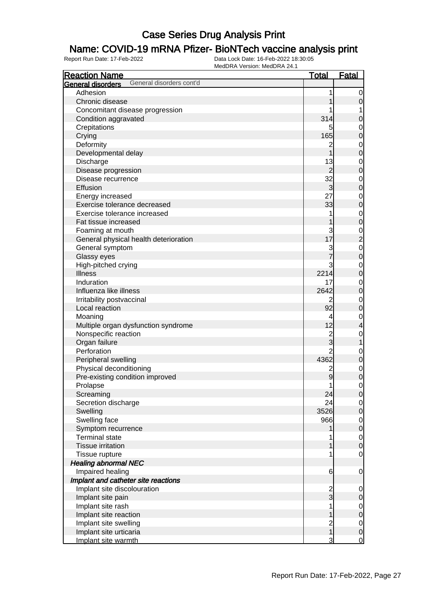### Name: COVID-19 mRNA Pfizer- BioNTech vaccine analysis print

| <b>Reaction Name</b>                          | <u>Total</u>   | <b>Fatal</b>                |
|-----------------------------------------------|----------------|-----------------------------|
| General disorders cont'd<br>General disorders |                |                             |
| Adhesion                                      |                | 0                           |
| Chronic disease                               |                | 0                           |
| Concomitant disease progression               |                | 1                           |
| Condition aggravated                          | 314            | 0                           |
| Crepitations                                  |                | $\mathbf 0$                 |
| Crying                                        | 165            | $\mathbf 0$                 |
| Deformity                                     | 2              | $\mathbf 0$                 |
| Developmental delay                           |                | $\mathbf 0$                 |
| Discharge                                     | 13             | $\mathbf 0$                 |
| Disease progression                           | $\overline{2}$ | $\mathbf 0$                 |
| Disease recurrence                            | 32             | $\mathbf 0$                 |
| Effusion                                      | $\mathbf{3}$   | $\mathbf 0$                 |
| Energy increased                              | 27             | $\mathbf{0}$                |
| Exercise tolerance decreased                  | 33             | $\mathbf 0$                 |
| Exercise tolerance increased                  |                | $\mathbf{0}$                |
| Fat tissue increased                          |                | $\mathbf 0$                 |
| Foaming at mouth                              | 3              |                             |
| General physical health deterioration         | 17             | $\frac{0}{2}$               |
| General symptom                               | 3              |                             |
| Glassy eyes                                   |                | $\mathbf{0}$<br>$\mathbf 0$ |
|                                               | 3              |                             |
| High-pitched crying<br><b>Illness</b>         | 2214           | $\mathbf 0$                 |
| Induration                                    | 17             | $\mathbf 0$                 |
| Influenza like illness                        |                | $\mathbf 0$                 |
|                                               | 2642           | $\mathbf 0$                 |
| Irritability postvaccinal                     | 2              | $\mathbf 0$                 |
| Local reaction                                | 92             | $\boldsymbol{0}$            |
| Moaning                                       | 4              | $\mathbf 0$                 |
| Multiple organ dysfunction syndrome           | 12             | 4                           |
| Nonspecific reaction                          | $\overline{2}$ | $\mathbf 0$                 |
| Organ failure                                 | 3              | 1                           |
| Perforation                                   | $\overline{2}$ | $\mathbf 0$                 |
| Peripheral swelling                           | 4362           | $\boldsymbol{0}$            |
| Physical deconditioning                       | $\overline{2}$ | $\mathbf 0$                 |
| Pre-existing condition improved               | 9              | $\mathbf 0$                 |
| Prolapse                                      | 1              | $\mathbf{0}$                |
| Screaming                                     | 24             | $\overline{0}$              |
| Secretion discharge                           | 24             | $\mathbf 0$                 |
| Swelling                                      | 3526           | $\boldsymbol{0}$            |
| Swelling face                                 | 966            | $\mathbf 0$                 |
| Symptom recurrence                            |                | $\boldsymbol{0}$            |
| <b>Terminal state</b>                         |                | $\overline{0}$              |
| <b>Tissue irritation</b>                      |                | $\mathbf 0$                 |
| Tissue rupture                                |                | $\mathbf 0$                 |
| <b>Healing abnormal NEC</b>                   |                |                             |
| Impaired healing                              | 6              | $\mathbf 0$                 |
| Implant and catheter site reactions           |                |                             |
| Implant site discolouration                   | $\overline{2}$ | $\mathbf 0$                 |
| Implant site pain                             | $\overline{3}$ | 0                           |
| Implant site rash                             |                | $\overline{0}$              |
| Implant site reaction                         |                | 0                           |
| Implant site swelling                         | 2<br>1         | $\mathbf 0$                 |
| Implant site urticaria                        |                | $\mathbf 0$                 |
| Implant site warmth                           | 3              | $\overline{0}$              |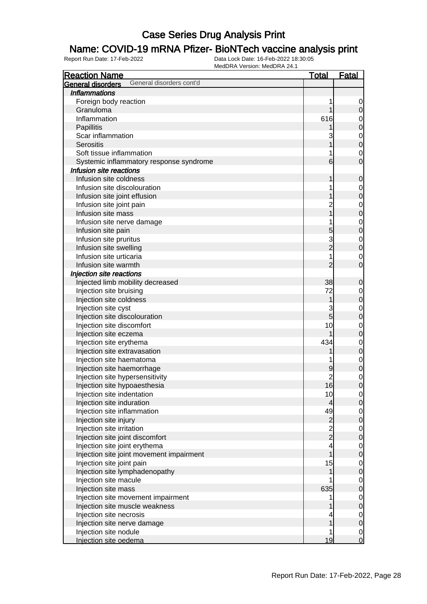### Name: COVID-19 mRNA Pfizer- BioNTech vaccine analysis print

| <b>Reaction Name</b>                                    | <u>Total</u>                               | <u>Fatal</u>                         |
|---------------------------------------------------------|--------------------------------------------|--------------------------------------|
| General disorders cont'd<br>General disorders           |                                            |                                      |
| <b>Inflammations</b>                                    |                                            |                                      |
| Foreign body reaction                                   |                                            | $\overline{0}$                       |
| Granuloma                                               |                                            | $\mathsf{O}\xspace$                  |
| Inflammation                                            | 616                                        | $\overline{0}$                       |
| Papillitis                                              |                                            | $\overline{0}$                       |
| Scar inflammation                                       |                                            |                                      |
| <b>Serositis</b>                                        |                                            | $\begin{matrix}0\\0\end{matrix}$     |
| Soft tissue inflammation                                |                                            | $\mathbf 0$                          |
| Systemic inflammatory response syndrome                 | 6                                          | $\overline{0}$                       |
| Infusion site reactions                                 |                                            |                                      |
| Infusion site coldness                                  |                                            | $\mathbf 0$                          |
| Infusion site discolouration                            |                                            | $\overline{0}$                       |
| Infusion site joint effusion                            |                                            | $\overline{0}$                       |
| Infusion site joint pain                                |                                            |                                      |
| Infusion site mass                                      |                                            | $\begin{matrix} 0 \\ 0 \end{matrix}$ |
| Infusion site nerve damage                              |                                            |                                      |
| Infusion site pain                                      | 5                                          | $\begin{matrix}0\\0\end{matrix}$     |
| Infusion site pruritus                                  | 3                                          |                                      |
| Infusion site swelling                                  | $\overline{2}$                             | $\begin{matrix} 0 \\ 0 \end{matrix}$ |
| Infusion site urticaria                                 |                                            | $\mathbf{0}$                         |
| Infusion site warmth                                    | $\overline{2}$                             | $\overline{0}$                       |
| Injection site reactions                                |                                            |                                      |
| Injected limb mobility decreased                        | 38                                         | $\mathbf 0$                          |
| Injection site bruising                                 | 72                                         |                                      |
| Injection site coldness                                 | 1                                          | $\overline{0}$<br>$\mathbf 0$        |
|                                                         |                                            |                                      |
| Injection site cyst                                     | 3<br>$\overline{5}$                        | $\overline{0}$<br>$\overline{0}$     |
| Injection site discolouration                           | 10                                         |                                      |
| Injection site discomfort                               |                                            | $\overline{0}$<br>$\overline{0}$     |
| Injection site eczema                                   | 434                                        |                                      |
| Injection site erythema                                 |                                            | $\begin{matrix} 0 \\ 0 \end{matrix}$ |
| Injection site extravasation                            |                                            |                                      |
| Injection site haematoma                                |                                            | $\begin{matrix}0\\0\end{matrix}$     |
| Injection site haemorrhage                              | 9<br>$\overline{2}$                        |                                      |
| Injection site hypersensitivity                         | 16                                         | $\begin{matrix} 0 \\ 0 \end{matrix}$ |
| Injection site hypoaesthesia                            |                                            |                                      |
| Injection site indentation<br>Injection site induration | 10                                         | $\overline{0}$                       |
|                                                         | $\overline{4}$<br>49                       | 0                                    |
| Injection site inflammation                             |                                            | $\overline{0}$                       |
| Injection site injury                                   | $\begin{array}{c} 2 \\ 2 \\ 2 \end{array}$ | $\mathbf 0$                          |
| Injection site irritation                               |                                            | $\overline{0}$                       |
| Injection site joint discomfort                         |                                            | $\mathbf 0$                          |
| Injection site joint erythema                           | 4<br>$\overline{1}$                        | $\overline{0}$                       |
| Injection site joint movement impairment                |                                            | $\mathbf 0$                          |
| Injection site joint pain                               | 15                                         | $\overline{0}$                       |
| Injection site lymphadenopathy                          | 1                                          | $\mathbf 0$                          |
| Injection site macule                                   |                                            | $\overline{0}$                       |
| Injection site mass                                     | 635                                        | $\pmb{0}$                            |
| Injection site movement impairment                      |                                            | $\overline{0}$                       |
| Injection site muscle weakness                          |                                            | $\mathbf 0$                          |
| Injection site necrosis                                 |                                            | $\overline{0}$                       |
| Injection site nerve damage                             | 1                                          | $\mathbf 0$                          |
| Injection site nodule                                   | 1                                          | $\overline{0}$                       |
| Injection site oedema                                   | 19                                         | $\overline{0}$                       |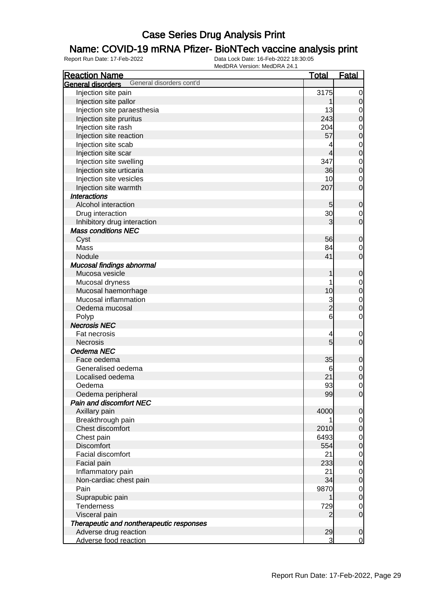#### Name: COVID-19 mRNA Pfizer- BioNTech vaccine analysis print

| <b>Reaction Name</b>                          | <u>Total</u>  | <b>Fatal</b>               |
|-----------------------------------------------|---------------|----------------------------|
| General disorders cont'd<br>General disorders |               |                            |
| Injection site pain                           | 3175          | $\mathbf 0$                |
| Injection site pallor                         |               | $\mathbf 0$                |
| Injection site paraesthesia                   | 13            | $\mathbf 0$                |
| Injection site pruritus                       | 243           | $\mathbf 0$                |
| Injection site rash                           | 204           | $\mathbf 0$                |
| Injection site reaction                       | 57            | $\mathbf 0$                |
| Injection site scab                           |               | $\mathbf{0}$               |
| Injection site scar                           | 4             | $\mathbf 0$                |
| Injection site swelling                       | 347           | $\mathbf 0$                |
| Injection site urticaria                      | 36            | $\mathbf 0$                |
| Injection site vesicles                       | 10            | $\mathbf 0$                |
| Injection site warmth                         | 207           | $\mathbf 0$                |
| <b>Interactions</b>                           |               |                            |
| Alcohol interaction                           | 5             | $\mathbf 0$                |
| Drug interaction                              | 30            | 0                          |
| Inhibitory drug interaction                   | 3             | $\mathbf 0$                |
| <b>Mass conditions NEC</b>                    |               |                            |
| Cyst                                          | 56            | $\mathbf 0$                |
| Mass                                          | 84            | $\mathbf 0$                |
| Nodule                                        | 41            | $\overline{0}$             |
| Mucosal findings abnormal                     |               |                            |
| Mucosa vesicle                                | 1             | $\mathbf 0$                |
| Mucosal dryness                               |               |                            |
| Mucosal haemorrhage                           | 10            | $\mathbf{0}$               |
| Mucosal inflammation                          |               | $\mathbf 0$                |
| Oedema mucosal                                | $\frac{3}{2}$ | $\mathbf 0$<br>$\mathbf 0$ |
|                                               | 6             | $\mathbf 0$                |
| Polyp                                         |               |                            |
| <b>Necrosis NEC</b>                           |               |                            |
| Fat necrosis                                  | 4<br>5        | $\mathbf 0$                |
| <b>Necrosis</b>                               |               | $\mathbf 0$                |
| Oedema NEC                                    |               |                            |
| Face oedema                                   | 35            | $\mathbf 0$                |
| Generalised oedema                            | 6             | $\mathbf 0$                |
| Localised oedema                              | 21            | $\mathbf 0$                |
| Oedema                                        | 93            | $\mathbf 0$                |
| Oedema peripheral                             | 99            | $\overline{0}$             |
| <b>Pain and discomfort NEC</b>                |               |                            |
| Axillary pain                                 | 4000          | 0                          |
| Breakthrough pain                             |               | 0                          |
| Chest discomfort                              | 2010          | $\mathbf 0$                |
| Chest pain                                    | 6493          | $\mathbf 0$                |
| <b>Discomfort</b>                             | 554           | $\mathbf 0$                |
| Facial discomfort                             | 21            | $\mathbf 0$                |
| Facial pain                                   | 233           | $\mathbf 0$                |
| Inflammatory pain                             | 21            | $\mathbf 0$                |
| Non-cardiac chest pain                        | 34            | $\mathbf 0$                |
| Pain                                          | 9870          | $\mathbf 0$                |
| Suprapubic pain                               |               | $\mathbf 0$                |
| Tenderness                                    | 729           | $\mathbf 0$                |
| Visceral pain                                 | 2             | $\mathbf 0$                |
| Therapeutic and nontherapeutic responses      |               |                            |
| Adverse drug reaction                         | 29            | $\mathbf 0$                |
| Adverse food reaction                         | 3             | $\overline{0}$             |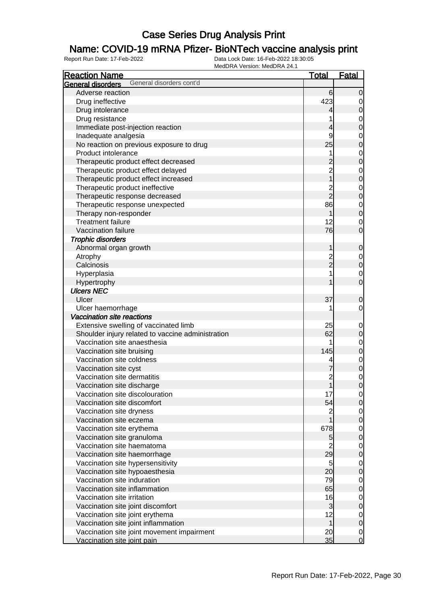### Name: COVID-19 mRNA Pfizer- BioNTech vaccine analysis print

| <b>Reaction Name</b>                              | <u>Total</u>             | <b>Fatal</b>     |
|---------------------------------------------------|--------------------------|------------------|
| General disorders cont'd<br>General disorders     |                          |                  |
| Adverse reaction                                  | 6                        | $\overline{0}$   |
| Drug ineffective                                  | 423                      | $\overline{0}$   |
| Drug intolerance                                  | 4                        | $\mathbf 0$      |
| Drug resistance                                   |                          | $\mathbf 0$      |
| Immediate post-injection reaction                 | 4                        | $\mathbf 0$      |
| Inadequate analgesia                              | 9                        | $\mathbf 0$      |
| No reaction on previous exposure to drug          | 25                       | $\mathbf 0$      |
| Product intolerance                               | 1                        | $\mathbf 0$      |
| Therapeutic product effect decreased              | 2                        | $\mathbf 0$      |
| Therapeutic product effect delayed                | $\overline{c}$           | $\mathbf 0$      |
| Therapeutic product effect increased              | $\overline{1}$           | $\mathbf 0$      |
| Therapeutic product ineffective                   |                          | $\mathbf 0$      |
| Therapeutic response decreased                    | 2<br>2                   | $\mathbf 0$      |
| Therapeutic response unexpected                   | 86                       | $\mathbf 0$      |
| Therapy non-responder                             |                          | $\mathbf 0$      |
| <b>Treatment failure</b>                          | 12                       | $\mathbf 0$      |
| Vaccination failure                               | 76                       | $\overline{0}$   |
| <b>Trophic disorders</b>                          |                          |                  |
|                                                   |                          |                  |
| Abnormal organ growth                             | 1                        | $\mathbf 0$      |
| Atrophy                                           | $\overline{c}$<br>–<br>2 | $\mathbf{0}$     |
| Calcinosis                                        |                          | $\boldsymbol{0}$ |
| Hyperplasia                                       |                          | $\mathbf 0$      |
| Hypertrophy                                       |                          | $\overline{0}$   |
| <b>Ulcers NEC</b>                                 |                          |                  |
| Ulcer                                             | 37                       | $\mathbf 0$      |
| Ulcer haemorrhage                                 |                          | 0                |
| Vaccination site reactions                        |                          |                  |
| Extensive swelling of vaccinated limb             | 25                       | $\mathbf 0$      |
| Shoulder injury related to vaccine administration | 62                       | 0                |
| Vaccination site anaesthesia                      |                          | $\mathbf 0$      |
| Vaccination site bruising                         | 145                      | $\mathbf 0$      |
| Vaccination site coldness                         | 4                        | $\mathbf 0$      |
| Vaccination site cyst                             |                          | $\mathbf 0$      |
| Vaccination site dermatitis                       | $\overline{c}$           | $\mathbf 0$      |
| Vaccination site discharge                        | $\overline{\mathbf{1}}$  | $\overline{0}$   |
| Vaccination site discolouration                   | 17                       | $\overline{0}$   |
| Vaccination site discomfort                       | 54                       | $\overline{0}$   |
| Vaccination site dryness                          | $\overline{c}$           | $\mathbf 0$      |
| Vaccination site eczema                           | $\overline{1}$           | $\mathbf 0$      |
| Vaccination site erythema                         | 678                      | $\mathbf 0$      |
| Vaccination site granuloma                        | 5                        | $\mathbf 0$      |
| Vaccination site haematoma                        | $\overline{2}$           | $\mathbf 0$      |
| Vaccination site haemorrhage                      | 29                       | $\mathbf 0$      |
| Vaccination site hypersensitivity                 | 5                        | $\mathbf 0$      |
| Vaccination site hypoaesthesia                    | 20                       | $\mathbf 0$      |
| Vaccination site induration                       | 79                       | $\mathbf 0$      |
| Vaccination site inflammation                     | 65                       | $\mathbf 0$      |
| Vaccination site irritation                       | 16                       | $\mathbf 0$      |
| Vaccination site joint discomfort                 | $\mathbf{3}$             | $\mathbf 0$      |
| Vaccination site joint erythema                   | 12                       | $\mathbf 0$      |
| Vaccination site joint inflammation               | $\mathbf 1$              | $\boldsymbol{0}$ |
| Vaccination site joint movement impairment        | 20 <sub>l</sub>          | $\overline{0}$   |
| Vaccination site joint pain                       | 35                       | $\overline{0}$   |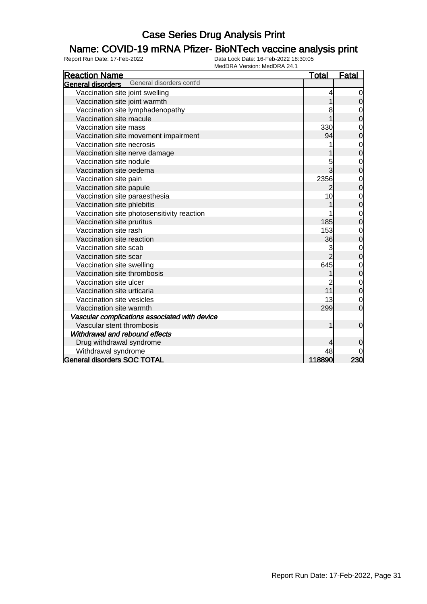### Name: COVID-19 mRNA Pfizer- BioNTech vaccine analysis print

| <b>Reaction Name</b>                          | <b>Total</b> | <b>Fatal</b>   |
|-----------------------------------------------|--------------|----------------|
| General disorders cont'd<br>General disorders |              |                |
| Vaccination site joint swelling               | 4            | 0              |
| Vaccination site joint warmth                 |              | $\mathbf 0$    |
| Vaccination site lymphadenopathy              | 8            | $\mathbf 0$    |
| Vaccination site macule                       |              | $\mathbf 0$    |
| Vaccination site mass                         | 330          | $\mathbf{0}$   |
| Vaccination site movement impairment          | 94           | 0              |
| Vaccination site necrosis                     |              | $\mathbf 0$    |
| Vaccination site nerve damage                 |              | $\mathbf 0$    |
| Vaccination site nodule                       | 5            | $\mathbf 0$    |
| Vaccination site oedema                       |              | $\overline{0}$ |
| Vaccination site pain                         | 2356         | 0              |
| Vaccination site papule                       | 2            | 0              |
| Vaccination site paraesthesia                 | 10           | 0              |
| Vaccination site phlebitis                    |              | $\mathbf 0$    |
| Vaccination site photosensitivity reaction    |              | $\mathbf 0$    |
| Vaccination site pruritus                     | 185          | $\mathbf 0$    |
| Vaccination site rash                         | 153          | $\mathbf 0$    |
| Vaccination site reaction                     | 36           | $\mathbf 0$    |
| Vaccination site scab                         | 3            | $\mathbf 0$    |
| Vaccination site scar                         |              | $\overline{0}$ |
| Vaccination site swelling                     | 645          | $\mathbf 0$    |
| Vaccination site thrombosis                   |              | $\mathbf 0$    |
| Vaccination site ulcer                        |              | $\mathbf 0$    |
| Vaccination site urticaria                    | 11           | $\overline{0}$ |
| Vaccination site vesicles                     | 13           | 0              |
| Vaccination site warmth                       | 299          | $\overline{0}$ |
| Vascular complications associated with device |              |                |
| Vascular stent thrombosis                     | 1            | $\mathbf 0$    |
| Withdrawal and rebound effects                |              |                |
| Drug withdrawal syndrome                      |              | $\overline{0}$ |
| Withdrawal syndrome                           | 48           |                |
| <b>General disorders SOC TOTAL</b>            | 118890       | 230            |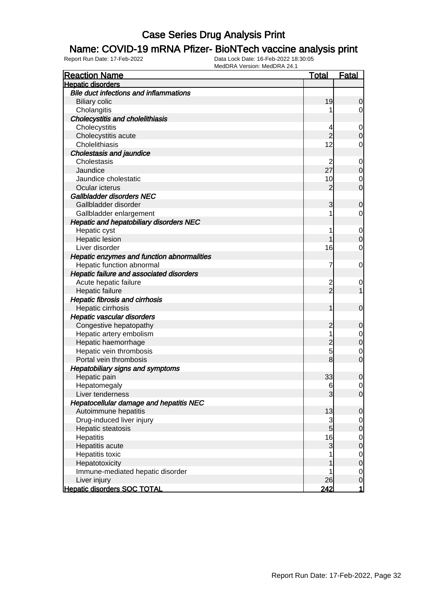#### Name: COVID-19 mRNA Pfizer- BioNTech vaccine analysis print

| <b>Reaction Name</b>                          | <u>Total</u>    | <b>Fatal</b>   |
|-----------------------------------------------|-----------------|----------------|
| <b>Hepatic disorders</b>                      |                 |                |
| <b>Bile duct infections and inflammations</b> |                 |                |
| <b>Biliary colic</b>                          | 19              | 0              |
| Cholangitis                                   |                 | 0              |
| Cholecystitis and cholelithiasis              |                 |                |
| Cholecystitis                                 | 4               | 0              |
| Cholecystitis acute                           | 2               | 0              |
| Cholelithiasis                                | 12              | 0              |
| <b>Cholestasis and jaundice</b>               |                 |                |
| Cholestasis                                   | $\overline{c}$  | $\mathbf 0$    |
| Jaundice                                      | 27              | 0              |
| Jaundice cholestatic                          | 10              | 0              |
| Ocular icterus                                | 2               | 0              |
| Gallbladder disorders NEC                     |                 |                |
| Gallbladder disorder                          | 3               | 0              |
| Gallbladder enlargement                       | 1               | 0              |
| Hepatic and hepatobiliary disorders NEC       |                 |                |
| Hepatic cyst                                  | 1               | $\mathbf 0$    |
| <b>Hepatic lesion</b>                         |                 | 0              |
| Liver disorder                                | 16              | 0              |
| Hepatic enzymes and function abnormalities    |                 |                |
| Hepatic function abnormal                     | 7               | 0              |
| Hepatic failure and associated disorders      |                 |                |
| Acute hepatic failure                         | $\overline{c}$  | $\overline{0}$ |
| Hepatic failure                               | $\overline{2}$  |                |
| <b>Hepatic fibrosis and cirrhosis</b>         |                 |                |
| Hepatic cirrhosis                             | 1               | $\mathbf 0$    |
| Hepatic vascular disorders                    |                 |                |
| Congestive hepatopathy                        | 2               | 0              |
| Hepatic artery embolism                       | 1               | $\mathbf 0$    |
| Hepatic haemorrhage                           | 2               | 0              |
| Hepatic vein thrombosis                       | 5               | 0              |
| Portal vein thrombosis                        | 8               | 0              |
| Hepatobiliary signs and symptoms              |                 |                |
| Hepatic pain                                  | 33              | 0              |
| Hepatomegaly                                  | 6               | 0              |
| Liver tenderness                              | 3               | $\Omega$       |
| Hepatocellular damage and hepatitis NEC       |                 |                |
| Autoimmune hepatitis                          | 13              | $\overline{0}$ |
| Drug-induced liver injury                     | 3               | $\overline{0}$ |
| Hepatic steatosis                             | $5\overline{)}$ | 0              |
| Hepatitis                                     | 16              | 0              |
| Hepatitis acute                               | 3               | 0              |
| Hepatitis toxic                               |                 | 0              |
| Hepatotoxicity                                |                 | 0              |
| Immune-mediated hepatic disorder              |                 | 0              |
| Liver injury                                  | 26              | 0              |
| <b>Hepatic disorders SOC TOTAL</b>            | <u> 242 </u>    | 1              |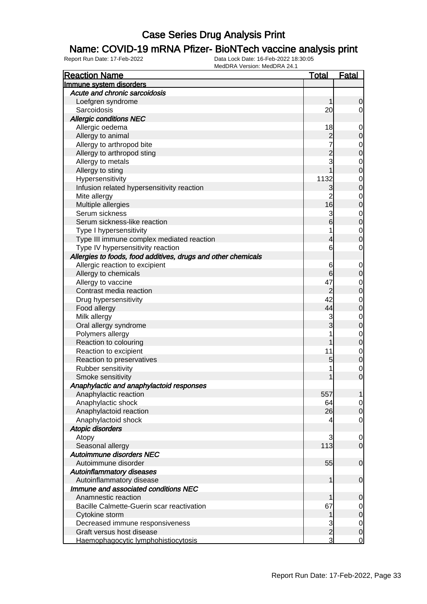#### Name: COVID-19 mRNA Pfizer- BioNTech vaccine analysis print

| <b>Reaction Name</b>                                          | <b>Total</b>   | <b>Fatal</b>                  |
|---------------------------------------------------------------|----------------|-------------------------------|
| Immune system disorders                                       |                |                               |
| Acute and chronic sarcoidosis                                 |                |                               |
| Loefgren syndrome                                             | 1              | 0                             |
| Sarcoidosis                                                   | 20             | $\overline{0}$                |
| <b>Allergic conditions NEC</b>                                |                |                               |
| Allergic oedema                                               | 18             | $\mathbf 0$                   |
| Allergy to animal                                             | $\overline{c}$ | $\mathbf 0$                   |
| Allergy to arthropod bite                                     |                | $\mathbf 0$                   |
| Allergy to arthropod sting                                    | $\overline{2}$ | $\mathbf 0$                   |
| Allergy to metals                                             | 3              | $\mathbf 0$                   |
| Allergy to sting                                              |                | $\mathbf 0$                   |
| Hypersensitivity                                              | 1132           | 0                             |
| Infusion related hypersensitivity reaction                    | 3              | $\mathbf 0$                   |
| Mite allergy                                                  | $\overline{2}$ | 0                             |
| Multiple allergies                                            | 16             | $\mathbf 0$                   |
| Serum sickness                                                | 3              | $\mathbf 0$                   |
| Serum sickness-like reaction                                  | 6              | $\boldsymbol{0}$              |
|                                                               |                |                               |
| Type I hypersensitivity                                       |                | $\mathbf 0$<br>$\overline{0}$ |
| Type III immune complex mediated reaction                     | 4              |                               |
| Type IV hypersensitivity reaction                             | 6              | $\mathbf 0$                   |
| Allergies to foods, food additives, drugs and other chemicals |                |                               |
| Allergic reaction to excipient                                | 6              | 0                             |
| Allergy to chemicals                                          | 6              | $\mathbf 0$                   |
| Allergy to vaccine                                            | 47             | 0                             |
| Contrast media reaction                                       | $\overline{c}$ | $\mathbf 0$                   |
| Drug hypersensitivity                                         | 42             | $\mathbf 0$                   |
| Food allergy                                                  | 44             | $\mathbf 0$                   |
| Milk allergy                                                  | 3              | $\mathbf 0$                   |
| Oral allergy syndrome                                         | 3              | $\mathbf 0$                   |
| Polymers allergy                                              |                | $\mathbf 0$                   |
| Reaction to colouring                                         |                | $\mathbf 0$                   |
| Reaction to excipient                                         | 11             | $\mathbf 0$                   |
| Reaction to preservatives                                     | 5              | $\mathbf 0$                   |
| Rubber sensitivity                                            |                | 0                             |
| Smoke sensitivity                                             | 1              | $\overline{0}$                |
| Anaphylactic and anaphylactoid responses                      |                |                               |
| Anaphylactic reaction                                         | 557            | $\mathbf{1}$                  |
| Anaphylactic shock                                            | 64             | $\overline{0}$                |
| Anaphylactoid reaction                                        | 26             | $\mathbf 0$                   |
| Anaphylactoid shock                                           | 4              | $\mathbf 0$                   |
| <b>Atopic disorders</b>                                       |                |                               |
| Atopy                                                         | 3              | $\mathbf 0$                   |
| Seasonal allergy                                              | 113            | $\mathbf 0$                   |
| Autoimmune disorders NEC                                      |                |                               |
| Autoimmune disorder                                           | 55             | $\mathbf 0$                   |
| <b>Autoinflammatory diseases</b>                              |                |                               |
| Autoinflammatory disease                                      | 1              | $\mathbf 0$                   |
| Immune and associated conditions NEC                          |                |                               |
| Anamnestic reaction                                           |                | $\mathbf 0$                   |
| Bacille Calmette-Guerin scar reactivation                     | 67             | $\overline{0}$                |
| Cytokine storm                                                | 1              | $\mathbf 0$                   |
| Decreased immune responsiveness                               | 3              | $\overline{0}$                |
| Graft versus host disease                                     | $\overline{c}$ | $\boldsymbol{0}$              |
| Haemophagocytic lymphohistiocytosis                           | $\overline{3}$ | $\mathbf 0$                   |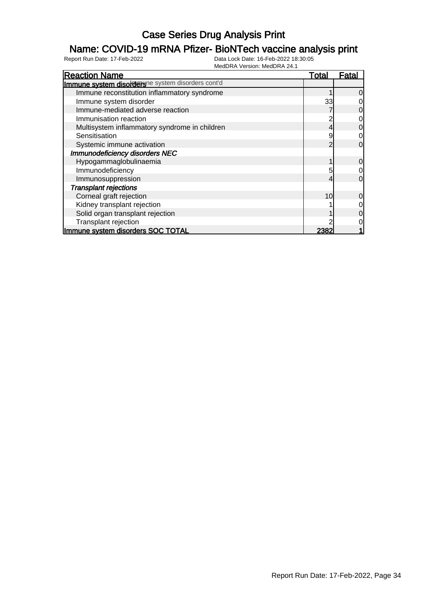### Name: COVID-19 mRNA Pfizer- BioNTech vaccine analysis print

| <b>Reaction Name</b>                              | <u>Total</u> | Fatal          |
|---------------------------------------------------|--------------|----------------|
| Immune system disorderune system disorders cont'd |              |                |
| Immune reconstitution inflammatory syndrome       |              | $\overline{0}$ |
| Immune system disorder                            | 33           | $\overline{0}$ |
| Immune-mediated adverse reaction                  |              | $\overline{0}$ |
| Immunisation reaction                             |              | $\overline{0}$ |
| Multisystem inflammatory syndrome in children     |              | $\overline{0}$ |
| Sensitisation                                     |              | $\overline{O}$ |
| Systemic immune activation                        |              | $\overline{0}$ |
| Immunodeficiency disorders NEC                    |              |                |
| Hypogammaglobulinaemia                            |              | $\overline{0}$ |
| Immunodeficiency                                  | 5            | $\overline{O}$ |
| Immunosuppression                                 |              | $\overline{0}$ |
| <b>Transplant rejections</b>                      |              |                |
| Corneal graft rejection                           | 10           | $\overline{0}$ |
| Kidney transplant rejection                       |              | $\overline{0}$ |
| Solid organ transplant rejection                  |              | $\overline{0}$ |
| Transplant rejection                              |              | $\overline{0}$ |
| Immune system disorders SOC TOTAL                 | 2382         |                |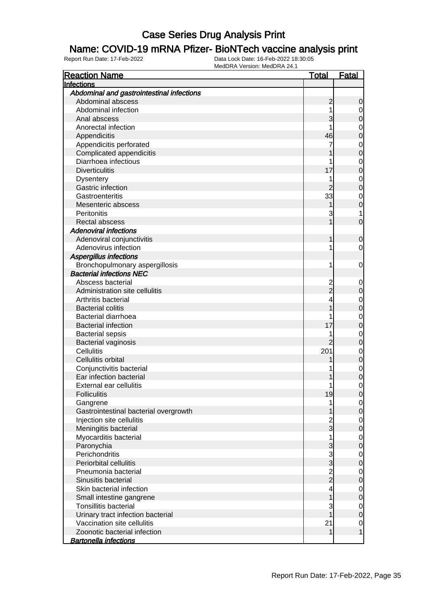#### Name: COVID-19 mRNA Pfizer- BioNTech vaccine analysis print

| <b>Reaction Name</b>                      | <u>Total</u>   | <u>Fatal</u>   |
|-------------------------------------------|----------------|----------------|
| Infections                                |                |                |
| Abdominal and gastrointestinal infections |                |                |
| Abdominal abscess                         | $\overline{c}$ | $\mathbf 0$    |
| Abdominal infection                       | 1              | $\mathbf 0$    |
| Anal abscess                              | 3              | $\overline{0}$ |
| Anorectal infection                       |                | $\mathbf 0$    |
| Appendicitis                              | 46             | $\overline{0}$ |
| Appendicitis perforated                   | 7              | $\mathbf{O}$   |
| Complicated appendicitis                  |                | $\overline{0}$ |
| Diarrhoea infectious                      | 1              | $\mathbf{0}$   |
| <b>Diverticulitis</b>                     | 17             | $\overline{0}$ |
| <b>Dysentery</b>                          | 1              | $\mathbf{O}$   |
| Gastric infection                         | 2              | $\overline{0}$ |
| Gastroenteritis                           | 33             | $\mathbf 0$    |
| Mesenteric abscess                        |                | $\overline{0}$ |
| Peritonitis                               | 3              | 1              |
| Rectal abscess                            |                | $\overline{0}$ |
| <b>Adenoviral infections</b>              |                |                |
| Adenoviral conjunctivitis                 | 1              | $\mathbf 0$    |
| Adenovirus infection                      | 1              | $\mathbf 0$    |
| Aspergillus infections                    |                |                |
| Bronchopulmonary aspergillosis            | 1              | $\mathbf 0$    |
| <b>Bacterial infections NEC</b>           |                |                |
| Abscess bacterial                         |                | $\mathbf 0$    |
| Administration site cellulitis            | 2<br>2         | $\mathbf 0$    |
| Arthritis bacterial                       | 4              |                |
| <b>Bacterial colitis</b>                  |                | $0\0$          |
| <b>Bacterial diarrhoea</b>                |                | $\mathbf 0$    |
| <b>Bacterial infection</b>                | 17             | $\overline{0}$ |
| <b>Bacterial sepsis</b>                   |                | $\mathbf 0$    |
| <b>Bacterial vaginosis</b>                |                | $\overline{0}$ |
| Cellulitis                                | 201            | $\mathbf 0$    |
| Cellulitis orbital                        |                | $\overline{0}$ |
| Conjunctivitis bacterial                  |                | $\mathbf 0$    |
| Ear infection bacterial                   |                | $\overline{0}$ |
| External ear cellulitis                   | 1              | $\mathbf 0$    |
| <b>Folliculitis</b>                       | 19             | 0              |
| Gangrene                                  | 1              | $\mathbf 0$    |
| Gastrointestinal bacterial overgrowth     |                | $\mathbf 0$    |
| Injection site cellulitis                 |                | $\mathbf 0$    |
| Meningitis bacterial                      | $\frac{2}{3}$  | $\overline{0}$ |
| Myocarditis bacterial                     | 1              | $\mathbf 0$    |
| Paronychia                                | 3              | $\mathbf 0$    |
| Perichondritis                            |                | $\mathbf 0$    |
| Periorbital cellulitis                    | $\frac{3}{3}$  | $\mathbf 0$    |
| Pneumonia bacterial                       |                | $\mathbf 0$    |
| Sinusitis bacterial                       | $\frac{2}{2}$  | $\mathbf 0$    |
| Skin bacterial infection                  | 4              | $\mathbf 0$    |
| Small intestine gangrene                  |                | $\mathbf 0$    |
| <b>Tonsillitis bacterial</b>              | 3              | $\mathbf 0$    |
| Urinary tract infection bacterial         |                | $\mathbf 0$    |
| Vaccination site cellulitis               | 21             | $\mathbf 0$    |
| Zoonotic bacterial infection              | 1              | 1              |
| <b>Bartonella infections</b>              |                |                |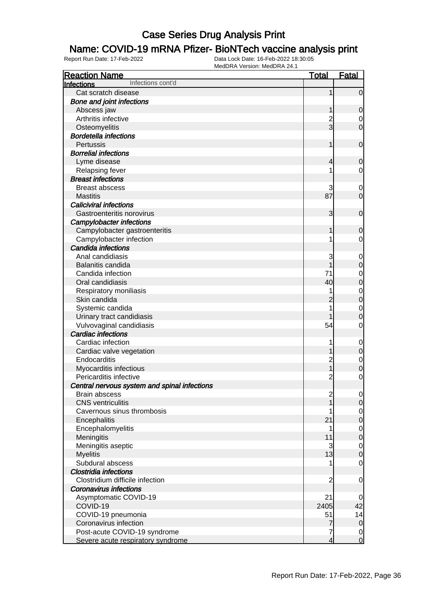#### Name: COVID-19 mRNA Pfizer- BioNTech vaccine analysis print

| <b>Reaction Name</b>                         | <u>Total</u>            | <b>Fatal</b>   |
|----------------------------------------------|-------------------------|----------------|
| Infections cont'd<br><b>Infections</b>       |                         |                |
| Cat scratch disease                          | 1                       | $\mathbf 0$    |
| <b>Bone and joint infections</b>             |                         |                |
| Abscess jaw                                  | 1                       | $\mathbf 0$    |
| Arthritis infective                          |                         | 0              |
| Osteomyelitis                                | $\frac{2}{3}$           | $\overline{0}$ |
| <b>Bordetella infections</b>                 |                         |                |
| Pertussis                                    | 1                       | $\mathbf 0$    |
| <b>Borrelial infections</b>                  |                         |                |
| Lyme disease                                 | 4                       | $\mathbf 0$    |
| Relapsing fever                              |                         | 0              |
| <b>Breast infections</b>                     |                         |                |
| <b>Breast abscess</b>                        | 3                       | 0              |
| <b>Mastitis</b>                              | 87                      | $\mathbf 0$    |
| <b>Caliciviral infections</b>                |                         |                |
| Gastroenteritis norovirus                    | 3                       | $\mathbf 0$    |
| <b>Campylobacter infections</b>              |                         |                |
| Campylobacter gastroenteritis                | 1                       | $\mathbf 0$    |
| Campylobacter infection                      |                         | 0              |
| Candida infections                           |                         |                |
| Anal candidiasis                             | 3                       | 0              |
| Balanitis candida                            |                         | $\mathbf 0$    |
| Candida infection                            | 71                      | $\mathbf 0$    |
| Oral candidiasis                             | 40                      | $\mathbf 0$    |
| Respiratory moniliasis                       |                         | $\mathbf 0$    |
| Skin candida                                 | $\overline{c}$          | $\mathbf 0$    |
| Systemic candida                             |                         | $\mathbf 0$    |
| Urinary tract candidiasis                    |                         | $\mathbf 0$    |
| Vulvovaginal candidiasis                     | 54                      | $\mathbf 0$    |
| <b>Cardiac infections</b>                    |                         |                |
| Cardiac infection                            |                         | $\mathbf 0$    |
| Cardiac valve vegetation                     |                         | $\mathbf 0$    |
| Endocarditis                                 | $\overline{\mathbf{c}}$ | $\mathbf 0$    |
| Myocarditis infectious                       | 1                       | $\mathbf 0$    |
| Pericarditis infective                       | $\overline{c}$          | $\mathbf 0$    |
| Central nervous system and spinal infections |                         |                |
| <b>Brain abscess</b>                         | $\overline{\mathbf{c}}$ | $\overline{0}$ |
| <b>CNS</b> ventriculitis                     |                         | $\mathbf 0$    |
| Cavernous sinus thrombosis                   |                         | $\overline{0}$ |
| Encephalitis                                 | 21                      | $\mathbf 0$    |
| Encephalomyelitis                            | 1                       | $\mathbf 0$    |
| Meningitis                                   | 11                      | $\mathbf 0$    |
| Meningitis aseptic                           | 3                       | $\mathbf 0$    |
| <b>Myelitis</b>                              | 13                      | $\mathbf 0$    |
| Subdural abscess                             |                         | $\mathbf 0$    |
| <b>Clostridia infections</b>                 |                         |                |
| Clostridium difficile infection              | $\overline{c}$          | $\mathbf 0$    |
| <b>Coronavirus infections</b>                |                         |                |
| Asymptomatic COVID-19                        | 21                      | 0              |
| COVID-19                                     | 2405                    | 42             |
| COVID-19 pneumonia                           | 51                      | 14             |
| Coronavirus infection                        | 7                       | $\overline{0}$ |
| Post-acute COVID-19 syndrome                 | 7                       | 0              |
| Severe acute respiratory syndrome            | $\overline{4}$          | $\overline{0}$ |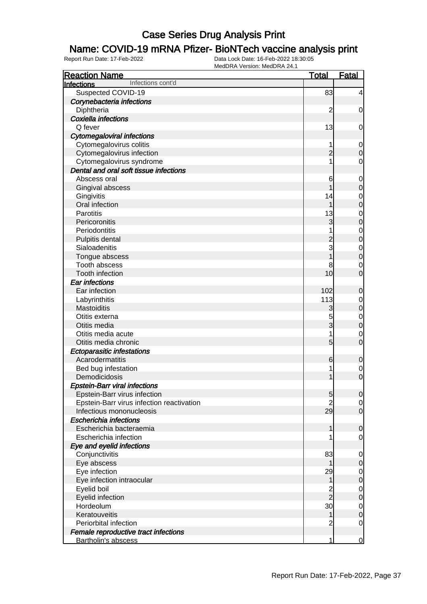### Name: COVID-19 mRNA Pfizer- BioNTech vaccine analysis print

| <b>Reaction Name</b>                      | <b>Total</b>   | Fatal            |
|-------------------------------------------|----------------|------------------|
| Infections cont'd<br><b>Infections</b>    |                |                  |
| Suspected COVID-19                        | 83             | $\overline{4}$   |
| Corynebacteria infections                 |                |                  |
| Diphtheria                                | $\overline{c}$ | $\mathbf 0$      |
| Coxiella infections                       |                |                  |
| Q fever                                   | 13             | $\mathbf 0$      |
| <b>Cytomegaloviral infections</b>         |                |                  |
| Cytomegalovirus colitis                   |                | $\mathbf 0$      |
| Cytomegalovirus infection                 | $\overline{c}$ | $\mathbf 0$      |
| Cytomegalovirus syndrome                  | 1              | $\mathbf 0$      |
| Dental and oral soft tissue infections    |                |                  |
| Abscess oral                              | 6              | $\mathbf 0$      |
| Gingival abscess                          |                | $\boldsymbol{0}$ |
| Gingivitis                                | 14             | $\mathbf 0$      |
| Oral infection                            | 1              | $\mathbf 0$      |
| Parotitis                                 | 13             | $\mathbf 0$      |
| Pericoronitis                             | 3              | $\mathbf 0$      |
| Periodontitis                             |                | $\mathbf 0$      |
| Pulpitis dental                           | $\overline{c}$ | $\mathbf 0$      |
| Sialoadenitis                             | 3              | $\mathbf 0$      |
| Tongue abscess                            |                | $\mathbf 0$      |
| Tooth abscess                             | 8              | 0                |
| Tooth infection                           | 10             | $\overline{0}$   |
| Ear infections                            |                |                  |
| Ear infection                             | 102            | $\mathbf 0$      |
| Labyrinthitis                             | 113            | $\mathbf 0$      |
| Mastoiditis                               | 3              | $\mathbf 0$      |
| Otitis externa                            | 5              | $\mathbf 0$      |
| Otitis media                              | 3              | $\mathbf 0$      |
| Otitis media acute                        | 1              | $\mathbf 0$      |
| Otitis media chronic                      | 5              | $\overline{0}$   |
| <b>Ectoparasitic infestations</b>         |                |                  |
| Acarodermatitis                           | 6              | $\mathbf 0$      |
| Bed bug infestation                       | 1              | 0                |
| Demodicidosis                             | 1              | $\overline{0}$   |
| <b>Epstein-Barr viral infections</b>      |                |                  |
| Epstein-Barr virus infection              | 5              | $\overline{0}$   |
| Epstein-Barr virus infection reactivation | $\overline{2}$ | $\overline{0}$   |
| Infectious mononucleosis                  | 29             | $\overline{0}$   |
| <b>Escherichia infections</b>             |                |                  |
| Escherichia bacteraemia                   | 1              | 0                |
| Escherichia infection                     |                | $\overline{0}$   |
| Eye and eyelid infections                 |                |                  |
| Conjunctivitis                            | 83             | 0                |
| Eye abscess                               |                | 0                |
| Eye infection                             | 29             | 0                |
| Eye infection intraocular                 | 1              | 0                |
| Eyelid boil                               | $\frac{2}{2}$  | 0                |
| Eyelid infection                          |                | 0                |
| Hordeolum                                 | 30             | $\mathbf 0$      |
| Keratouveitis                             | 1              | $\mathbf 0$      |
| Periorbital infection                     | $\overline{c}$ | $\overline{0}$   |
| Female reproductive tract infections      |                |                  |
| Bartholin's abscess                       | 1              | $\overline{0}$   |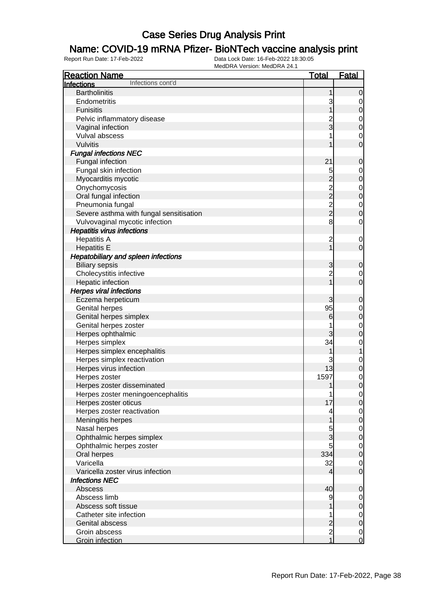### Name: COVID-19 mRNA Pfizer- BioNTech vaccine analysis print

| <b>Reaction Name</b><br><u>Total</u><br>Infections cont'd<br>Infections<br><b>Bartholinitis</b><br>0<br>Endometritis<br>3<br>0<br><b>Funisitis</b><br>0<br>Pelvic inflammatory disease<br>$\mathbf 0$<br>3<br>Vaginal infection<br>0<br>Vulval abscess<br>0<br>Vulvitis<br>0<br><b>Fungal infections NEC</b><br>21<br>Fungal infection<br>0<br>Fungal skin infection<br>5<br>$\mathbf 0$<br>$\overline{c}$<br>Myocarditis mycotic<br>0<br>$\frac{2}{2}$<br>Onychomycosis<br>$\mathbf 0$<br>Oral fungal infection<br>$\mathbf 0$<br>$\frac{2}{2}$<br>Pneumonia fungal<br>$\mathbf 0$<br>Severe asthma with fungal sensitisation<br>0<br>8<br>Vulvovaginal mycotic infection<br>0<br><b>Hepatitis virus infections</b><br><b>Hepatitis A</b><br>$\overline{c}$<br>$\mathbf 0$<br><b>Hepatitis E</b><br>$\mathbf 0$<br><b>Hepatobiliary and spleen infections</b><br><b>Biliary sepsis</b><br>3<br>0<br>$\overline{c}$<br>Cholecystitis infective<br>$\overline{0}$<br>Hepatic infection<br>$\mathbf 0$<br><b>Herpes viral infections</b><br>Eczema herpeticum<br>3<br>0 |
|-----------------------------------------------------------------------------------------------------------------------------------------------------------------------------------------------------------------------------------------------------------------------------------------------------------------------------------------------------------------------------------------------------------------------------------------------------------------------------------------------------------------------------------------------------------------------------------------------------------------------------------------------------------------------------------------------------------------------------------------------------------------------------------------------------------------------------------------------------------------------------------------------------------------------------------------------------------------------------------------------------------------------------------------------------------------------|
|                                                                                                                                                                                                                                                                                                                                                                                                                                                                                                                                                                                                                                                                                                                                                                                                                                                                                                                                                                                                                                                                       |
|                                                                                                                                                                                                                                                                                                                                                                                                                                                                                                                                                                                                                                                                                                                                                                                                                                                                                                                                                                                                                                                                       |
|                                                                                                                                                                                                                                                                                                                                                                                                                                                                                                                                                                                                                                                                                                                                                                                                                                                                                                                                                                                                                                                                       |
|                                                                                                                                                                                                                                                                                                                                                                                                                                                                                                                                                                                                                                                                                                                                                                                                                                                                                                                                                                                                                                                                       |
|                                                                                                                                                                                                                                                                                                                                                                                                                                                                                                                                                                                                                                                                                                                                                                                                                                                                                                                                                                                                                                                                       |
|                                                                                                                                                                                                                                                                                                                                                                                                                                                                                                                                                                                                                                                                                                                                                                                                                                                                                                                                                                                                                                                                       |
|                                                                                                                                                                                                                                                                                                                                                                                                                                                                                                                                                                                                                                                                                                                                                                                                                                                                                                                                                                                                                                                                       |
|                                                                                                                                                                                                                                                                                                                                                                                                                                                                                                                                                                                                                                                                                                                                                                                                                                                                                                                                                                                                                                                                       |
|                                                                                                                                                                                                                                                                                                                                                                                                                                                                                                                                                                                                                                                                                                                                                                                                                                                                                                                                                                                                                                                                       |
|                                                                                                                                                                                                                                                                                                                                                                                                                                                                                                                                                                                                                                                                                                                                                                                                                                                                                                                                                                                                                                                                       |
|                                                                                                                                                                                                                                                                                                                                                                                                                                                                                                                                                                                                                                                                                                                                                                                                                                                                                                                                                                                                                                                                       |
|                                                                                                                                                                                                                                                                                                                                                                                                                                                                                                                                                                                                                                                                                                                                                                                                                                                                                                                                                                                                                                                                       |
|                                                                                                                                                                                                                                                                                                                                                                                                                                                                                                                                                                                                                                                                                                                                                                                                                                                                                                                                                                                                                                                                       |
|                                                                                                                                                                                                                                                                                                                                                                                                                                                                                                                                                                                                                                                                                                                                                                                                                                                                                                                                                                                                                                                                       |
|                                                                                                                                                                                                                                                                                                                                                                                                                                                                                                                                                                                                                                                                                                                                                                                                                                                                                                                                                                                                                                                                       |
|                                                                                                                                                                                                                                                                                                                                                                                                                                                                                                                                                                                                                                                                                                                                                                                                                                                                                                                                                                                                                                                                       |
|                                                                                                                                                                                                                                                                                                                                                                                                                                                                                                                                                                                                                                                                                                                                                                                                                                                                                                                                                                                                                                                                       |
|                                                                                                                                                                                                                                                                                                                                                                                                                                                                                                                                                                                                                                                                                                                                                                                                                                                                                                                                                                                                                                                                       |
|                                                                                                                                                                                                                                                                                                                                                                                                                                                                                                                                                                                                                                                                                                                                                                                                                                                                                                                                                                                                                                                                       |
|                                                                                                                                                                                                                                                                                                                                                                                                                                                                                                                                                                                                                                                                                                                                                                                                                                                                                                                                                                                                                                                                       |
|                                                                                                                                                                                                                                                                                                                                                                                                                                                                                                                                                                                                                                                                                                                                                                                                                                                                                                                                                                                                                                                                       |
|                                                                                                                                                                                                                                                                                                                                                                                                                                                                                                                                                                                                                                                                                                                                                                                                                                                                                                                                                                                                                                                                       |
|                                                                                                                                                                                                                                                                                                                                                                                                                                                                                                                                                                                                                                                                                                                                                                                                                                                                                                                                                                                                                                                                       |
|                                                                                                                                                                                                                                                                                                                                                                                                                                                                                                                                                                                                                                                                                                                                                                                                                                                                                                                                                                                                                                                                       |
|                                                                                                                                                                                                                                                                                                                                                                                                                                                                                                                                                                                                                                                                                                                                                                                                                                                                                                                                                                                                                                                                       |
|                                                                                                                                                                                                                                                                                                                                                                                                                                                                                                                                                                                                                                                                                                                                                                                                                                                                                                                                                                                                                                                                       |
|                                                                                                                                                                                                                                                                                                                                                                                                                                                                                                                                                                                                                                                                                                                                                                                                                                                                                                                                                                                                                                                                       |
| 95<br><b>Genital herpes</b><br>$\mathbf 0$                                                                                                                                                                                                                                                                                                                                                                                                                                                                                                                                                                                                                                                                                                                                                                                                                                                                                                                                                                                                                            |
| Genital herpes simplex<br>6<br>0                                                                                                                                                                                                                                                                                                                                                                                                                                                                                                                                                                                                                                                                                                                                                                                                                                                                                                                                                                                                                                      |
| Genital herpes zoster<br>$\mathbf 0$                                                                                                                                                                                                                                                                                                                                                                                                                                                                                                                                                                                                                                                                                                                                                                                                                                                                                                                                                                                                                                  |
| Herpes ophthalmic<br>0                                                                                                                                                                                                                                                                                                                                                                                                                                                                                                                                                                                                                                                                                                                                                                                                                                                                                                                                                                                                                                                |
| Herpes simplex<br>34<br>0                                                                                                                                                                                                                                                                                                                                                                                                                                                                                                                                                                                                                                                                                                                                                                                                                                                                                                                                                                                                                                             |
| Herpes simplex encephalitis                                                                                                                                                                                                                                                                                                                                                                                                                                                                                                                                                                                                                                                                                                                                                                                                                                                                                                                                                                                                                                           |
| Herpes simplex reactivation<br>3<br>0                                                                                                                                                                                                                                                                                                                                                                                                                                                                                                                                                                                                                                                                                                                                                                                                                                                                                                                                                                                                                                 |
| Herpes virus infection<br>13<br>0                                                                                                                                                                                                                                                                                                                                                                                                                                                                                                                                                                                                                                                                                                                                                                                                                                                                                                                                                                                                                                     |
| 1597<br>Herpes zoster<br>$\mathbf 0$                                                                                                                                                                                                                                                                                                                                                                                                                                                                                                                                                                                                                                                                                                                                                                                                                                                                                                                                                                                                                                  |
| 0<br>Herpes zoster disseminated<br>1                                                                                                                                                                                                                                                                                                                                                                                                                                                                                                                                                                                                                                                                                                                                                                                                                                                                                                                                                                                                                                  |
| Herpes zoster meningoencephalitis<br>$\overline{0}$<br>1                                                                                                                                                                                                                                                                                                                                                                                                                                                                                                                                                                                                                                                                                                                                                                                                                                                                                                                                                                                                              |
| 17<br>Herpes zoster oticus<br>$\mathbf 0$                                                                                                                                                                                                                                                                                                                                                                                                                                                                                                                                                                                                                                                                                                                                                                                                                                                                                                                                                                                                                             |
| Herpes zoster reactivation<br>$\overline{0}$<br>4                                                                                                                                                                                                                                                                                                                                                                                                                                                                                                                                                                                                                                                                                                                                                                                                                                                                                                                                                                                                                     |
| Meningitis herpes<br>0                                                                                                                                                                                                                                                                                                                                                                                                                                                                                                                                                                                                                                                                                                                                                                                                                                                                                                                                                                                                                                                |
| Nasal herpes<br>5<br>$\overline{0}$                                                                                                                                                                                                                                                                                                                                                                                                                                                                                                                                                                                                                                                                                                                                                                                                                                                                                                                                                                                                                                   |
| 3<br>Ophthalmic herpes simplex<br>0                                                                                                                                                                                                                                                                                                                                                                                                                                                                                                                                                                                                                                                                                                                                                                                                                                                                                                                                                                                                                                   |
| 5<br>Ophthalmic herpes zoster<br>$\mathbf 0$                                                                                                                                                                                                                                                                                                                                                                                                                                                                                                                                                                                                                                                                                                                                                                                                                                                                                                                                                                                                                          |
| 334<br>Oral herpes<br>$\mathbf 0$                                                                                                                                                                                                                                                                                                                                                                                                                                                                                                                                                                                                                                                                                                                                                                                                                                                                                                                                                                                                                                     |
| 32<br>Varicella<br>$\mathbf 0$                                                                                                                                                                                                                                                                                                                                                                                                                                                                                                                                                                                                                                                                                                                                                                                                                                                                                                                                                                                                                                        |
| Varicella zoster virus infection<br>$\mathbf 0$<br>4                                                                                                                                                                                                                                                                                                                                                                                                                                                                                                                                                                                                                                                                                                                                                                                                                                                                                                                                                                                                                  |
| <b>Infections NEC</b>                                                                                                                                                                                                                                                                                                                                                                                                                                                                                                                                                                                                                                                                                                                                                                                                                                                                                                                                                                                                                                                 |
| 40<br>Abscess<br>0                                                                                                                                                                                                                                                                                                                                                                                                                                                                                                                                                                                                                                                                                                                                                                                                                                                                                                                                                                                                                                                    |
| Abscess limb<br>9<br>$\overline{0}$                                                                                                                                                                                                                                                                                                                                                                                                                                                                                                                                                                                                                                                                                                                                                                                                                                                                                                                                                                                                                                   |
| Abscess soft tissue<br>0                                                                                                                                                                                                                                                                                                                                                                                                                                                                                                                                                                                                                                                                                                                                                                                                                                                                                                                                                                                                                                              |
| Catheter site infection<br>$\overline{0}$<br>1                                                                                                                                                                                                                                                                                                                                                                                                                                                                                                                                                                                                                                                                                                                                                                                                                                                                                                                                                                                                                        |
| $\overline{c}$<br>Genital abscess<br>0                                                                                                                                                                                                                                                                                                                                                                                                                                                                                                                                                                                                                                                                                                                                                                                                                                                                                                                                                                                                                                |
| $\overline{c}$<br>Groin abscess<br>$\overline{0}$                                                                                                                                                                                                                                                                                                                                                                                                                                                                                                                                                                                                                                                                                                                                                                                                                                                                                                                                                                                                                     |
| $\overline{1}$<br>$\mathbf 0$<br>Groin infection                                                                                                                                                                                                                                                                                                                                                                                                                                                                                                                                                                                                                                                                                                                                                                                                                                                                                                                                                                                                                      |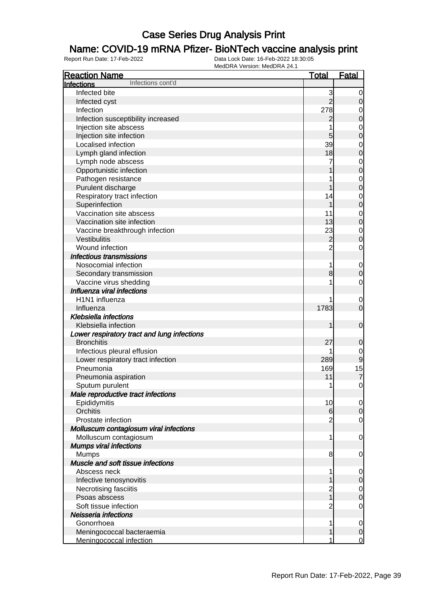### Name: COVID-19 mRNA Pfizer- BioNTech vaccine analysis print

| <b>Reaction Name</b>                        | <u>Total</u>            | <b>Fatal</b>     |
|---------------------------------------------|-------------------------|------------------|
| Infections cont'd<br><b>Infections</b>      |                         |                  |
| Infected bite                               | 3                       | 0                |
| Infected cyst                               | $\overline{2}$          | $\mathbf 0$      |
| Infection                                   | 278                     | $\mathbf 0$      |
| Infection susceptibility increased          | $\overline{c}$          | $\mathbf 0$      |
| Injection site abscess                      | 1                       | $\mathbf{0}$     |
| Injection site infection                    | 5                       | $\overline{0}$   |
| Localised infection                         | 39                      | $\mathbf 0$      |
| Lymph gland infection                       | 18                      | $\overline{0}$   |
| Lymph node abscess                          | 7                       | $\mathbf{0}$     |
| Opportunistic infection                     |                         | $\overline{0}$   |
| Pathogen resistance                         | 1                       | $\overline{0}$   |
| Purulent discharge                          | 1                       | $\overline{0}$   |
| Respiratory tract infection                 | 14                      | $\mathbf{0}$     |
| Superinfection                              | 1                       | $\overline{0}$   |
| Vaccination site abscess                    | 11                      | $\mathbf{0}$     |
| Vaccination site infection                  | 13                      | $\mathbf 0$      |
| Vaccine breakthrough infection              | 23                      | $\mathbf{0}$     |
| Vestibulitis                                | $\overline{c}$          | $\overline{0}$   |
| Wound infection                             | $\overline{2}$          | $\mathbf 0$      |
| Infectious transmissions                    |                         |                  |
| Nosocomial infection                        | 1                       | $\mathbf 0$      |
| Secondary transmission                      | 8                       | $\mathbf 0$      |
| Vaccine virus shedding                      | 1                       | $\mathbf 0$      |
| Influenza viral infections                  |                         |                  |
| H1N1 influenza                              |                         | $\mathbf 0$      |
| Influenza                                   | 1783                    | $\mathbf 0$      |
| <b>Klebsiella infections</b>                |                         |                  |
| Klebsiella infection                        | 1                       | $\mathbf 0$      |
| Lower respiratory tract and lung infections |                         |                  |
| <b>Bronchitis</b>                           | 27                      | $\mathbf 0$      |
| Infectious pleural effusion                 | 1                       | $\mathbf 0$      |
| Lower respiratory tract infection           | 289                     | 9                |
| Pneumonia                                   | 169                     | 15               |
| Pneumonia aspiration                        | 11                      | $\overline{7}$   |
| Sputum purulent                             | 1                       | $\mathbf 0$      |
| Male reproductive tract infections          |                         |                  |
| Epididymitis                                | 10                      | 0                |
| Orchitis                                    | 6                       | $\mathbf 0$      |
| Prostate infection                          | 2                       | $\mathbf 0$      |
| Molluscum contagiosum viral infections      |                         |                  |
| Molluscum contagiosum                       | 1                       | $\mathbf 0$      |
| <b>Mumps viral infections</b>               |                         |                  |
| <b>Mumps</b>                                | 8                       | 0                |
| Muscle and soft tissue infections           |                         |                  |
| Abscess neck                                | 1                       | $\mathbf 0$      |
| Infective tenosynovitis                     |                         | $\boldsymbol{0}$ |
| Necrotising fasciitis                       | $\overline{\mathbf{c}}$ | $\mathbf 0$      |
| Psoas abscess                               | 1                       | $\boldsymbol{0}$ |
| Soft tissue infection                       | $\overline{c}$          | $\mathbf 0$      |
| Neisseria infections                        |                         |                  |
| Gonorrhoea                                  | 1                       | 0                |
| Meningococcal bacteraemia                   | 1                       | $\boldsymbol{0}$ |
| Meningococcal infection                     | 1                       | $\overline{0}$   |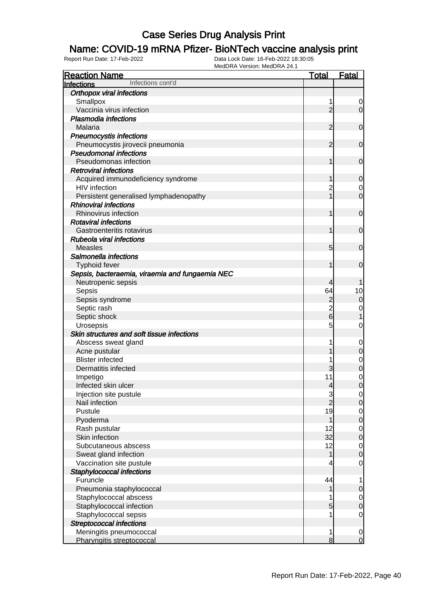### Name: COVID-19 mRNA Pfizer- BioNTech vaccine analysis print

| <b>Reaction Name</b>                            | <b>Total</b>             | <b>Fatal</b>                     |
|-------------------------------------------------|--------------------------|----------------------------------|
| Infections cont'd<br><b>Infections</b>          |                          |                                  |
| <b>Orthopox viral infections</b>                |                          |                                  |
| Smallpox                                        | 1                        | 0                                |
| Vaccinia virus infection                        | $\overline{2}$           | $\overline{0}$                   |
| <b>Plasmodia infections</b>                     |                          |                                  |
| Malaria                                         | 2                        | $\mathbf 0$                      |
| <b>Pneumocystis infections</b>                  |                          |                                  |
| Pneumocystis jirovecii pneumonia                | 2                        | $\mathbf 0$                      |
| <b>Pseudomonal infections</b>                   |                          |                                  |
| Pseudomonas infection                           | 1                        | $\mathbf 0$                      |
| <b>Retroviral infections</b>                    |                          |                                  |
| Acquired immunodeficiency syndrome              | 1                        | $\mathbf 0$                      |
| <b>HIV</b> infection                            | 2                        | $\overline{0}$                   |
| Persistent generalised lymphadenopathy          | 1                        | $\mathbf 0$                      |
| <b>Rhinoviral infections</b>                    |                          |                                  |
| Rhinovirus infection                            | 1                        | $\mathbf 0$                      |
| <b>Rotaviral infections</b>                     |                          |                                  |
| Gastroenteritis rotavirus                       | 1                        | $\mathbf 0$                      |
| <b>Rubeola viral infections</b>                 |                          |                                  |
| <b>Measles</b>                                  | 5                        | $\mathbf 0$                      |
| Salmonella infections                           |                          |                                  |
| Typhoid fever                                   | 1                        | $\mathbf 0$                      |
| Sepsis, bacteraemia, viraemia and fungaemia NEC |                          |                                  |
| Neutropenic sepsis                              | 4                        |                                  |
| Sepsis                                          | 64                       | 10                               |
| Sepsis syndrome                                 | $\overline{c}$           | $\mathbf 0$                      |
| Septic rash                                     | $\overline{c}$           | $\mathbf 0$                      |
| Septic shock                                    | $6\overline{6}$          | 1                                |
| Urosepsis                                       | 5                        | $\mathbf{0}$                     |
| Skin structures and soft tissue infections      |                          |                                  |
| Abscess sweat gland                             |                          | $\mathbf 0$                      |
| Acne pustular                                   |                          | $\mathbf 0$                      |
| <b>Blister infected</b>                         |                          | $\mathbf{0}$                     |
| Dermatitis infected                             | 3                        | $\mathbf 0$                      |
| Impetigo                                        | 11                       | $\mathbf{0}$<br>$\overline{0}$   |
| Infected skin ulcer                             | $\overline{\mathcal{A}}$ |                                  |
| Injection site pustule<br>Nail infection        | $\frac{3}{2}$            | $\overline{0}$<br>$\overline{O}$ |
| Pustule                                         | 19                       |                                  |
| Pyoderma                                        | 1                        | $\overline{0}$<br>$\overline{0}$ |
| Rash pustular                                   | 12                       | $\mathbf 0$                      |
| Skin infection                                  | 32                       | $\overline{0}$                   |
| Subcutaneous abscess                            | 12                       | $\mathbf 0$                      |
| Sweat gland infection                           | 1                        | $\overline{0}$                   |
| Vaccination site pustule                        | 4                        | $\mathbf 0$                      |
| Staphylococcal infections                       |                          |                                  |
| Furuncle                                        | 44                       | $\mathbf{1}$                     |
| Pneumonia staphylococcal                        | 1                        | $\pmb{0}$                        |
| Staphylococcal abscess                          |                          | $\overline{0}$                   |
| Staphylococcal infection                        | 5                        | $\mathbf 0$                      |
| Staphylococcal sepsis                           |                          | $\mathbf 0$                      |
| <b>Streptococcal infections</b>                 |                          |                                  |
| Meningitis pneumococcal                         | 1                        | $\mathbf 0$                      |
| Pharyngitis streptococcal                       | 8                        | $\overline{0}$                   |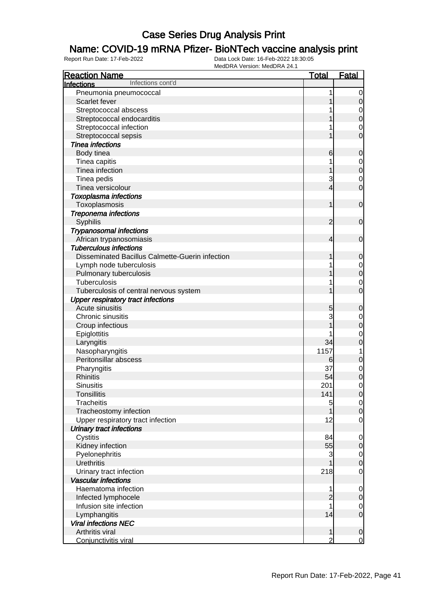### Name: COVID-19 mRNA Pfizer- BioNTech vaccine analysis print

| <b>Reaction Name</b>                            | <u>Total</u>        | <b>Fatal</b>                  |
|-------------------------------------------------|---------------------|-------------------------------|
| Infections cont'd<br><b>Infections</b>          |                     |                               |
| Pneumonia pneumococcal                          | 1                   | 0                             |
| Scarlet fever                                   |                     | 0                             |
| Streptococcal abscess                           |                     | 0                             |
| Streptococcal endocarditis                      |                     | $\mathbf 0$                   |
| Streptococcal infection                         |                     | $\mathbf 0$                   |
| Streptococcal sepsis                            |                     | 0                             |
| <b>Tinea infections</b>                         |                     |                               |
| Body tinea                                      | 6                   | 0                             |
| Tinea capitis                                   |                     | 0                             |
| Tinea infection                                 |                     | $\boldsymbol{0}$              |
|                                                 | 3                   |                               |
| Tinea pedis<br>Tinea versicolour                | 4                   | $\mathbf 0$<br>$\mathbf 0$    |
|                                                 |                     |                               |
| <b>Toxoplasma infections</b>                    | 1                   |                               |
| Toxoplasmosis                                   |                     | $\mathbf 0$                   |
| Treponema infections                            |                     |                               |
| Syphilis                                        | $\overline{2}$      | $\mathbf 0$                   |
| <b>Trypanosomal infections</b>                  |                     |                               |
| African trypanosomiasis                         | 4                   | $\mathbf 0$                   |
| <b>Tuberculous infections</b>                   |                     |                               |
| Disseminated Bacillus Calmette-Guerin infection |                     | $\mathbf 0$                   |
| Lymph node tuberculosis                         |                     | $\mathbf 0$                   |
| Pulmonary tuberculosis                          |                     | $\mathbf 0$                   |
| Tuberculosis                                    |                     | 0                             |
| Tuberculosis of central nervous system          |                     | 0                             |
| <b>Upper respiratory tract infections</b>       |                     |                               |
| Acute sinusitis                                 | 5                   | 0                             |
| Chronic sinusitis                               | 3                   | 0                             |
| Croup infectious                                |                     | $\mathbf 0$                   |
| Epiglottitis                                    |                     | $\mathbf 0$                   |
| Laryngitis                                      | 34                  | 0                             |
| Nasopharyngitis                                 | 1157                | 1                             |
| Peritonsillar abscess                           | 6                   | $\mathbf 0$                   |
| Pharyngitis                                     | 37                  | $\mathbf 0$                   |
| <b>Rhinitis</b>                                 | 54                  | $\mathbf 0$                   |
| <b>Sinusitis</b>                                | 201                 | 0                             |
| <b>Tonsillitis</b>                              | 141                 | $\overline{0}$                |
| <b>Tracheitis</b>                               | 5                   | $\overline{0}$                |
| Tracheostomy infection                          |                     | $\boldsymbol{0}$              |
| Upper respiratory tract infection               | 12                  | $\overline{0}$                |
| <b>Urinary tract infections</b>                 |                     |                               |
| Cystitis                                        | 84                  | $\mathbf 0$                   |
| Kidney infection                                | 55                  | $\mathbf 0$                   |
| Pyelonephritis                                  | 3                   | $\overline{0}$                |
| <b>Urethritis</b>                               |                     | $\boldsymbol{0}$              |
| Urinary tract infection                         | 218                 | $\overline{0}$                |
| <b>Vascular infections</b>                      |                     |                               |
| Haematoma infection                             | 1                   | $\mathbf 0$                   |
| Infected lymphocele                             | $\overline{c}$      | $\mathbf 0$                   |
| Infusion site infection                         |                     | 0                             |
| Lymphangitis                                    | 14                  | $\mathbf 0$                   |
| <b>Viral infections NEC</b>                     |                     |                               |
| Arthritis viral                                 |                     |                               |
| Conjunctivitis viral                            | 1<br>$\overline{2}$ | $\mathbf 0$<br>$\overline{0}$ |
|                                                 |                     |                               |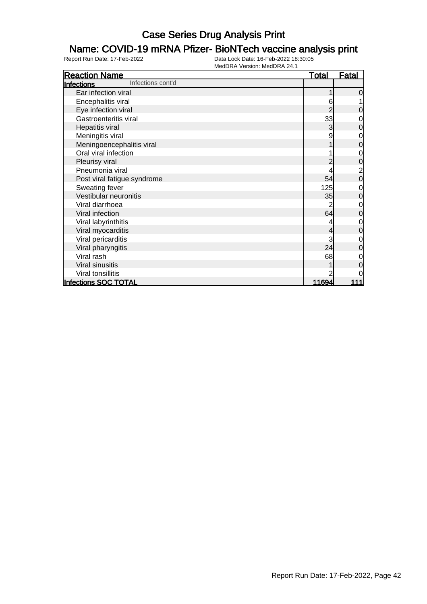### Name: COVID-19 mRNA Pfizer- BioNTech vaccine analysis print

| <b>Reaction Name</b>                   | <u>Total</u>   | <u>Fatal</u>   |
|----------------------------------------|----------------|----------------|
| Infections cont'd<br><b>Infections</b> |                |                |
| Ear infection viral                    |                | $\overline{0}$ |
| Encephalitis viral                     | 6              | 1              |
| Eye infection viral                    | 2              | $\overline{O}$ |
| Gastroenteritis viral                  | 33             | $\overline{O}$ |
| Hepatitis viral                        | 3              | $\overline{0}$ |
| Meningitis viral                       | 9              | $\overline{O}$ |
| Meningoencephalitis viral              |                | $\overline{0}$ |
| Oral viral infection                   |                | $\overline{0}$ |
| Pleurisy viral                         |                | $\mathsf{O}$   |
| Pneumonia viral                        |                | $\overline{a}$ |
| Post viral fatigue syndrome            | 54             | $\overline{O}$ |
| Sweating fever                         | 125            | $\overline{0}$ |
| Vestibular neuronitis                  | 35             | $\overline{0}$ |
| Viral diarrhoea                        |                | $\overline{0}$ |
| Viral infection                        | 64             | $\overline{0}$ |
| Viral labyrinthitis                    |                | $\overline{0}$ |
| Viral myocarditis                      | 4              | $\overline{0}$ |
| Viral pericarditis                     | 3              | $\overline{O}$ |
| Viral pharyngitis                      | 24             | $\overline{0}$ |
| Viral rash                             | 68             | $\overline{0}$ |
| Viral sinusitis                        |                | $\overline{0}$ |
| Viral tonsillitis                      |                | $\overline{0}$ |
| <b>Infections SOC TOTAL</b>            | <u> 11694 </u> | 111            |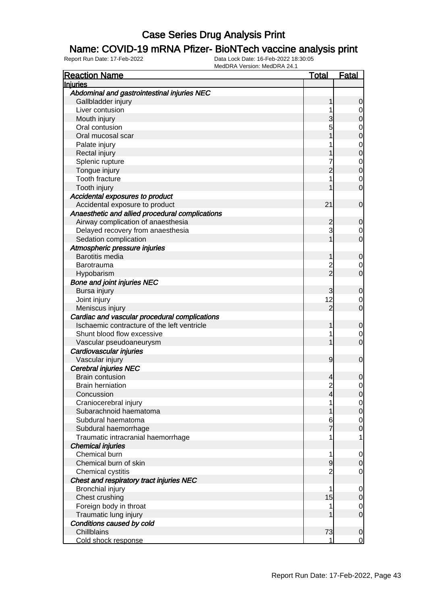#### Name: COVID-19 mRNA Pfizer- BioNTech vaccine analysis print

| <b>Reaction Name</b>                            | <u>Total</u>   | <u>Fatal</u>                     |
|-------------------------------------------------|----------------|----------------------------------|
| Injuries                                        |                |                                  |
| Abdominal and gastrointestinal injuries NEC     |                |                                  |
| Gallbladder injury                              |                | 0                                |
| Liver contusion                                 |                | $\mathbf 0$                      |
| Mouth injury                                    |                | 0                                |
| Oral contusion                                  | 5              |                                  |
| Oral mucosal scar                               |                | 0<br>0                           |
| Palate injury                                   |                |                                  |
| Rectal injury                                   |                | $\begin{matrix}0\\0\end{matrix}$ |
| Splenic rupture                                 | 7              |                                  |
| Tongue injury                                   | $\overline{c}$ | $\begin{matrix}0\\0\end{matrix}$ |
| Tooth fracture                                  |                | $\mathbf 0$                      |
| Tooth injury                                    |                | $\overline{0}$                   |
| Accidental exposures to product                 |                |                                  |
| Accidental exposure to product                  | 21             | $\mathbf 0$                      |
| Anaesthetic and allied procedural complications |                |                                  |
| Airway complication of anaesthesia              | 2              | $\mathbf 0$                      |
| Delayed recovery from anaesthesia               | 3              | $\mathbf 0$                      |
| Sedation complication                           |                | $\overline{0}$                   |
| Atmospheric pressure injuries                   |                |                                  |
| <b>Barotitis media</b>                          |                | $\mathbf 0$                      |
| Barotrauma                                      | $\overline{c}$ | $\mathbf 0$                      |
| Hypobarism                                      | $\overline{2}$ | $\overline{0}$                   |
| <b>Bone and joint injuries NEC</b>              |                |                                  |
| Bursa injury                                    | 3              | $\mathbf 0$                      |
| Joint injury                                    | 12             | $\mathbf 0$                      |
| Meniscus injury                                 | $\overline{2}$ | $\overline{0}$                   |
| Cardiac and vascular procedural complications   |                |                                  |
| Ischaemic contracture of the left ventricle     |                | $\mathbf 0$                      |
| Shunt blood flow excessive                      | 1              | $\mathbf 0$                      |
| Vascular pseudoaneurysm                         |                | $\overline{0}$                   |
| Cardiovascular injuries                         |                |                                  |
| Vascular injury                                 | 9              | $\mathbf 0$                      |
| <b>Cerebral injuries NEC</b>                    |                |                                  |
| <b>Brain contusion</b>                          | 4              | 0                                |
| <b>Brain herniation</b>                         | $\overline{2}$ | $\mathbf 0$                      |
| Concussion                                      | 4              |                                  |
| Craniocerebral injury                           |                | 0 <br>$\overline{0}$             |
| Subarachnoid haematoma                          |                | $\pmb{0}$                        |
| Subdural haematoma                              | 6              | $\mathbf 0$                      |
| Subdural haemorrhage                            | 7              | $\overline{0}$                   |
| Traumatic intracranial haemorrhage              | 1              | 1                                |
| <b>Chemical injuries</b>                        |                |                                  |
| Chemical burn                                   | 1              |                                  |
| Chemical burn of skin                           | 9              | $\mathbf 0$                      |
|                                                 | $\overline{2}$ | $\mathbf 0$                      |
| Chemical cystitis                               |                | $\mathbf 0$                      |
| Chest and respiratory tract injuries NEC        | 1              |                                  |
| Bronchial injury                                |                | $\mathbf 0$                      |
| Chest crushing                                  | 15             | 0                                |
| Foreign body in throat                          |                | $\mathbf 0$                      |
| Traumatic lung injury                           |                | $\mathbf 0$                      |
| Conditions caused by cold                       |                |                                  |
| Chillblains                                     | 73<br>1        | $\mathbf 0$                      |
| Cold shock response                             |                | $\overline{0}$                   |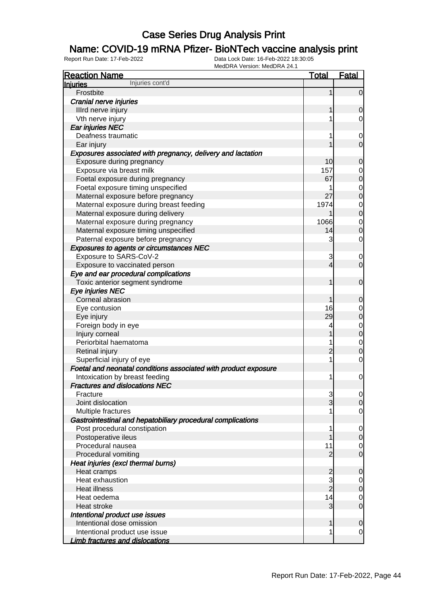### Name: COVID-19 mRNA Pfizer- BioNTech vaccine analysis print

| <b>Reaction Name</b>                                            | <b>Total</b>        | <b>Fatal</b>                     |
|-----------------------------------------------------------------|---------------------|----------------------------------|
| Injuries cont'd<br>Injuries                                     |                     |                                  |
| Frostbite                                                       | 1                   | $\Omega$                         |
| Cranial nerve injuries                                          |                     |                                  |
| Illrd nerve injury                                              |                     | 0                                |
| Vth nerve injury                                                | 1                   | 0                                |
| Ear injuries NEC                                                |                     |                                  |
| Deafness traumatic                                              | 1                   | 0                                |
| Ear injury                                                      |                     | 0                                |
| Exposures associated with pregnancy, delivery and lactation     |                     |                                  |
| Exposure during pregnancy                                       | 10                  | 0                                |
| Exposure via breast milk                                        | 157                 | 0                                |
| Foetal exposure during pregnancy                                | 67                  | 0                                |
| Foetal exposure timing unspecified                              | 1                   | 0                                |
| Maternal exposure before pregnancy                              | 27                  | 0                                |
| Maternal exposure during breast feeding                         | 1974                | 0                                |
| Maternal exposure during delivery                               |                     | 0                                |
| Maternal exposure during pregnancy                              | 1066                | 0                                |
| Maternal exposure timing unspecified                            | 14                  | 0                                |
| Paternal exposure before pregnancy                              | 3                   | 0                                |
| <b>Exposures to agents or circumstances NEC</b>                 |                     |                                  |
| Exposure to SARS-CoV-2                                          | 3                   | 0                                |
| Exposure to vaccinated person                                   | 4                   | $\overline{0}$                   |
| Eye and ear procedural complications                            |                     |                                  |
| Toxic anterior segment syndrome                                 | 1                   | $\mathbf 0$                      |
| Eye injuries NEC                                                |                     |                                  |
| Corneal abrasion                                                |                     | 0                                |
| Eye contusion                                                   | 16                  | 0                                |
| Eye injury                                                      | 29                  | 0                                |
| Foreign body in eye                                             | 4                   | 0                                |
| Injury corneal                                                  |                     | 0                                |
| Periorbital haematoma                                           | 1                   | 0                                |
| Retinal injury                                                  | 2                   | 0                                |
| Superficial injury of eye                                       | 1                   | 0                                |
| Foetal and neonatal conditions associated with product exposure |                     |                                  |
| Intoxication by breast feeding                                  | 1                   | $\mathbf 0$                      |
| <b>Fractures and dislocations NEC</b>                           |                     |                                  |
|                                                                 |                     |                                  |
| Fracture<br>Joint dislocation                                   | 3<br>$\overline{3}$ | $\overline{0}$<br>$\overline{0}$ |
|                                                                 |                     | 0                                |
| Multiple fractures                                              |                     |                                  |
| Gastrointestinal and hepatobiliary procedural complications     |                     |                                  |
| Post procedural constipation                                    | 1                   | 0                                |
| Postoperative ileus                                             |                     | 0                                |
| Procedural nausea                                               | 11                  | 0                                |
| Procedural vomiting                                             | 2                   | $\mathbf 0$                      |
| Heat injuries (excl thermal burns)                              |                     |                                  |
| Heat cramps                                                     | $\overline{c}$      | 0                                |
| Heat exhaustion                                                 | 3                   | 0                                |
| <b>Heat illness</b>                                             | $\overline{2}$      | $\mathbf 0$                      |
| Heat oedema                                                     | 14                  | 0                                |
| Heat stroke                                                     | 3                   | $\mathbf 0$                      |
| Intentional product use issues                                  |                     |                                  |
| Intentional dose omission                                       | 1                   | 0                                |
| Intentional product use issue                                   | 1                   | 0                                |
| <b>Limb fractures and dislocations</b>                          |                     |                                  |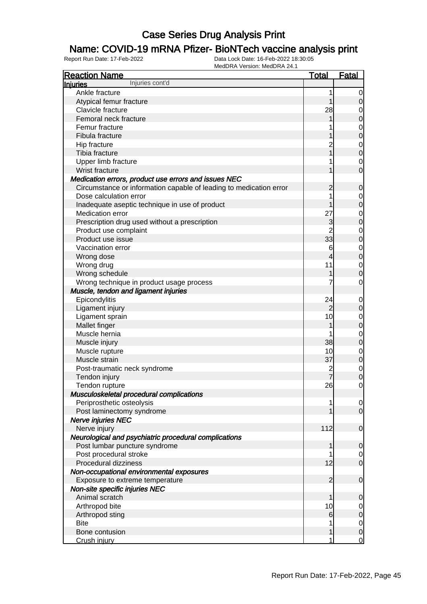### Name: COVID-19 mRNA Pfizer- BioNTech vaccine analysis print

| <b>Reaction Name</b><br><b>Total</b><br><b>Fatal</b><br>Injuries cont'd<br>Injuries<br>Ankle fracture<br>1<br>$\overline{0}$<br>Atypical femur fracture<br>$\mathbf 0$<br>1<br>28<br>Clavicle fracture<br>$\mathbf{0}$<br>$\overline{0}$<br>Femoral neck fracture<br>$\begin{matrix} 0 \\ 0 \end{matrix}$<br>Femur fracture<br>Fibula fracture<br>$\overline{2}$<br>$\begin{matrix} 0 \\ 0 \end{matrix}$<br>Hip fracture<br>Tibia fracture<br>1<br>Upper limb fracture<br>$\overline{0}$<br>$\overline{0}$<br>Wrist fracture<br>Medication errors, product use errors and issues NEC<br>Circumstance or information capable of leading to medication error<br>$\mathbf 0$<br>2<br>Dose calculation error<br>$0\atop 0$<br>Inadequate aseptic technique in use of product<br>27<br>$\begin{matrix}0\\0\end{matrix}$<br>Medication error<br>3<br>Prescription drug used without a prescription<br>$\overline{2}$<br>$\begin{matrix}0\\0\end{matrix}$<br>Product use complaint<br>33<br>Product use issue<br>$\begin{matrix}0\\0\end{matrix}$<br>Vaccination error<br>6<br>Wrong dose<br>4<br>11<br>$\mathbf{0}$<br>Wrong drug<br>$\overline{0}$<br>Wrong schedule<br>1<br>Wrong technique in product usage process<br>$\mathbf 0$<br>Muscle, tendon and ligament injuries<br>Epicondylitis<br>24<br>$\mathbf{0}$<br>$\pmb{0}$<br>Ligament injury<br>$\overline{2}$<br>10<br>Ligament sprain<br>$0$ 0<br>Mallet finger<br>Muscle hernia<br>$\begin{matrix}0\\0\end{matrix}$<br>38<br>Muscle injury<br>$\begin{matrix}0\\0\end{matrix}$<br>Muscle rupture<br>10<br>37<br>Muscle strain<br>$\begin{matrix} 0 \\ 0 \end{matrix}$<br>$\overline{c}$<br>Post-traumatic neck syndrome<br>Tendon injury<br>$\mathsf{O}\xspace$<br>Tendon rupture<br>26<br>Musculoskeletal procedural complications<br>Periprosthetic osteolysis<br>$\overline{0}$<br>1 |
|----------------------------------------------------------------------------------------------------------------------------------------------------------------------------------------------------------------------------------------------------------------------------------------------------------------------------------------------------------------------------------------------------------------------------------------------------------------------------------------------------------------------------------------------------------------------------------------------------------------------------------------------------------------------------------------------------------------------------------------------------------------------------------------------------------------------------------------------------------------------------------------------------------------------------------------------------------------------------------------------------------------------------------------------------------------------------------------------------------------------------------------------------------------------------------------------------------------------------------------------------------------------------------------------------------------------------------------------------------------------------------------------------------------------------------------------------------------------------------------------------------------------------------------------------------------------------------------------------------------------------------------------------------------------------------------------------------------------------------------------------------------------------------------------------------------------------------------------|
|                                                                                                                                                                                                                                                                                                                                                                                                                                                                                                                                                                                                                                                                                                                                                                                                                                                                                                                                                                                                                                                                                                                                                                                                                                                                                                                                                                                                                                                                                                                                                                                                                                                                                                                                                                                                                                              |
|                                                                                                                                                                                                                                                                                                                                                                                                                                                                                                                                                                                                                                                                                                                                                                                                                                                                                                                                                                                                                                                                                                                                                                                                                                                                                                                                                                                                                                                                                                                                                                                                                                                                                                                                                                                                                                              |
|                                                                                                                                                                                                                                                                                                                                                                                                                                                                                                                                                                                                                                                                                                                                                                                                                                                                                                                                                                                                                                                                                                                                                                                                                                                                                                                                                                                                                                                                                                                                                                                                                                                                                                                                                                                                                                              |
|                                                                                                                                                                                                                                                                                                                                                                                                                                                                                                                                                                                                                                                                                                                                                                                                                                                                                                                                                                                                                                                                                                                                                                                                                                                                                                                                                                                                                                                                                                                                                                                                                                                                                                                                                                                                                                              |
|                                                                                                                                                                                                                                                                                                                                                                                                                                                                                                                                                                                                                                                                                                                                                                                                                                                                                                                                                                                                                                                                                                                                                                                                                                                                                                                                                                                                                                                                                                                                                                                                                                                                                                                                                                                                                                              |
|                                                                                                                                                                                                                                                                                                                                                                                                                                                                                                                                                                                                                                                                                                                                                                                                                                                                                                                                                                                                                                                                                                                                                                                                                                                                                                                                                                                                                                                                                                                                                                                                                                                                                                                                                                                                                                              |
|                                                                                                                                                                                                                                                                                                                                                                                                                                                                                                                                                                                                                                                                                                                                                                                                                                                                                                                                                                                                                                                                                                                                                                                                                                                                                                                                                                                                                                                                                                                                                                                                                                                                                                                                                                                                                                              |
|                                                                                                                                                                                                                                                                                                                                                                                                                                                                                                                                                                                                                                                                                                                                                                                                                                                                                                                                                                                                                                                                                                                                                                                                                                                                                                                                                                                                                                                                                                                                                                                                                                                                                                                                                                                                                                              |
|                                                                                                                                                                                                                                                                                                                                                                                                                                                                                                                                                                                                                                                                                                                                                                                                                                                                                                                                                                                                                                                                                                                                                                                                                                                                                                                                                                                                                                                                                                                                                                                                                                                                                                                                                                                                                                              |
|                                                                                                                                                                                                                                                                                                                                                                                                                                                                                                                                                                                                                                                                                                                                                                                                                                                                                                                                                                                                                                                                                                                                                                                                                                                                                                                                                                                                                                                                                                                                                                                                                                                                                                                                                                                                                                              |
|                                                                                                                                                                                                                                                                                                                                                                                                                                                                                                                                                                                                                                                                                                                                                                                                                                                                                                                                                                                                                                                                                                                                                                                                                                                                                                                                                                                                                                                                                                                                                                                                                                                                                                                                                                                                                                              |
|                                                                                                                                                                                                                                                                                                                                                                                                                                                                                                                                                                                                                                                                                                                                                                                                                                                                                                                                                                                                                                                                                                                                                                                                                                                                                                                                                                                                                                                                                                                                                                                                                                                                                                                                                                                                                                              |
|                                                                                                                                                                                                                                                                                                                                                                                                                                                                                                                                                                                                                                                                                                                                                                                                                                                                                                                                                                                                                                                                                                                                                                                                                                                                                                                                                                                                                                                                                                                                                                                                                                                                                                                                                                                                                                              |
|                                                                                                                                                                                                                                                                                                                                                                                                                                                                                                                                                                                                                                                                                                                                                                                                                                                                                                                                                                                                                                                                                                                                                                                                                                                                                                                                                                                                                                                                                                                                                                                                                                                                                                                                                                                                                                              |
|                                                                                                                                                                                                                                                                                                                                                                                                                                                                                                                                                                                                                                                                                                                                                                                                                                                                                                                                                                                                                                                                                                                                                                                                                                                                                                                                                                                                                                                                                                                                                                                                                                                                                                                                                                                                                                              |
|                                                                                                                                                                                                                                                                                                                                                                                                                                                                                                                                                                                                                                                                                                                                                                                                                                                                                                                                                                                                                                                                                                                                                                                                                                                                                                                                                                                                                                                                                                                                                                                                                                                                                                                                                                                                                                              |
|                                                                                                                                                                                                                                                                                                                                                                                                                                                                                                                                                                                                                                                                                                                                                                                                                                                                                                                                                                                                                                                                                                                                                                                                                                                                                                                                                                                                                                                                                                                                                                                                                                                                                                                                                                                                                                              |
|                                                                                                                                                                                                                                                                                                                                                                                                                                                                                                                                                                                                                                                                                                                                                                                                                                                                                                                                                                                                                                                                                                                                                                                                                                                                                                                                                                                                                                                                                                                                                                                                                                                                                                                                                                                                                                              |
|                                                                                                                                                                                                                                                                                                                                                                                                                                                                                                                                                                                                                                                                                                                                                                                                                                                                                                                                                                                                                                                                                                                                                                                                                                                                                                                                                                                                                                                                                                                                                                                                                                                                                                                                                                                                                                              |
|                                                                                                                                                                                                                                                                                                                                                                                                                                                                                                                                                                                                                                                                                                                                                                                                                                                                                                                                                                                                                                                                                                                                                                                                                                                                                                                                                                                                                                                                                                                                                                                                                                                                                                                                                                                                                                              |
|                                                                                                                                                                                                                                                                                                                                                                                                                                                                                                                                                                                                                                                                                                                                                                                                                                                                                                                                                                                                                                                                                                                                                                                                                                                                                                                                                                                                                                                                                                                                                                                                                                                                                                                                                                                                                                              |
|                                                                                                                                                                                                                                                                                                                                                                                                                                                                                                                                                                                                                                                                                                                                                                                                                                                                                                                                                                                                                                                                                                                                                                                                                                                                                                                                                                                                                                                                                                                                                                                                                                                                                                                                                                                                                                              |
|                                                                                                                                                                                                                                                                                                                                                                                                                                                                                                                                                                                                                                                                                                                                                                                                                                                                                                                                                                                                                                                                                                                                                                                                                                                                                                                                                                                                                                                                                                                                                                                                                                                                                                                                                                                                                                              |
|                                                                                                                                                                                                                                                                                                                                                                                                                                                                                                                                                                                                                                                                                                                                                                                                                                                                                                                                                                                                                                                                                                                                                                                                                                                                                                                                                                                                                                                                                                                                                                                                                                                                                                                                                                                                                                              |
|                                                                                                                                                                                                                                                                                                                                                                                                                                                                                                                                                                                                                                                                                                                                                                                                                                                                                                                                                                                                                                                                                                                                                                                                                                                                                                                                                                                                                                                                                                                                                                                                                                                                                                                                                                                                                                              |
|                                                                                                                                                                                                                                                                                                                                                                                                                                                                                                                                                                                                                                                                                                                                                                                                                                                                                                                                                                                                                                                                                                                                                                                                                                                                                                                                                                                                                                                                                                                                                                                                                                                                                                                                                                                                                                              |
|                                                                                                                                                                                                                                                                                                                                                                                                                                                                                                                                                                                                                                                                                                                                                                                                                                                                                                                                                                                                                                                                                                                                                                                                                                                                                                                                                                                                                                                                                                                                                                                                                                                                                                                                                                                                                                              |
|                                                                                                                                                                                                                                                                                                                                                                                                                                                                                                                                                                                                                                                                                                                                                                                                                                                                                                                                                                                                                                                                                                                                                                                                                                                                                                                                                                                                                                                                                                                                                                                                                                                                                                                                                                                                                                              |
|                                                                                                                                                                                                                                                                                                                                                                                                                                                                                                                                                                                                                                                                                                                                                                                                                                                                                                                                                                                                                                                                                                                                                                                                                                                                                                                                                                                                                                                                                                                                                                                                                                                                                                                                                                                                                                              |
|                                                                                                                                                                                                                                                                                                                                                                                                                                                                                                                                                                                                                                                                                                                                                                                                                                                                                                                                                                                                                                                                                                                                                                                                                                                                                                                                                                                                                                                                                                                                                                                                                                                                                                                                                                                                                                              |
|                                                                                                                                                                                                                                                                                                                                                                                                                                                                                                                                                                                                                                                                                                                                                                                                                                                                                                                                                                                                                                                                                                                                                                                                                                                                                                                                                                                                                                                                                                                                                                                                                                                                                                                                                                                                                                              |
|                                                                                                                                                                                                                                                                                                                                                                                                                                                                                                                                                                                                                                                                                                                                                                                                                                                                                                                                                                                                                                                                                                                                                                                                                                                                                                                                                                                                                                                                                                                                                                                                                                                                                                                                                                                                                                              |
|                                                                                                                                                                                                                                                                                                                                                                                                                                                                                                                                                                                                                                                                                                                                                                                                                                                                                                                                                                                                                                                                                                                                                                                                                                                                                                                                                                                                                                                                                                                                                                                                                                                                                                                                                                                                                                              |
|                                                                                                                                                                                                                                                                                                                                                                                                                                                                                                                                                                                                                                                                                                                                                                                                                                                                                                                                                                                                                                                                                                                                                                                                                                                                                                                                                                                                                                                                                                                                                                                                                                                                                                                                                                                                                                              |
|                                                                                                                                                                                                                                                                                                                                                                                                                                                                                                                                                                                                                                                                                                                                                                                                                                                                                                                                                                                                                                                                                                                                                                                                                                                                                                                                                                                                                                                                                                                                                                                                                                                                                                                                                                                                                                              |
|                                                                                                                                                                                                                                                                                                                                                                                                                                                                                                                                                                                                                                                                                                                                                                                                                                                                                                                                                                                                                                                                                                                                                                                                                                                                                                                                                                                                                                                                                                                                                                                                                                                                                                                                                                                                                                              |
|                                                                                                                                                                                                                                                                                                                                                                                                                                                                                                                                                                                                                                                                                                                                                                                                                                                                                                                                                                                                                                                                                                                                                                                                                                                                                                                                                                                                                                                                                                                                                                                                                                                                                                                                                                                                                                              |
|                                                                                                                                                                                                                                                                                                                                                                                                                                                                                                                                                                                                                                                                                                                                                                                                                                                                                                                                                                                                                                                                                                                                                                                                                                                                                                                                                                                                                                                                                                                                                                                                                                                                                                                                                                                                                                              |
| $\overline{0}$<br>Post laminectomy syndrome                                                                                                                                                                                                                                                                                                                                                                                                                                                                                                                                                                                                                                                                                                                                                                                                                                                                                                                                                                                                                                                                                                                                                                                                                                                                                                                                                                                                                                                                                                                                                                                                                                                                                                                                                                                                  |
| Nerve injuries NEC                                                                                                                                                                                                                                                                                                                                                                                                                                                                                                                                                                                                                                                                                                                                                                                                                                                                                                                                                                                                                                                                                                                                                                                                                                                                                                                                                                                                                                                                                                                                                                                                                                                                                                                                                                                                                           |
| 112<br>Nerve injury<br>$\boldsymbol{0}$                                                                                                                                                                                                                                                                                                                                                                                                                                                                                                                                                                                                                                                                                                                                                                                                                                                                                                                                                                                                                                                                                                                                                                                                                                                                                                                                                                                                                                                                                                                                                                                                                                                                                                                                                                                                      |
| Neurological and psychiatric procedural complications                                                                                                                                                                                                                                                                                                                                                                                                                                                                                                                                                                                                                                                                                                                                                                                                                                                                                                                                                                                                                                                                                                                                                                                                                                                                                                                                                                                                                                                                                                                                                                                                                                                                                                                                                                                        |
| Post lumbar puncture syndrome<br>$\mathbf 0$<br>1                                                                                                                                                                                                                                                                                                                                                                                                                                                                                                                                                                                                                                                                                                                                                                                                                                                                                                                                                                                                                                                                                                                                                                                                                                                                                                                                                                                                                                                                                                                                                                                                                                                                                                                                                                                            |
| Post procedural stroke<br>$\overline{0}$                                                                                                                                                                                                                                                                                                                                                                                                                                                                                                                                                                                                                                                                                                                                                                                                                                                                                                                                                                                                                                                                                                                                                                                                                                                                                                                                                                                                                                                                                                                                                                                                                                                                                                                                                                                                     |
| $\overline{0}$<br>Procedural dizziness<br>12                                                                                                                                                                                                                                                                                                                                                                                                                                                                                                                                                                                                                                                                                                                                                                                                                                                                                                                                                                                                                                                                                                                                                                                                                                                                                                                                                                                                                                                                                                                                                                                                                                                                                                                                                                                                 |
| Non-occupational environmental exposures                                                                                                                                                                                                                                                                                                                                                                                                                                                                                                                                                                                                                                                                                                                                                                                                                                                                                                                                                                                                                                                                                                                                                                                                                                                                                                                                                                                                                                                                                                                                                                                                                                                                                                                                                                                                     |
| Exposure to extreme temperature<br>$\boldsymbol{0}$<br>2                                                                                                                                                                                                                                                                                                                                                                                                                                                                                                                                                                                                                                                                                                                                                                                                                                                                                                                                                                                                                                                                                                                                                                                                                                                                                                                                                                                                                                                                                                                                                                                                                                                                                                                                                                                     |
| Non-site specific injuries NEC                                                                                                                                                                                                                                                                                                                                                                                                                                                                                                                                                                                                                                                                                                                                                                                                                                                                                                                                                                                                                                                                                                                                                                                                                                                                                                                                                                                                                                                                                                                                                                                                                                                                                                                                                                                                               |
| Animal scratch<br>1                                                                                                                                                                                                                                                                                                                                                                                                                                                                                                                                                                                                                                                                                                                                                                                                                                                                                                                                                                                                                                                                                                                                                                                                                                                                                                                                                                                                                                                                                                                                                                                                                                                                                                                                                                                                                          |
| 0<br>Arthropod bite<br>10                                                                                                                                                                                                                                                                                                                                                                                                                                                                                                                                                                                                                                                                                                                                                                                                                                                                                                                                                                                                                                                                                                                                                                                                                                                                                                                                                                                                                                                                                                                                                                                                                                                                                                                                                                                                                    |
| $\overline{0}$<br>$\pmb{0}$<br>6                                                                                                                                                                                                                                                                                                                                                                                                                                                                                                                                                                                                                                                                                                                                                                                                                                                                                                                                                                                                                                                                                                                                                                                                                                                                                                                                                                                                                                                                                                                                                                                                                                                                                                                                                                                                             |
| Arthropod sting<br><b>Bite</b>                                                                                                                                                                                                                                                                                                                                                                                                                                                                                                                                                                                                                                                                                                                                                                                                                                                                                                                                                                                                                                                                                                                                                                                                                                                                                                                                                                                                                                                                                                                                                                                                                                                                                                                                                                                                               |
| $\overline{0}$<br>$\pmb{0}$<br>Bone contusion<br>1                                                                                                                                                                                                                                                                                                                                                                                                                                                                                                                                                                                                                                                                                                                                                                                                                                                                                                                                                                                                                                                                                                                                                                                                                                                                                                                                                                                                                                                                                                                                                                                                                                                                                                                                                                                           |
| $\overline{0}$<br>Crush injury<br>1                                                                                                                                                                                                                                                                                                                                                                                                                                                                                                                                                                                                                                                                                                                                                                                                                                                                                                                                                                                                                                                                                                                                                                                                                                                                                                                                                                                                                                                                                                                                                                                                                                                                                                                                                                                                          |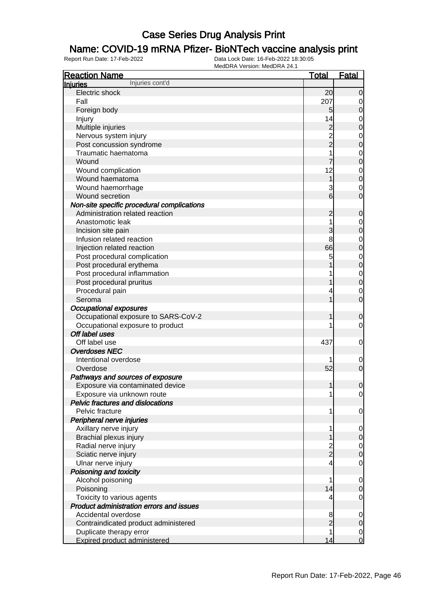### Name: COVID-19 mRNA Pfizer- BioNTech vaccine analysis print

| <b>Reaction Name</b>                            | <b>Total</b>                               | <b>Fatal</b>     |
|-------------------------------------------------|--------------------------------------------|------------------|
| Injuries cont'd<br><b>Injuries</b>              |                                            |                  |
| Electric shock                                  | 20                                         | $\overline{0}$   |
| Fall                                            | 207                                        | $\overline{0}$   |
| Foreign body                                    | 5                                          | $\mathbf 0$      |
| Injury                                          | 14                                         | $\mathbf 0$      |
| Multiple injuries                               |                                            | $\mathbf 0$      |
| Nervous system injury                           | $\begin{array}{c} 2 \\ 2 \\ 2 \end{array}$ | $\mathbf 0$      |
| Post concussion syndrome                        |                                            | $\mathbf 0$      |
| Traumatic haematoma                             | 1                                          | $\mathbf 0$      |
| Wound                                           |                                            | $\mathbf 0$      |
| Wound complication                              | 12                                         | $\mathbf 0$      |
| Wound haematoma                                 | $\overline{1}$                             | $\mathbf 0$      |
| Wound haemorrhage                               | 3                                          | $\mathbf 0$      |
| Wound secretion                                 | $6\overline{6}$                            | 0                |
| Non-site specific procedural complications      |                                            |                  |
| Administration related reaction                 | $\overline{c}$                             | $\mathbf 0$      |
| Anastomotic leak                                | 1                                          | $\mathbf 0$      |
| Incision site pain                              | 3                                          | $\mathbf 0$      |
| Infusion related reaction                       | 8                                          | $\mathbf 0$      |
| Injection related reaction                      | 66                                         | $\mathbf 0$      |
| Post procedural complication                    | 5                                          | $\mathbf 0$      |
| Post procedural erythema                        |                                            | $\mathbf 0$      |
| Post procedural inflammation                    |                                            | $\mathbf 0$      |
| Post procedural pruritus                        |                                            | $\mathbf 0$      |
| Procedural pain                                 | 4                                          | $\mathbf 0$      |
| Seroma                                          | 1                                          | $\overline{0}$   |
| <b>Occupational exposures</b>                   |                                            |                  |
| Occupational exposure to SARS-CoV-2             | 1                                          | $\mathbf 0$      |
| Occupational exposure to product                | 1                                          | 0                |
| Off label uses                                  |                                            |                  |
| Off label use                                   | 437                                        | $\mathbf 0$      |
| <b>Overdoses NEC</b>                            |                                            |                  |
| Intentional overdose                            |                                            | $\mathbf 0$      |
| Overdose                                        | 52                                         | $\mathbf 0$      |
| Pathways and sources of exposure                |                                            |                  |
| Exposure via contaminated device                | 1                                          | $\mathbf 0$      |
| Exposure via unknown route                      | 1                                          | $\overline{0}$   |
| <b>Pelvic fractures and dislocations</b>        |                                            |                  |
| Pelvic fracture                                 | 1                                          | $\overline{0}$   |
| Peripheral nerve injuries                       |                                            |                  |
| Axillary nerve injury                           | 1                                          | $\overline{0}$   |
| Brachial plexus injury                          | 1                                          | $\mathbf 0$      |
| Radial nerve injury                             |                                            | $\overline{0}$   |
| Sciatic nerve injury                            | $\frac{2}{2}$                              | $\boldsymbol{0}$ |
| Ulnar nerve injury                              | $\overline{\mathbf{4}}$                    | $\mathbf 0$      |
| Poisoning and toxicity                          |                                            |                  |
| Alcohol poisoning                               | 1                                          | $\mathbf 0$      |
| Poisoning                                       | 14                                         | $\mathbf 0$      |
| Toxicity to various agents                      | 4                                          | $\mathbf 0$      |
| <b>Product administration errors and issues</b> |                                            |                  |
| Accidental overdose                             | 8                                          | $\mathbf 0$      |
| Contraindicated product administered            | $\overline{2}$                             | $\mathbf 0$      |
| Duplicate therapy error                         | 1                                          | $\overline{0}$   |
| <b>Expired product administered</b>             | 14                                         | $\mathbf 0$      |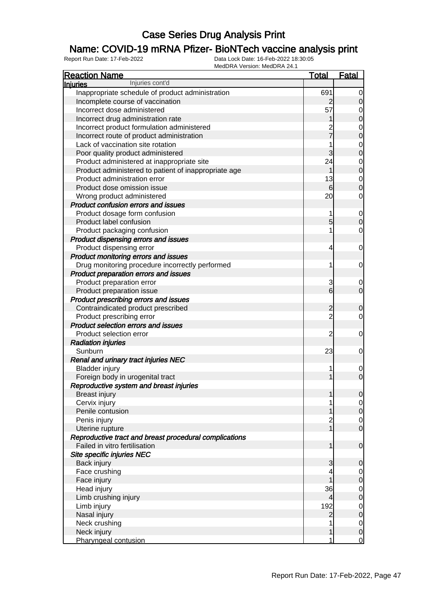### Name: COVID-19 mRNA Pfizer- BioNTech vaccine analysis print

| Injuries cont'd<br><b>Injuries</b>                      |                                  |
|---------------------------------------------------------|----------------------------------|
|                                                         |                                  |
| Inappropriate schedule of product administration<br>691 | $\overline{0}$                   |
| Incomplete course of vaccination<br>$\overline{2}$      | $\mathbf 0$                      |
| 57<br>Incorrect dose administered                       | $\mathbf{0}$                     |
| Incorrect drug administration rate                      | $\mathbf{0}$                     |
| Incorrect product formulation administered              |                                  |
| Incorrect route of product administration               | $0\atop 0$                       |
| Lack of vaccination site rotation                       |                                  |
| 3<br>Poor quality product administered                  | $0\atop 0$                       |
| 24<br>Product administered at inappropriate site        |                                  |
| Product administered to patient of inappropriate age    | $\begin{matrix}0\\0\end{matrix}$ |
| Product administration error<br>13                      |                                  |
| Product dose omission issue<br>6                        | $\begin{matrix}0\\0\end{matrix}$ |
| 20<br>Wrong product administered                        | $\mathbf 0$                      |
| <b>Product confusion errors and issues</b>              |                                  |
| Product dosage form confusion<br>1                      | $\mathbf{0}$                     |
| Product label confusion<br>5                            | $\overline{0}$                   |
| Product packaging confusion                             | $\mathbf 0$                      |
| Product dispensing errors and issues                    |                                  |
| Product dispensing error<br>4                           | $\mathbf 0$                      |
| Product monitoring errors and issues                    |                                  |
| Drug monitoring procedure incorrectly performed<br>1    | $\mathbf 0$                      |
| Product preparation errors and issues                   |                                  |
| Product preparation error<br>3                          | $\mathbf 0$                      |
| $6\overline{6}$<br>Product preparation issue            | $\overline{0}$                   |
| Product prescribing errors and issues                   |                                  |
| Contraindicated product prescribed<br>$\overline{c}$    | $\mathbf 0$                      |
| $\overline{2}$<br>Product prescribing error             | $\mathbf 0$                      |
| Product selection errors and issues                     |                                  |
| $\overline{c}$<br>Product selection error               | $\mathbf 0$                      |
| <b>Radiation injuries</b>                               |                                  |
| 23<br>Sunburn                                           | $\mathbf 0$                      |
| Renal and urinary tract injuries NEC                    |                                  |
| <b>Bladder injury</b>                                   | $\mathbf 0$                      |
| Foreign body in urogenital tract                        | $\overline{0}$                   |
| Reproductive system and breast injuries                 |                                  |
| <b>Breast injury</b><br>1                               | $\overline{0}$                   |
| Cervix injury                                           | $\overline{0}$                   |
| Penile contusion                                        | $\mathbf 0$                      |
| Penis injury<br>$\overline{c}$                          | $\overline{0}$                   |
| 1<br>Uterine rupture                                    | $\overline{0}$                   |
| Reproductive tract and breast procedural complications  |                                  |
| Failed in vitro fertilisation<br>1                      | $\mathbf 0$                      |
| Site specific injuries NEC                              |                                  |
| Back injury<br>3                                        | $\mathbf 0$                      |
| Face crushing<br>4                                      | $\overline{0}$                   |
| Face injury                                             | $\pmb{0}$                        |
| 36<br>Head injury                                       |                                  |
| Limb crushing injury<br>4                               | $\overline{0}$<br>$\overline{0}$ |
| 192<br>Limb injury                                      |                                  |
| Nasal injury<br>$\overline{2}$                          | $\overline{0}$<br>$\mathbf 0$    |
| Neck crushing                                           |                                  |
| Neck injury<br>1                                        | $\overline{0}$<br>$\pmb{0}$      |
| Pharyngeal contusion<br>1                               | $\overline{0}$                   |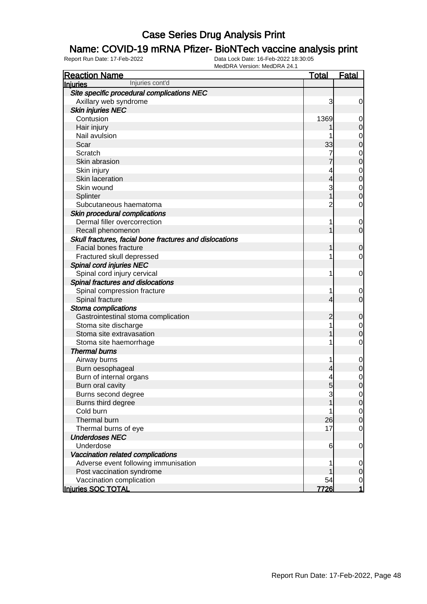#### Name: COVID-19 mRNA Pfizer- BioNTech vaccine analysis print

| <b>Reaction Name</b>                                    | <u>Total</u>   | <b>Fatal</b>     |
|---------------------------------------------------------|----------------|------------------|
| Injuries cont'd<br>Injuries                             |                |                  |
| Site specific procedural complications NEC              |                |                  |
| Axillary web syndrome                                   | 3              | 0                |
| <b>Skin injuries NEC</b>                                |                |                  |
| Contusion                                               | 1369           | 0                |
| Hair injury                                             |                | 0                |
| Nail avulsion                                           |                | 0                |
| Scar                                                    | 33             | 0                |
| Scratch                                                 | 7              | 0                |
| Skin abrasion                                           |                | 0                |
| Skin injury                                             | 4              | 0                |
| Skin laceration                                         | 4              | 0                |
| Skin wound                                              | 3              | 0                |
| Splinter                                                |                | 0                |
| Subcutaneous haematoma                                  | $\overline{c}$ | 0                |
| Skin procedural complications                           |                |                  |
| Dermal filler overcorrection                            | 1              | 0                |
| Recall phenomenon                                       |                | $\overline{0}$   |
| Skull fractures, facial bone fractures and dislocations |                |                  |
| Facial bones fracture                                   |                | 0                |
| Fractured skull depressed                               | 1              | 0                |
| Spinal cord injuries NEC                                |                |                  |
| Spinal cord injury cervical                             | 1              | 0                |
| Spinal fractures and dislocations                       |                |                  |
| Spinal compression fracture                             | 1              | 0                |
| Spinal fracture                                         | 4              | 0                |
| Stoma complications                                     |                |                  |
| Gastrointestinal stoma complication                     | 2              | 0                |
| Stoma site discharge                                    | 1              | 0                |
| Stoma site extravasation                                |                | 0                |
| Stoma site haemorrhage                                  | 1              | 0                |
| <b>Thermal burns</b>                                    |                |                  |
| Airway burns                                            | 1              | 0                |
| Burn oesophageal                                        | 4              | 0                |
| Burn of internal organs                                 | 4              | 0                |
| Burn oral cavity                                        | 5              | 0                |
| Burns second degree                                     | 3              | $\overline{0}$   |
| Burns third degree                                      |                | $\mathbf 0$      |
| Cold burn                                               |                | $\overline{0}$   |
| Thermal burn                                            | 26             | $\mathbf 0$      |
| Thermal burns of eye                                    | 17             | 0                |
| <b>Underdoses NEC</b>                                   |                |                  |
| Underdose                                               | 6              | $\boldsymbol{0}$ |
| Vaccination related complications                       |                |                  |
| Adverse event following immunisation                    | 1              | $\overline{0}$   |
| Post vaccination syndrome                               |                | 0                |
| Vaccination complication                                | 54             | $\overline{0}$   |
| Injuries SOC TOTAL                                      | <u>7726 </u>   | 1                |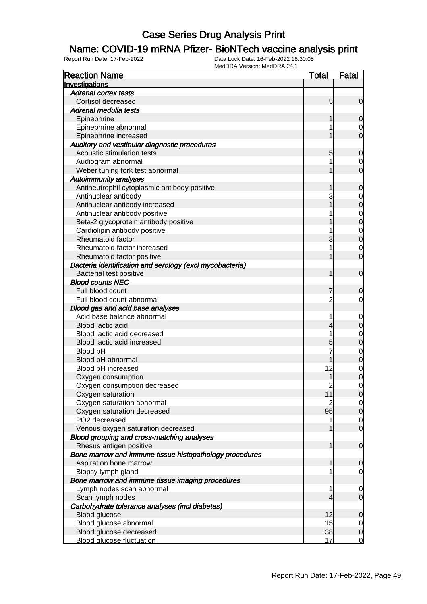### Name: COVID-19 mRNA Pfizer- BioNTech vaccine analysis print

| <b>Reaction Name</b>                                     | <u>Total</u>   | <u>Fatal</u>   |
|----------------------------------------------------------|----------------|----------------|
| Investigations                                           |                |                |
| <b>Adrenal cortex tests</b>                              |                |                |
| Cortisol decreased                                       | 5              | 0              |
| Adrenal medulla tests                                    |                |                |
| Epinephrine                                              |                | 0              |
| Epinephrine abnormal                                     | 1              | 0              |
| Epinephrine increased                                    |                | 0              |
| Auditory and vestibular diagnostic procedures            |                |                |
| Acoustic stimulation tests                               | 5              | 0              |
| Audiogram abnormal                                       | 1              | $\mathbf 0$    |
| Weber tuning fork test abnormal                          |                | $\overline{0}$ |
| <b>Autoimmunity analyses</b>                             |                |                |
| Antineutrophil cytoplasmic antibody positive             |                | 0              |
| Antinuclear antibody                                     | 3              | $\mathbf 0$    |
| Antinuclear antibody increased                           |                | 0              |
| Antinuclear antibody positive                            |                | $\mathbf{0}$   |
| Beta-2 glycoprotein antibody positive                    |                | $\overline{0}$ |
| Cardiolipin antibody positive                            |                | $\mathbf 0$    |
| Rheumatoid factor                                        | 3              | $\overline{0}$ |
| Rheumatoid factor increased                              | 1              | $\mathbf 0$    |
| Rheumatoid factor positive                               |                | $\overline{0}$ |
| Bacteria identification and serology (excl mycobacteria) |                |                |
| Bacterial test positive                                  | 1              | $\mathbf 0$    |
| <b>Blood counts NEC</b>                                  |                |                |
| Full blood count                                         |                | 0              |
| Full blood count abnormal                                | $\overline{c}$ | 0              |
| Blood gas and acid base analyses                         |                |                |
| Acid base balance abnormal                               | 1              | $\mathbf 0$    |
| Blood lactic acid                                        | 4              | 0              |
| Blood lactic acid decreased                              | 1              | $\mathbf 0$    |
| Blood lactic acid increased                              | 5              | 0              |
| Blood pH                                                 | 7              | $\mathbf{0}$   |
| Blood pH abnormal                                        |                | $\overline{0}$ |
| Blood pH increased                                       | 12             | $\mathbf 0$    |
| Oxygen consumption                                       |                | 0              |
| Oxygen consumption decreased                             | $\overline{c}$ | 0              |
| Oxygen saturation                                        | 11             | <sup>0</sup>   |
| Oxygen saturation abnormal                               | $\overline{2}$ | $\overline{0}$ |
| Oxygen saturation decreased                              | 95             | $\mathbf 0$    |
| PO2 decreased                                            | 1              | $\mathbf 0$    |
| Venous oxygen saturation decreased                       | 1              | $\overline{0}$ |
| Blood grouping and cross-matching analyses               |                |                |
| Rhesus antigen positive                                  | 1              | $\mathbf 0$    |
| Bone marrow and immune tissue histopathology procedures  |                |                |
| Aspiration bone marrow                                   | 1              | 0              |
| Biopsy lymph gland                                       | 1              | $\mathbf 0$    |
| Bone marrow and immune tissue imaging procedures         |                |                |
| Lymph nodes scan abnormal                                | 1              | $\mathbf 0$    |
| Scan lymph nodes                                         | 4              | $\overline{0}$ |
| Carbohydrate tolerance analyses (incl diabetes)          |                |                |
| Blood glucose                                            | 12             | 0              |
| Blood glucose abnormal                                   | 15             | $\mathbf 0$    |
| Blood glucose decreased                                  | 38             | $\mathbf 0$    |
| <b>Blood glucose fluctuation</b>                         | 17             | $\mathbf 0$    |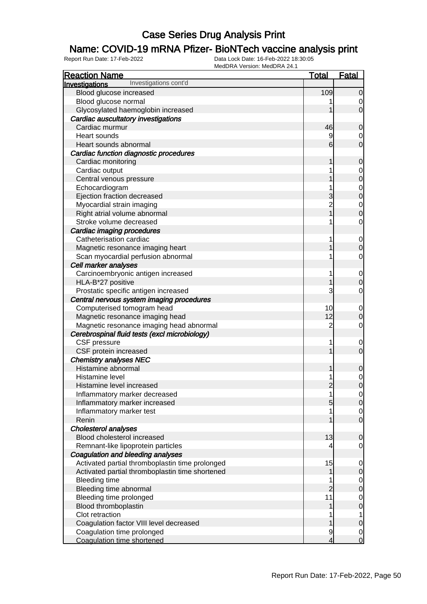### Name: COVID-19 mRNA Pfizer- BioNTech vaccine analysis print

| <b>Reaction Name</b>                            | <u>Total</u>   | <b>Fatal</b>   |
|-------------------------------------------------|----------------|----------------|
| Investigations cont'd<br>Investigations         |                |                |
| Blood glucose increased                         | 109            | $\mathbf 0$    |
| Blood glucose normal                            |                | 0              |
| Glycosylated haemoglobin increased              |                | $\overline{0}$ |
| Cardiac auscultatory investigations             |                |                |
| Cardiac murmur                                  | 46             | 0              |
| Heart sounds                                    | 9              | 0              |
| Heart sounds abnormal                           | 6              | $\overline{0}$ |
| Cardiac function diagnostic procedures          |                |                |
| Cardiac monitoring                              |                | $\mathbf 0$    |
| Cardiac output                                  |                | 0              |
| Central venous pressure                         |                | $\mathbf 0$    |
| Echocardiogram                                  |                | $\mathbf 0$    |
| Ejection fraction decreased                     | 3              | $\mathbf 0$    |
| Myocardial strain imaging                       | $\overline{c}$ | $\mathbf 0$    |
| Right atrial volume abnormal                    |                | $\mathbf 0$    |
| Stroke volume decreased                         |                | 0              |
| Cardiac imaging procedures                      |                |                |
| Catheterisation cardiac                         |                | $\mathbf 0$    |
| Magnetic resonance imaging heart                |                | $\overline{0}$ |
| Scan myocardial perfusion abnormal              |                | 0              |
| Cell marker analyses                            |                |                |
| Carcinoembryonic antigen increased              | 1              | $\mathbf 0$    |
| HLA-B*27 positive                               |                | $\mathbf 0$    |
| Prostatic specific antigen increased            | 3              | 0              |
| Central nervous system imaging procedures       |                |                |
| Computerised tomogram head                      | 10             | $\mathbf 0$    |
| Magnetic resonance imaging head                 | 12             | $\mathbf 0$    |
| Magnetic resonance imaging head abnormal        | $\overline{2}$ | 0              |
| Cerebrospinal fluid tests (excl microbiology)   |                |                |
| CSF pressure                                    | 1              | $\mathbf 0$    |
| CSF protein increased                           |                | $\overline{0}$ |
| <b>Chemistry analyses NEC</b>                   |                |                |
| Histamine abnormal                              |                | 0              |
| Histamine level                                 |                | $\mathbf 0$    |
| Histamine level increased                       | $\overline{2}$ | $\overline{0}$ |
| Inflammatory marker decreased                   | 1              | $\overline{0}$ |
| Inflammatory marker increased                   | 5              | $\overline{O}$ |
| Inflammatory marker test                        |                | $\overline{0}$ |
| Renin                                           |                | $\overline{0}$ |
| <b>Cholesterol analyses</b>                     |                |                |
| Blood cholesterol increased                     | 13             | $\mathbf 0$    |
| Remnant-like lipoprotein particles              |                | 0              |
| Coagulation and bleeding analyses               |                |                |
| Activated partial thromboplastin time prolonged | 15             | $\mathbf 0$    |
| Activated partial thromboplastin time shortened |                | $\mathbf 0$    |
| <b>Bleeding time</b>                            |                | $\overline{0}$ |
| Bleeding time abnormal                          | $\overline{c}$ | $\mathbf 0$    |
| Bleeding time prolonged                         | 11             | $\mathbf 0$    |
| Blood thromboplastin                            |                | $\mathbf 0$    |
| Clot retraction                                 |                | 1              |
| Coagulation factor VIII level decreased         |                | $\mathbf 0$    |
| Coagulation time prolonged                      | 9              | 0              |
| Coagulation time shortened                      | 4              | 0              |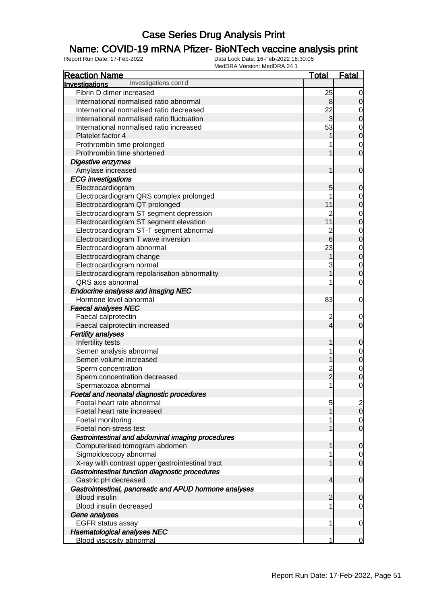### Name: COVID-19 mRNA Pfizer- BioNTech vaccine analysis print

| <b>Reaction Name</b>                                   | <b>Total</b>                               | <b>Fatal</b>     |
|--------------------------------------------------------|--------------------------------------------|------------------|
| Investigations cont'd<br>Investigations                |                                            |                  |
| Fibrin D dimer increased                               | 25                                         | 0                |
| International normalised ratio abnormal                | 8                                          | $\mathbf 0$      |
| International normalised ratio decreased               | 22                                         | 0                |
| International normalised ratio fluctuation             | $\overline{3}$                             | $\mathbf 0$      |
| International normalised ratio increased               | 53                                         | 0                |
| Platelet factor 4                                      |                                            | $\mathbf 0$      |
| Prothrombin time prolonged                             |                                            | 0                |
| Prothrombin time shortened                             |                                            | $\mathbf 0$      |
| Digestive enzymes                                      |                                            |                  |
| Amylase increased                                      | 1                                          | $\mathbf 0$      |
| <b>ECG</b> investigations                              |                                            |                  |
| Electrocardiogram                                      | 5                                          | $\mathbf 0$      |
| Electrocardiogram QRS complex prolonged                |                                            | 0                |
| Electrocardiogram QT prolonged                         | 11                                         | $\mathbf 0$      |
| Electrocardiogram ST segment depression                | $\overline{c}$                             | 0                |
| Electrocardiogram ST segment elevation                 | 11                                         | $\mathbf 0$      |
|                                                        |                                            |                  |
| Electrocardiogram ST-T segment abnormal                | $\overline{\mathbf{c}}$<br>$6\overline{6}$ | $\mathbf 0$      |
| Electrocardiogram T wave inversion                     |                                            | $\boldsymbol{0}$ |
| Electrocardiogram abnormal                             | 23                                         | $\mathbf 0$      |
| Electrocardiogram change                               | 1                                          | $\mathbf 0$      |
| Electrocardiogram normal                               | 3                                          | $\mathbf 0$      |
| Electrocardiogram repolarisation abnormality           |                                            | $\boldsymbol{0}$ |
| QRS axis abnormal                                      |                                            | $\mathbf 0$      |
| <b>Endocrine analyses and imaging NEC</b>              |                                            |                  |
| Hormone level abnormal                                 | 83                                         | $\mathbf 0$      |
| <b>Faecal analyses NEC</b>                             |                                            |                  |
| Faecal calprotectin                                    | 2                                          | 0                |
| Faecal calprotectin increased                          | 4                                          | $\mathbf 0$      |
| <b>Fertility analyses</b>                              |                                            |                  |
| Infertility tests                                      | 1                                          | $\mathbf 0$      |
| Semen analysis abnormal                                |                                            | $\mathbf 0$      |
| Semen volume increased                                 |                                            | $\mathbf 0$      |
| Sperm concentration                                    | 2<br>2                                     | $\mathbf 0$      |
| Sperm concentration decreased                          |                                            | $\mathbf 0$      |
| Spermatozoa abnormal                                   | 1                                          | 0                |
| Foetal and neonatal diagnostic procedures              |                                            |                  |
| Foetal heart rate abnormal                             | 5                                          | $\mathbf{2}$     |
| Foetal heart rate increased                            |                                            | $\overline{0}$   |
| Foetal monitoring                                      |                                            | $\overline{0}$   |
| Foetal non-stress test                                 |                                            | $\mathbf 0$      |
| Gastrointestinal and abdominal imaging procedures      |                                            |                  |
| Computerised tomogram abdomen                          | 1                                          | $\mathbf 0$      |
| Sigmoidoscopy abnormal                                 |                                            | 0                |
| X-ray with contrast upper gastrointestinal tract       |                                            | $\mathbf 0$      |
| Gastrointestinal function diagnostic procedures        |                                            |                  |
| Gastric pH decreased                                   | 4                                          | $\mathbf 0$      |
| Gastrointestinal, pancreatic and APUD hormone analyses |                                            |                  |
| <b>Blood insulin</b>                                   | $\overline{2}$                             | $\mathbf 0$      |
| Blood insulin decreased                                |                                            | 0                |
| Gene analyses                                          |                                            |                  |
| <b>EGFR status assay</b>                               | 1                                          | 0                |
| <b>Haematological analyses NEC</b>                     |                                            |                  |
| <b>Blood viscosity abnormal</b>                        | 1                                          | 0                |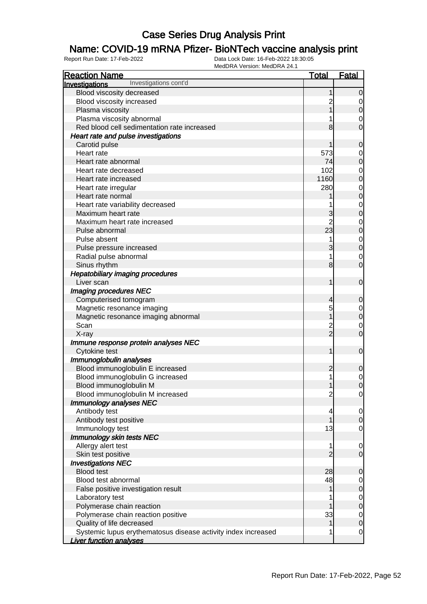### Name: COVID-19 mRNA Pfizer- BioNTech vaccine analysis print

| <b>Reaction Name</b>                                          | <u>Total</u>                    | <b>Fatal</b>     |
|---------------------------------------------------------------|---------------------------------|------------------|
| Investigations cont'd<br>Investigations                       |                                 |                  |
| Blood viscosity decreased                                     |                                 | $\overline{0}$   |
| Blood viscosity increased                                     |                                 | 0                |
| Plasma viscosity                                              |                                 | $\mathbf 0$      |
| Plasma viscosity abnormal                                     |                                 | 0                |
| Red blood cell sedimentation rate increased                   | 8                               | 0                |
| Heart rate and pulse investigations                           |                                 |                  |
| Carotid pulse                                                 |                                 | 0                |
| Heart rate                                                    | 573                             | 0                |
| Heart rate abnormal                                           | 74                              | $\mathbf 0$      |
| Heart rate decreased                                          | 102                             | $\mathbf 0$      |
| Heart rate increased                                          | 1160                            | $\mathbf 0$      |
| Heart rate irregular                                          | 280                             | $\mathbf 0$      |
| Heart rate normal                                             |                                 | $\mathbf 0$      |
| Heart rate variability decreased                              |                                 | $\mathbf 0$      |
| Maximum heart rate                                            | 3                               | $\mathbf 0$      |
| Maximum heart rate increased                                  | $\overline{2}$                  | $\mathbf 0$      |
| Pulse abnormal                                                | 23                              | $\mathbf 0$      |
| Pulse absent                                                  | 1                               | $\mathbf 0$      |
| Pulse pressure increased                                      | 3                               | $\boldsymbol{0}$ |
| Radial pulse abnormal                                         | 1                               | 0                |
| Sinus rhythm                                                  | 8                               | $\overline{0}$   |
| <b>Hepatobiliary imaging procedures</b>                       |                                 |                  |
| Liver scan                                                    | 1                               | $\mathbf 0$      |
| Imaging procedures NEC                                        |                                 |                  |
| Computerised tomogram                                         | 4                               | 0                |
| Magnetic resonance imaging                                    | 5                               | $\mathbf 0$      |
| Magnetic resonance imaging abnormal                           |                                 | $\boldsymbol{0}$ |
| Scan                                                          | $\overline{c}$<br>$\frac{1}{2}$ | $\mathbf 0$      |
| X-ray                                                         |                                 | $\overline{0}$   |
| Immune response protein analyses NEC                          | 1                               | $\mathbf 0$      |
| Cytokine test<br>Immunoglobulin analyses                      |                                 |                  |
| Blood immunoglobulin E increased                              | $\overline{c}$                  | 0                |
| Blood immunoglobulin G increased                              | 1                               | $\mathbf 0$      |
| Blood immunoglobulin M                                        |                                 | $\overline{0}$   |
| Blood immunoglobulin M increased                              | $\overline{c}$                  | $\overline{0}$   |
| Immunology analyses NEC                                       |                                 |                  |
| Antibody test                                                 | 4                               | $\overline{0}$   |
| Antibody test positive                                        |                                 | $\mathbf 0$      |
| Immunology test                                               | 13                              | $\mathbf 0$      |
| Immunology skin tests NEC                                     |                                 |                  |
| Allergy alert test                                            | 1                               | $\overline{0}$   |
| Skin test positive                                            | $\overline{2}$                  | $\boldsymbol{0}$ |
| <b>Investigations NEC</b>                                     |                                 |                  |
| <b>Blood test</b>                                             | 28                              | $\mathbf 0$      |
| Blood test abnormal                                           | 48                              | $\overline{0}$   |
| False positive investigation result                           | 1                               | $\mathbf 0$      |
| Laboratory test                                               |                                 | $\overline{0}$   |
| Polymerase chain reaction                                     |                                 | $\boldsymbol{0}$ |
| Polymerase chain reaction positive                            | 33                              | $\overline{0}$   |
| Quality of life decreased                                     |                                 | $\mathbf 0$      |
| Systemic lupus erythematosus disease activity index increased | 1                               | $\mathbf 0$      |
| <b>Liver function analyses</b>                                |                                 |                  |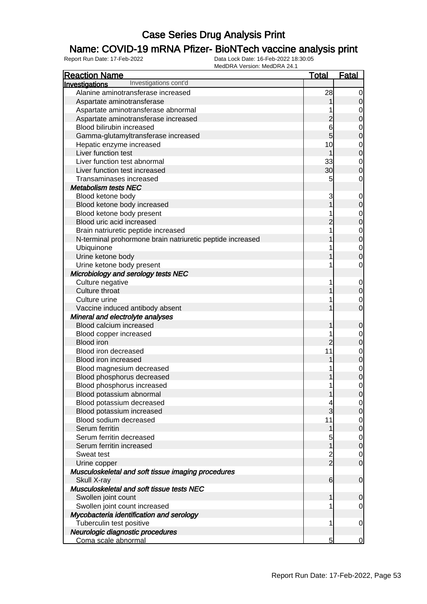### Name: COVID-19 mRNA Pfizer- BioNTech vaccine analysis print

| <b>Reaction Name</b>                                      | <b>Total</b>   | <b>Fatal</b>     |
|-----------------------------------------------------------|----------------|------------------|
| Investigations cont'd<br>Investigations                   |                |                  |
| Alanine aminotransferase increased                        | 28             | $\mathbf 0$      |
| Aspartate aminotransferase                                |                | $\mathbf 0$      |
| Aspartate aminotransferase abnormal                       |                | $\mathbf 0$      |
| Aspartate aminotransferase increased                      | $\overline{c}$ | $\mathbf 0$      |
| Blood bilirubin increased                                 | 6              | $\mathbf 0$      |
| Gamma-glutamyltransferase increased                       | $\overline{5}$ | $\mathbf 0$      |
| Hepatic enzyme increased                                  | 10             | $\mathbf 0$      |
| Liver function test                                       |                | $\mathbf 0$      |
| Liver function test abnormal                              | 33             | $\mathbf 0$      |
| Liver function test increased                             | 30             | $\boldsymbol{0}$ |
| Transaminases increased                                   | 5              | $\mathbf 0$      |
| <b>Metabolism tests NEC</b>                               |                |                  |
| Blood ketone body                                         | 3              | $\mathbf 0$      |
| Blood ketone body increased                               |                | $\mathbf 0$      |
| Blood ketone body present                                 |                | $\mathbf 0$      |
| Blood uric acid increased                                 | 2              | $\mathbf 0$      |
| Brain natriuretic peptide increased                       |                | $\mathbf 0$      |
| N-terminal prohormone brain natriuretic peptide increased |                | $\mathbf 0$      |
| Ubiquinone                                                |                | $\mathbf 0$      |
| Urine ketone body                                         |                | $\mathbf 0$      |
| Urine ketone body present                                 |                | $\mathbf 0$      |
| Microbiology and serology tests NEC                       |                |                  |
| Culture negative                                          |                | $\mathbf 0$      |
| Culture throat                                            |                | $\mathbf 0$      |
| Culture urine                                             |                | $\mathbf 0$      |
| Vaccine induced antibody absent                           |                | $\mathbf 0$      |
| Mineral and electrolyte analyses                          |                |                  |
| Blood calcium increased                                   |                | $\boldsymbol{0}$ |
| Blood copper increased                                    |                | $\mathbf 0$      |
| <b>Blood iron</b>                                         | $\overline{c}$ | $\pmb{0}$        |
| Blood iron decreased                                      | 11             | $\mathbf 0$      |
| Blood iron increased                                      |                | $\mathbf 0$      |
| Blood magnesium decreased                                 |                | $\mathbf 0$      |
| Blood phosphorus decreased                                |                | $\mathbf 0$      |
| Blood phosphorus increased                                | 1              | $\mathbf 0$      |
| Blood potassium abnormal                                  | 1              | $\overline{0}$   |
| Blood potassium decreased                                 |                | $\overline{0}$   |
| Blood potassium increased                                 | 3              | $\mathbf 0$      |
| Blood sodium decreased                                    | 11             | $\overline{0}$   |
| Serum ferritin                                            | 1              | $\mathbf 0$      |
| Serum ferritin decreased                                  | 5              | $\overline{0}$   |
| Serum ferritin increased                                  | 1              | $\mathbf 0$      |
| Sweat test                                                | $\frac{2}{2}$  | $\overline{0}$   |
| Urine copper                                              |                | $\mathbf 0$      |
| Musculoskeletal and soft tissue imaging procedures        |                |                  |
| Skull X-ray                                               | 6              | $\mathbf 0$      |
| Musculoskeletal and soft tissue tests NEC                 |                |                  |
| Swollen joint count                                       | 1              | 0                |
| Swollen joint count increased                             |                | $\overline{0}$   |
| Mycobacteria identification and serology                  |                |                  |
| Tuberculin test positive                                  | 1              | $\mathbf 0$      |
| Neurologic diagnostic procedures                          | 5              | $\overline{0}$   |
| Coma scale abnormal                                       |                |                  |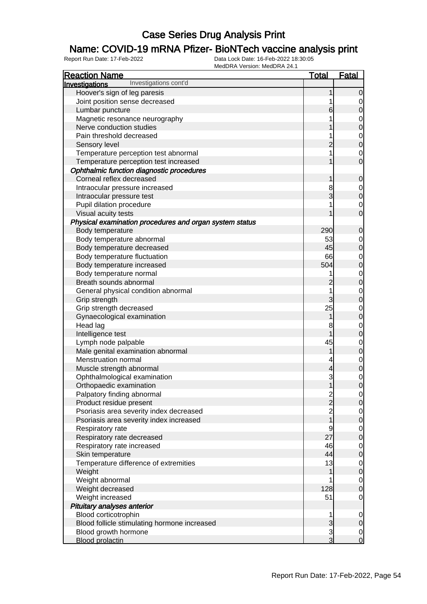### Name: COVID-19 mRNA Pfizer- BioNTech vaccine analysis print

| <b>Reaction Name</b>                                    | <b>Total</b>                                    | <b>Fatal</b>                         |
|---------------------------------------------------------|-------------------------------------------------|--------------------------------------|
| Investigations cont'd<br>Investigations                 |                                                 |                                      |
| Hoover's sign of leg paresis                            | 1                                               | $\mathbf 0$                          |
| Joint position sense decreased                          | 1                                               | $\overline{0}$                       |
| Lumbar puncture                                         | 6                                               | $\overline{0}$                       |
| Magnetic resonance neurography                          | 1                                               |                                      |
| Nerve conduction studies                                | 1                                               | $0$ 0                                |
| Pain threshold decreased                                | 1                                               |                                      |
| Sensory level                                           | $\overline{c}$                                  | $0$ 0                                |
| Temperature perception test abnormal                    | 1                                               |                                      |
| Temperature perception test increased                   | 1                                               | $\begin{matrix} 0 \\ 0 \end{matrix}$ |
| Ophthalmic function diagnostic procedures               |                                                 |                                      |
| Corneal reflex decreased                                | 1                                               | $\boldsymbol{0}$                     |
| Intraocular pressure increased                          | 8                                               |                                      |
| Intraocular pressure test                               | 3                                               | $0\atop 0$                           |
| Pupil dilation procedure                                | 1                                               |                                      |
| Visual acuity tests                                     | 1                                               | $\begin{matrix} 0 \\ 0 \end{matrix}$ |
| Physical examination procedures and organ system status |                                                 |                                      |
| Body temperature                                        | 290                                             | $\boldsymbol{0}$                     |
| Body temperature abnormal                               | 53                                              |                                      |
| Body temperature decreased                              | 45                                              | $0\atop 0$                           |
| Body temperature fluctuation                            | 66                                              |                                      |
| Body temperature increased                              | 504                                             | $0$ 0                                |
| Body temperature normal                                 | 1                                               |                                      |
| Breath sounds abnormal                                  | $\overline{c}$                                  | $\begin{matrix}0\\0\end{matrix}$     |
| General physical condition abnormal                     | 1                                               |                                      |
| Grip strength                                           | 3                                               | $\begin{matrix}0\\0\end{matrix}$     |
| Grip strength decreased                                 | 25                                              |                                      |
| Gynaecological examination                              | 1                                               | $0$ 0                                |
| Head lag                                                | 8                                               |                                      |
| Intelligence test                                       | 1                                               | $0$<br>0                             |
| Lymph node palpable                                     | 45                                              |                                      |
| Male genital examination abnormal                       | 1                                               | $0$ 0                                |
| Menstruation normal                                     | 4                                               |                                      |
| Muscle strength abnormal                                | $\overline{4}$                                  | $\begin{matrix}0\\0\end{matrix}$     |
| Ophthalmological examination                            | 3                                               |                                      |
| Orthopaedic examination                                 | 1                                               | $\begin{matrix}0\\0\end{matrix}$     |
| Palpatory finding abnormal                              |                                                 | $\Omega$                             |
| Product residue present                                 | $\begin{array}{c} 2 \\ 2 \\ 2 \\ 1 \end{array}$ | $\overline{0}$                       |
| Psoriasis area severity index decreased                 |                                                 |                                      |
| Psoriasis area severity index increased                 |                                                 | $\begin{matrix} 0 \\ 0 \end{matrix}$ |
| Respiratory rate                                        | 9                                               |                                      |
| Respiratory rate decreased                              | 27                                              | $\begin{matrix} 0 \\ 0 \end{matrix}$ |
| Respiratory rate increased                              | 46                                              |                                      |
| Skin temperature                                        | 44                                              | $\begin{matrix} 0 \\ 0 \end{matrix}$ |
| Temperature difference of extremities                   | 13                                              |                                      |
| Weight                                                  | 1                                               | $\begin{matrix} 0 \\ 0 \end{matrix}$ |
| Weight abnormal                                         | 1                                               |                                      |
| Weight decreased                                        | 128                                             | $\begin{matrix}0\\0\end{matrix}$     |
| Weight increased                                        | 51                                              | $\overline{O}$                       |
| Pituitary analyses anterior                             |                                                 |                                      |
| Blood corticotrophin                                    | 1                                               | $\boldsymbol{0}$                     |
| Blood follicle stimulating hormone increased            | $\mathfrak{S}$                                  | $\boldsymbol{0}$                     |
| Blood growth hormone                                    | $\mathbf{3}$                                    |                                      |
| <b>Blood prolactin</b>                                  | $\overline{3}$                                  | $\begin{matrix} 0 \\ 0 \end{matrix}$ |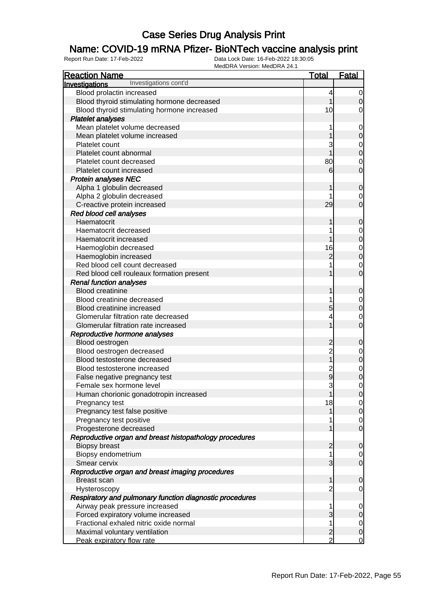### Name: COVID-19 mRNA Pfizer- BioNTech vaccine analysis print

| <b>Reaction Name</b>                                     | <u>Total</u>   | <b>Fatal</b>                     |
|----------------------------------------------------------|----------------|----------------------------------|
| Investigations cont'd<br>Investigations                  |                |                                  |
| Blood prolactin increased                                | 4              | 0                                |
| Blood thyroid stimulating hormone decreased              |                | 0                                |
| Blood thyroid stimulating hormone increased              | 10             | 0                                |
| <b>Platelet analyses</b>                                 |                |                                  |
| Mean platelet volume decreased                           |                | $\mathbf 0$                      |
| Mean platelet volume increased                           |                | $\mathbf 0$                      |
| Platelet count                                           |                | 0                                |
| Platelet count abnormal                                  |                | $\mathbf 0$                      |
| Platelet count decreased                                 | 80             | 0                                |
| Platelet count increased                                 | 6              | $\overline{0}$                   |
| <b>Protein analyses NEC</b>                              |                |                                  |
| Alpha 1 globulin decreased                               |                | $\mathbf 0$                      |
| Alpha 2 globulin decreased                               |                | 0                                |
| C-reactive protein increased                             | 29             | 0                                |
| Red blood cell analyses                                  |                |                                  |
| Haematocrit                                              |                | $\mathbf 0$                      |
| Haematocrit decreased                                    |                | 0                                |
| Haematocrit increased                                    |                | $\mathbf 0$                      |
| Haemoglobin decreased                                    | 16             | $\mathbf 0$                      |
| Haemoglobin increased                                    | $\overline{2}$ | $\mathbf 0$                      |
| Red blood cell count decreased                           |                | 0                                |
| Red blood cell rouleaux formation present                |                | 0                                |
| <b>Renal function analyses</b>                           |                |                                  |
| <b>Blood creatinine</b>                                  |                | $\mathbf 0$                      |
| Blood creatinine decreased                               |                | 0                                |
| Blood creatinine increased                               | 5              | $\mathbf 0$                      |
| Glomerular filtration rate decreased                     |                | 0                                |
| Glomerular filtration rate increased                     |                | 0                                |
| Reproductive hormone analyses                            |                |                                  |
| Blood oestrogen                                          | $\overline{c}$ | 0                                |
| Blood oestrogen decreased                                | $\overline{c}$ | 0                                |
| Blood testosterone decreased                             |                | $\mathbf 0$                      |
| Blood testosterone increased                             | $\overline{c}$ | $\mathbf 0$                      |
| False negative pregnancy test                            | 9              | $\mathbf 0$                      |
| Female sex hormone level                                 | 3              | 0                                |
| Human chorionic gonadotropin increased                   |                | $\overline{0}$                   |
| Pregnancy test                                           | 18             | $\overline{0}$                   |
| Pregnancy test false positive                            |                | $\mathbf 0$                      |
| Pregnancy test positive                                  |                | $\overline{0}$<br>$\overline{0}$ |
| Progesterone decreased                                   |                |                                  |
| Reproductive organ and breast histopathology procedures  | 2              |                                  |
| <b>Biopsy breast</b>                                     |                | $\mathbf 0$                      |
| Biopsy endometrium<br>Smear cervix                       | 3              | $\overline{0}$<br>$\overline{0}$ |
| Reproductive organ and breast imaging procedures         |                |                                  |
| <b>Breast scan</b>                                       | 1              | $\mathbf 0$                      |
| Hysteroscopy                                             | 2              | 0                                |
| Respiratory and pulmonary function diagnostic procedures |                |                                  |
| Airway peak pressure increased                           | 1              | $\mathbf 0$                      |
| Forced expiratory volume increased                       | 3              | $\mathbf 0$                      |
| Fractional exhaled nitric oxide normal                   |                | $\overline{0}$                   |
| Maximal voluntary ventilation                            | $\overline{2}$ | $\mathbf 0$                      |
| Peak expiratory flow rate                                | $\overline{2}$ | 0                                |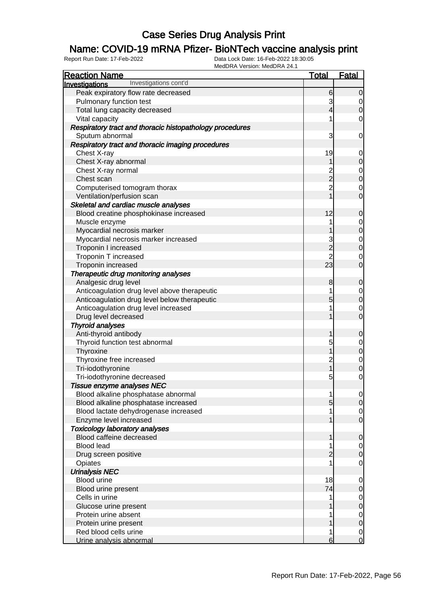### Name: COVID-19 mRNA Pfizer- BioNTech vaccine analysis print

| <b>IVIEUDRA VEISIUII. IVIEUDRA 24. I</b><br><b>Reaction Name</b> | <b>Total</b>        | <b>Fatal</b>                         |
|------------------------------------------------------------------|---------------------|--------------------------------------|
| Investigations cont'd<br><b>Investigations</b>                   |                     |                                      |
| Peak expiratory flow rate decreased                              | 6                   | $\Omega$                             |
| Pulmonary function test                                          | 3                   |                                      |
| Total lung capacity decreased                                    | 4                   | 0<br>$\overline{0}$                  |
| Vital capacity                                                   |                     | 0                                    |
| Respiratory tract and thoracic histopathology procedures         |                     |                                      |
| Sputum abnormal                                                  | 3                   | 0                                    |
| Respiratory tract and thoracic imaging procedures                |                     |                                      |
| Chest X-ray                                                      | 19                  |                                      |
| Chest X-ray abnormal                                             | 1                   | 0<br>$\overline{0}$                  |
| Chest X-ray normal                                               |                     |                                      |
| Chest scan                                                       | 2<br>2              | $\mathbf 0$<br>$\overline{0}$        |
| Computerised tomogram thorax                                     | $\overline{c}$      |                                      |
| Ventilation/perfusion scan                                       |                     | $\mathbf 0$<br>$\overline{0}$        |
| Skeletal and cardiac muscle analyses                             |                     |                                      |
| Blood creatine phosphokinase increased                           | 12                  | $\mathbf 0$                          |
| Muscle enzyme                                                    | 1                   |                                      |
| Myocardial necrosis marker                                       |                     | $\mathbf 0$<br>$\overline{0}$        |
| Myocardial necrosis marker increased                             |                     |                                      |
| Troponin I increased                                             | 3<br>$\overline{2}$ | $\mathbf 0$<br>$\overline{0}$        |
|                                                                  | $\overline{2}$      |                                      |
| Troponin T increased                                             | 23                  | $\mathbf 0$<br>$\overline{0}$        |
| Troponin increased                                               |                     |                                      |
| Therapeutic drug monitoring analyses                             |                     | $\mathbf 0$                          |
| Analgesic drug level                                             | 8                   |                                      |
| Anticoagulation drug level above therapeutic                     | 5                   | $\mathbf 0$<br>$\overline{0}$        |
| Anticoagulation drug level below therapeutic                     |                     |                                      |
| Anticoagulation drug level increased                             |                     | $\mathbf 0$<br>$\overline{0}$        |
| Drug level decreased                                             |                     |                                      |
| <b>Thyroid analyses</b>                                          |                     | $\overline{0}$                       |
| Anti-thyroid antibody<br>Thyroid function test abnormal          |                     |                                      |
| Thyroxine                                                        | 5                   | $\mathbf 0$<br>$\overline{0}$        |
| Thyroxine free increased                                         |                     |                                      |
| Tri-iodothyronine                                                | 2<br>1              | $\mathbf 0$<br>$\overline{0}$        |
| Tri-iodothyronine decreased                                      | 5                   | 0                                    |
| Tissue enzyme analyses NEC                                       |                     |                                      |
| Blood alkaline phosphatase abnormal                              |                     | $\overline{0}$                       |
| Blood alkaline phosphatase increased                             | 5                   | $\overline{0}$                       |
| Blood lactate dehydrogenase increased                            |                     | $\overline{0}$                       |
| Enzyme level increased                                           |                     | $\overline{0}$                       |
| <b>Toxicology laboratory analyses</b>                            |                     |                                      |
| Blood caffeine decreased                                         |                     | $\overline{0}$                       |
| <b>Blood lead</b>                                                |                     | $\overline{0}$                       |
| Drug screen positive                                             | 2                   | $\overline{0}$                       |
| Opiates                                                          |                     | 0                                    |
| <b>Urinalysis NEC</b>                                            |                     |                                      |
| Blood urine                                                      | 18                  | $\overline{0}$                       |
| Blood urine present                                              | 74                  | $\overline{0}$                       |
| Cells in urine                                                   | 1                   |                                      |
| Glucose urine present                                            |                     | $0\atop 0$                           |
| Protein urine absent                                             | 1                   |                                      |
| Protein urine present                                            |                     | $\begin{matrix} 0 \\ 0 \end{matrix}$ |
| Red blood cells urine                                            | 1                   | $\overline{0}$                       |
| Urine analysis abnormal                                          | 6                   | $\overline{O}$                       |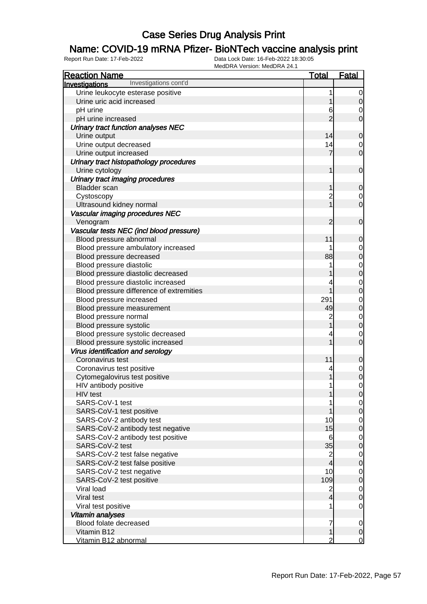### Name: COVID-19 mRNA Pfizer- BioNTech vaccine analysis print

| <b>Reaction Name</b>                     | <b>Total</b>            | <b>Fatal</b>                     |
|------------------------------------------|-------------------------|----------------------------------|
| Investigations cont'd<br>Investigations  |                         |                                  |
| Urine leukocyte esterase positive        | 1                       | 0                                |
| Urine uric acid increased                | 1                       | $\mathbf 0$                      |
| pH urine                                 | 6                       | 0                                |
| pH urine increased                       | $\overline{2}$          | $\overline{0}$                   |
| Urinary tract function analyses NEC      |                         |                                  |
| Urine output                             | 14                      | $\mathbf 0$                      |
| Urine output decreased                   | 14                      | $\mathbf 0$                      |
| Urine output increased                   | $\overline{7}$          | $\overline{0}$                   |
| Urinary tract histopathology procedures  |                         |                                  |
| Urine cytology                           | 1                       | $\mathbf 0$                      |
| Urinary tract imaging procedures         |                         |                                  |
| <b>Bladder</b> scan                      | 1                       | $\mathbf 0$                      |
| Cystoscopy                               | $\overline{c}$          | $\mathbf 0$                      |
| Ultrasound kidney normal                 | $\overline{1}$          | $\overline{0}$                   |
| Vascular imaging procedures NEC          |                         |                                  |
|                                          | 2                       | $\mathbf 0$                      |
| Venogram                                 |                         |                                  |
| Vascular tests NEC (incl blood pressure) |                         |                                  |
| Blood pressure abnormal                  | 11                      | 0                                |
| Blood pressure ambulatory increased      |                         | $\mathbf{0}$                     |
| Blood pressure decreased                 | 88                      | $\overline{0}$                   |
| Blood pressure diastolic                 | 1                       | $\begin{matrix}0\\0\end{matrix}$ |
| Blood pressure diastolic decreased       |                         |                                  |
| Blood pressure diastolic increased       | 4                       | $\begin{matrix}0\\0\end{matrix}$ |
| Blood pressure difference of extremities | 1                       |                                  |
| Blood pressure increased                 | 291                     | $\mathbf{0}$                     |
| Blood pressure measurement               | 49                      | $\overline{0}$                   |
| Blood pressure normal                    | $\overline{c}$          | $0\atop 0$                       |
| Blood pressure systolic                  | $\overline{1}$          |                                  |
| Blood pressure systolic decreased        | 4                       | $\mathbf 0$                      |
| Blood pressure systolic increased        | 1                       | $\overline{0}$                   |
| Virus identification and serology        |                         |                                  |
| Coronavirus test                         | 11                      | $\mathbf 0$                      |
| Coronavirus test positive                | 4                       | $\mathbf{0}$                     |
| Cytomegalovirus test positive            | 1                       | $\overline{0}$                   |
| HIV antibody positive                    | 1                       | $\mathbf 0$                      |
| HIV test                                 | 1                       | $\overline{0}$                   |
| SARS-CoV-1 test                          |                         | $\overline{0}$                   |
| SARS-CoV-1 test positive                 |                         | $\overline{0}$                   |
| SARS-CoV-2 antibody test                 | 10                      | $\overline{0}$                   |
| SARS-CoV-2 antibody test negative        | 15                      | $\overline{0}$                   |
| SARS-CoV-2 antibody test positive        | 6                       | $\overline{0}$                   |
| SARS-CoV-2 test                          | 35                      | $\overline{0}$                   |
| SARS-CoV-2 test false negative           | $\overline{\mathbf{c}}$ | $\overline{0}$                   |
| SARS-CoV-2 test false positive           | $\overline{4}$          | $\overline{0}$                   |
| SARS-CoV-2 test negative                 | 10                      | $\overline{0}$                   |
| SARS-CoV-2 test positive                 | 109                     | $\overline{0}$                   |
| Viral load                               | $\overline{c}$          | $\overline{0}$                   |
| Viral test                               | $\overline{4}$          | $\overline{0}$                   |
| Viral test positive                      | 1                       | $\mathbf 0$                      |
| Vitamin analyses                         |                         |                                  |
| Blood folate decreased                   | 7                       | $\mathbf 0$                      |
| Vitamin B12                              | 1                       | $\pmb{0}$                        |
| Vitamin B12 abnormal                     | $\overline{2}$          | $\overline{0}$                   |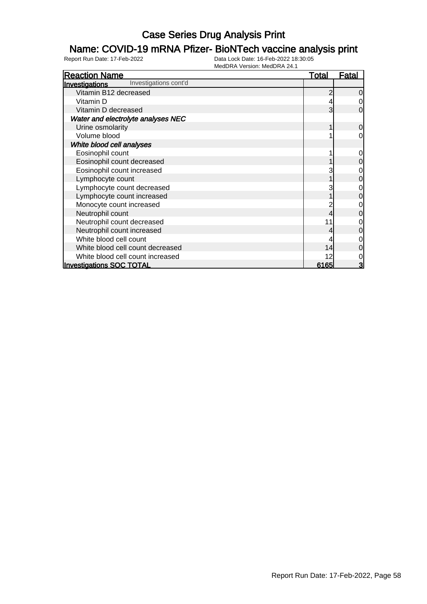### Name: COVID-19 mRNA Pfizer- BioNTech vaccine analysis print

| <b>Reaction Name</b>                    | <u>Total</u> | <u>Fatal</u>   |
|-----------------------------------------|--------------|----------------|
| Investigations cont'd<br>Investigations |              |                |
| Vitamin B12 decreased                   |              | $\overline{0}$ |
| Vitamin D                               |              | 0              |
| Vitamin D decreased                     | 3            | $\Omega$       |
| Water and electrolyte analyses NEC      |              |                |
| Urine osmolarity                        |              | $\overline{0}$ |
| Volume blood                            |              | 0              |
| White blood cell analyses               |              |                |
| Eosinophil count                        |              | $\overline{0}$ |
| Eosinophil count decreased              |              | $\overline{0}$ |
| Eosinophil count increased              |              | $\mathbf 0$    |
| Lymphocyte count                        |              | $\mathbf 0$    |
| Lymphocyte count decreased              |              | 0              |
| Lymphocyte count increased              |              | 0              |
| Monocyte count increased                |              | 0              |
| Neutrophil count                        |              | 0              |
| Neutrophil count decreased              | 11           | 0              |
| Neutrophil count increased              |              | 0              |
| White blood cell count                  |              | 0              |
| White blood cell count decreased        | 14           | 0              |
| White blood cell count increased        | 12           | 0              |
| <b>Investigations SOC TOTAL</b>         | 6165         | 3              |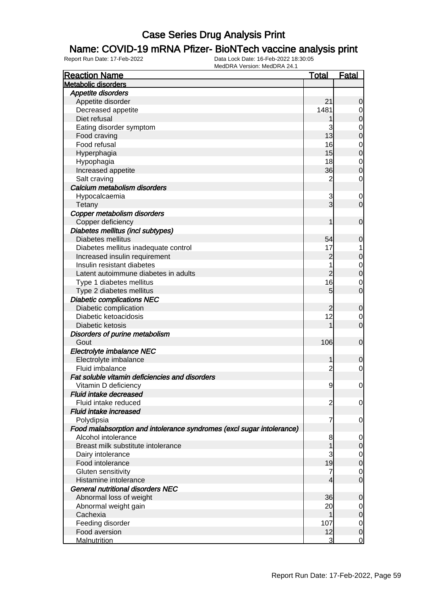### Name: COVID-19 mRNA Pfizer- BioNTech vaccine analysis print

| <b>Reaction Name</b>                                                  | <b>Total</b>   | <b>Fatal</b>     |
|-----------------------------------------------------------------------|----------------|------------------|
| <b>Metabolic disorders</b>                                            |                |                  |
| Appetite disorders                                                    |                |                  |
| Appetite disorder                                                     | 21             | $\mathbf 0$      |
| Decreased appetite                                                    | 1481           | 0                |
| Diet refusal                                                          |                | $\boldsymbol{0}$ |
| Eating disorder symptom                                               | 3              | 0                |
| Food craving                                                          | 13             | $\boldsymbol{0}$ |
| Food refusal                                                          | 16             | 0                |
| Hyperphagia                                                           | 15             | $\boldsymbol{0}$ |
| Hypophagia                                                            | 18             | $\mathbf 0$      |
| Increased appetite                                                    | 36             | $\boldsymbol{0}$ |
| Salt craving                                                          | $\overline{c}$ | 0                |
| Calcium metabolism disorders                                          |                |                  |
| Hypocalcaemia                                                         | 3              | 0                |
| Tetany                                                                | 3              | $\overline{0}$   |
| Copper metabolism disorders                                           |                |                  |
| Copper deficiency                                                     | 1              | $\mathbf 0$      |
| Diabetes mellitus (incl subtypes)                                     |                |                  |
| Diabetes mellitus                                                     | 54             | $\mathbf 0$      |
| Diabetes mellitus inadequate control                                  | 17             |                  |
| Increased insulin requirement                                         | $\overline{c}$ | $\mathbf 0$      |
| Insulin resistant diabetes                                            | 1              | 0                |
| Latent autoimmune diabetes in adults                                  | $\overline{2}$ | $\boldsymbol{0}$ |
| Type 1 diabetes mellitus                                              | 16             | 0                |
| Type 2 diabetes mellitus                                              | 5              | $\mathbf 0$      |
| <b>Diabetic complications NEC</b>                                     |                |                  |
| Diabetic complication                                                 | $\overline{c}$ | $\mathbf 0$      |
| Diabetic ketoacidosis                                                 | 12             | 0                |
| Diabetic ketosis                                                      | 1              | $\overline{0}$   |
| Disorders of purine metabolism                                        |                |                  |
| Gout                                                                  | 106            | $\mathbf 0$      |
| Electrolyte imbalance NEC                                             |                |                  |
| Electrolyte imbalance                                                 | 1              | $\mathbf 0$      |
| Fluid imbalance                                                       | $\overline{c}$ | $\overline{0}$   |
| Fat soluble vitamin deficiencies and disorders                        |                |                  |
| Vitamin D deficiency                                                  | 9              | $\overline{0}$   |
| <b>Fluid intake decreased</b>                                         |                |                  |
| Fluid intake reduced                                                  | $\overline{c}$ | 0                |
| <b>Fluid intake increased</b>                                         |                |                  |
| Polydipsia                                                            | 7              | 0                |
| Food malabsorption and intolerance syndromes (excl sugar intolerance) |                |                  |
| Alcohol intolerance                                                   | 8              | 0                |
| Breast milk substitute intolerance                                    |                | $\mathbf 0$      |
| Dairy intolerance                                                     | 3              | $\overline{0}$   |
| Food intolerance                                                      | 19             | $\boldsymbol{0}$ |
| Gluten sensitivity                                                    | $\overline{7}$ | $\mathbf 0$      |
| Histamine intolerance                                                 | 4              | $\overline{0}$   |
| <b>General nutritional disorders NEC</b>                              |                |                  |
| Abnormal loss of weight                                               | 36             | $\mathbf 0$      |
| Abnormal weight gain                                                  | 20             | 0                |
| Cachexia                                                              | 1              | $\boldsymbol{0}$ |
| Feeding disorder                                                      | 107            | $\mathbf 0$      |
| Food aversion                                                         | 12             | $\boldsymbol{0}$ |
| <b>Malnutrition</b>                                                   | 3              | $\mathbf 0$      |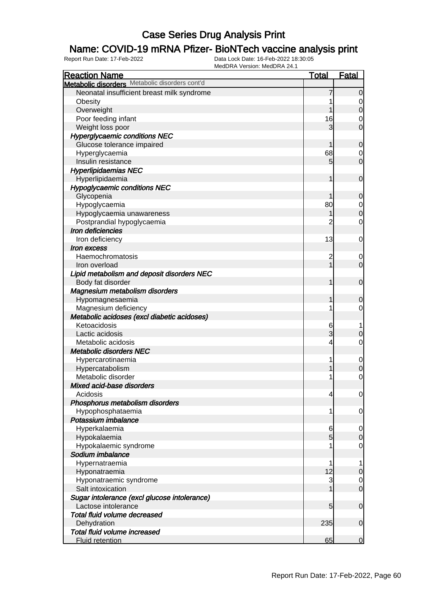### Name: COVID-19 mRNA Pfizer- BioNTech vaccine analysis print

| <b>Reaction Name</b>                                                | <b>Total</b>         | <b>Fatal</b>                    |
|---------------------------------------------------------------------|----------------------|---------------------------------|
| Metabolic disorders Metabolic disorders cont'd                      |                      |                                 |
| Neonatal insufficient breast milk syndrome                          |                      | $\mathbf 0$                     |
| Obesity                                                             |                      | 0                               |
| Overweight                                                          |                      | $\mathbf 0$                     |
| Poor feeding infant                                                 | 16                   | 0                               |
| Weight loss poor                                                    | 3                    | $\overline{0}$                  |
| <b>Hyperglycaemic conditions NEC</b>                                |                      |                                 |
| Glucose tolerance impaired                                          |                      | $\mathbf 0$                     |
| Hyperglycaemia                                                      | 68                   | 0                               |
| Insulin resistance                                                  | 5                    | $\overline{0}$                  |
| <b>Hyperlipidaemias NEC</b>                                         |                      |                                 |
| Hyperlipidaemia                                                     | 1                    | $\mathbf 0$                     |
| <b>Hypoglycaemic conditions NEC</b>                                 |                      |                                 |
| Glycopenia                                                          |                      | 0                               |
| Hypoglycaemia                                                       | 80                   | $\mathbf 0$                     |
| Hypoglycaemia unawareness                                           |                      | $\mathbf 0$                     |
| Postprandial hypoglycaemia                                          | 2                    | 0                               |
| Iron deficiencies                                                   |                      |                                 |
| Iron deficiency                                                     | 13                   | 0                               |
| Iron excess                                                         |                      |                                 |
| Haemochromatosis                                                    | 2                    |                                 |
| Iron overload                                                       |                      | 0<br>$\overline{0}$             |
| Lipid metabolism and deposit disorders NEC                          |                      |                                 |
|                                                                     |                      | $\mathbf 0$                     |
| Body fat disorder<br>Magnesium metabolism disorders                 |                      |                                 |
|                                                                     | 1                    |                                 |
| Hypomagnesaemia                                                     |                      | $\mathbf 0$<br>0                |
| Magnesium deficiency<br>Metabolic acidoses (excl diabetic acidoses) |                      |                                 |
| Ketoacidosis                                                        |                      |                                 |
| Lactic acidosis                                                     | 6<br>3               |                                 |
| Metabolic acidosis                                                  |                      | $\mathbf 0$<br>0                |
| <b>Metabolic disorders NEC</b>                                      | 4                    |                                 |
|                                                                     |                      |                                 |
| Hypercarotinaemia                                                   |                      | $\mathbf 0$<br>$\mathbf 0$      |
| Hypercatabolism<br>Metabolic disorder                               |                      | $\mathbf 0$                     |
| Mixed acid-base disorders                                           |                      |                                 |
| Acidosis                                                            |                      |                                 |
|                                                                     | 4                    | $\overline{0}$                  |
| Phosphorus metabolism disorders                                     |                      |                                 |
| Hypophosphataemia<br>Potassium imbalance                            | 1                    | 0                               |
| Hyperkalaemia                                                       |                      |                                 |
|                                                                     | 6<br>$5\overline{)}$ | $\mathbf 0$<br>$\boldsymbol{0}$ |
| Hypokalaemia                                                        |                      | 0                               |
| Hypokalaemic syndrome<br>Sodium imbalance                           |                      |                                 |
|                                                                     |                      |                                 |
| Hypernatraemia                                                      | 12                   | 1                               |
| Hyponatraemia                                                       |                      | $\boldsymbol{0}$                |
| Hyponatraemic syndrome                                              | 3                    | $\overline{0}$                  |
| Salt intoxication                                                   |                      | $\overline{0}$                  |
| Sugar intolerance (excl glucose intolerance)                        |                      |                                 |
| Lactose intolerance                                                 | 5                    | $\mathbf 0$                     |
| Total fluid volume decreased                                        |                      |                                 |
| Dehydration                                                         | 235                  | $\mathbf 0$                     |
| Total fluid volume increased                                        |                      |                                 |
| <b>Fluid retention</b>                                              | 65                   | $\overline{0}$                  |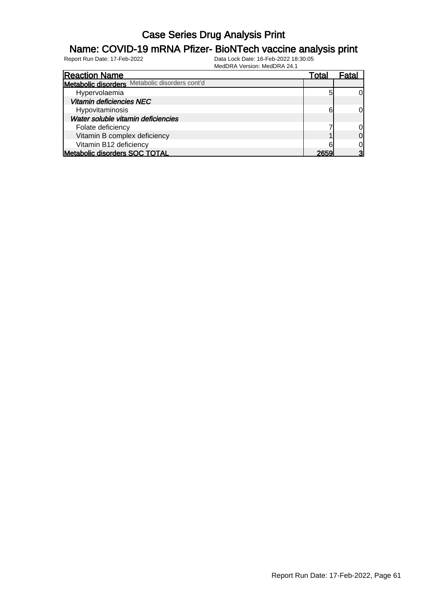#### Name: COVID-19 mRNA Pfizer- BioNTech vaccine analysis print

| <b>Reaction Name</b>                           | Total | Fatal          |
|------------------------------------------------|-------|----------------|
| Metabolic disorders Metabolic disorders cont'd |       |                |
| Hypervolaemia                                  |       | 0l             |
| <b>Vitamin deficiencies NEC</b>                |       |                |
| Hypovitaminosis                                | 6     | $\Omega$       |
| Water soluble vitamin deficiencies             |       |                |
| Folate deficiency                              |       | 0              |
| Vitamin B complex deficiency                   |       | $\overline{0}$ |
| Vitamin B12 deficiency                         |       | $\Omega$       |
| Metabolic disorders SOC TOTAL                  | 2654  | 3              |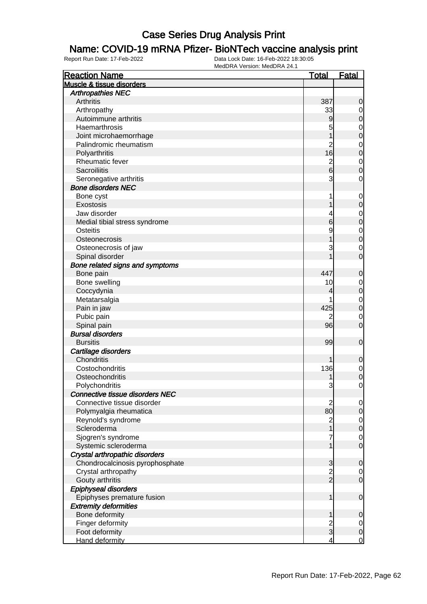#### Name: COVID-19 mRNA Pfizer- BioNTech vaccine analysis print

| <b>Reaction Name</b>            | <b>Total</b>                          | <b>Fatal</b>     |
|---------------------------------|---------------------------------------|------------------|
| Muscle & tissue disorders       |                                       |                  |
| <b>Arthropathies NEC</b>        |                                       |                  |
| Arthritis                       | 387                                   | 0                |
| Arthropathy                     | 33                                    | 0                |
| Autoimmune arthritis            | 9                                     | $\boldsymbol{0}$ |
| Haemarthrosis                   | 5                                     | $\mathbf 0$      |
| Joint microhaemorrhage          |                                       | $\mathbf 0$      |
| Palindromic rheumatism          | $\overline{2}$                        | $\mathbf 0$      |
| Polyarthritis                   | 16                                    | $\overline{0}$   |
| Rheumatic fever                 |                                       | $\mathbf 0$      |
| Sacroiliitis                    | $\frac{2}{6}$                         | 0                |
| Seronegative arthritis          | 3                                     | $\mathbf 0$      |
| <b>Bone disorders NEC</b>       |                                       |                  |
| Bone cyst                       | 1                                     | $\mathbf 0$      |
| Exostosis                       |                                       | $\boldsymbol{0}$ |
| Jaw disorder                    |                                       | $\mathbf 0$      |
| Medial tibial stress syndrome   | 6                                     | $\mathbf 0$      |
| Osteitis                        | 9                                     | $\mathbf{0}$     |
| Osteonecrosis                   |                                       | $\overline{0}$   |
| Osteonecrosis of jaw            | 3                                     | $\mathbf 0$      |
| Spinal disorder                 |                                       | $\overline{0}$   |
| Bone related signs and symptoms |                                       |                  |
| Bone pain                       | 447                                   | $\mathbf 0$      |
| Bone swelling                   | 10                                    | $\mathbf 0$      |
| Coccydynia                      | 4                                     | $\boldsymbol{0}$ |
| Metatarsalgia                   |                                       | $\mathbf 0$      |
| Pain in jaw                     | 425                                   | $\mathbf 0$      |
| Pubic pain                      |                                       | $\mathbf 0$      |
| Spinal pain                     | 96                                    | $\overline{0}$   |
| <b>Bursal disorders</b>         |                                       |                  |
| <b>Bursitis</b>                 | 99                                    | $\mathbf 0$      |
| Cartilage disorders             |                                       |                  |
| Chondritis                      |                                       | 0                |
| Costochondritis                 | 136                                   | $\mathbf 0$      |
| Osteochondritis                 |                                       | $\mathbf 0$      |
| Polychondritis                  | 3                                     | $\mathbf 0$      |
| Connective tissue disorders NEC |                                       |                  |
| Connective tissue disorder      | $\overline{2}$                        | $\overline{0}$   |
| Polymyalgia rheumatica          | 80                                    | $\mathbf 0$      |
| Reynold's syndrome              |                                       | $\mathbf 0$      |
| Scleroderma                     | $\begin{array}{c} 2 \\ 1 \end{array}$ | $\boldsymbol{0}$ |
| Sjogren's syndrome              | 7                                     | $\mathbf 0$      |
| Systemic scleroderma            | $\overline{1}$                        | $\mathbf 0$      |
| Crystal arthropathic disorders  |                                       |                  |
| Chondrocalcinosis pyrophosphate | 3                                     | $\mathbf 0$      |
| Crystal arthropathy             |                                       | $\overline{0}$   |
| Gouty arthritis                 | $\frac{2}{2}$                         | $\mathbf 0$      |
| Epiphyseal disorders            |                                       |                  |
| Epiphyses premature fusion      | 1                                     | $\mathbf 0$      |
| <b>Extremity deformities</b>    |                                       |                  |
| Bone deformity                  | 1                                     | 0                |
| Finger deformity                |                                       | $\overline{0}$   |
| Foot deformity                  | $\frac{2}{3}$                         | $\mathbf 0$      |
| Hand deformity                  | 4                                     | $\overline{0}$   |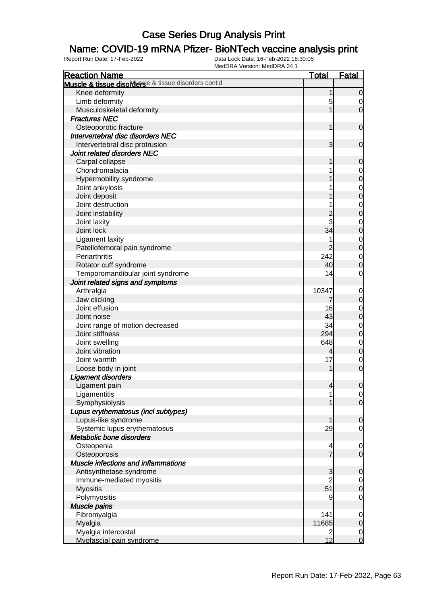#### Name: COVID-19 mRNA Pfizer- BioNTech vaccine analysis print

| <b>Reaction Name</b>                                  | <b>Total</b>   | <b>Fatal</b>     |
|-------------------------------------------------------|----------------|------------------|
| Muscle & tissue disordersle & tissue disorders cont'd |                |                  |
| Knee deformity                                        | 1              | $\overline{0}$   |
| Limb deformity                                        | 5              | 0                |
| Musculoskeletal deformity                             |                | $\mathbf 0$      |
| <b>Fractures NEC</b>                                  |                |                  |
| Osteoporotic fracture                                 | 1              | $\mathbf 0$      |
| Intervertebral disc disorders NEC                     |                |                  |
| Intervertebral disc protrusion                        | 3              | $\mathbf 0$      |
| Joint related disorders NEC                           |                |                  |
| Carpal collapse                                       | 1              | $\mathbf 0$      |
| Chondromalacia                                        |                | 0                |
| Hypermobility syndrome                                |                | $\mathbf 0$      |
| Joint ankylosis                                       |                | 0                |
| Joint deposit                                         |                | $\mathbf 0$      |
| Joint destruction                                     |                |                  |
|                                                       |                | 0                |
| Joint instability                                     | $\overline{c}$ | $\mathbf 0$      |
| Joint laxity                                          | 3              | 0                |
| Joint lock                                            | 34             | $\mathbf 0$      |
| Ligament laxity                                       |                | 0                |
| Patellofemoral pain syndrome                          | $\overline{2}$ | $\boldsymbol{0}$ |
| Periarthritis                                         | 242            | 0                |
| Rotator cuff syndrome                                 | 40             | $\mathbf 0$      |
| Temporomandibular joint syndrome                      | 14             | 0                |
| Joint related signs and symptoms                      |                |                  |
| Arthralgia                                            | 10347          | 0                |
| Jaw clicking                                          | 7              | $\mathbf 0$      |
| Joint effusion                                        | 16             | 0                |
| Joint noise                                           | 43             | $\mathbf 0$      |
| Joint range of motion decreased                       | 34             | 0                |
| Joint stiffness                                       | 294            | $\mathbf 0$      |
| Joint swelling                                        | 648            | 0                |
| Joint vibration                                       | 4              | $\mathbf 0$      |
| Joint warmth                                          | 17             | 0                |
| Loose body in joint                                   | 1              | $\mathbf 0$      |
| <b>Ligament disorders</b>                             |                |                  |
| Ligament pain                                         | $\overline{4}$ | $\mathbf 0$      |
| Ligamentitis                                          | 1              | $\overline{0}$   |
| Symphysiolysis                                        |                | $\overline{0}$   |
| Lupus erythematosus (incl subtypes)                   |                |                  |
| Lupus-like syndrome                                   | 1              | $\mathbf 0$      |
| Systemic lupus erythematosus                          | 29             | $\mathbf 0$      |
| Metabolic bone disorders                              |                |                  |
| Osteopenia                                            | 4              | $\mathbf 0$      |
| Osteoporosis                                          | $\overline{7}$ | $\mathbf 0$      |
| <b>Muscle infections and inflammations</b>            |                |                  |
| Antisynthetase syndrome                               | 3              | $\mathbf 0$      |
| Immune-mediated myositis                              | $\overline{c}$ | $\overline{0}$   |
| <b>Myositis</b>                                       | 51             | $\boldsymbol{0}$ |
| Polymyositis                                          | 9              | $\mathbf 0$      |
| <b>Muscle pains</b>                                   |                |                  |
| Fibromyalgia                                          | 141            | $\mathbf 0$      |
| Myalgia                                               | 11685          | $\mathbf 0$      |
| Myalgia intercostal                                   | 2              | $\overline{0}$   |
| Myofascial pain syndrome                              | 12             | $\overline{0}$   |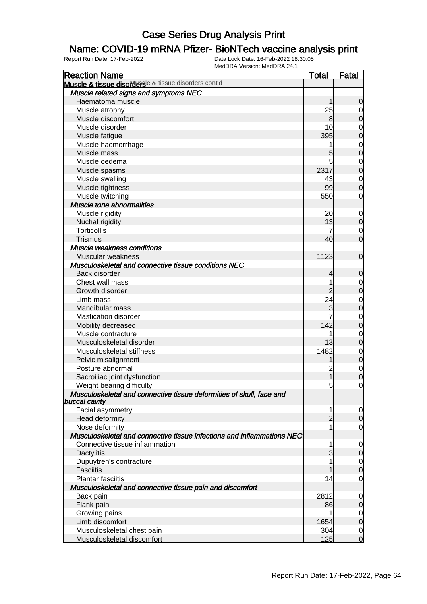#### Name: COVID-19 mRNA Pfizer- BioNTech vaccine analysis print

| <b>Reaction Name</b>                                                                  | <b>Total</b>   | <b>Fatal</b>   |
|---------------------------------------------------------------------------------------|----------------|----------------|
| Muscle & tissue disordersle & tissue disorders cont'd                                 |                |                |
| Muscle related signs and symptoms NEC                                                 |                |                |
| Haematoma muscle                                                                      | 1              | 0              |
| Muscle atrophy                                                                        | 25             | $\overline{0}$ |
| Muscle discomfort                                                                     | 8              | 0              |
| Muscle disorder                                                                       | 10             | $\mathbf 0$    |
| Muscle fatigue                                                                        | 395            | 0              |
| Muscle haemorrhage                                                                    |                | $\mathbf 0$    |
| Muscle mass                                                                           | 5              | $\mathbf 0$    |
| Muscle oedema                                                                         | 5              | $\mathbf 0$    |
| Muscle spasms                                                                         | 2317           | $\mathbf 0$    |
| Muscle swelling                                                                       | 43             | $\mathbf 0$    |
| Muscle tightness                                                                      | 99             | 0              |
| Muscle twitching                                                                      | 550            | 0              |
| Muscle tone abnormalities                                                             |                |                |
| Muscle rigidity                                                                       | 20             | $\mathbf 0$    |
| Nuchal rigidity                                                                       | 13             | 0              |
| <b>Torticollis</b>                                                                    |                | $\mathbf 0$    |
| <b>Trismus</b>                                                                        | 40             | $\mathbf 0$    |
| Muscle weakness conditions                                                            |                |                |
| Muscular weakness                                                                     | 1123           | $\mathbf 0$    |
| Musculoskeletal and connective tissue conditions NEC                                  |                |                |
| Back disorder                                                                         | 4              | 0              |
| Chest wall mass                                                                       |                | $\mathbf 0$    |
| Growth disorder                                                                       |                | $\mathbf 0$    |
| Limb mass                                                                             | 24             | $\mathbf 0$    |
| Mandibular mass                                                                       | 3              | $\mathbf 0$    |
| <b>Mastication disorder</b>                                                           |                | $\mathbf 0$    |
| Mobility decreased                                                                    | 142            | $\mathbf 0$    |
| Muscle contracture                                                                    |                | $\mathbf 0$    |
| Musculoskeletal disorder                                                              | 13             | $\mathbf 0$    |
| Musculoskeletal stiffness                                                             | 1482           | $\mathbf 0$    |
| Pelvic misalignment                                                                   |                | $\mathbf 0$    |
| Posture abnormal                                                                      | $\overline{c}$ | $\mathbf 0$    |
| Sacroiliac joint dysfunction                                                          |                | 0              |
| Weight bearing difficulty                                                             | 5              | 0              |
| Musculoskeletal and connective tissue deformities of skull, face and<br>buccal cavity |                |                |
| Facial asymmetry                                                                      |                | 0              |
| Head deformity                                                                        | $\overline{2}$ | $\overline{0}$ |
| Nose deformity                                                                        |                | 0              |
| Musculoskeletal and connective tissue infections and inflammations NEC                |                |                |
| Connective tissue inflammation                                                        |                | 0              |
| Dactylitis                                                                            | 3              | $\mathbf 0$    |
| Dupuytren's contracture                                                               |                | 0              |
| <b>Fasciitis</b>                                                                      |                | $\Omega$       |
| <b>Plantar fasciitis</b>                                                              | 14             | 0              |
| Musculoskeletal and connective tissue pain and discomfort                             |                |                |
| Back pain                                                                             | 2812           | 0              |
| Flank pain                                                                            | 86             | 0              |
| Growing pains                                                                         |                | 0              |
| Limb discomfort                                                                       | 1654           | $\mathbf 0$    |
| Musculoskeletal chest pain                                                            | 304            | $\mathbf 0$    |
| Musculoskeletal discomfort                                                            | 125            | $\overline{0}$ |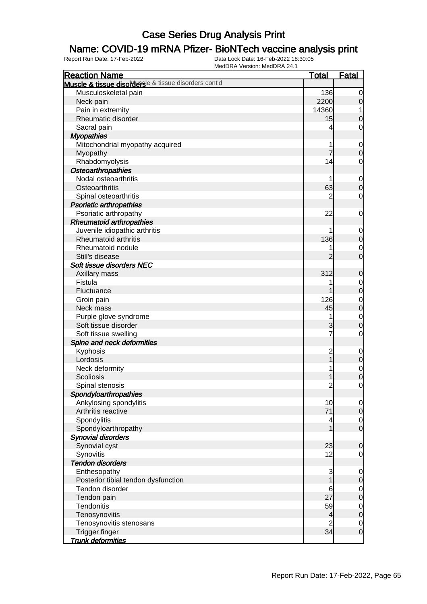### Name: COVID-19 mRNA Pfizer- BioNTech vaccine analysis print

| <b>Reaction Name</b>                                  | <b>Total</b>                 | <b>Fatal</b>                    |
|-------------------------------------------------------|------------------------------|---------------------------------|
| Muscle & tissue disordersle & tissue disorders cont'd |                              |                                 |
| Musculoskeletal pain                                  | 136                          | 0                               |
| Neck pain                                             | 2200                         | $\boldsymbol{0}$                |
| Pain in extremity                                     | 14360                        | 1                               |
| Rheumatic disorder                                    | 15                           | $\mathbf 0$                     |
| Sacral pain                                           | 4                            | 0                               |
| <b>Myopathies</b>                                     |                              |                                 |
| Mitochondrial myopathy acquired                       |                              | $\mathbf 0$                     |
| Myopathy                                              | $\overline{7}$               | $\boldsymbol{0}$                |
| Rhabdomyolysis                                        | 14                           | $\mathbf 0$                     |
| <b>Osteoarthropathies</b>                             |                              |                                 |
| Nodal osteoarthritis                                  |                              | $\mathbf 0$                     |
| Osteoarthritis                                        | 63                           | $\mathbf 0$                     |
| Spinal osteoarthritis                                 | $\overline{c}$               | $\mathbf 0$                     |
| <b>Psoriatic arthropathies</b>                        |                              |                                 |
| Psoriatic arthropathy                                 | 22                           | 0                               |
| <b>Rheumatoid arthropathies</b>                       |                              |                                 |
| Juvenile idiopathic arthritis                         |                              | $\mathbf 0$                     |
| <b>Rheumatoid arthritis</b>                           | 136                          | $\mathbf 0$                     |
| Rheumatoid nodule                                     |                              | $\mathbf 0$                     |
| Still's disease                                       | $\overline{2}$               | $\mathbf 0$                     |
| Soft tissue disorders NEC                             |                              |                                 |
| Axillary mass                                         | 312                          | $\mathbf 0$                     |
| Fistula                                               |                              | $\mathbf 0$                     |
| Fluctuance                                            |                              | $\mathbf 0$                     |
| Groin pain                                            | 126                          | $\mathbf 0$                     |
| Neck mass                                             | 45                           | $\overline{0}$                  |
| Purple glove syndrome                                 | 1                            | $\mathbf 0$                     |
| Soft tissue disorder                                  | 3                            | $\overline{0}$                  |
| Soft tissue swelling                                  | 7                            | 0                               |
| Spine and neck deformities                            |                              |                                 |
| Kyphosis                                              |                              | $\mathbf 0$                     |
| Lordosis                                              | $\overline{\mathbf{c}}$<br>1 | $\mathbf 0$                     |
| Neck deformity                                        |                              | $\mathbf 0$                     |
| <b>Scoliosis</b>                                      |                              | $\overline{0}$                  |
| Spinal stenosis                                       | $\overline{c}$               | $\mathbf 0$                     |
| Spondyloarthropathies                                 |                              |                                 |
| Ankylosing spondylitis                                | 10                           | 0                               |
| Arthritis reactive                                    | 71                           | $\overline{0}$                  |
| Spondylitis                                           | 4                            | $\overline{0}$                  |
| Spondyloarthropathy                                   |                              | $\mathbf 0$                     |
| <b>Synovial disorders</b>                             |                              |                                 |
| Synovial cyst                                         | 23                           | $\mathbf 0$                     |
| Synovitis                                             | 12                           | $\mathbf 0$                     |
| <b>Tendon disorders</b>                               |                              |                                 |
| Enthesopathy                                          | 3                            |                                 |
| Posterior tibial tendon dysfunction                   | 1                            | $\mathbf 0$<br>$\boldsymbol{0}$ |
| Tendon disorder                                       | 6                            | $\mathbf 0$                     |
| Tendon pain                                           | 27                           | $\mathbf 0$                     |
| Tendonitis                                            | 59                           |                                 |
|                                                       |                              | $\mathbf 0$<br>$\mathbf 0$      |
| Tenosynovitis                                         | 4                            |                                 |
| Tenosynovitis stenosans<br><b>Trigger finger</b>      | $\overline{c}$<br>34         | $\mathbf 0$<br>$\mathbf 0$      |
| <b>Trunk deformities</b>                              |                              |                                 |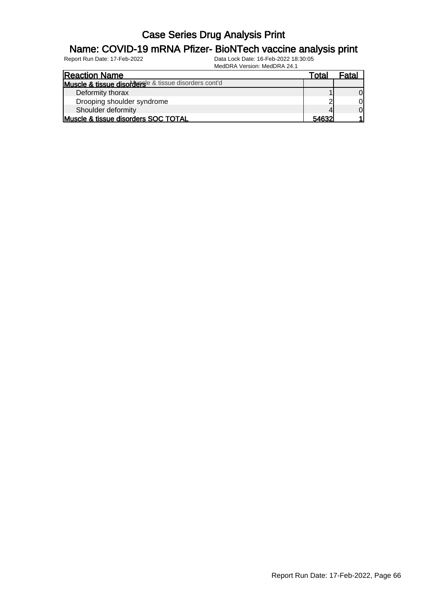#### Name: COVID-19 mRNA Pfizer- BioNTech vaccine analysis print

| <b>Reaction Name</b>                                  | Total        | Fata |
|-------------------------------------------------------|--------------|------|
| Muscle & tissue disordersle & tissue disorders cont'd |              |      |
| Deformity thorax                                      |              |      |
| Drooping shoulder syndrome                            |              |      |
| Shoulder deformity                                    |              | Οl   |
| Muscle & tissue disorders SOC TOTAL                   | <b>54632</b> |      |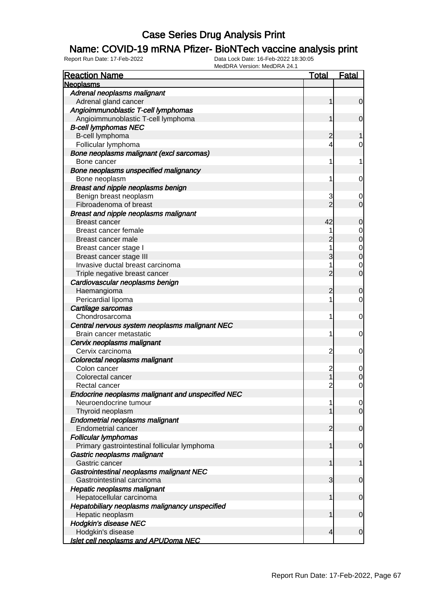### Name: COVID-19 mRNA Pfizer- BioNTech vaccine analysis print

| <b>Reaction Name</b>                              | <u>Total</u>   | <b>Fatal</b>                     |
|---------------------------------------------------|----------------|----------------------------------|
| <b>Neoplasms</b>                                  |                |                                  |
| Adrenal neoplasms malignant                       |                |                                  |
| Adrenal gland cancer                              | 1              | $\overline{0}$                   |
| Angioimmunoblastic T-cell lymphomas               |                |                                  |
| Angioimmunoblastic T-cell lymphoma                | 1              | $\mathbf 0$                      |
| <b>B-cell lymphomas NEC</b>                       |                |                                  |
| B-cell lymphoma                                   | 2              | 1                                |
| Follicular lymphoma                               | 4              | 0                                |
| Bone neoplasms malignant (excl sarcomas)          |                |                                  |
| Bone cancer                                       | 1              | 1                                |
| Bone neoplasms unspecified malignancy             |                |                                  |
| Bone neoplasm                                     | 1              | $\mathbf 0$                      |
| Breast and nipple neoplasms benign                |                |                                  |
| Benign breast neoplasm                            | 3              | 0                                |
| Fibroadenoma of breast                            | $\overline{2}$ | $\overline{0}$                   |
| <b>Breast and nipple neoplasms malignant</b>      |                |                                  |
| <b>Breast cancer</b>                              | 42             | 0                                |
| Breast cancer female                              |                |                                  |
| Breast cancer male                                | 2              | $\begin{matrix}0\\0\end{matrix}$ |
| Breast cancer stage I                             | 1              |                                  |
| Breast cancer stage III                           | 3              | $0\atop 0$                       |
| Invasive ductal breast carcinoma                  | 1              | $\mathbf{0}$                     |
| Triple negative breast cancer                     | $\overline{2}$ | $\overline{0}$                   |
| Cardiovascular neoplasms benign                   |                |                                  |
| Haemangioma                                       | 2              | 0                                |
| Pericardial lipoma                                | 1              | $\overline{0}$                   |
| Cartilage sarcomas                                |                |                                  |
| Chondrosarcoma                                    | 1              | $\mathbf 0$                      |
| Central nervous system neoplasms malignant NEC    |                |                                  |
| Brain cancer metastatic                           | 1              | $\mathbf 0$                      |
| Cervix neoplasms malignant                        |                |                                  |
| Cervix carcinoma                                  | $\overline{c}$ | 0                                |
| Colorectal neoplasms malignant                    |                |                                  |
| Colon cancer                                      | 2              | $\mathbf 0$                      |
| Colorectal cancer                                 | 1              | 0                                |
| Rectal cancer                                     | 2              | 0                                |
| Endocrine neoplasms malignant and unspecified NEC |                |                                  |
| Neuroendocrine tumour                             | 1              | $\overline{0}$                   |
| Thyroid neoplasm                                  | 1              | $\overline{0}$                   |
| <b>Endometrial neoplasms malignant</b>            |                |                                  |
| <b>Endometrial cancer</b>                         | 2              | $\mathbf 0$                      |
| <b>Follicular lymphomas</b>                       |                |                                  |
| Primary gastrointestinal follicular lymphoma      | 1              | $\mathbf 0$                      |
| Gastric neoplasms malignant                       |                |                                  |
| Gastric cancer                                    | 1              | $\mathbf{1}$                     |
| Gastrointestinal neoplasms malignant NEC          |                |                                  |
| Gastrointestinal carcinoma                        | 3              | $\mathbf 0$                      |
| <b>Hepatic neoplasms malignant</b>                |                |                                  |
| Hepatocellular carcinoma                          | 1              | $\mathbf 0$                      |
| Hepatobiliary neoplasms malignancy unspecified    |                |                                  |
| Hepatic neoplasm                                  | 1              | $\mathbf 0$                      |
| <b>Hodgkin's disease NEC</b>                      |                |                                  |
| Hodgkin's disease                                 | $\overline{4}$ | $\mathbf 0$                      |
| <b>Islet cell neoplasms and APUDoma NEC</b>       |                |                                  |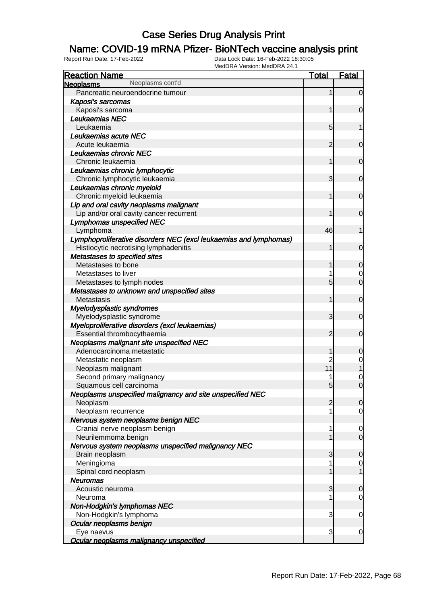### Name: COVID-19 mRNA Pfizer- BioNTech vaccine analysis print

| <b>Reaction Name</b>                                              | <b>Total</b>    | <b>Fatal</b>     |
|-------------------------------------------------------------------|-----------------|------------------|
| Neoplasms cont'd<br><b>Neoplasms</b>                              |                 |                  |
| Pancreatic neuroendocrine tumour                                  | 1               | $\overline{0}$   |
| Kaposi's sarcomas                                                 |                 |                  |
| Kaposi's sarcoma                                                  | 1               | $\mathbf 0$      |
| Leukaemias NEC                                                    |                 |                  |
| Leukaemia                                                         | 5               |                  |
| Leukaemias acute NEC                                              |                 |                  |
| Acute leukaemia                                                   | 2               | $\mathbf 0$      |
| Leukaemias chronic NEC                                            |                 |                  |
| Chronic leukaemia                                                 | 1               | $\mathbf 0$      |
| Leukaemias chronic lymphocytic                                    |                 |                  |
| Chronic lymphocytic leukaemia                                     | 3               | $\mathbf 0$      |
| Leukaemias chronic myeloid                                        |                 |                  |
| Chronic myeloid leukaemia                                         | 1               | $\mathbf 0$      |
| Lip and oral cavity neoplasms malignant                           |                 |                  |
| Lip and/or oral cavity cancer recurrent                           | 1               | $\mathbf 0$      |
| <b>Lymphomas unspecified NEC</b>                                  |                 |                  |
| Lymphoma                                                          | 46              | 1                |
| Lymphoproliferative disorders NEC (excl leukaemias and lymphomas) |                 |                  |
| Histiocytic necrotising lymphadenitis                             | 1               | $\mathbf 0$      |
| Metastases to specified sites                                     |                 |                  |
| Metastases to bone                                                | 1               | $\mathbf 0$      |
| Metastases to liver                                               |                 | 0                |
| Metastases to lymph nodes                                         | 5               | $\overline{0}$   |
| Metastases to unknown and unspecified sites                       |                 |                  |
| Metastasis                                                        | 1               | $\mathbf 0$      |
| Myelodysplastic syndromes                                         |                 |                  |
| Myelodysplastic syndrome                                          | 3               | $\mathbf 0$      |
| Myeloproliferative disorders (excl leukaemias)                    |                 |                  |
| Essential thrombocythaemia                                        | $\overline{2}$  | $\mathbf 0$      |
| Neoplasms malignant site unspecified NEC                          |                 |                  |
| Adenocarcinoma metastatic                                         | 1               | 0                |
| Metastatic neoplasm                                               | $\overline{c}$  | 0                |
| Neoplasm malignant                                                | 11              |                  |
| Second primary malignancy                                         |                 | 0                |
| Squamous cell carcinoma                                           | $5\overline{)}$ | $\overline{0}$   |
| Neoplasms unspecified malignancy and site unspecified NEC         |                 |                  |
| Neoplasm                                                          | $\overline{2}$  | $\overline{0}$   |
| Neoplasm recurrence                                               |                 | $\mathbf 0$      |
| Nervous system neoplasms benign NEC                               |                 |                  |
| Cranial nerve neoplasm benign                                     | 1               | $\mathbf 0$      |
| Neurilemmoma benign                                               |                 | $\overline{0}$   |
| Nervous system neoplasms unspecified malignancy NEC               |                 |                  |
| Brain neoplasm                                                    | 3<br>1          | $\mathbf 0$      |
| Meningioma<br>Spinal cord neoplasm                                |                 | $\mathbf 0$<br>1 |
| <b>Neuromas</b>                                                   |                 |                  |
| Acoustic neuroma                                                  | 3               | $\mathbf 0$      |
| Neuroma                                                           | 1               | $\mathbf 0$      |
| Non-Hodgkin's lymphomas NEC                                       |                 |                  |
| Non-Hodgkin's lymphoma                                            | 3               | $\mathbf 0$      |
| Ocular neoplasms benign                                           |                 |                  |
| Eye naevus                                                        | 3               | $\mathbf 0$      |
| Ocular neoplasms malignancy unspecified                           |                 |                  |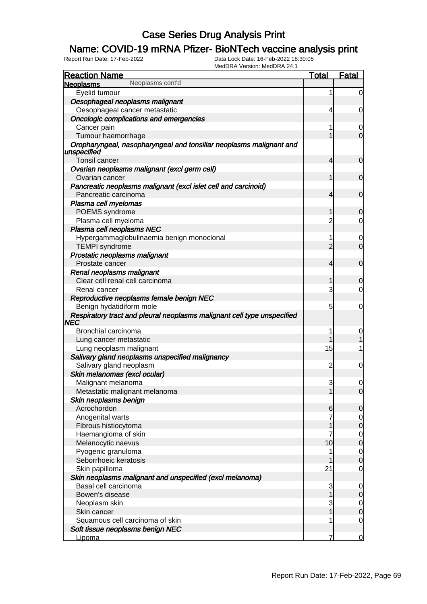### Name: COVID-19 mRNA Pfizer- BioNTech vaccine analysis print

| <b>Reaction Name</b>                                                                  | <b>Total</b>   | <b>Fatal</b>   |
|---------------------------------------------------------------------------------------|----------------|----------------|
| Neoplasms cont'd<br><b>Neoplasms</b>                                                  |                |                |
| Eyelid tumour                                                                         | 1              | 0              |
| Oesophageal neoplasms malignant                                                       |                |                |
| Oesophageal cancer metastatic                                                         | 4              | 0              |
| <b>Oncologic complications and emergencies</b>                                        |                |                |
| Cancer pain                                                                           | 1              | $\mathbf 0$    |
| Tumour haemorrhage                                                                    |                | 0              |
| Oropharyngeal, nasopharyngeal and tonsillar neoplasms malignant and<br>unspecified    |                |                |
| Tonsil cancer                                                                         | 4              | 0              |
| Ovarian neoplasms malignant (excl germ cell)                                          |                |                |
| Ovarian cancer                                                                        |                | $\mathbf 0$    |
| Pancreatic neoplasms malignant (excl islet cell and carcinoid)                        |                |                |
| Pancreatic carcinoma                                                                  | 4              | $\mathbf 0$    |
| Plasma cell myelomas                                                                  |                |                |
| POEMS syndrome                                                                        |                | $\overline{0}$ |
| Plasma cell myeloma                                                                   | 2              | 0              |
| Plasma cell neoplasms NEC                                                             |                |                |
| Hypergammaglobulinaemia benign monoclonal                                             | 1              | 0              |
| <b>TEMPI</b> syndrome                                                                 | 2              | $\overline{0}$ |
| Prostatic neoplasms malignant                                                         |                |                |
| Prostate cancer                                                                       | 4              | $\mathbf 0$    |
| Renal neoplasms malignant                                                             |                |                |
| Clear cell renal cell carcinoma                                                       |                | $\Omega$       |
| Renal cancer                                                                          | 3              | 0              |
| Reproductive neoplasms female benign NEC                                              |                |                |
| Benign hydatidiform mole                                                              | 5              | 0              |
| Respiratory tract and pleural neoplasms malignant cell type unspecified<br><b>NEC</b> |                |                |
| Bronchial carcinoma                                                                   |                | 0              |
| Lung cancer metastatic                                                                |                |                |
| Lung neoplasm malignant                                                               | 15             | 1              |
| Salivary gland neoplasms unspecified malignancy                                       |                |                |
| Salivary gland neoplasm                                                               | $\overline{c}$ | 0              |
| Skin melanomas (excl ocular)                                                          |                |                |
| Malignant melanoma                                                                    | 3              | $\mathbf 0$    |
| Metastatic malignant melanoma                                                         |                | $\mathbf 0$    |
| Skin neoplasms benign                                                                 |                |                |
| Acrochordon                                                                           | $6 \mid$       | $\overline{0}$ |
| Anogenital warts                                                                      |                | 0              |
| Fibrous histiocytoma                                                                  |                | $\mathbf 0$    |
| Haemangioma of skin                                                                   | 7              | $\overline{0}$ |
| Melanocytic naevus                                                                    | 10             | $\overline{0}$ |
| Pyogenic granuloma                                                                    |                | $\mathbf 0$    |
| Seborrhoeic keratosis                                                                 |                | $\mathbf 0$    |
| Skin papilloma                                                                        | 21             | 0              |
| Skin neoplasms malignant and unspecified (excl melanoma)                              |                |                |
| Basal cell carcinoma                                                                  | 3              | $\overline{0}$ |
| Bowen's disease                                                                       |                | $\mathbf 0$    |
| Neoplasm skin                                                                         | 3              | $\overline{0}$ |
| Skin cancer                                                                           |                | $\mathbf 0$    |
| Squamous cell carcinoma of skin                                                       |                | 0              |
| Soft tissue neoplasms benign NEC                                                      |                |                |
| Lipoma                                                                                |                | 0              |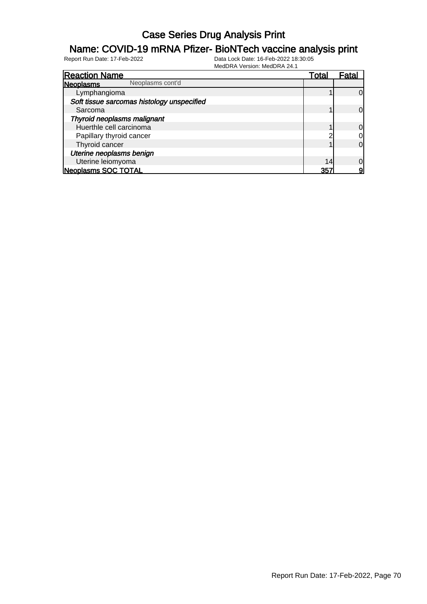#### Name: COVID-19 mRNA Pfizer- BioNTech vaccine analysis print

| <b>Reaction Name</b>                       | Total | Fatal          |
|--------------------------------------------|-------|----------------|
| Neoplasms cont'd<br>Neoplasms              |       |                |
| Lymphangioma                               |       | $\Omega$       |
| Soft tissue sarcomas histology unspecified |       |                |
| Sarcoma                                    |       | $\Omega$       |
| Thyroid neoplasms malignant                |       |                |
| Huerthle cell carcinoma                    |       | $\overline{0}$ |
| Papillary thyroid cancer                   |       | $\overline{0}$ |
| Thyroid cancer                             |       | $\overline{0}$ |
| Uterine neoplasms benign                   |       |                |
| Uterine leiomyoma                          | 14    | $\overline{0}$ |
| <b>Neoplasms SOC TOTAL</b>                 | 357   | 9              |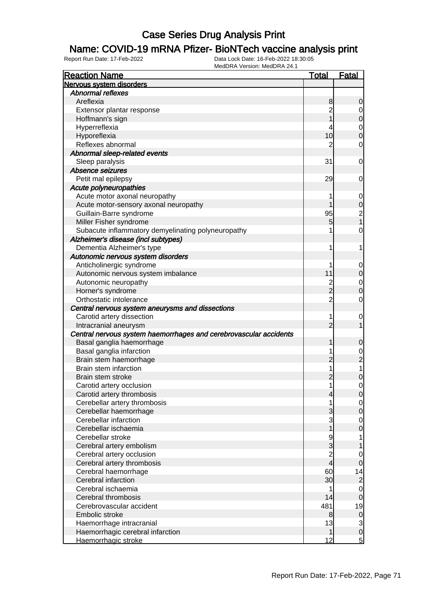#### Name: COVID-19 mRNA Pfizer- BioNTech vaccine analysis print

| <b>Reaction Name</b>                                              | <u>Total</u>   | <b>Fatal</b>                          |
|-------------------------------------------------------------------|----------------|---------------------------------------|
| Nervous system disorders                                          |                |                                       |
| <b>Abnormal reflexes</b>                                          |                |                                       |
| Areflexia                                                         | 8              | 0                                     |
| Extensor plantar response                                         | $\overline{2}$ | 0                                     |
| Hoffmann's sign                                                   |                | $\pmb{0}$                             |
| Hyperreflexia                                                     | 4              | $\mathbf 0$                           |
| Hyporeflexia                                                      | 10             | $\mathbf 0$                           |
| Reflexes abnormal                                                 | $\overline{2}$ | $\mathbf 0$                           |
| Abnormal sleep-related events                                     |                |                                       |
| Sleep paralysis                                                   | 31             | 0                                     |
| Absence seizures                                                  |                |                                       |
| Petit mal epilepsy                                                | 29             | 0                                     |
| Acute polyneuropathies                                            |                |                                       |
| Acute motor axonal neuropathy                                     |                | $\mathbf 0$                           |
| Acute motor-sensory axonal neuropathy                             |                | $\mathbf 0$                           |
| Guillain-Barre syndrome                                           | 95             |                                       |
| Miller Fisher syndrome                                            | 5              | $\begin{array}{c} 2 \\ 1 \end{array}$ |
| Subacute inflammatory demyelinating polyneuropathy                |                | $\mathbf 0$                           |
| Alzheimer's disease (incl subtypes)                               |                |                                       |
| Dementia Alzheimer's type                                         | 1              | 1                                     |
| Autonomic nervous system disorders                                |                |                                       |
| Anticholinergic syndrome                                          | 1              | 0                                     |
| Autonomic nervous system imbalance                                | 11             | 0                                     |
| Autonomic neuropathy                                              | $\overline{c}$ | $\mathbf 0$                           |
| Horner's syndrome                                                 | $\overline{2}$ | $\mathbf 0$                           |
| Orthostatic intolerance                                           | $\overline{2}$ | $\mathbf 0$                           |
| Central nervous system aneurysms and dissections                  |                |                                       |
| Carotid artery dissection                                         | 1              | $\mathbf 0$                           |
| Intracranial aneurysm                                             | $\overline{2}$ | 1                                     |
| Central nervous system haemorrhages and cerebrovascular accidents |                |                                       |
| Basal ganglia haemorrhage                                         | 1              | 0                                     |
| Basal ganglia infarction                                          | 1              | $\mathbf 0$                           |
| Brain stem haemorrhage                                            | 2              | $\overline{c}$                        |
| Brain stem infarction                                             | 1              | 1                                     |
| Brain stem stroke                                                 | $\overline{c}$ | 0                                     |
| Carotid artery occlusion                                          | 1              | 0                                     |
| Carotid artery thrombosis                                         | $\overline{4}$ | $\overline{0}$                        |
| Cerebellar artery thrombosis                                      | 1              | $\overline{0}$                        |
| Cerebellar haemorrhage                                            | 3              | $\mathbf 0$                           |
| Cerebellar infarction                                             | 3              | $\mathbf 0$                           |
| Cerebellar ischaemia                                              | $\overline{1}$ | $\mathbf 0$                           |
| Cerebellar stroke                                                 | 9              | 1                                     |
| Cerebral artery embolism                                          | 3              | 1                                     |
| Cerebral artery occlusion                                         | $\overline{2}$ | 0                                     |
| Cerebral artery thrombosis                                        | $\frac{1}{4}$  | $\mathbf 0$                           |
| Cerebral haemorrhage                                              | 60             | 14                                    |
| Cerebral infarction                                               | 30             | $\overline{2}$                        |
| Cerebral ischaemia                                                | 1              | $\overline{0}$                        |
| Cerebral thrombosis                                               | 14             | $\mathbf 0$                           |
| Cerebrovascular accident                                          | 481            | 19                                    |
| Embolic stroke                                                    | 8              | $\mathbf 0$                           |
| Haemorrhage intracranial                                          | 13             | $\mathbf{3}$                          |
| Haemorrhagic cerebral infarction                                  | 1              | $\pmb{0}$                             |
| Haemorrhagic stroke                                               | 12             | $\overline{5}$                        |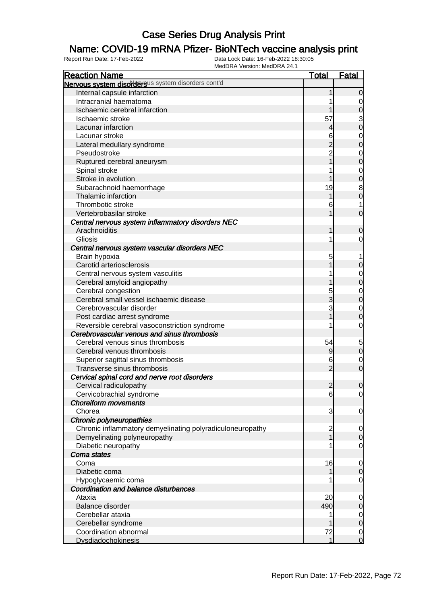### Name: COVID-19 mRNA Pfizer- BioNTech vaccine analysis print

| <b>Reaction Name</b>                                      | <b>Total</b>   | <b>Fatal</b>                     |
|-----------------------------------------------------------|----------------|----------------------------------|
| Nervous system disordersus system disorders cont'd        |                |                                  |
| Internal capsule infarction                               |                | $\overline{0}$                   |
| Intracranial haematoma                                    |                | 0                                |
| Ischaemic cerebral infarction                             |                | 0                                |
| Ischaemic stroke                                          | 57             | 3                                |
| Lacunar infarction                                        | 4              | $\overline{0}$                   |
| Lacunar stroke                                            | 6              | 0                                |
| Lateral medullary syndrome                                |                | $\mathbf 0$                      |
| Pseudostroke                                              |                | 0                                |
| Ruptured cerebral aneurysm                                |                | $\mathbf 0$                      |
| Spinal stroke                                             |                | 0                                |
| Stroke in evolution                                       |                | $\mathbf 0$                      |
| Subarachnoid haemorrhage                                  | 19             | 8                                |
| Thalamic infarction                                       |                | $\mathbf 0$                      |
| Thrombotic stroke                                         | 6              |                                  |
| Vertebrobasilar stroke                                    |                | $\mathbf 0$                      |
| Central nervous system inflammatory disorders NEC         |                |                                  |
| Arachnoiditis                                             |                | 0                                |
| Gliosis                                                   |                | 0                                |
| Central nervous system vascular disorders NEC             |                |                                  |
| Brain hypoxia                                             | 5              |                                  |
| Carotid arteriosclerosis                                  |                | 0                                |
| Central nervous system vasculitis                         |                | 0                                |
| Cerebral amyloid angiopathy                               |                | $\mathbf 0$                      |
| Cerebral congestion                                       | 5              | 0                                |
| Cerebral small vessel ischaemic disease                   | 3              | $\mathbf 0$                      |
| Cerebrovascular disorder                                  | 3              | $\mathbf 0$                      |
| Post cardiac arrest syndrome                              |                | $\mathbf 0$                      |
| Reversible cerebral vasoconstriction syndrome             |                | 0                                |
| Cerebrovascular venous and sinus thrombosis               |                |                                  |
| Cerebral venous sinus thrombosis                          | 54             | 5                                |
| Cerebral venous thrombosis                                | 9              | $\mathbf 0$                      |
| Superior sagittal sinus thrombosis                        | 6              | 0                                |
| Transverse sinus thrombosis                               | $\overline{2}$ | $\overline{0}$                   |
| Cervical spinal cord and nerve root disorders             |                |                                  |
| Cervical radiculopathy                                    | $\overline{2}$ | $\overline{0}$                   |
| Cervicobrachial syndrome                                  | 6              | $\overline{0}$                   |
| <b>Choreiform movements</b>                               |                |                                  |
| Chorea                                                    | 3              | $\overline{0}$                   |
| Chronic polyneuropathies                                  |                |                                  |
| Chronic inflammatory demyelinating polyradiculoneuropathy | $\overline{c}$ | $\overline{0}$                   |
| Demyelinating polyneuropathy                              |                | $\mathbf 0$                      |
| Diabetic neuropathy<br>Coma states                        |                | $\overline{0}$                   |
|                                                           |                |                                  |
| Coma<br>Diabetic coma                                     | 16             | $\overline{0}$<br>$\overline{0}$ |
| Hypoglycaemic coma                                        |                | $\overline{0}$                   |
| Coordination and balance disturbances                     |                |                                  |
| Ataxia                                                    | 20             | 0                                |
| Balance disorder                                          | 490            | $\mathbf 0$                      |
| Cerebellar ataxia                                         |                | $\overline{0}$                   |
| Cerebellar syndrome                                       |                | $\mathbf 0$                      |
| Coordination abnormal                                     | 72             | $\overline{0}$                   |
| <b>Dysdiadochokinesis</b>                                 | 1              | $\mathbf 0$                      |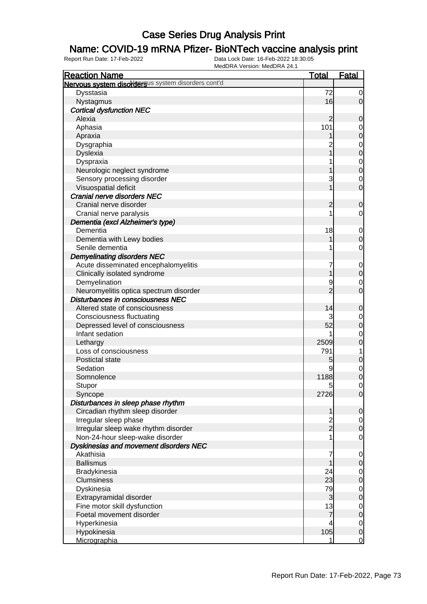### Name: COVID-19 mRNA Pfizer- BioNTech vaccine analysis print

| <b>Reaction Name</b>                               | <b>Total</b>   | <b>Fatal</b>     |
|----------------------------------------------------|----------------|------------------|
| Nervous system disordersus system disorders cont'd |                |                  |
| Dysstasia                                          | 72             | $\overline{0}$   |
| Nystagmus                                          | 16             | $\overline{0}$   |
| <b>Cortical dysfunction NEC</b>                    |                |                  |
| Alexia                                             | $\overline{c}$ | $\mathbf 0$      |
| Aphasia                                            | 101            | $\mathbf 0$      |
| Apraxia                                            |                | $\mathbf 0$      |
| Dysgraphia                                         |                | $\mathbf 0$      |
| <b>Dyslexia</b>                                    |                | $\mathbf 0$      |
| Dyspraxia                                          |                | $\mathbf{0}$     |
| Neurologic neglect syndrome                        |                | $\overline{0}$   |
| Sensory processing disorder                        | 3              | $\mathbf 0$      |
| Visuospatial deficit                               |                | $\mathbf 0$      |
| Cranial nerve disorders NEC                        |                |                  |
| Cranial nerve disorder                             | $\overline{c}$ | $\mathbf 0$      |
| Cranial nerve paralysis                            |                | $\mathbf 0$      |
| Dementia (excl Alzheimer's type)                   |                |                  |
| Dementia                                           | 18             | $\mathbf 0$      |
| Dementia with Lewy bodies                          |                | $\mathbf 0$      |
| Senile dementia                                    |                | $\mathbf 0$      |
| <b>Demyelinating disorders NEC</b>                 |                |                  |
| Acute disseminated encephalomyelitis               | 7              | $\mathbf 0$      |
| Clinically isolated syndrome                       |                | $\pmb{0}$        |
| Demyelination                                      | 9              | $\mathbf 0$      |
| Neuromyelitis optica spectrum disorder             | $\overline{2}$ | $\mathbf 0$      |
| Disturbances in consciousness NEC                  |                |                  |
| Altered state of consciousness                     | 14             | $\mathbf 0$      |
| <b>Consciousness fluctuating</b>                   |                | $\mathbf 0$      |
| Depressed level of consciousness                   | 52             | $\mathbf 0$      |
| Infant sedation                                    |                | $\mathbf 0$      |
| Lethargy                                           | 2509           | $\mathbf 0$      |
| Loss of consciousness                              | 791            | 1                |
| Postictal state                                    | 5              | $\boldsymbol{0}$ |
| Sedation                                           | 9              | $\mathbf 0$      |
| Somnolence                                         | 1188           | $\boldsymbol{0}$ |
| Stupor                                             | 5              | $\mathbf 0$      |
| Syncope                                            | 2726           | $\overline{0}$   |
| Disturbances in sleep phase rhythm                 |                |                  |
| Circadian rhythm sleep disorder                    | 1              | $\mathbf 0$      |
| Irregular sleep phase                              |                | $\overline{0}$   |
| Irregular sleep wake rhythm disorder               | $\frac{2}{2}$  | $\mathbf 0$      |
| Non-24-hour sleep-wake disorder                    |                | $\mathbf 0$      |
| Dyskinesias and movement disorders NEC             |                |                  |
| Akathisia                                          | 7              | $\mathbf 0$      |
| <b>Ballismus</b>                                   |                | $\mathbf 0$      |
| Bradykinesia                                       | 24             | $\overline{0}$   |
| Clumsiness                                         | 23             | $\boldsymbol{0}$ |
| Dyskinesia                                         | 79             | $\overline{0}$   |
| Extrapyramidal disorder                            | 3              | $\mathbf 0$      |
| Fine motor skill dysfunction                       | 13             | $\mathbf 0$      |
| Foetal movement disorder                           | $\overline{7}$ | $\mathbf 0$      |
| Hyperkinesia                                       | 4              | $\overline{0}$   |
| Hypokinesia                                        | 105            | $\mathbf 0$      |
| Micrographia                                       | 1              | $\mathbf 0$      |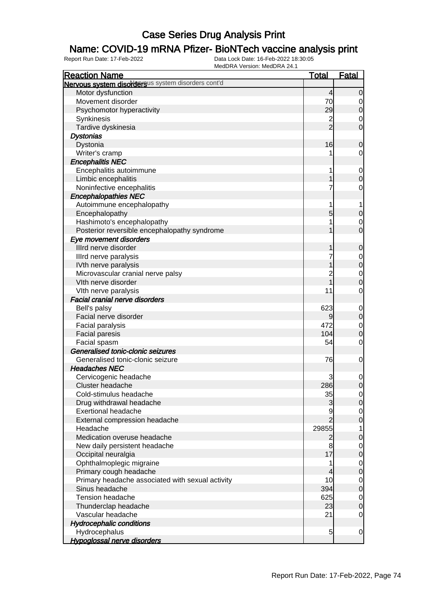### Name: COVID-19 mRNA Pfizer- BioNTech vaccine analysis print

| <b>Reaction Name</b>                               | <b>Total</b>   | <b>Fatal</b>     |
|----------------------------------------------------|----------------|------------------|
| Nervous system disordersus system disorders cont'd |                |                  |
| Motor dysfunction                                  | 4              | $\mathbf 0$      |
| Movement disorder                                  | 70             | 0                |
| Psychomotor hyperactivity                          | 29             | $\mathbf 0$      |
| Synkinesis                                         | $\frac{2}{2}$  | 0                |
| Tardive dyskinesia                                 |                | $\mathbf 0$      |
| <b>Dystonias</b>                                   |                |                  |
| Dystonia                                           | 16             | $\mathbf 0$      |
| Writer's cramp                                     |                | 0                |
| <b>Encephalitis NEC</b>                            |                |                  |
| Encephalitis autoimmune                            | 1              | $\mathbf 0$      |
| Limbic encephalitis                                |                | $\boldsymbol{0}$ |
| Noninfective encephalitis                          | 7              | 0                |
| <b>Encephalopathies NEC</b>                        |                |                  |
| Autoimmune encephalopathy                          | 1              |                  |
| Encephalopathy                                     | 5              | $\mathbf 0$      |
| Hashimoto's encephalopathy                         |                | 0                |
| Posterior reversible encephalopathy syndrome       |                | $\mathbf 0$      |
| Eye movement disorders                             |                |                  |
| Illrd nerve disorder                               |                | $\mathbf 0$      |
| Illrd nerve paralysis                              |                | 0                |
| IVth nerve paralysis                               |                | $\mathbf 0$      |
| Microvascular cranial nerve palsy                  | $\overline{c}$ | $\mathbf 0$      |
| Vith nerve disorder                                | $\overline{1}$ | $\mathbf 0$      |
| VIth nerve paralysis                               | 11             | 0                |
| <b>Facial cranial nerve disorders</b>              |                |                  |
| Bell's palsy                                       | 623            | $\mathbf 0$      |
| Facial nerve disorder                              | 9              | $\mathbf 0$      |
| Facial paralysis                                   | 472            | $\mathbf 0$      |
| <b>Facial paresis</b>                              | 104            | $\mathbf 0$      |
| Facial spasm                                       | 54             | 0                |
| Generalised tonic-clonic seizures                  |                |                  |
| Generalised tonic-clonic seizure                   | 76             | $\mathbf 0$      |
| <b>Headaches NEC</b>                               |                |                  |
| Cervicogenic headache                              |                | 0                |
| Cluster headache                                   | 286            | $\overline{0}$   |
| Cold-stimulus headache                             | 35             | $\overline{0}$   |
| Drug withdrawal headache                           | 3              | $\overline{0}$   |
| <b>Exertional headache</b>                         | 9              | $\overline{0}$   |
| External compression headache                      | $\overline{2}$ | $\mathbf 0$      |
| Headache                                           | 29855          | 1                |
| Medication overuse headache                        | $\overline{2}$ | $\mathbf 0$      |
| New daily persistent headache                      | 8              | 0                |
| Occipital neuralgia                                | 17             | $\mathbf 0$      |
| Ophthalmoplegic migraine                           | 1              | $\mathbf 0$      |
| Primary cough headache                             | 4              | $\mathbf 0$      |
| Primary headache associated with sexual activity   | 10             | $\mathbf 0$      |
| Sinus headache                                     | 394            | $\mathbf 0$      |
| Tension headache                                   | 625            | $\overline{0}$   |
| Thunderclap headache                               | 23             | $\mathbf 0$      |
| Vascular headache                                  | 21             | $\overline{0}$   |
| <b>Hydrocephalic conditions</b>                    |                |                  |
| Hydrocephalus                                      | 5              | $\mathbf 0$      |
| <b>Hypoglossal nerve disorders</b>                 |                |                  |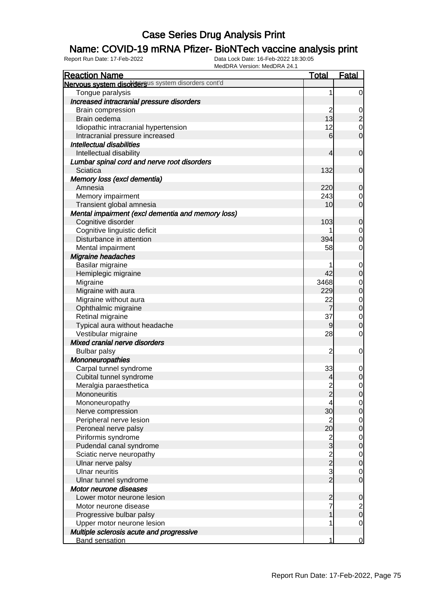### Name: COVID-19 mRNA Pfizer- BioNTech vaccine analysis print

| <b>Reaction Name</b>                               | <u>Total</u>                                   | <u>Fatal</u>                         |
|----------------------------------------------------|------------------------------------------------|--------------------------------------|
| Nervous system disordersus system disorders cont'd |                                                |                                      |
| Tongue paralysis                                   | 1                                              | $\overline{0}$                       |
| Increased intracranial pressure disorders          |                                                |                                      |
| Brain compression                                  | $\overline{c}$                                 |                                      |
| Brain oedema                                       | 13                                             | $\frac{0}{2}$                        |
| Idiopathic intracranial hypertension               | 12                                             | $\begin{matrix} 0 \\ 0 \end{matrix}$ |
| Intracranial pressure increased                    | $6 \overline{}$                                |                                      |
| <b>Intellectual disabilities</b>                   |                                                |                                      |
| Intellectual disability                            | 4                                              | $\mathbf 0$                          |
| Lumbar spinal cord and nerve root disorders        |                                                |                                      |
| Sciatica                                           | 132                                            | $\mathbf 0$                          |
| Memory loss (excl dementia)                        |                                                |                                      |
| Amnesia                                            | 220                                            | $\overline{0}$                       |
| Memory impairment                                  | 243                                            |                                      |
| Transient global amnesia                           | 10                                             | $\begin{matrix} 0 \\ 0 \end{matrix}$ |
| Mental impairment (excl dementia and memory loss)  |                                                |                                      |
| Cognitive disorder                                 | 103                                            | $\mathbf 0$                          |
| Cognitive linguistic deficit                       |                                                |                                      |
| Disturbance in attention                           | 394                                            | $\begin{matrix} 0 \\ 0 \end{matrix}$ |
| Mental impairment                                  | 58                                             | $\overline{0}$                       |
| <b>Migraine headaches</b>                          |                                                |                                      |
| Basilar migraine                                   |                                                | $\mathbf{0}$                         |
| Hemiplegic migraine                                | 42                                             | $\mathbf 0$                          |
| Migraine                                           | 3468                                           |                                      |
| Migraine with aura                                 | 229                                            | $\begin{matrix} 0 \\ 0 \end{matrix}$ |
| Migraine without aura                              | 22                                             |                                      |
| Ophthalmic migraine                                | $\overline{7}$                                 | $\begin{matrix} 0 \\ 0 \end{matrix}$ |
| Retinal migraine                                   | 37                                             |                                      |
| Typical aura without headache                      | $\overline{9}$                                 | $\begin{matrix} 0 \\ 0 \end{matrix}$ |
| Vestibular migraine                                | 28                                             | $\mathbf 0$                          |
| Mixed cranial nerve disorders                      |                                                |                                      |
| <b>Bulbar palsy</b>                                | $\overline{c}$                                 | $\mathbf 0$                          |
| Mononeuropathies                                   |                                                |                                      |
| Carpal tunnel syndrome                             | 33                                             | $\overline{0}$                       |
| Cubital tunnel syndrome                            | 4                                              | $\overline{0}$                       |
| Meralgia paraesthetica                             | $\overline{c}$                                 | $\mathbf 0$                          |
| Mononeuritis                                       | $\overline{c}$                                 | 0                                    |
| Mononeuropathy                                     | 4                                              | $\overline{0}$                       |
| Nerve compression                                  | 30                                             | $\mathsf{O}\xspace$                  |
| Peripheral nerve lesion                            | $\overline{2}$                                 | $\overline{0}$                       |
| Peroneal nerve palsy                               | 20                                             | $\mathbf 0$                          |
| Piriformis syndrome                                |                                                | $\overline{0}$                       |
| Pudendal canal syndrome                            | $\frac{2}{3}$                                  | $\mathbf 0$                          |
| Sciatic nerve neuropathy                           | $\begin{array}{c}\n 2 \\ 2 \\ 3\n \end{array}$ | $\overline{0}$                       |
| Ulnar nerve palsy                                  |                                                | $\mathbf 0$                          |
| <b>Ulnar neuritis</b>                              |                                                | $\mathbf 0$                          |
| Ulnar tunnel syndrome                              |                                                | $\mathbf 0$                          |
| Motor neurone diseases                             |                                                |                                      |
| Lower motor neurone lesion                         | $\overline{\mathbf{c}}$                        | 0                                    |
| Motor neurone disease                              | $\overline{7}$                                 |                                      |
| Progressive bulbar palsy                           |                                                | $\frac{2}{0}$                        |
| Upper motor neurone lesion                         | 1                                              | $\mathbf 0$                          |
| Multiple sclerosis acute and progressive           |                                                |                                      |
| <b>Band sensation</b>                              | 1                                              | $\mathbf 0$                          |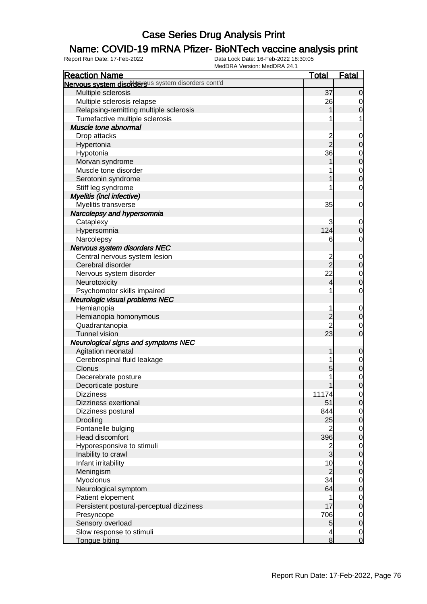### Name: COVID-19 mRNA Pfizer- BioNTech vaccine analysis print

| <b>Reaction Name</b>                               | <b>Total</b>         | <b>Fatal</b>                     |
|----------------------------------------------------|----------------------|----------------------------------|
| Nervous system disordersus system disorders cont'd |                      |                                  |
| Multiple sclerosis                                 | 37                   | $\overline{0}$                   |
| Multiple sclerosis relapse                         | 26                   | $\overline{0}$                   |
| Relapsing-remitting multiple sclerosis             |                      | $\mathbf 0$                      |
| Tumefactive multiple sclerosis                     |                      | 1                                |
| Muscle tone abnormal                               |                      |                                  |
| Drop attacks                                       |                      | $\mathbf 0$                      |
| Hypertonia                                         | 2<br>2               | $\mathbf 0$                      |
| Hypotonia                                          | 36                   | $\mathbf 0$                      |
| Morvan syndrome                                    |                      | $\mathbf 0$                      |
| Muscle tone disorder                               |                      | $\overline{0}$                   |
| Serotonin syndrome                                 |                      | $\mathbf 0$                      |
| Stiff leg syndrome                                 |                      | $\mathbf 0$                      |
| Myelitis (incl infective)                          |                      |                                  |
| Myelitis transverse                                | 35                   | $\mathbf 0$                      |
| Narcolepsy and hypersomnia                         |                      |                                  |
| Cataplexy                                          | 3                    | 0                                |
| Hypersomnia                                        | 124                  | $\boldsymbol{0}$                 |
| Narcolepsy                                         | 6                    | $\mathbf 0$                      |
| Nervous system disorders NEC                       |                      |                                  |
| Central nervous system lesion                      |                      | $\mathbf 0$                      |
| Cerebral disorder                                  | $\frac{2}{2}$        | $\pmb{0}$                        |
| Nervous system disorder                            | 22                   | $\mathbf 0$                      |
| Neurotoxicity                                      | 4                    | $\mathbf 0$                      |
| Psychomotor skills impaired                        | 1                    | $\mathbf 0$                      |
| <b>Neurologic visual problems NEC</b>              |                      |                                  |
| Hemianopia                                         | 1                    | $\mathbf 0$                      |
| Hemianopia homonymous                              | $\overline{2}$       | $\mathbf 0$                      |
| Quadrantanopia                                     | $\overline{c}$       | 0                                |
| <b>Tunnel vision</b>                               | 23                   | $\mathbf 0$                      |
| <b>Neurological signs and symptoms NEC</b>         |                      |                                  |
| Agitation neonatal                                 | 1                    | $\mathbf 0$                      |
| Cerebrospinal fluid leakage                        |                      |                                  |
| Clonus                                             | 5                    | $\mathbf 0$<br>$\pmb{0}$         |
| Decerebrate posture                                |                      |                                  |
| Decorticate posture                                | 1                    | $\mathbf 0$<br>$\mathbf 0$       |
| <b>Dizziness</b>                                   | 11174                |                                  |
| <b>Dizziness exertional</b>                        | 51                   | $\overline{0}$<br>$\overline{0}$ |
| Dizziness postural                                 | 844                  |                                  |
|                                                    | 25                   | $\overline{0}$                   |
| Drooling<br>Fontanelle bulging                     | $\overline{2}$       | $\pmb{0}$                        |
| Head discomfort                                    | 396                  | $\overline{0}$                   |
|                                                    |                      | $\pmb{0}$                        |
| Hyporesponsive to stimuli                          | $\frac{2}{3}$        | $\overline{0}$                   |
| Inability to crawl                                 |                      | $\pmb{0}$                        |
| Infant irritability                                | 10                   | $\overline{0}$                   |
| Meningism                                          | $\overline{c}$<br>34 | $\mathbf 0$                      |
| Myoclonus                                          |                      | $\overline{0}$                   |
| Neurological symptom                               | 64                   | $\pmb{0}$                        |
| Patient elopement                                  | 1                    | $\overline{0}$                   |
| Persistent postural-perceptual dizziness           | 17                   | $\mathbf 0$                      |
| Presyncope                                         | 706                  | $\overline{0}$                   |
| Sensory overload                                   | 5                    | $\pmb{0}$                        |
| Slow response to stimuli                           | 4                    | $\overline{0}$                   |
| Tongue biting                                      | 8                    | $\overline{0}$                   |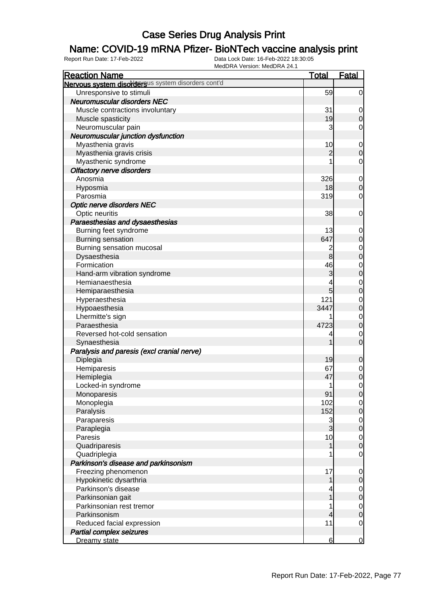### Name: COVID-19 mRNA Pfizer- BioNTech vaccine analysis print

| <b>Reaction Name</b>                               | <b>Total</b>   | <b>Fatal</b>     |
|----------------------------------------------------|----------------|------------------|
| Nervous system disordersus system disorders cont'd |                |                  |
| Unresponsive to stimuli                            | 59             | $\overline{0}$   |
| <b>Neuromuscular disorders NEC</b>                 |                |                  |
| Muscle contractions involuntary                    | 31             | 0                |
| Muscle spasticity                                  | 19             | $\mathbf 0$      |
| Neuromuscular pain                                 | 3              | 0                |
| Neuromuscular junction dysfunction                 |                |                  |
| Myasthenia gravis                                  | 10             | $\mathbf 0$      |
| Myasthenia gravis crisis                           | $\overline{2}$ | $\boldsymbol{0}$ |
| Myasthenic syndrome                                |                | $\mathbf 0$      |
| <b>Olfactory nerve disorders</b>                   |                |                  |
| Anosmia                                            | 326            | $\mathbf 0$      |
| Hyposmia                                           | 18             | $\boldsymbol{0}$ |
| Parosmia                                           | 319            | 0                |
| <b>Optic nerve disorders NEC</b>                   |                |                  |
| Optic neuritis                                     | 38             | 0                |
| Paraesthesias and dysaesthesias                    |                |                  |
| Burning feet syndrome                              | 13             | 0                |
| Burning sensation                                  | 647            | $\mathbf 0$      |
| Burning sensation mucosal                          | 2              | 0                |
| Dysaesthesia                                       | 8              | $\boldsymbol{0}$ |
| Formication                                        | 46             | 0                |
| Hand-arm vibration syndrome                        | 3              | $\boldsymbol{0}$ |
| Hemianaesthesia                                    |                | 0                |
| Hemiparaesthesia                                   | 5              | $\boldsymbol{0}$ |
| Hyperaesthesia                                     | 121            | 0                |
| Hypoaesthesia                                      | 3447           | $\boldsymbol{0}$ |
| Lhermitte's sign                                   |                | $\mathbf 0$      |
| Paraesthesia                                       | 4723           | $\boldsymbol{0}$ |
| Reversed hot-cold sensation                        | 4              | 0                |
| Synaesthesia                                       |                | $\overline{0}$   |
| Paralysis and paresis (excl cranial nerve)         |                |                  |
| Diplegia                                           | 19             | $\mathbf 0$      |
| Hemiparesis                                        | 67             | $\overline{0}$   |
| Hemiplegia                                         | 47             | $\mathbf 0$      |
| Locked-in syndrome                                 | 1              | $\mathbf 0$      |
| Monoparesis                                        | 91             | $\mathbf 0$      |
| Monoplegia                                         | 102            | $\overline{0}$   |
| Paralysis                                          | 152            | $\mathbf 0$      |
| Paraparesis                                        | 3              | $\overline{0}$   |
| Paraplegia                                         | $\overline{3}$ | $\mathbf 0$      |
| Paresis                                            | 10             | $\overline{0}$   |
| Quadriparesis                                      | 1              | $\boldsymbol{0}$ |
| Quadriplegia                                       |                | $\mathbf 0$      |
| Parkinson's disease and parkinsonism               |                |                  |
| Freezing phenomenon                                | 17             | $\mathbf 0$      |
| Hypokinetic dysarthria                             | 1              | $\mathbf 0$      |
| Parkinson's disease                                |                | $\overline{0}$   |
| Parkinsonian gait                                  |                | $\mathbf 0$      |
| Parkinsonian rest tremor                           |                | $\overline{0}$   |
| Parkinsonism                                       | 4              | $\boldsymbol{0}$ |
| Reduced facial expression                          | 11             | $\mathbf 0$      |
| <b>Partial complex seizures</b>                    |                |                  |
| Dreamy state                                       | 6              | $\overline{0}$   |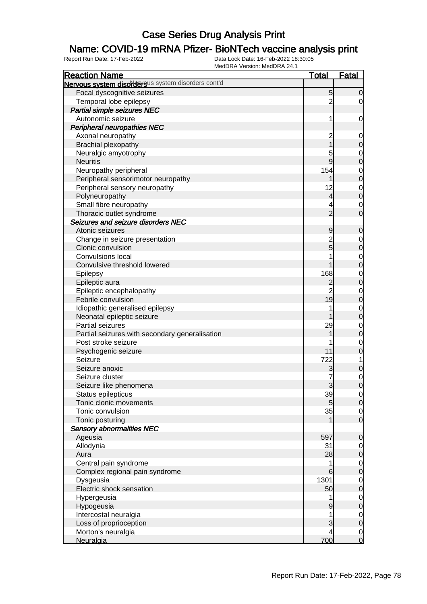### Name: COVID-19 mRNA Pfizer- BioNTech vaccine analysis print

| <b>Reaction Name</b>                                | <b>Total</b>            | <b>Fatal</b>                         |
|-----------------------------------------------------|-------------------------|--------------------------------------|
| Nervous system disordersus system disorders cont'd  |                         |                                      |
| Focal dyscognitive seizures                         | 5                       | $\overline{0}$                       |
| Temporal lobe epilepsy                              | $\overline{c}$          | $\overline{0}$                       |
| Partial simple seizures NEC                         |                         |                                      |
| Autonomic seizure                                   | 1                       | $\overline{0}$                       |
| <b>Peripheral neuropathies NEC</b>                  |                         |                                      |
| Axonal neuropathy                                   | $\overline{c}$          | $\mathbf 0$                          |
| Brachial plexopathy                                 |                         | $\pmb{0}$                            |
| Neuralgic amyotrophy                                | 5                       |                                      |
| <b>Neuritis</b>                                     | 9                       | $0$ 0                                |
| Neuropathy peripheral                               | 154                     |                                      |
| Peripheral sensorimotor neuropathy                  |                         | $\begin{matrix}0\\0\end{matrix}$     |
| Peripheral sensory neuropathy                       | 12                      |                                      |
| Polyneuropathy                                      | $\overline{\mathbf{r}}$ | $\begin{matrix}0\\0\end{matrix}$     |
| Small fibre neuropathy                              | 4                       |                                      |
| Thoracic outlet syndrome                            | $\overline{2}$          | $\begin{matrix} 0 \\ 0 \end{matrix}$ |
| Seizures and seizure disorders NEC                  |                         |                                      |
| Atonic seizures                                     |                         |                                      |
|                                                     | 9                       | $\mathbf 0$                          |
| Change in seizure presentation<br>Clonic convulsion | $\frac{2}{5}$           | $0\atop 0$                           |
|                                                     |                         |                                      |
| Convulsions local                                   |                         | $\begin{matrix}0\\0\end{matrix}$     |
| Convulsive threshold lowered                        |                         |                                      |
| Epilepsy                                            | 168                     | $\begin{matrix}0\\0\end{matrix}$     |
| Epileptic aura                                      | $\overline{c}$          |                                      |
| Epileptic encephalopathy                            | $\overline{2}$          | $\begin{matrix}0\\0\end{matrix}$     |
| Febrile convulsion                                  | 19                      |                                      |
| Idiopathic generalised epilepsy                     | 1                       | $\begin{matrix}0\\0\end{matrix}$     |
| Neonatal epileptic seizure                          |                         |                                      |
| Partial seizures                                    | 29                      | $\begin{matrix}0\\0\end{matrix}$     |
| Partial seizures with secondary generalisation      | 1                       |                                      |
| Post stroke seizure                                 |                         | $\begin{matrix} 0 \\ 0 \end{matrix}$ |
| Psychogenic seizure                                 | 11                      |                                      |
| Seizure                                             | 722                     | $\overline{1}$                       |
| Seizure anoxic                                      | 3                       | $\pmb{0}$                            |
| Seizure cluster                                     | 7                       | $\begin{matrix} 0 \\ 0 \end{matrix}$ |
| Seizure like phenomena                              | 3                       |                                      |
| Status epilepticus                                  | 39                      | $\overline{0}$                       |
| Tonic clonic movements                              | 5                       | 0                                    |
| Tonic convulsion                                    | 35                      | $\overline{0}$                       |
| Tonic posturing                                     |                         | $\mathbf 0$                          |
| <b>Sensory abnormalities NEC</b>                    |                         |                                      |
| Ageusia                                             | 597                     | $\mathbf 0$                          |
| Allodynia                                           | 31                      | $\overline{0}$                       |
| Aura                                                | 28                      | $\pmb{0}$                            |
| Central pain syndrome                               | 1                       | $\overline{0}$                       |
| Complex regional pain syndrome                      | 6                       | $\boldsymbol{0}$                     |
| Dysgeusia                                           | 1301                    | $\overline{0}$                       |
| Electric shock sensation                            | 50                      | $\boldsymbol{0}$                     |
| Hypergeusia                                         | 1                       | $\overline{0}$                       |
| Hypogeusia                                          | 9                       | $\boldsymbol{0}$                     |
| Intercostal neuralgia                               | 1                       | $\overline{0}$                       |
| Loss of proprioception                              | 3                       | $\mathbf 0$                          |
| Morton's neuralgia                                  | 4                       | $\overline{0}$                       |
| Neuralgia                                           | 700                     | $\overline{0}$                       |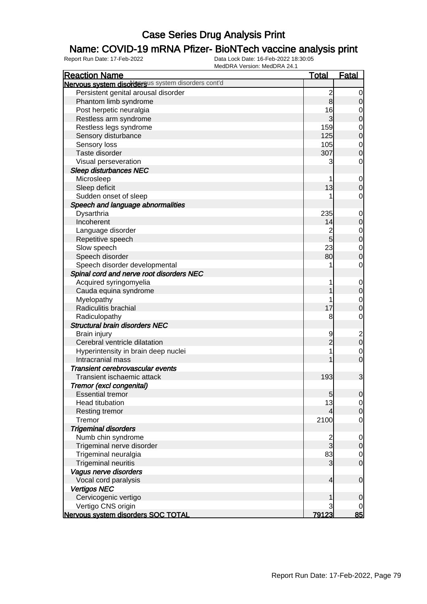### Name: COVID-19 mRNA Pfizer- BioNTech vaccine analysis print

| <b>Reaction Name</b>                               | <u>Total</u>            | <b>Fatal</b>                          |
|----------------------------------------------------|-------------------------|---------------------------------------|
| Nervous system disordersus system disorders cont'd |                         |                                       |
| Persistent genital arousal disorder                | $\overline{\mathbf{c}}$ | $\overline{0}$                        |
| Phantom limb syndrome                              | $\mathbf{8}$            | $\mathbf 0$                           |
| Post herpetic neuralgia                            | 16                      | $\mathbf 0$                           |
| Restless arm syndrome                              | $\overline{3}$          | $\mathbf 0$                           |
| Restless legs syndrome                             | 159                     | $\mathbf 0$                           |
| Sensory disturbance                                | 125                     | $\overline{0}$                        |
| Sensory loss                                       | 105                     | $\mathbf 0$                           |
| Taste disorder                                     | 307                     | $\mathbf 0$                           |
| Visual perseveration                               | 3                       | $\mathbf 0$                           |
| Sleep disturbances NEC                             |                         |                                       |
| Microsleep                                         |                         | $\mathbf 0$                           |
| Sleep deficit                                      | 13                      | $\mathbf 0$                           |
| Sudden onset of sleep                              |                         | 0                                     |
| Speech and language abnormalities                  |                         |                                       |
| Dysarthria                                         | 235                     | $\mathbf 0$                           |
| Incoherent                                         | 14                      | $\pmb{0}$                             |
| Language disorder                                  | $\overline{c}$          | $\mathbf 0$                           |
| Repetitive speech                                  | $\overline{5}$          | $\boldsymbol{0}$                      |
| Slow speech                                        | 23                      | $\mathbf 0$                           |
| Speech disorder                                    | 80                      | $\overline{0}$                        |
| Speech disorder developmental                      |                         | $\mathbf 0$                           |
| Spinal cord and nerve root disorders NEC           |                         |                                       |
| Acquired syringomyelia                             |                         | $\mathbf 0$                           |
| Cauda equina syndrome                              |                         | $\pmb{0}$                             |
| Myelopathy                                         |                         | $\mathbf 0$                           |
| Radiculitis brachial                               | 17                      | $\mathbf 0$                           |
| Radiculopathy                                      | 8                       | $\mathbf 0$                           |
| <b>Structural brain disorders NEC</b>              |                         |                                       |
| Brain injury                                       | 9                       |                                       |
| Cerebral ventricle dilatation                      | $\overline{2}$          | $\begin{array}{c} 2 \\ 0 \end{array}$ |
| Hyperintensity in brain deep nuclei                |                         | $\mathbf 0$                           |
| Intracranial mass                                  |                         | $\overline{0}$                        |
| Transient cerebrovascular events                   |                         |                                       |
| Transient ischaemic attack                         | 193                     | 3                                     |
| Tremor (excl congenital)                           |                         |                                       |
| <b>Essential tremor</b>                            | $\overline{5}$          | 0                                     |
| <b>Head titubation</b>                             | 13                      | $\overline{0}$                        |
| Resting tremor                                     | 4                       | $\mathbf 0$                           |
| Tremor                                             | 2100                    | $\mathbf 0$                           |
| <b>Trigeminal disorders</b>                        |                         |                                       |
| Numb chin syndrome                                 |                         | $\overline{0}$                        |
| Trigeminal nerve disorder                          | $\frac{2}{3}$           | $\mathbf 0$                           |
| Trigeminal neuralgia                               | 83                      | $\overline{0}$                        |
| <b>Trigeminal neuritis</b>                         | 3                       | $\overline{O}$                        |
| Vagus nerve disorders                              |                         |                                       |
| Vocal cord paralysis                               | $\overline{4}$          | $\boldsymbol{0}$                      |
| <b>Vertigos NEC</b>                                |                         |                                       |
| Cervicogenic vertigo                               | 1                       | $\overline{0}$                        |
| Vertigo CNS origin                                 |                         | 0                                     |
| Nervous system disorders SOC TOTAL                 | 79123                   | <u>85</u>                             |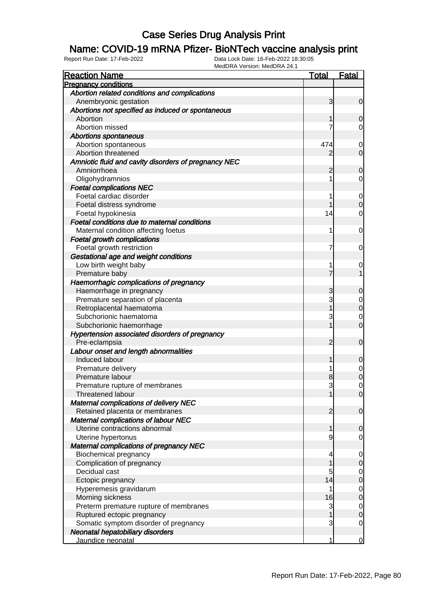#### Name: COVID-19 mRNA Pfizer- BioNTech vaccine analysis print

| <b>Reaction Name</b>                                 | <b>Total</b> | <b>Fatal</b>     |
|------------------------------------------------------|--------------|------------------|
| <b>Pregnancy conditions</b>                          |              |                  |
| Abortion related conditions and complications        |              |                  |
| Anembryonic gestation                                | 3            | $\overline{0}$   |
| Abortions not specified as induced or spontaneous    |              |                  |
| Abortion                                             |              | $\overline{0}$   |
| Abortion missed                                      | 7            | 0                |
| <b>Abortions spontaneous</b>                         |              |                  |
| Abortion spontaneous                                 | 474          | $\mathbf 0$      |
| Abortion threatened                                  | 2            | $\overline{0}$   |
| Amniotic fluid and cavity disorders of pregnancy NEC |              |                  |
| Amniorrhoea                                          | 2            | $\mathbf 0$      |
| Oligohydramnios                                      |              | 0                |
| <b>Foetal complications NEC</b>                      |              |                  |
| Foetal cardiac disorder                              |              | $\overline{0}$   |
| Foetal distress syndrome                             |              | $\mathbf 0$      |
| Foetal hypokinesia                                   | 14           | 0                |
| Foetal conditions due to maternal conditions         |              |                  |
| Maternal condition affecting foetus                  | 1            | $\mathbf 0$      |
| <b>Foetal growth complications</b>                   |              |                  |
| Foetal growth restriction                            | 7            | $\mathbf 0$      |
| Gestational age and weight conditions                |              |                  |
| Low birth weight baby                                |              | $\mathbf 0$      |
| Premature baby                                       | 7            | $\mathbf{1}$     |
| Haemorrhagic complications of pregnancy              |              |                  |
| Haemorrhage in pregnancy                             | 3            | $\mathbf 0$      |
| Premature separation of placenta                     | 3            | $\mathbf{0}$     |
| Retroplacental haematoma                             |              | $\mathbf 0$      |
| Subchorionic haematoma                               | 3            | $\mathbf 0$      |
| Subchorionic haemorrhage                             |              | $\overline{0}$   |
| Hypertension associated disorders of pregnancy       |              |                  |
| Pre-eclampsia                                        | 2            | $\mathbf 0$      |
| Labour onset and length abnormalities                |              |                  |
| Induced labour                                       |              | $\mathbf 0$      |
| Premature delivery                                   |              | $\boldsymbol{0}$ |
| Premature labour                                     | 8            | $\overline{0}$   |
| Premature rupture of membranes                       | 3            | $\overline{0}$   |
| Threatened labour                                    |              | 0                |
| <b>Maternal complications of delivery NEC</b>        |              |                  |
| Retained placenta or membranes                       | 2            | $\overline{0}$   |
| Maternal complications of labour NEC                 |              |                  |
| Uterine contractions abnormal                        | 1            | $\mathbf 0$      |
| Uterine hypertonus                                   | 9            | 0                |
| <b>Maternal complications of pregnancy NEC</b>       |              |                  |
| <b>Biochemical pregnancy</b>                         | 4            | $\overline{0}$   |
| Complication of pregnancy                            |              | $\mathbf 0$      |
| Decidual cast                                        | 5            | $\overline{0}$   |
| Ectopic pregnancy                                    | 14           | $\mathbf 0$      |
| Hyperemesis gravidarum                               |              | $\overline{0}$   |
| Morning sickness                                     | 16           | $\overline{0}$   |
| Preterm premature rupture of membranes               | 3            | $\mathbf 0$      |
| Ruptured ectopic pregnancy                           |              | $\mathbf 0$      |
| Somatic symptom disorder of pregnancy                | 3            | $\mathbf 0$      |
| Neonatal hepatobiliary disorders                     |              |                  |
| Jaundice neonatal                                    | 1            | $\overline{0}$   |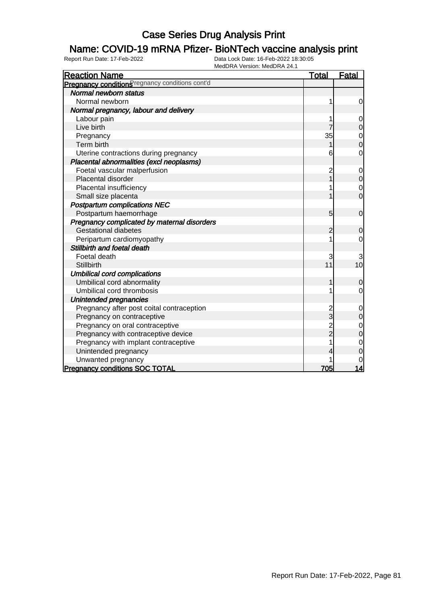### Name: COVID-19 mRNA Pfizer- BioNTech vaccine analysis print

| <b>Reaction Name</b>                            | <u>Total</u>   | Fatal          |
|-------------------------------------------------|----------------|----------------|
| Pregnancy conditions regnancy conditions cont'd |                |                |
| Normal newborn status                           |                |                |
| Normal newborn                                  | 1              | 0              |
| Normal pregnancy, labour and delivery           |                |                |
| Labour pain                                     | 1              | $\mathbf 0$    |
| Live birth                                      |                | $\mathbf 0$    |
| Pregnancy                                       | 35             | $\mathbf{0}$   |
| Term birth                                      |                | $\overline{0}$ |
| Uterine contractions during pregnancy           | 6              | 0              |
| Placental abnormalities (excl neoplasms)        |                |                |
| Foetal vascular malperfusion                    | $\overline{c}$ | $\mathbf 0$    |
| Placental disorder                              |                | 0              |
| Placental insufficiency                         |                | $\mathbf 0$    |
| Small size placenta                             |                | $\overline{0}$ |
| <b>Postpartum complications NEC</b>             |                |                |
| Postpartum haemorrhage                          | 5              | $\mathbf 0$    |
| Pregnancy complicated by maternal disorders     |                |                |
| <b>Gestational diabetes</b>                     | 2              | $\mathbf 0$    |
| Peripartum cardiomyopathy                       |                | 0              |
| Stillbirth and foetal death                     |                |                |
| Foetal death                                    | 3              |                |
| Stillbirth                                      | 11             | 10             |
| <b>Umbilical cord complications</b>             |                |                |
| Umbilical cord abnormality                      | 1              | 0              |
| Umbilical cord thrombosis                       |                | 0              |
| Unintended pregnancies                          |                |                |
| Pregnancy after post coital contraception       | 2<br>3         | $\mathbf 0$    |
| Pregnancy on contraceptive                      |                | $\overline{0}$ |
| Pregnancy on oral contraceptive                 | 2<br>2         | $\mathbf 0$    |
| Pregnancy with contraceptive device             |                | $\overline{0}$ |
| Pregnancy with implant contraceptive            |                | $\mathbf 0$    |
| Unintended pregnancy                            |                | 0              |
| Unwanted pregnancy                              |                | 0              |
| <b>Pregnancy conditions SOC TOTAL</b>           | 705            | 14             |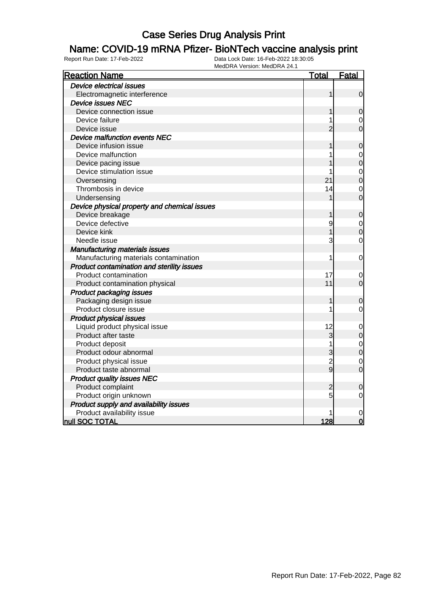#### Name: COVID-19 mRNA Pfizer- BioNTech vaccine analysis print

| <b>Reaction Name</b>                         | <b>Total</b>   | <u>Fatal</u>   |
|----------------------------------------------|----------------|----------------|
| <b>Device electrical issues</b>              |                |                |
| Electromagnetic interference                 | 1              | $\mathbf 0$    |
| <b>Device issues NEC</b>                     |                |                |
| Device connection issue                      | 1              | $\mathbf 0$    |
| Device failure                               |                | 0              |
| Device issue                                 | $\overline{2}$ | $\overline{0}$ |
| Device malfunction events NEC                |                |                |
| Device infusion issue                        |                | $\mathbf 0$    |
| Device malfunction                           |                | $\mathbf 0$    |
| Device pacing issue                          |                | $\mathbf 0$    |
| Device stimulation issue                     | 1              | $\mathbf{0}$   |
| Oversensing                                  | 21             | $\overline{0}$ |
| Thrombosis in device                         | 14             | $\overline{0}$ |
| Undersensing                                 |                | $\overline{0}$ |
| Device physical property and chemical issues |                |                |
| Device breakage                              | 1              | $\mathbf 0$    |
| Device defective                             | 9              | $\mathbf 0$    |
| Device kink                                  |                | $\mathbf 0$    |
| Needle issue                                 | 3              | $\mathbf 0$    |
| <b>Manufacturing materials issues</b>        |                |                |
| Manufacturing materials contamination        | 1              | $\mathbf 0$    |
| Product contamination and sterility issues   |                |                |
| Product contamination                        | 17             | 0              |
| Product contamination physical               | 11             | $\overline{0}$ |
| <b>Product packaging issues</b>              |                |                |
| Packaging design issue                       | 1              | $\mathbf 0$    |
| Product closure issue                        | 1              | $\mathbf 0$    |
| <b>Product physical issues</b>               |                |                |
| Liquid product physical issue                | 12             | $\mathbf 0$    |
| Product after taste                          | 3              | $\mathbf 0$    |
| Product deposit                              | 1              | $\overline{0}$ |
| Product odour abnormal                       | 3              | $\overline{0}$ |
| Product physical issue                       | $\frac{2}{9}$  | $\mathbf 0$    |
| Product taste abnormal                       |                | $\overline{0}$ |
| <b>Product quality issues NEC</b>            |                |                |
| Product complaint                            | $\overline{c}$ | $\mathbf 0$    |
| Product origin unknown                       | 5              | $\mathbf 0$    |
| Product supply and availability issues       |                |                |
| Product availability issue                   |                | $\mathbf 0$    |
| null SOC TOTAL                               | 128            | $\overline{0}$ |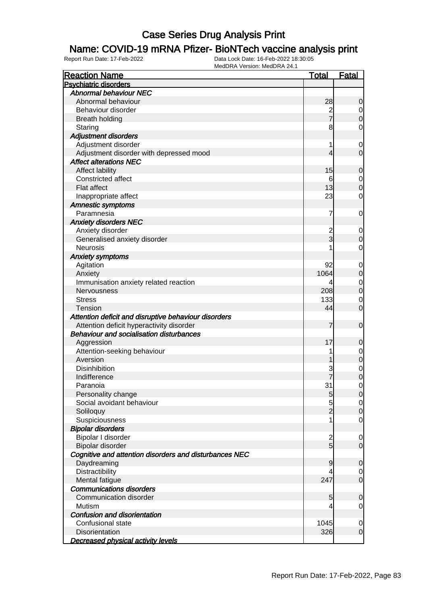### Name: COVID-19 mRNA Pfizer- BioNTech vaccine analysis print

| <b>Reaction Name</b>                                   | <b>Total</b>   | <b>Fatal</b>                         |
|--------------------------------------------------------|----------------|--------------------------------------|
| <b>Psychiatric disorders</b>                           |                |                                      |
| <b>Abnormal behaviour NEC</b>                          |                |                                      |
| Abnormal behaviour                                     | 28             | $\mathbf 0$                          |
| Behaviour disorder                                     |                | $\overline{0}$                       |
| <b>Breath holding</b>                                  | 2<br>7         | $\overline{0}$                       |
| Staring                                                | 8              | $\mathbf 0$                          |
| <b>Adjustment disorders</b>                            |                |                                      |
| Adjustment disorder                                    | 1              | $\mathbf 0$                          |
| Adjustment disorder with depressed mood                | 4              | $\mathbf 0$                          |
| <b>Affect alterations NEC</b>                          |                |                                      |
| Affect lability                                        | 15             | $\mathbf 0$                          |
| Constricted affect                                     | 6              | $\overline{0}$                       |
| Flat affect                                            | 13             | $\overline{0}$                       |
| Inappropriate affect                                   | 23             | $\mathbf 0$                          |
| Amnestic symptoms                                      |                |                                      |
| Paramnesia                                             | 7              | $\mathbf 0$                          |
| <b>Anxiety disorders NEC</b>                           |                |                                      |
| Anxiety disorder                                       |                |                                      |
|                                                        | 2<br>3         | $\mathbf 0$                          |
| Generalised anxiety disorder<br><b>Neurosis</b>        |                | $\boldsymbol{0}$                     |
|                                                        |                | $\mathbf 0$                          |
| <b>Anxiety symptoms</b>                                |                |                                      |
| Agitation                                              | 92             | $\mathbf 0$                          |
| Anxiety                                                | 1064           | $\boldsymbol{0}$                     |
| Immunisation anxiety related reaction                  | 4              | $\mathbf{0}$                         |
| Nervousness                                            | 208            | $\overline{0}$                       |
| <b>Stress</b>                                          | 133            | $\boldsymbol{0}$                     |
| <b>Tension</b>                                         | 44             | $\overline{0}$                       |
| Attention deficit and disruptive behaviour disorders   |                |                                      |
| Attention deficit hyperactivity disorder               | 7              | $\mathbf 0$                          |
| <b>Behaviour and socialisation disturbances</b>        |                |                                      |
| Aggression                                             | 17             | $\mathbf 0$                          |
| Attention-seeking behaviour                            |                | $0\atop 0$                           |
| Aversion                                               |                |                                      |
| <b>Disinhibition</b>                                   |                | $\begin{matrix} 0 \\ 0 \end{matrix}$ |
| Indifference                                           |                |                                      |
| Paranoia                                               | 31             | $\mathbf 0$                          |
| Personality change                                     | 5              | 0                                    |
| Social avoidant behaviour                              | 5              | $\overline{0}$                       |
| Soliloquy                                              | $\overline{2}$ | $\mathbf 0$                          |
| Suspiciousness                                         |                | $\mathbf 0$                          |
| <b>Bipolar disorders</b>                               |                |                                      |
| Bipolar I disorder                                     | $\overline{c}$ | $\overline{0}$                       |
| Bipolar disorder                                       | $\overline{5}$ | $\overline{0}$                       |
| Cognitive and attention disorders and disturbances NEC |                |                                      |
| Daydreaming                                            | 9              | $\mathbf 0$                          |
| Distractibility                                        |                | $\overline{0}$                       |
| Mental fatigue                                         | 247            | $\overline{0}$                       |
| <b>Communications disorders</b>                        |                |                                      |
| Communication disorder                                 | 5              | $\mathbf 0$                          |
| Mutism                                                 | 4              | $\overline{0}$                       |
| Confusion and disorientation                           |                |                                      |
| Confusional state                                      | 1045           | $\mathbf 0$                          |
| Disorientation                                         | 326            | $\mathbf 0$                          |
| <b>Decreased physical activity levels</b>              |                |                                      |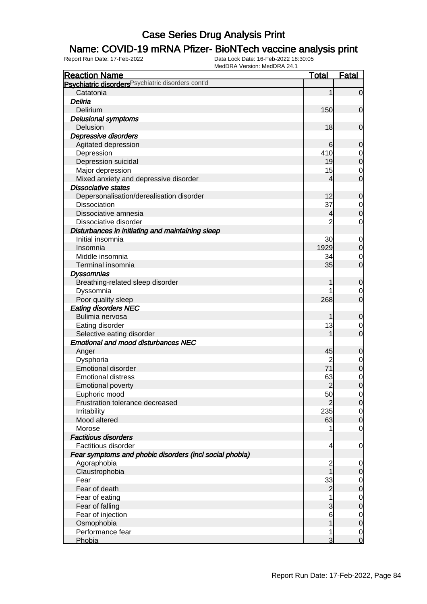### Name: COVID-19 mRNA Pfizer- BioNTech vaccine analysis print

| <b>Reaction Name</b>                                                   | <b>Total</b>   | <b>Fatal</b>                       |
|------------------------------------------------------------------------|----------------|------------------------------------|
| Psychiatric disorders Psychiatric disorders cont'd                     |                |                                    |
| Catatonia                                                              | 1              | $\overline{0}$                     |
| Deliria                                                                |                |                                    |
| Delirium                                                               | 150            | $\mathbf 0$                        |
| <b>Delusional symptoms</b>                                             |                |                                    |
| Delusion                                                               | 18             | $\mathbf 0$                        |
| Depressive disorders                                                   |                |                                    |
| Agitated depression                                                    | 6              | 0                                  |
| Depression                                                             | 410            | 0                                  |
| Depression suicidal                                                    | 19             | $\boldsymbol{0}$                   |
| Major depression                                                       | 15             | $\mathbf 0$                        |
| Mixed anxiety and depressive disorder                                  | 4              | $\mathbf 0$                        |
| <b>Dissociative states</b>                                             |                |                                    |
| Depersonalisation/derealisation disorder                               | 12             | $\mathbf 0$                        |
| <b>Dissociation</b>                                                    | 37             | $\mathbf 0$                        |
| Dissociative amnesia                                                   | 4              | $\mathbf 0$                        |
| Dissociative disorder                                                  | $\overline{2}$ | $\mathbf 0$                        |
| Disturbances in initiating and maintaining sleep                       |                |                                    |
| Initial insomnia                                                       | 30             | $\mathbf 0$                        |
| Insomnia                                                               | 1929           | $\mathbf 0$                        |
| Middle insomnia                                                        | 34             | 0                                  |
| Terminal insomnia                                                      | 35             | $\mathbf 0$                        |
| <b>Dyssomnias</b>                                                      |                |                                    |
| Breathing-related sleep disorder                                       | 1              | 0                                  |
| Dyssomnia                                                              |                | 0                                  |
| Poor quality sleep                                                     | 268            | $\overline{0}$                     |
| <b>Eating disorders NEC</b>                                            |                |                                    |
| Bulimia nervosa                                                        | 1              | 0                                  |
| Eating disorder                                                        | 13             | 0                                  |
| Selective eating disorder                                              |                | $\overline{0}$                     |
| <b>Emotional and mood disturbances NEC</b>                             |                |                                    |
| Anger                                                                  | 45             | $\mathbf 0$                        |
| Dysphoria                                                              |                | $\mathbf 0$                        |
| <b>Emotional disorder</b>                                              | 71             | $\mathbf 0$                        |
| <b>Emotional distress</b>                                              | 63             | $\mathbf 0$                        |
| <b>Emotional poverty</b>                                               | $\overline{2}$ | $\overline{0}$                     |
| Euphoric mood                                                          | 50             | $\overline{0}$                     |
| Frustration tolerance decreased                                        | 2              | $\mathbf 0$                        |
| Irritability                                                           | 235            | $\overline{0}$                     |
| Mood altered                                                           | 63             | $\boldsymbol{0}$                   |
| Morose                                                                 |                | $\overline{0}$                     |
| <b>Factitious disorders</b>                                            |                |                                    |
| Factitious disorder                                                    | 4              | $\mathbf 0$                        |
| Fear symptoms and phobic disorders (incl social phobia)<br>Agoraphobia |                |                                    |
| Claustrophobia                                                         | 2              | 0                                  |
| Fear                                                                   | 33             | 0                                  |
| Fear of death                                                          | $\overline{c}$ | $\overline{0}$<br>$\boldsymbol{0}$ |
| Fear of eating                                                         |                | $\mathbf 0$                        |
| Fear of falling                                                        | 3              | $\boldsymbol{0}$                   |
| Fear of injection                                                      | 6              | $\mathbf 0$                        |
| Osmophobia                                                             | 1              | $\mathbf 0$                        |
| Performance fear                                                       | 1              | $\overline{0}$                     |
| Phobia                                                                 | 3              | $\mathbf 0$                        |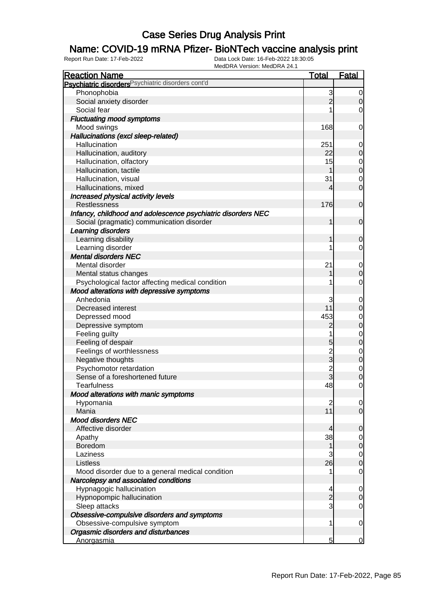### Name: COVID-19 mRNA Pfizer- BioNTech vaccine analysis print

| <b>Reaction Name</b>                                          | <b>Total</b>   | <b>Fatal</b>                         |
|---------------------------------------------------------------|----------------|--------------------------------------|
| Psychiatric disorders <sup>Psychiatric disorders cont'd</sup> |                |                                      |
| Phonophobia                                                   | 3              | $\overline{0}$                       |
| Social anxiety disorder                                       | $\overline{2}$ | $\mathbf 0$                          |
| Social fear                                                   |                | $\overline{0}$                       |
| <b>Fluctuating mood symptoms</b>                              |                |                                      |
| Mood swings                                                   | 168            | $\mathbf 0$                          |
| Hallucinations (excl sleep-related)                           |                |                                      |
| Hallucination                                                 | 251            | $\mathbf 0$                          |
| Hallucination, auditory                                       | 22             | $\mathbf 0$                          |
| Hallucination, olfactory                                      | 15             |                                      |
| Hallucination, tactile                                        |                | $0$<br>0                             |
| Hallucination, visual                                         | 31             | $\overline{0}$                       |
| Hallucinations, mixed                                         | 4              | $\overline{0}$                       |
| Increased physical activity levels                            |                |                                      |
| Restlessness                                                  | 176            | $\mathbf 0$                          |
| Infancy, childhood and adolescence psychiatric disorders NEC  |                |                                      |
| Social (pragmatic) communication disorder                     | 1              | $\mathbf 0$                          |
| Learning disorders                                            |                |                                      |
| Learning disability                                           |                | $\mathbf 0$                          |
| Learning disorder                                             |                | $\mathbf 0$                          |
| <b>Mental disorders NEC</b>                                   |                |                                      |
| Mental disorder                                               | 21             | $\mathbf 0$                          |
| Mental status changes                                         |                | $\mathbf 0$                          |
| Psychological factor affecting medical condition              |                | $\mathbf 0$                          |
| Mood alterations with depressive symptoms                     |                |                                      |
| Anhedonia                                                     | 3              | $\mathbf 0$                          |
| Decreased interest                                            | 11             | $\mathbf 0$                          |
| Depressed mood                                                | 453            | $\overline{0}$                       |
| Depressive symptom                                            | $\overline{c}$ | $\overline{0}$                       |
| Feeling guilty                                                |                |                                      |
| Feeling of despair                                            | 5              | $\begin{matrix} 0 \\ 0 \end{matrix}$ |
| Feelings of worthlessness                                     |                |                                      |
| Negative thoughts                                             | $\frac{2}{3}$  | $0\atop 0$                           |
| Psychomotor retardation                                       | $\overline{c}$ |                                      |
| Sense of a foreshortened future                               | 3              | $\begin{matrix} 0 \\ 0 \end{matrix}$ |
| <b>Tearfulness</b>                                            | 48             | $\mathsf{O}\xspace$                  |
| Mood alterations with manic symptoms                          |                |                                      |
| Hypomania                                                     | $\overline{c}$ | $\overline{0}$                       |
| Mania                                                         | 11             | $\overline{0}$                       |
| <b>Mood disorders NEC</b>                                     |                |                                      |
| Affective disorder                                            | 4              | $\mathbf 0$                          |
| Apathy                                                        | 38             | $\overline{0}$                       |
| Boredom                                                       | 1              | $\mathbf 0$                          |
| Laziness                                                      | 3              | $\overline{0}$                       |
| Listless                                                      | 26             | $\mathbf 0$                          |
| Mood disorder due to a general medical condition              |                | $\mathbf 0$                          |
| Narcolepsy and associated conditions                          |                |                                      |
| Hypnagogic hallucination                                      | 4              | $\mathbf 0$                          |
| Hypnopompic hallucination                                     | $\overline{c}$ | $\boldsymbol{0}$                     |
| Sleep attacks                                                 | 3              | $\mathbf 0$                          |
| Obsessive-compulsive disorders and symptoms                   |                |                                      |
| Obsessive-compulsive symptom                                  | 1              | $\mathbf 0$                          |
| Orgasmic disorders and disturbances                           |                |                                      |
| Anorgasmia                                                    | $\overline{5}$ | $\overline{0}$                       |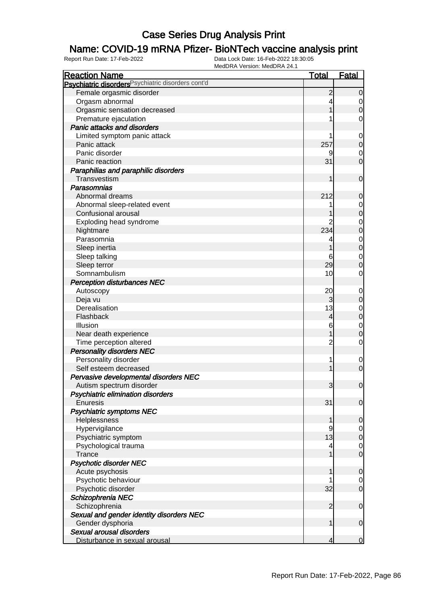### Name: COVID-19 mRNA Pfizer- BioNTech vaccine analysis print

| <b>Reaction Name</b>                                          | <b>Total</b>   | <b>Fatal</b>   |
|---------------------------------------------------------------|----------------|----------------|
| Psychiatric disorders <sup>Psychiatric disorders cont'd</sup> |                |                |
| Female orgasmic disorder                                      | $\overline{c}$ | $\overline{0}$ |
| Orgasm abnormal                                               |                | 0              |
| Orgasmic sensation decreased                                  |                | 0              |
| Premature ejaculation                                         |                | 0              |
| <b>Panic attacks and disorders</b>                            |                |                |
| Limited symptom panic attack                                  |                | 0              |
| Panic attack                                                  | 257            | $\mathbf 0$    |
| Panic disorder                                                |                | 0              |
| Panic reaction                                                | 31             | $\overline{0}$ |
| Paraphilias and paraphilic disorders                          |                |                |
| Transvestism                                                  |                | $\mathbf 0$    |
| Parasomnias                                                   |                |                |
| Abnormal dreams                                               | 212            | 0              |
| Abnormal sleep-related event                                  |                | 0              |
| Confusional arousal                                           |                | 0              |
| Exploding head syndrome                                       |                | 0              |
| Nightmare                                                     | 234            | 0              |
| Parasomnia                                                    |                | 0              |
| Sleep inertia                                                 |                | $\mathbf 0$    |
| Sleep talking                                                 |                |                |
|                                                               | 6<br>29        | 0<br>$\Omega$  |
| Sleep terror                                                  | 10             |                |
| Somnambulism                                                  |                | 0              |
| <b>Perception disturbances NEC</b>                            |                |                |
| Autoscopy                                                     | 20             | 0              |
| Deja vu                                                       | 3              | $\overline{0}$ |
| Derealisation                                                 | 13             | 0              |
| Flashback                                                     | 4              | $\mathbf 0$    |
| Illusion                                                      | 6              | $\mathbf 0$    |
| Near death experience                                         |                | 0              |
| Time perception altered                                       | 2              | 0              |
| <b>Personality disorders NEC</b>                              |                |                |
| Personality disorder                                          |                | $\mathbf 0$    |
| Self esteem decreased                                         |                | $\mathbf 0$    |
| Pervasive developmental disorders NEC                         |                |                |
| Autism spectrum disorder                                      | 3              | $\mathbf 0$    |
| Psychiatric elimination disorders                             |                |                |
| Enuresis                                                      | 31             | $\overline{0}$ |
| <b>Psychiatric symptoms NEC</b>                               |                |                |
| Helplessness                                                  |                | $\overline{0}$ |
| Hypervigilance                                                | 9              | $\overline{0}$ |
| Psychiatric symptom                                           | 13             | $\mathbf 0$    |
| Psychological trauma                                          | 4              | $\mathbf 0$    |
| <b>Trance</b>                                                 |                | $\overline{0}$ |
| <b>Psychotic disorder NEC</b>                                 |                |                |
| Acute psychosis                                               |                | $\mathbf 0$    |
| Psychotic behaviour                                           |                | $\overline{0}$ |
| Psychotic disorder                                            | 32             | $\overline{0}$ |
| Schizophrenia NEC                                             |                |                |
| Schizophrenia                                                 | $\overline{2}$ | $\mathbf 0$    |
| Sexual and gender identity disorders NEC                      |                |                |
| Gender dysphoria                                              | 1              | $\mathbf 0$    |
| Sexual arousal disorders                                      |                |                |
| Disturbance in sexual arousal                                 | 4              | $\mathbf 0$    |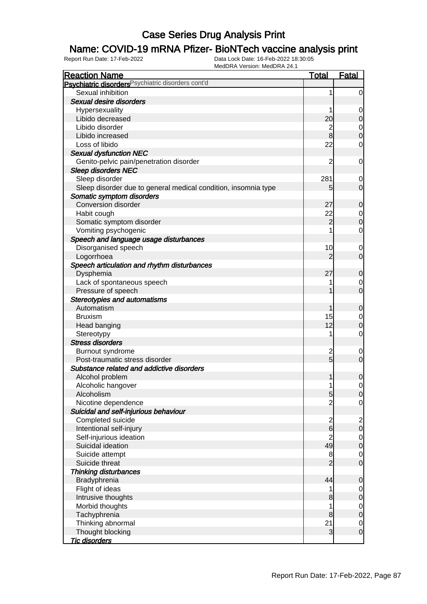### Name: COVID-19 mRNA Pfizer- BioNTech vaccine analysis print

| <b>Reaction Name</b>                                           | <b>Total</b>   | <b>Fatal</b>            |
|----------------------------------------------------------------|----------------|-------------------------|
| Psychiatric disorders Psychiatric disorders cont'd             |                |                         |
| Sexual inhibition                                              | 1              | $\overline{0}$          |
| Sexual desire disorders                                        |                |                         |
| Hypersexuality                                                 |                | 0                       |
| Libido decreased                                               | 20             | $\mathbf 0$             |
| Libido disorder                                                | $\overline{c}$ | 0                       |
| Libido increased                                               | 8              | $\mathbf 0$             |
| Loss of libido                                                 | 22             | 0                       |
| <b>Sexual dysfunction NEC</b>                                  |                |                         |
| Genito-pelvic pain/penetration disorder                        | $\overline{2}$ | 0                       |
| <b>Sleep disorders NEC</b>                                     |                |                         |
| Sleep disorder                                                 | 281            | 0                       |
| Sleep disorder due to general medical condition, insomnia type | 5              | $\mathbf 0$             |
| Somatic symptom disorders                                      |                |                         |
| <b>Conversion disorder</b>                                     | 27             | 0                       |
| Habit cough                                                    | 22             | 0                       |
| Somatic symptom disorder                                       | $\overline{2}$ | $\boldsymbol{0}$        |
| Vomiting psychogenic                                           |                | 0                       |
| Speech and language usage disturbances                         |                |                         |
| Disorganised speech                                            | 10             | 0                       |
| Logorrhoea                                                     | $\overline{2}$ | $\overline{0}$          |
| Speech articulation and rhythm disturbances                    |                |                         |
| Dysphemia                                                      | 27             | 0                       |
| Lack of spontaneous speech                                     |                | 0                       |
| Pressure of speech                                             |                | $\overline{0}$          |
| <b>Stereotypies and automatisms</b>                            |                |                         |
| Automatism                                                     | 1              | 0                       |
| <b>Bruxism</b>                                                 | 15             | 0                       |
| Head banging                                                   | 12             | $\boldsymbol{0}$        |
| Stereotypy                                                     | 1              | $\mathbf 0$             |
| <b>Stress disorders</b>                                        |                |                         |
| Burnout syndrome                                               |                | 0                       |
| Post-traumatic stress disorder                                 | $\frac{2}{5}$  | $\mathbf 0$             |
| Substance related and addictive disorders                      |                |                         |
| Alcohol problem                                                | 1              | $\mathbf 0$             |
| Alcoholic hangover                                             | 1              | 0                       |
| Alcoholism                                                     | 5              | $\overline{0}$          |
| Nicotine dependence                                            | $\overline{c}$ | $\mathbf 0$             |
| Suicidal and self-injurious behaviour                          |                |                         |
| Completed suicide                                              |                | $\overline{\mathbf{c}}$ |
| Intentional self-injury                                        | $\frac{2}{6}$  | $\mathbf 0$             |
| Self-injurious ideation                                        | $\overline{c}$ | $\overline{0}$          |
| Suicidal ideation                                              | 49             | $\boldsymbol{0}$        |
| Suicide attempt                                                | 8              | $\overline{0}$          |
| Suicide threat                                                 | $\overline{2}$ | $\mathbf 0$             |
| Thinking disturbances                                          |                |                         |
| Bradyphrenia                                                   | 44             | $\mathbf 0$             |
| Flight of ideas                                                |                | 0                       |
| Intrusive thoughts                                             | 8              | $\mathbf 0$             |
| Morbid thoughts                                                | 1              | $\overline{0}$          |
| Tachyphrenia                                                   | 8              | $\pmb{0}$               |
| Thinking abnormal                                              | 21             | $\overline{0}$          |
| Thought blocking                                               | 3              | $\mathbf 0$             |
| <b>Tic disorders</b>                                           |                |                         |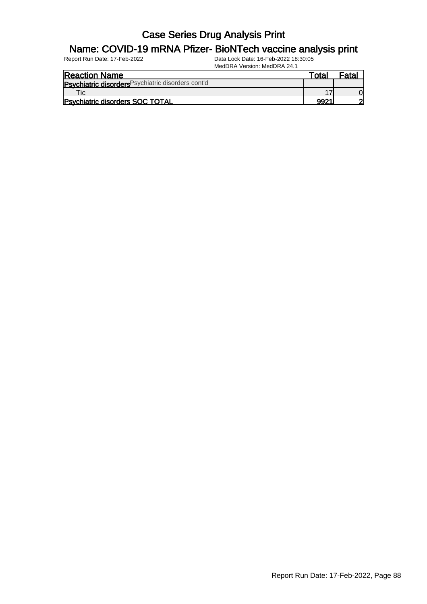#### Name: COVID-19 mRNA Pfizer- BioNTech vaccine analysis print

| <b>Reaction Name</b>                               | Total | Fata |
|----------------------------------------------------|-------|------|
| Psychiatric disorders Psychiatric disorders cont'd |       |      |
| τic∟                                               |       |      |
| <b>Psychiatric disorders SOC TOTAL</b>             | 9921  |      |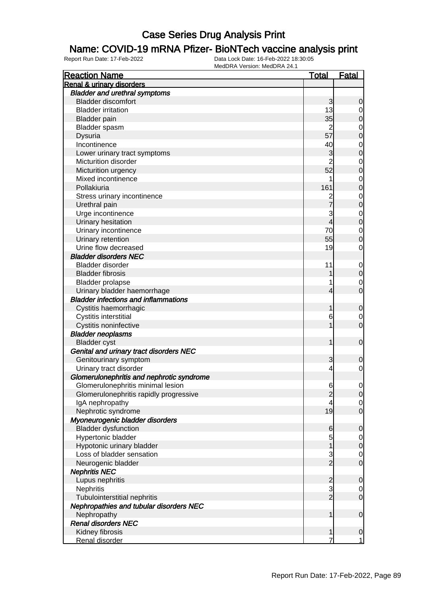#### Name: COVID-19 mRNA Pfizer- BioNTech vaccine analysis print

| <b>Renal &amp; urinary disorders</b><br><b>Bladder and urethral symptoms</b><br><b>Bladder discomfort</b><br>3<br>0<br>13<br><b>Bladder irritation</b><br>$\overline{0}$<br>35<br>$\boldsymbol{0}$<br><b>Bladder</b> pain<br>Bladder spasm<br>$\mathbf 0$<br>57<br>$\mathbf 0$<br>Dysuria<br>40<br>Incontinence<br>$\mathbf 0$<br>3<br>$\mathbf 0$<br>Lower urinary tract symptoms<br>$\overline{2}$<br>Micturition disorder<br>$\mathbf 0$<br>52<br>$\mathbf 0$<br>Micturition urgency<br>Mixed incontinence<br>$\mathbf 0$<br>161<br>$\mathbf 0$<br>Pollakiuria<br>Stress urinary incontinence<br>$\mathbf 0$<br>2<br>$\mathbf 0$<br>Urethral pain<br>3<br>Urge incontinence<br>$\mathbf 0$<br>4<br>Urinary hesitation<br>$\mathbf 0$<br>70<br>Urinary incontinence<br>$\mathbf 0$<br>55<br>Urinary retention<br>$\mathbf 0$<br>Urine flow decreased<br>19<br>$\mathbf 0$<br><b>Bladder disorders NEC</b><br>Bladder disorder<br>11<br>$\mathbf 0$<br><b>Bladder fibrosis</b><br>$\mathbf 0$<br><b>Bladder prolapse</b><br>$\mathbf 0$<br>1<br>Urinary bladder haemorrhage<br>$\overline{0}$<br>4<br><b>Bladder infections and inflammations</b><br>Cystitis haemorrhagic<br>1<br>$\mathbf 0$<br>Cystitis interstitial<br>6<br>$\mathbf 0$<br>$\overline{0}$<br>Cystitis noninfective<br><b>Bladder neoplasms</b><br><b>Bladder</b> cyst<br>1<br>$\mathbf 0$<br>Genital and urinary tract disorders NEC<br>Genitourinary symptom<br>3<br>0<br>Urinary tract disorder<br>4<br>0<br>Glomerulonephritis and nephrotic syndrome<br>Glomerulonephritis minimal lesion<br>6<br>$\mathbf 0$<br>Glomerulonephritis rapidly progressive<br>$\overline{c}$<br>$\overline{0}$<br>IgA nephropathy<br>4<br>$\overline{0}$<br>Nephrotic syndrome<br>19<br>$\mathbf 0$<br>Myoneurogenic bladder disorders<br><b>Bladder dysfunction</b><br>6<br>$\mathbf 0$<br>5<br>Hypertonic bladder<br>$\overline{0}$<br>Hypotonic urinary bladder<br>1<br>$\mathbf 0$<br>Loss of bladder sensation<br>$\frac{3}{2}$<br>$\overline{0}$<br>$\mathbf 0$<br>Neurogenic bladder<br><b>Nephritis NEC</b><br>Lupus nephritis<br>$\overline{\mathbf{c}}$<br>$\mathbf 0$<br>$\frac{3}{2}$<br>Nephritis<br>$\overline{0}$<br>Tubulointerstitial nephritis<br>$\mathbf 0$<br>Nephropathies and tubular disorders NEC<br>Nephropathy<br>1<br>$\mathbf 0$<br><b>Renal disorders NEC</b><br>Kidney fibrosis<br>1<br>$\mathbf 0$ | <b>Reaction Name</b> | <b>Total</b> | <b>Fatal</b> |
|------------------------------------------------------------------------------------------------------------------------------------------------------------------------------------------------------------------------------------------------------------------------------------------------------------------------------------------------------------------------------------------------------------------------------------------------------------------------------------------------------------------------------------------------------------------------------------------------------------------------------------------------------------------------------------------------------------------------------------------------------------------------------------------------------------------------------------------------------------------------------------------------------------------------------------------------------------------------------------------------------------------------------------------------------------------------------------------------------------------------------------------------------------------------------------------------------------------------------------------------------------------------------------------------------------------------------------------------------------------------------------------------------------------------------------------------------------------------------------------------------------------------------------------------------------------------------------------------------------------------------------------------------------------------------------------------------------------------------------------------------------------------------------------------------------------------------------------------------------------------------------------------------------------------------------------------------------------------------------------------------------------------------------------------------------------------------------------------------------------------------------------------------------------------------------------------------------------------------------------------------------------------------------------------------------------------------------------------------------------------------------------|----------------------|--------------|--------------|
|                                                                                                                                                                                                                                                                                                                                                                                                                                                                                                                                                                                                                                                                                                                                                                                                                                                                                                                                                                                                                                                                                                                                                                                                                                                                                                                                                                                                                                                                                                                                                                                                                                                                                                                                                                                                                                                                                                                                                                                                                                                                                                                                                                                                                                                                                                                                                                                          |                      |              |              |
|                                                                                                                                                                                                                                                                                                                                                                                                                                                                                                                                                                                                                                                                                                                                                                                                                                                                                                                                                                                                                                                                                                                                                                                                                                                                                                                                                                                                                                                                                                                                                                                                                                                                                                                                                                                                                                                                                                                                                                                                                                                                                                                                                                                                                                                                                                                                                                                          |                      |              |              |
|                                                                                                                                                                                                                                                                                                                                                                                                                                                                                                                                                                                                                                                                                                                                                                                                                                                                                                                                                                                                                                                                                                                                                                                                                                                                                                                                                                                                                                                                                                                                                                                                                                                                                                                                                                                                                                                                                                                                                                                                                                                                                                                                                                                                                                                                                                                                                                                          |                      |              |              |
|                                                                                                                                                                                                                                                                                                                                                                                                                                                                                                                                                                                                                                                                                                                                                                                                                                                                                                                                                                                                                                                                                                                                                                                                                                                                                                                                                                                                                                                                                                                                                                                                                                                                                                                                                                                                                                                                                                                                                                                                                                                                                                                                                                                                                                                                                                                                                                                          |                      |              |              |
|                                                                                                                                                                                                                                                                                                                                                                                                                                                                                                                                                                                                                                                                                                                                                                                                                                                                                                                                                                                                                                                                                                                                                                                                                                                                                                                                                                                                                                                                                                                                                                                                                                                                                                                                                                                                                                                                                                                                                                                                                                                                                                                                                                                                                                                                                                                                                                                          |                      |              |              |
|                                                                                                                                                                                                                                                                                                                                                                                                                                                                                                                                                                                                                                                                                                                                                                                                                                                                                                                                                                                                                                                                                                                                                                                                                                                                                                                                                                                                                                                                                                                                                                                                                                                                                                                                                                                                                                                                                                                                                                                                                                                                                                                                                                                                                                                                                                                                                                                          |                      |              |              |
|                                                                                                                                                                                                                                                                                                                                                                                                                                                                                                                                                                                                                                                                                                                                                                                                                                                                                                                                                                                                                                                                                                                                                                                                                                                                                                                                                                                                                                                                                                                                                                                                                                                                                                                                                                                                                                                                                                                                                                                                                                                                                                                                                                                                                                                                                                                                                                                          |                      |              |              |
|                                                                                                                                                                                                                                                                                                                                                                                                                                                                                                                                                                                                                                                                                                                                                                                                                                                                                                                                                                                                                                                                                                                                                                                                                                                                                                                                                                                                                                                                                                                                                                                                                                                                                                                                                                                                                                                                                                                                                                                                                                                                                                                                                                                                                                                                                                                                                                                          |                      |              |              |
|                                                                                                                                                                                                                                                                                                                                                                                                                                                                                                                                                                                                                                                                                                                                                                                                                                                                                                                                                                                                                                                                                                                                                                                                                                                                                                                                                                                                                                                                                                                                                                                                                                                                                                                                                                                                                                                                                                                                                                                                                                                                                                                                                                                                                                                                                                                                                                                          |                      |              |              |
|                                                                                                                                                                                                                                                                                                                                                                                                                                                                                                                                                                                                                                                                                                                                                                                                                                                                                                                                                                                                                                                                                                                                                                                                                                                                                                                                                                                                                                                                                                                                                                                                                                                                                                                                                                                                                                                                                                                                                                                                                                                                                                                                                                                                                                                                                                                                                                                          |                      |              |              |
|                                                                                                                                                                                                                                                                                                                                                                                                                                                                                                                                                                                                                                                                                                                                                                                                                                                                                                                                                                                                                                                                                                                                                                                                                                                                                                                                                                                                                                                                                                                                                                                                                                                                                                                                                                                                                                                                                                                                                                                                                                                                                                                                                                                                                                                                                                                                                                                          |                      |              |              |
|                                                                                                                                                                                                                                                                                                                                                                                                                                                                                                                                                                                                                                                                                                                                                                                                                                                                                                                                                                                                                                                                                                                                                                                                                                                                                                                                                                                                                                                                                                                                                                                                                                                                                                                                                                                                                                                                                                                                                                                                                                                                                                                                                                                                                                                                                                                                                                                          |                      |              |              |
|                                                                                                                                                                                                                                                                                                                                                                                                                                                                                                                                                                                                                                                                                                                                                                                                                                                                                                                                                                                                                                                                                                                                                                                                                                                                                                                                                                                                                                                                                                                                                                                                                                                                                                                                                                                                                                                                                                                                                                                                                                                                                                                                                                                                                                                                                                                                                                                          |                      |              |              |
|                                                                                                                                                                                                                                                                                                                                                                                                                                                                                                                                                                                                                                                                                                                                                                                                                                                                                                                                                                                                                                                                                                                                                                                                                                                                                                                                                                                                                                                                                                                                                                                                                                                                                                                                                                                                                                                                                                                                                                                                                                                                                                                                                                                                                                                                                                                                                                                          |                      |              |              |
|                                                                                                                                                                                                                                                                                                                                                                                                                                                                                                                                                                                                                                                                                                                                                                                                                                                                                                                                                                                                                                                                                                                                                                                                                                                                                                                                                                                                                                                                                                                                                                                                                                                                                                                                                                                                                                                                                                                                                                                                                                                                                                                                                                                                                                                                                                                                                                                          |                      |              |              |
|                                                                                                                                                                                                                                                                                                                                                                                                                                                                                                                                                                                                                                                                                                                                                                                                                                                                                                                                                                                                                                                                                                                                                                                                                                                                                                                                                                                                                                                                                                                                                                                                                                                                                                                                                                                                                                                                                                                                                                                                                                                                                                                                                                                                                                                                                                                                                                                          |                      |              |              |
|                                                                                                                                                                                                                                                                                                                                                                                                                                                                                                                                                                                                                                                                                                                                                                                                                                                                                                                                                                                                                                                                                                                                                                                                                                                                                                                                                                                                                                                                                                                                                                                                                                                                                                                                                                                                                                                                                                                                                                                                                                                                                                                                                                                                                                                                                                                                                                                          |                      |              |              |
|                                                                                                                                                                                                                                                                                                                                                                                                                                                                                                                                                                                                                                                                                                                                                                                                                                                                                                                                                                                                                                                                                                                                                                                                                                                                                                                                                                                                                                                                                                                                                                                                                                                                                                                                                                                                                                                                                                                                                                                                                                                                                                                                                                                                                                                                                                                                                                                          |                      |              |              |
|                                                                                                                                                                                                                                                                                                                                                                                                                                                                                                                                                                                                                                                                                                                                                                                                                                                                                                                                                                                                                                                                                                                                                                                                                                                                                                                                                                                                                                                                                                                                                                                                                                                                                                                                                                                                                                                                                                                                                                                                                                                                                                                                                                                                                                                                                                                                                                                          |                      |              |              |
|                                                                                                                                                                                                                                                                                                                                                                                                                                                                                                                                                                                                                                                                                                                                                                                                                                                                                                                                                                                                                                                                                                                                                                                                                                                                                                                                                                                                                                                                                                                                                                                                                                                                                                                                                                                                                                                                                                                                                                                                                                                                                                                                                                                                                                                                                                                                                                                          |                      |              |              |
|                                                                                                                                                                                                                                                                                                                                                                                                                                                                                                                                                                                                                                                                                                                                                                                                                                                                                                                                                                                                                                                                                                                                                                                                                                                                                                                                                                                                                                                                                                                                                                                                                                                                                                                                                                                                                                                                                                                                                                                                                                                                                                                                                                                                                                                                                                                                                                                          |                      |              |              |
|                                                                                                                                                                                                                                                                                                                                                                                                                                                                                                                                                                                                                                                                                                                                                                                                                                                                                                                                                                                                                                                                                                                                                                                                                                                                                                                                                                                                                                                                                                                                                                                                                                                                                                                                                                                                                                                                                                                                                                                                                                                                                                                                                                                                                                                                                                                                                                                          |                      |              |              |
|                                                                                                                                                                                                                                                                                                                                                                                                                                                                                                                                                                                                                                                                                                                                                                                                                                                                                                                                                                                                                                                                                                                                                                                                                                                                                                                                                                                                                                                                                                                                                                                                                                                                                                                                                                                                                                                                                                                                                                                                                                                                                                                                                                                                                                                                                                                                                                                          |                      |              |              |
|                                                                                                                                                                                                                                                                                                                                                                                                                                                                                                                                                                                                                                                                                                                                                                                                                                                                                                                                                                                                                                                                                                                                                                                                                                                                                                                                                                                                                                                                                                                                                                                                                                                                                                                                                                                                                                                                                                                                                                                                                                                                                                                                                                                                                                                                                                                                                                                          |                      |              |              |
|                                                                                                                                                                                                                                                                                                                                                                                                                                                                                                                                                                                                                                                                                                                                                                                                                                                                                                                                                                                                                                                                                                                                                                                                                                                                                                                                                                                                                                                                                                                                                                                                                                                                                                                                                                                                                                                                                                                                                                                                                                                                                                                                                                                                                                                                                                                                                                                          |                      |              |              |
|                                                                                                                                                                                                                                                                                                                                                                                                                                                                                                                                                                                                                                                                                                                                                                                                                                                                                                                                                                                                                                                                                                                                                                                                                                                                                                                                                                                                                                                                                                                                                                                                                                                                                                                                                                                                                                                                                                                                                                                                                                                                                                                                                                                                                                                                                                                                                                                          |                      |              |              |
|                                                                                                                                                                                                                                                                                                                                                                                                                                                                                                                                                                                                                                                                                                                                                                                                                                                                                                                                                                                                                                                                                                                                                                                                                                                                                                                                                                                                                                                                                                                                                                                                                                                                                                                                                                                                                                                                                                                                                                                                                                                                                                                                                                                                                                                                                                                                                                                          |                      |              |              |
|                                                                                                                                                                                                                                                                                                                                                                                                                                                                                                                                                                                                                                                                                                                                                                                                                                                                                                                                                                                                                                                                                                                                                                                                                                                                                                                                                                                                                                                                                                                                                                                                                                                                                                                                                                                                                                                                                                                                                                                                                                                                                                                                                                                                                                                                                                                                                                                          |                      |              |              |
|                                                                                                                                                                                                                                                                                                                                                                                                                                                                                                                                                                                                                                                                                                                                                                                                                                                                                                                                                                                                                                                                                                                                                                                                                                                                                                                                                                                                                                                                                                                                                                                                                                                                                                                                                                                                                                                                                                                                                                                                                                                                                                                                                                                                                                                                                                                                                                                          |                      |              |              |
|                                                                                                                                                                                                                                                                                                                                                                                                                                                                                                                                                                                                                                                                                                                                                                                                                                                                                                                                                                                                                                                                                                                                                                                                                                                                                                                                                                                                                                                                                                                                                                                                                                                                                                                                                                                                                                                                                                                                                                                                                                                                                                                                                                                                                                                                                                                                                                                          |                      |              |              |
|                                                                                                                                                                                                                                                                                                                                                                                                                                                                                                                                                                                                                                                                                                                                                                                                                                                                                                                                                                                                                                                                                                                                                                                                                                                                                                                                                                                                                                                                                                                                                                                                                                                                                                                                                                                                                                                                                                                                                                                                                                                                                                                                                                                                                                                                                                                                                                                          |                      |              |              |
|                                                                                                                                                                                                                                                                                                                                                                                                                                                                                                                                                                                                                                                                                                                                                                                                                                                                                                                                                                                                                                                                                                                                                                                                                                                                                                                                                                                                                                                                                                                                                                                                                                                                                                                                                                                                                                                                                                                                                                                                                                                                                                                                                                                                                                                                                                                                                                                          |                      |              |              |
|                                                                                                                                                                                                                                                                                                                                                                                                                                                                                                                                                                                                                                                                                                                                                                                                                                                                                                                                                                                                                                                                                                                                                                                                                                                                                                                                                                                                                                                                                                                                                                                                                                                                                                                                                                                                                                                                                                                                                                                                                                                                                                                                                                                                                                                                                                                                                                                          |                      |              |              |
|                                                                                                                                                                                                                                                                                                                                                                                                                                                                                                                                                                                                                                                                                                                                                                                                                                                                                                                                                                                                                                                                                                                                                                                                                                                                                                                                                                                                                                                                                                                                                                                                                                                                                                                                                                                                                                                                                                                                                                                                                                                                                                                                                                                                                                                                                                                                                                                          |                      |              |              |
|                                                                                                                                                                                                                                                                                                                                                                                                                                                                                                                                                                                                                                                                                                                                                                                                                                                                                                                                                                                                                                                                                                                                                                                                                                                                                                                                                                                                                                                                                                                                                                                                                                                                                                                                                                                                                                                                                                                                                                                                                                                                                                                                                                                                                                                                                                                                                                                          |                      |              |              |
|                                                                                                                                                                                                                                                                                                                                                                                                                                                                                                                                                                                                                                                                                                                                                                                                                                                                                                                                                                                                                                                                                                                                                                                                                                                                                                                                                                                                                                                                                                                                                                                                                                                                                                                                                                                                                                                                                                                                                                                                                                                                                                                                                                                                                                                                                                                                                                                          |                      |              |              |
|                                                                                                                                                                                                                                                                                                                                                                                                                                                                                                                                                                                                                                                                                                                                                                                                                                                                                                                                                                                                                                                                                                                                                                                                                                                                                                                                                                                                                                                                                                                                                                                                                                                                                                                                                                                                                                                                                                                                                                                                                                                                                                                                                                                                                                                                                                                                                                                          |                      |              |              |
|                                                                                                                                                                                                                                                                                                                                                                                                                                                                                                                                                                                                                                                                                                                                                                                                                                                                                                                                                                                                                                                                                                                                                                                                                                                                                                                                                                                                                                                                                                                                                                                                                                                                                                                                                                                                                                                                                                                                                                                                                                                                                                                                                                                                                                                                                                                                                                                          |                      |              |              |
|                                                                                                                                                                                                                                                                                                                                                                                                                                                                                                                                                                                                                                                                                                                                                                                                                                                                                                                                                                                                                                                                                                                                                                                                                                                                                                                                                                                                                                                                                                                                                                                                                                                                                                                                                                                                                                                                                                                                                                                                                                                                                                                                                                                                                                                                                                                                                                                          |                      |              |              |
|                                                                                                                                                                                                                                                                                                                                                                                                                                                                                                                                                                                                                                                                                                                                                                                                                                                                                                                                                                                                                                                                                                                                                                                                                                                                                                                                                                                                                                                                                                                                                                                                                                                                                                                                                                                                                                                                                                                                                                                                                                                                                                                                                                                                                                                                                                                                                                                          |                      |              |              |
|                                                                                                                                                                                                                                                                                                                                                                                                                                                                                                                                                                                                                                                                                                                                                                                                                                                                                                                                                                                                                                                                                                                                                                                                                                                                                                                                                                                                                                                                                                                                                                                                                                                                                                                                                                                                                                                                                                                                                                                                                                                                                                                                                                                                                                                                                                                                                                                          |                      |              |              |
|                                                                                                                                                                                                                                                                                                                                                                                                                                                                                                                                                                                                                                                                                                                                                                                                                                                                                                                                                                                                                                                                                                                                                                                                                                                                                                                                                                                                                                                                                                                                                                                                                                                                                                                                                                                                                                                                                                                                                                                                                                                                                                                                                                                                                                                                                                                                                                                          |                      |              |              |
|                                                                                                                                                                                                                                                                                                                                                                                                                                                                                                                                                                                                                                                                                                                                                                                                                                                                                                                                                                                                                                                                                                                                                                                                                                                                                                                                                                                                                                                                                                                                                                                                                                                                                                                                                                                                                                                                                                                                                                                                                                                                                                                                                                                                                                                                                                                                                                                          |                      |              |              |
|                                                                                                                                                                                                                                                                                                                                                                                                                                                                                                                                                                                                                                                                                                                                                                                                                                                                                                                                                                                                                                                                                                                                                                                                                                                                                                                                                                                                                                                                                                                                                                                                                                                                                                                                                                                                                                                                                                                                                                                                                                                                                                                                                                                                                                                                                                                                                                                          |                      |              |              |
|                                                                                                                                                                                                                                                                                                                                                                                                                                                                                                                                                                                                                                                                                                                                                                                                                                                                                                                                                                                                                                                                                                                                                                                                                                                                                                                                                                                                                                                                                                                                                                                                                                                                                                                                                                                                                                                                                                                                                                                                                                                                                                                                                                                                                                                                                                                                                                                          |                      |              |              |
|                                                                                                                                                                                                                                                                                                                                                                                                                                                                                                                                                                                                                                                                                                                                                                                                                                                                                                                                                                                                                                                                                                                                                                                                                                                                                                                                                                                                                                                                                                                                                                                                                                                                                                                                                                                                                                                                                                                                                                                                                                                                                                                                                                                                                                                                                                                                                                                          |                      |              |              |
|                                                                                                                                                                                                                                                                                                                                                                                                                                                                                                                                                                                                                                                                                                                                                                                                                                                                                                                                                                                                                                                                                                                                                                                                                                                                                                                                                                                                                                                                                                                                                                                                                                                                                                                                                                                                                                                                                                                                                                                                                                                                                                                                                                                                                                                                                                                                                                                          |                      |              |              |
|                                                                                                                                                                                                                                                                                                                                                                                                                                                                                                                                                                                                                                                                                                                                                                                                                                                                                                                                                                                                                                                                                                                                                                                                                                                                                                                                                                                                                                                                                                                                                                                                                                                                                                                                                                                                                                                                                                                                                                                                                                                                                                                                                                                                                                                                                                                                                                                          |                      |              |              |
|                                                                                                                                                                                                                                                                                                                                                                                                                                                                                                                                                                                                                                                                                                                                                                                                                                                                                                                                                                                                                                                                                                                                                                                                                                                                                                                                                                                                                                                                                                                                                                                                                                                                                                                                                                                                                                                                                                                                                                                                                                                                                                                                                                                                                                                                                                                                                                                          |                      |              |              |
|                                                                                                                                                                                                                                                                                                                                                                                                                                                                                                                                                                                                                                                                                                                                                                                                                                                                                                                                                                                                                                                                                                                                                                                                                                                                                                                                                                                                                                                                                                                                                                                                                                                                                                                                                                                                                                                                                                                                                                                                                                                                                                                                                                                                                                                                                                                                                                                          |                      |              |              |
|                                                                                                                                                                                                                                                                                                                                                                                                                                                                                                                                                                                                                                                                                                                                                                                                                                                                                                                                                                                                                                                                                                                                                                                                                                                                                                                                                                                                                                                                                                                                                                                                                                                                                                                                                                                                                                                                                                                                                                                                                                                                                                                                                                                                                                                                                                                                                                                          |                      |              |              |
|                                                                                                                                                                                                                                                                                                                                                                                                                                                                                                                                                                                                                                                                                                                                                                                                                                                                                                                                                                                                                                                                                                                                                                                                                                                                                                                                                                                                                                                                                                                                                                                                                                                                                                                                                                                                                                                                                                                                                                                                                                                                                                                                                                                                                                                                                                                                                                                          |                      |              |              |
|                                                                                                                                                                                                                                                                                                                                                                                                                                                                                                                                                                                                                                                                                                                                                                                                                                                                                                                                                                                                                                                                                                                                                                                                                                                                                                                                                                                                                                                                                                                                                                                                                                                                                                                                                                                                                                                                                                                                                                                                                                                                                                                                                                                                                                                                                                                                                                                          | Renal disorder       |              | 1            |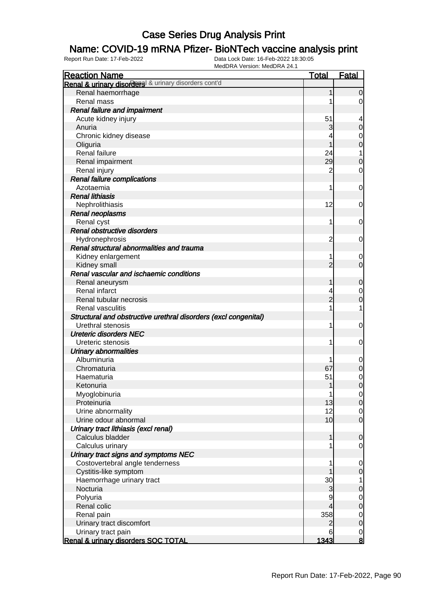### Name: COVID-19 mRNA Pfizer- BioNTech vaccine analysis print

| <b>Reaction Name</b>                                            | <b>Total</b>   | <b>Fatal</b>     |
|-----------------------------------------------------------------|----------------|------------------|
| Renal & urinary disorders & urinary disorders cont'd            |                |                  |
| Renal haemorrhage                                               | 1              | $\overline{0}$   |
| Renal mass                                                      |                | $\overline{0}$   |
| <b>Renal failure and impairment</b>                             |                |                  |
| Acute kidney injury                                             | 51             | 4                |
| Anuria                                                          | 3              | $\mathbf 0$      |
| Chronic kidney disease                                          |                | 0                |
| Oliguria                                                        |                | $\mathbf 0$      |
| Renal failure                                                   | 24             | 1                |
| Renal impairment                                                | 29             | $\boldsymbol{0}$ |
| Renal injury                                                    | $\overline{2}$ | 0                |
| Renal failure complications                                     |                |                  |
| Azotaemia                                                       | 1              | 0                |
| <b>Renal lithiasis</b>                                          |                |                  |
| Nephrolithiasis                                                 | 12             | 0                |
| Renal neoplasms                                                 |                |                  |
| Renal cyst                                                      | 1              | 0                |
| Renal obstructive disorders                                     |                |                  |
| Hydronephrosis                                                  | 2              | 0                |
| Renal structural abnormalities and trauma                       |                |                  |
| Kidney enlargement                                              |                | 0                |
| Kidney small                                                    | $\overline{2}$ | $\overline{0}$   |
| Renal vascular and ischaemic conditions                         |                |                  |
| Renal aneurysm                                                  |                | $\mathbf 0$      |
| Renal infarct                                                   |                | 0                |
| Renal tubular necrosis                                          | $\overline{2}$ | $\mathbf 0$      |
| Renal vasculitis                                                |                | 1                |
| Structural and obstructive urethral disorders (excl congenital) |                |                  |
| Urethral stenosis                                               | 1              | 0                |
| <b>Ureteric disorders NEC</b>                                   |                |                  |
| Ureteric stenosis                                               | 1              | 0                |
| <b>Urinary abnormalities</b>                                    |                |                  |
| Albuminuria                                                     |                | $\mathbf 0$      |
| Chromaturia                                                     | 67             | $\mathbf 0$      |
| Haematuria                                                      | 51             | $\mathbf 0$      |
| Ketonuria                                                       | 1              | $\mathbf 0$      |
| Myoglobinuria                                                   | 1              | $\overline{0}$   |
| Proteinuria                                                     | 13             | $\overline{O}$   |
| Urine abnormality                                               | 12             | $\overline{0}$   |
| Urine odour abnormal                                            | 10             | $\overline{0}$   |
| Urinary tract lithiasis (excl renal)                            | 1              |                  |
| Calculus bladder                                                |                | $\mathbf 0$      |
| Calculus urinary<br>Urinary tract signs and symptoms NEC        |                | 0                |
| Costovertebral angle tenderness                                 |                | $\mathbf 0$      |
| Cystitis-like symptom                                           |                | $\mathbf 0$      |
| Haemorrhage urinary tract                                       | 30             | 1                |
| Nocturia                                                        | 3              | 0                |
| Polyuria                                                        | 9              | $\overline{0}$   |
| Renal colic                                                     |                | $\boldsymbol{0}$ |
| Renal pain                                                      | 358            | $\overline{0}$   |
| Urinary tract discomfort                                        | 2              | $\mathbf 0$      |
| Urinary tract pain                                              | 6              | $\overline{0}$   |
| Renal & urinary disorders SOC TOTAL                             | 1343           | $\bf{8}$         |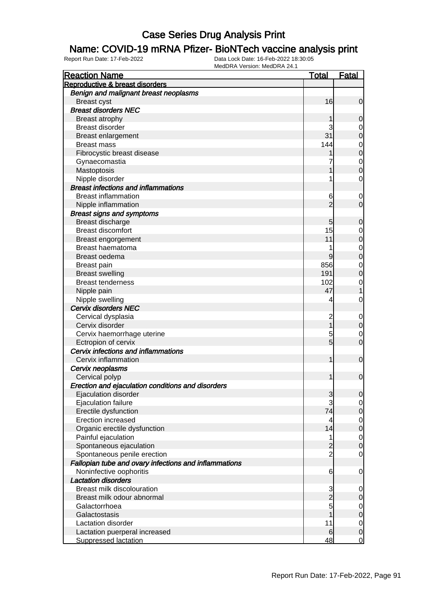#### Name: COVID-19 mRNA Pfizer- BioNTech vaccine analysis print

| <b>Reaction Name</b>                                  | <u>Total</u>            | <b>Fatal</b>     |
|-------------------------------------------------------|-------------------------|------------------|
| Reproductive & breast disorders                       |                         |                  |
| Benign and malignant breast neoplasms                 |                         |                  |
| <b>Breast cyst</b>                                    | 16                      | $\mathbf 0$      |
| <b>Breast disorders NEC</b>                           |                         |                  |
| Breast atrophy                                        |                         | 0                |
| <b>Breast disorder</b>                                | 3                       | $\mathbf 0$      |
| Breast enlargement                                    | 31                      | $\mathbf 0$      |
| <b>Breast mass</b>                                    | 144                     | $\mathbf 0$      |
| Fibrocystic breast disease                            |                         | $\mathbf 0$      |
| Gynaecomastia                                         | 7                       | $\mathbf 0$      |
| Mastoptosis                                           |                         | $\overline{0}$   |
| Nipple disorder                                       | 1                       | 0                |
| <b>Breast infections and inflammations</b>            |                         |                  |
| <b>Breast inflammation</b>                            | 6                       | $\mathbf 0$      |
| Nipple inflammation                                   | $\overline{2}$          | $\mathbf 0$      |
| <b>Breast signs and symptoms</b>                      |                         |                  |
| Breast discharge                                      | 5                       | 0                |
| <b>Breast discomfort</b>                              | 15                      | 0                |
| Breast engorgement                                    | 11                      | $\mathbf 0$      |
| Breast haematoma                                      |                         | $\mathbf 0$      |
| Breast oedema                                         | 9                       | $\mathbf 0$      |
| <b>Breast pain</b>                                    | 856                     | 0                |
| <b>Breast swelling</b>                                | 191                     | 0                |
| <b>Breast tenderness</b>                              | 102                     | $\mathbf 0$      |
| Nipple pain                                           | 47                      |                  |
| Nipple swelling                                       | 4                       | 0                |
| <b>Cervix disorders NEC</b>                           |                         |                  |
| Cervical dysplasia                                    | $\overline{\mathbf{c}}$ | $\mathbf 0$      |
| Cervix disorder                                       |                         | $\pmb{0}$        |
| Cervix haemorrhage uterine                            | 5                       | $\mathbf 0$      |
| Ectropion of cervix                                   | $\overline{5}$          | $\overline{0}$   |
| Cervix infections and inflammations                   |                         |                  |
| Cervix inflammation                                   | 1                       | $\mathbf 0$      |
| Cervix neoplasms                                      |                         |                  |
| Cervical polyp                                        | 1                       | $\mathbf 0$      |
| Erection and ejaculation conditions and disorders     |                         |                  |
| Ejaculation disorder                                  | $\mathbf{3}$            | $\overline{0}$   |
| Ejaculation failure                                   | 3                       | $\mathbf 0$      |
| Erectile dysfunction                                  | 74                      | $\pmb{0}$        |
| Erection increased                                    | 4                       | $\mathbf 0$      |
| Organic erectile dysfunction                          | 14                      | $\boldsymbol{0}$ |
| Painful ejaculation                                   | 1                       | $\mathbf 0$      |
| Spontaneous ejaculation                               | 2                       | $\boldsymbol{0}$ |
| Spontaneous penile erection                           | $\overline{2}$          | $\mathbf 0$      |
| Fallopian tube and ovary infections and inflammations |                         |                  |
| Noninfective oophoritis                               | 6                       | $\mathbf 0$      |
| <b>Lactation disorders</b>                            |                         |                  |
| <b>Breast milk discolouration</b>                     | 3                       | 0                |
| Breast milk odour abnormal                            | $\overline{2}$          | 0                |
| Galactorrhoea                                         | 5                       | $\mathbf 0$      |
| Galactostasis                                         |                         | $\mathbf 0$      |
| Lactation disorder                                    | 11                      | $\mathbf 0$      |
| Lactation puerperal increased                         | 6                       | $\boldsymbol{0}$ |
| <b>Suppressed lactation</b>                           | 48                      | $\overline{0}$   |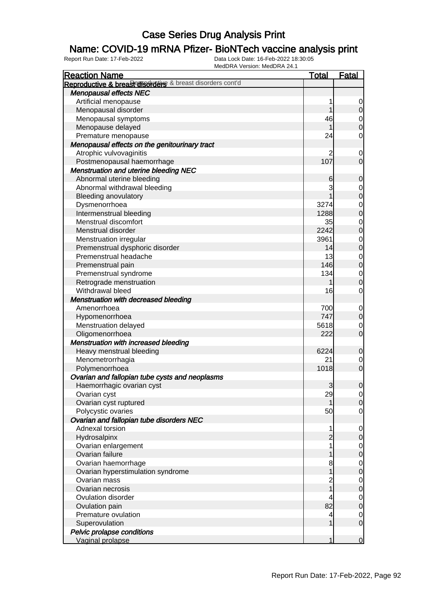### Name: COVID-19 mRNA Pfizer- BioNTech vaccine analysis print

| <b>Reaction Name</b>                                      | <b>Total</b>   | <b>Fatal</b>                         |
|-----------------------------------------------------------|----------------|--------------------------------------|
| Reproductive & breasterisorders & breast disorders cont'd |                |                                      |
| <b>Menopausal effects NEC</b>                             |                |                                      |
| Artificial menopause                                      | 1              | $\overline{0}$                       |
| Menopausal disorder                                       | 1              | 0                                    |
| Menopausal symptoms                                       | 46             |                                      |
| Menopause delayed                                         |                | $\begin{matrix} 0 \\ 0 \end{matrix}$ |
| Premature menopause                                       | 24             | $\mathsf{O}\xspace$                  |
| Menopausal effects on the genitourinary tract             |                |                                      |
| Atrophic vulvovaginitis                                   | 2              | $\mathbf 0$                          |
| Postmenopausal haemorrhage                                | 107            | $\overline{0}$                       |
| <b>Menstruation and uterine bleeding NEC</b>              |                |                                      |
| Abnormal uterine bleeding                                 | 6              | $\mathbf 0$                          |
| Abnormal withdrawal bleeding                              | 3              |                                      |
| <b>Bleeding anovulatory</b>                               |                | $0\atop 0$                           |
| Dysmenorrhoea                                             | 3274           |                                      |
| Intermenstrual bleeding                                   | 1288           | $0$ 0                                |
| Menstrual discomfort                                      | 35             |                                      |
| Menstrual disorder                                        | 2242           | $0$ 0                                |
| Menstruation irregular                                    | 3961           |                                      |
|                                                           | 14             | $0$<br>0                             |
| Premenstrual dysphoric disorder<br>Premenstrual headache  | 13             |                                      |
|                                                           | 146            | $\begin{matrix} 0 \\ 0 \end{matrix}$ |
| Premenstrual pain                                         |                |                                      |
| Premenstrual syndrome                                     | 134            | $\overline{0}$                       |
| Retrograde menstruation                                   |                | $\overline{0}$                       |
| Withdrawal bleed                                          | 16             | $\mathbf 0$                          |
| Menstruation with decreased bleeding                      |                |                                      |
| Amenorrhoea                                               | 700            | $\mathbf 0$                          |
| Hypomenorrhoea                                            | 747            | $\mathbf 0$                          |
| Menstruation delayed                                      | 5618           | $\mathbf 0$                          |
| Oligomenorrhoea                                           | 222            | $\mathbf 0$                          |
| <b>Menstruation with increased bleeding</b>               |                |                                      |
| Heavy menstrual bleeding                                  | 6224           | $\mathbf 0$                          |
| Menometrorrhagia                                          | 21             | $\overline{0}$                       |
| Polymenorrhoea                                            | 1018           | $\overline{O}$                       |
| Ovarian and fallopian tube cysts and neoplasms            |                |                                      |
| Haemorrhagic ovarian cyst                                 | 3              | $\mathbf 0$                          |
| Ovarian cyst                                              | 29             | $\overline{0}$                       |
| Ovarian cyst ruptured                                     |                | $\overline{0}$                       |
| Polycystic ovaries                                        | 50             | $\overline{0}$                       |
| Ovarian and fallopian tube disorders NEC                  |                |                                      |
| Adnexal torsion                                           | 1              | $\mathbf 0$                          |
| Hydrosalpinx                                              | $\overline{2}$ | $\mathbf 0$                          |
| Ovarian enlargement                                       | 1              | $\overline{0}$                       |
| Ovarian failure                                           |                | $\pmb{0}$                            |
| Ovarian haemorrhage                                       | 8              | $\mathbf 0$                          |
| Ovarian hyperstimulation syndrome                         | 1              | $\pmb{0}$                            |
| Ovarian mass                                              | 2              | $\mathbf 0$                          |
| Ovarian necrosis                                          | $\overline{1}$ | $\pmb{0}$                            |
| Ovulation disorder                                        | 4              | $\overline{0}$                       |
| Ovulation pain                                            | 82             | $\pmb{0}$                            |
| Premature ovulation                                       | 4              | $\overline{0}$                       |
| Superovulation                                            | 1              | $\overline{0}$                       |
| Pelvic prolapse conditions                                |                |                                      |
| Vaginal prolapse                                          | 1              | $\overline{0}$                       |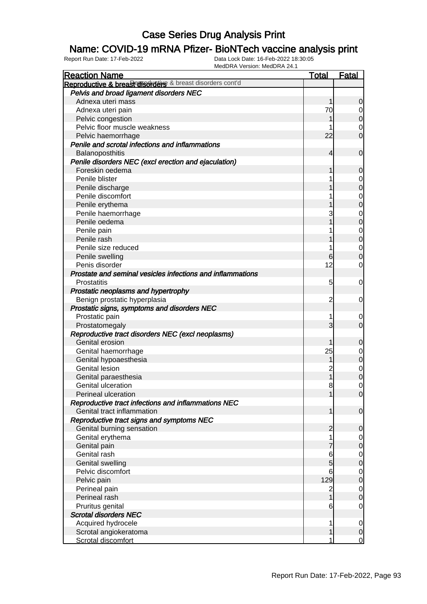### Name: COVID-19 mRNA Pfizer- BioNTech vaccine analysis print

| <b>Reaction Name</b>                                       | <b>Total</b>            | <b>Fatal</b>   |
|------------------------------------------------------------|-------------------------|----------------|
| Reproductive & breast disorders & breast disorders cont'd  |                         |                |
| Pelvis and broad ligament disorders NEC                    |                         |                |
| Adnexa uteri mass                                          | 1                       | $\overline{0}$ |
| Adnexa uteri pain                                          | 70                      | $\overline{0}$ |
| Pelvic congestion                                          |                         | $\overline{O}$ |
| Pelvic floor muscle weakness                               |                         | $\mathbf 0$    |
| Pelvic haemorrhage                                         | 22                      | $\overline{0}$ |
| Penile and scrotal infections and inflammations            |                         |                |
| Balanoposthitis                                            | 4                       | $\mathbf 0$    |
| Penile disorders NEC (excl erection and ejaculation)       |                         |                |
| Foreskin oedema                                            | 1                       | $\mathbf 0$    |
| Penile blister                                             |                         | $\overline{0}$ |
| Penile discharge                                           |                         | $\mathbf 0$    |
| Penile discomfort                                          |                         | $\mathbf 0$    |
| Penile erythema                                            |                         | $\overline{0}$ |
| Penile haemorrhage                                         | 3                       | $\mathbf 0$    |
| Penile oedema                                              |                         | $\overline{0}$ |
| Penile pain                                                |                         | $\mathbf 0$    |
| Penile rash                                                |                         | $\overline{0}$ |
| Penile size reduced                                        |                         | $\overline{0}$ |
| Penile swelling                                            | 6                       | $\mathbf 0$    |
| Penis disorder                                             | 12                      | $\overline{0}$ |
| Prostate and seminal vesicles infections and inflammations |                         |                |
| Prostatitis                                                | 5                       | $\mathbf 0$    |
| Prostatic neoplasms and hypertrophy                        |                         |                |
| Benign prostatic hyperplasia                               | $\overline{c}$          | $\mathbf 0$    |
| Prostatic signs, symptoms and disorders NEC                |                         |                |
| Prostatic pain                                             | 1                       | 0              |
| Prostatomegaly                                             | 3                       | $\overline{0}$ |
| Reproductive tract disorders NEC (excl neoplasms)          |                         |                |
| Genital erosion                                            | 1                       | $\mathbf 0$    |
| Genital haemorrhage                                        | 25                      | $\overline{0}$ |
| Genital hypoaesthesia                                      | 1                       | $\overline{0}$ |
| <b>Genital lesion</b>                                      | $\overline{c}$          | $\overline{0}$ |
| Genital paraesthesia                                       | $\overline{1}$          | $\overline{0}$ |
| Genital ulceration                                         | 8                       | $\mathbf 0$    |
| Perineal ulceration                                        | 1                       | 0              |
| Reproductive tract infections and inflammations NEC        |                         |                |
| Genital tract inflammation                                 | 1                       | $\overline{0}$ |
| Reproductive tract signs and symptoms NEC                  |                         |                |
| Genital burning sensation                                  | $\overline{c}$          | $\mathbf 0$    |
| Genital erythema                                           |                         | $\overline{0}$ |
| Genital pain                                               | 7                       | $\overline{0}$ |
| Genital rash                                               | 6                       | $\overline{0}$ |
| <b>Genital swelling</b>                                    | 5                       | $\mathbf 0$    |
| Pelvic discomfort                                          | 6                       | $\overline{0}$ |
| Pelvic pain                                                | 129                     | $\mathbf 0$    |
| Perineal pain                                              | $\overline{\mathbf{c}}$ | $\overline{0}$ |
| Perineal rash                                              | $\overline{1}$          | $\mathbf 0$    |
| Pruritus genital                                           | 6                       | $\mathbf 0$    |
| <b>Scrotal disorders NEC</b>                               |                         |                |
| Acquired hydrocele                                         | 1                       | $\overline{0}$ |
| Scrotal angiokeratoma                                      | 1                       | $\overline{0}$ |
| Scrotal discomfort                                         | 1                       | $\overline{0}$ |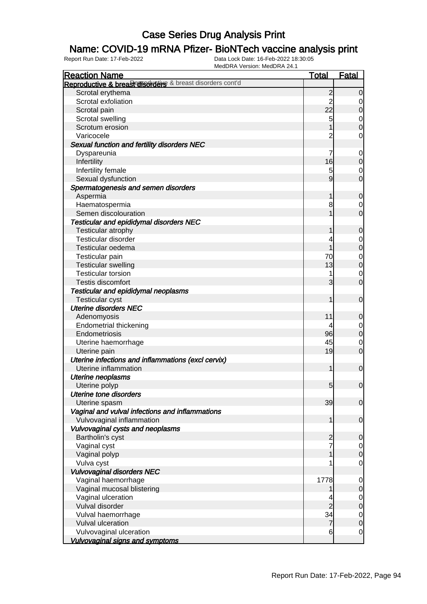### Name: COVID-19 mRNA Pfizer- BioNTech vaccine analysis print

| <b>Reaction Name</b>                                      | <b>Total</b>            | <b>Fatal</b>     |
|-----------------------------------------------------------|-------------------------|------------------|
| Reproductive & breasterisorders & breast disorders cont'd |                         |                  |
| Scrotal erythema                                          | $\overline{c}$          | $\overline{0}$   |
| Scrotal exfoliation                                       | $\overline{\mathbf{c}}$ | 0                |
| Scrotal pain                                              | 22                      | $\mathbf 0$      |
| Scrotal swelling                                          | 5                       | $\overline{0}$   |
| Scrotum erosion                                           |                         | $\overline{0}$   |
| Varicocele                                                | $\overline{c}$          | $\mathbf 0$      |
| Sexual function and fertility disorders NEC               |                         |                  |
| Dyspareunia                                               | 7                       | $\mathbf 0$      |
| Infertility                                               | 16                      | $\mathbf 0$      |
| Infertility female                                        | 5                       | $\mathbf 0$      |
| Sexual dysfunction                                        | 9                       | $\mathbf 0$      |
| Spermatogenesis and semen disorders                       |                         |                  |
| Aspermia                                                  |                         | $\boldsymbol{0}$ |
| Haematospermia                                            | 8                       | $\mathbf 0$      |
| Semen discolouration                                      |                         | $\overline{0}$   |
| Testicular and epididymal disorders NEC                   |                         |                  |
| Testicular atrophy                                        |                         | $\mathbf 0$      |
| <b>Testicular disorder</b>                                |                         | $\mathbf 0$      |
| Testicular oedema                                         |                         | $\mathbf 0$      |
| Testicular pain                                           | 70                      | $\mathbf 0$      |
| <b>Testicular swelling</b>                                | 13                      | $\overline{0}$   |
| <b>Testicular torsion</b>                                 |                         | $\mathbf 0$      |
| <b>Testis discomfort</b>                                  | 3                       | $\overline{0}$   |
| Testicular and epididymal neoplasms                       |                         |                  |
| <b>Testicular cyst</b>                                    |                         | $\mathbf 0$      |
| <b>Uterine disorders NEC</b>                              |                         |                  |
| Adenomyosis                                               | 11                      | $\mathbf 0$      |
| <b>Endometrial thickening</b>                             | 4                       | $\overline{0}$   |
| Endometriosis                                             | 96                      | $\mathbf 0$      |
| Uterine haemorrhage                                       | 45                      | $\mathbf 0$      |
| Uterine pain                                              | 19                      | $\overline{0}$   |
| Uterine infections and inflammations (excl cervix)        |                         |                  |
| Uterine inflammation                                      | 1                       | $\mathbf 0$      |
| <b>Uterine neoplasms</b>                                  |                         |                  |
| Uterine polyp                                             | 5 <sup>1</sup>          | $\overline{0}$   |
| <b>Uterine tone disorders</b>                             |                         |                  |
| Uterine spasm                                             | 39                      | $\overline{0}$   |
| Vaginal and vulval infections and inflammations           |                         |                  |
| Vulvovaginal inflammation                                 | 1                       | $\mathbf 0$      |
| Vulvovaginal cysts and neoplasms                          |                         |                  |
| Bartholin's cyst                                          | $\overline{c}$          | $\boldsymbol{0}$ |
| Vaginal cyst                                              | 7                       | $\overline{0}$   |
| Vaginal polyp                                             |                         | $\mathbf 0$      |
| Vulva cyst                                                |                         | $\mathbf 0$      |
| <b>Vulvovaginal disorders NEC</b>                         |                         |                  |
| Vaginal haemorrhage                                       | 1778                    | $\mathbf 0$      |
| Vaginal mucosal blistering                                |                         | $\mathbf 0$      |
| Vaginal ulceration                                        |                         | $\mathbf 0$      |
| Vulval disorder                                           | $\overline{2}$          | $\overline{0}$   |
| Vulval haemorrhage                                        | 34                      | $\overline{0}$   |
| Vulval ulceration                                         | $\overline{7}$          | $\mathbf 0$      |
| Vulvovaginal ulceration                                   | 6                       | $\mathbf 0$      |
| <b>Vulvovaginal signs and symptoms</b>                    |                         |                  |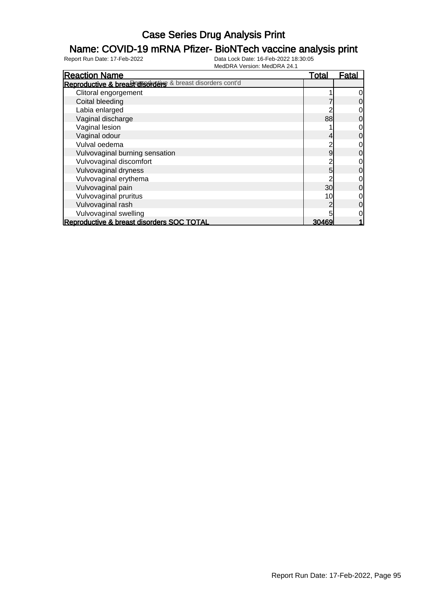#### Name: COVID-19 mRNA Pfizer- BioNTech vaccine analysis print

| <b>Reaction Name</b>                                      | <u>Total</u> | Fatal          |
|-----------------------------------------------------------|--------------|----------------|
| Reproductive & breasterisorders & breast disorders cont'd |              |                |
| Clitoral engorgement                                      |              | $\overline{0}$ |
| Coital bleeding                                           |              | $\overline{0}$ |
| Labia enlarged                                            |              | $\overline{0}$ |
| Vaginal discharge                                         | 88           | $\overline{0}$ |
| Vaginal lesion                                            |              | $\overline{O}$ |
| Vaginal odour                                             |              | $\overline{0}$ |
| Vulval oedema                                             |              | $\overline{O}$ |
| Vulvovaginal burning sensation                            | 9            | $\overline{0}$ |
| Vulvovaginal discomfort                                   |              | $\overline{O}$ |
| Vulvovaginal dryness                                      | 5            | $\overline{0}$ |
| Vulvovaginal erythema                                     |              | $\overline{0}$ |
| Vulvovaginal pain                                         | 30           | $\overline{0}$ |
| Vulvovaginal pruritus                                     | 10           | $\overline{0}$ |
| Vulvovaginal rash                                         |              | $\overline{0}$ |
| Vulvovaginal swelling                                     |              | $\overline{0}$ |
| <b>Reproductive &amp; breast disorders SOC TOTAL</b>      | 30469        |                |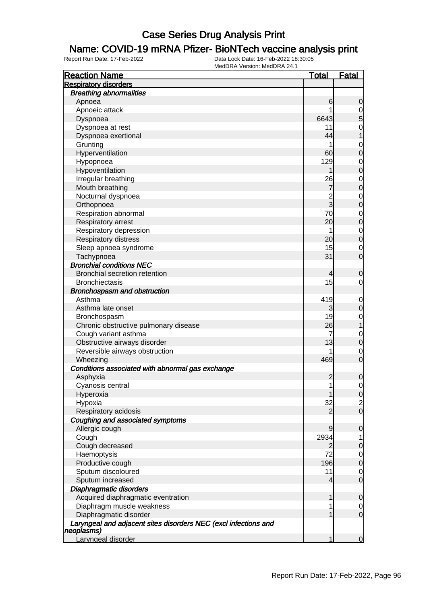#### Name: COVID-19 mRNA Pfizer- BioNTech vaccine analysis print

| <b>Reaction Name</b>                                                          | <b>Total</b>   | <b>Fatal</b>                          |
|-------------------------------------------------------------------------------|----------------|---------------------------------------|
| <b>Respiratory disorders</b>                                                  |                |                                       |
| <b>Breathing abnormalities</b>                                                |                |                                       |
| Apnoea                                                                        | 6              | $\mathbf 0$                           |
| Apnoeic attack                                                                |                |                                       |
| Dyspnoea                                                                      | 6643           | $\begin{array}{c} 0 \\ 5 \end{array}$ |
| Dyspnoea at rest                                                              | 11             | $\mathbf{O}$                          |
| Dyspnoea exertional                                                           | 44             | $\mathbf 1$                           |
| Grunting                                                                      | 1              | $\mathbf 0$                           |
| Hyperventilation                                                              | 60             | $\mathbf 0$                           |
| Hypopnoea                                                                     | 129            | $\mathbf{0}$                          |
| Hypoventilation                                                               |                | $\overline{0}$                        |
| Irregular breathing                                                           | 26             | $\mathbf{0}$                          |
| Mouth breathing                                                               | 7              | $\mathbf 0$                           |
| Nocturnal dyspnoea                                                            |                | $\mathbf{0}$                          |
| Orthopnoea                                                                    | $\frac{2}{3}$  | $\overline{0}$                        |
| Respiration abnormal                                                          | 70             | $\mathbf{0}$                          |
| Respiratory arrest                                                            | 20             | $\mathbf 0$                           |
| Respiratory depression                                                        | 1              | $\mathbf{0}$                          |
| <b>Respiratory distress</b>                                                   | 20             | $\overline{0}$                        |
| Sleep apnoea syndrome                                                         | 15             | $\mathbf 0$                           |
| Tachypnoea                                                                    | 31             | $\overline{0}$                        |
| <b>Bronchial conditions NEC</b>                                               |                |                                       |
| <b>Bronchial secretion retention</b>                                          | 4              | $\mathbf 0$                           |
| <b>Bronchiectasis</b>                                                         | 15             | $\mathbf 0$                           |
| Bronchospasm and obstruction                                                  |                |                                       |
| Asthma                                                                        | 419            | $\mathbf 0$                           |
| Asthma late onset                                                             | 3              | $\mathbf 0$                           |
| Bronchospasm                                                                  | 19             | $\mathbf{0}$                          |
| Chronic obstructive pulmonary disease                                         | 26             | $\mathbf{1}$                          |
| Cough variant asthma                                                          | 7              | $\mathbf 0$                           |
| Obstructive airways disorder                                                  | 13             | $\mathbf 0$                           |
| Reversible airways obstruction                                                |                | $\mathbf 0$                           |
| Wheezing                                                                      | 469            | $\overline{0}$                        |
| Conditions associated with abnormal gas exchange                              |                |                                       |
| Asphyxia                                                                      | $\overline{c}$ | $\mathbf 0$                           |
| Cyanosis central                                                              | 1              | $\mathbf 0$                           |
| Hyperoxia                                                                     | 1              | $\overline{0}$                        |
| Hypoxia                                                                       | 32             | $\overline{a}$                        |
| Respiratory acidosis                                                          | 2              | $\overline{O}$                        |
| Coughing and associated symptoms                                              |                |                                       |
| Allergic cough                                                                | 9              | $\mathbf 0$                           |
| Cough                                                                         | 2934           | 1                                     |
| Cough decreased                                                               | 2              | $\boldsymbol{0}$                      |
| Haemoptysis                                                                   | 72             | $\mathbf 0$                           |
| Productive cough                                                              | 196            | $\boldsymbol{0}$                      |
| Sputum discoloured                                                            | 11             | $\mathbf 0$                           |
| Sputum increased                                                              | 4              | $\mathbf 0$                           |
| <b>Diaphragmatic disorders</b>                                                |                |                                       |
| Acquired diaphragmatic eventration                                            | 1              | $\mathbf 0$                           |
| Diaphragm muscle weakness                                                     | 1              | $\overline{0}$                        |
| Diaphragmatic disorder                                                        | 1              | $\mathbf 0$                           |
| Laryngeal and adjacent sites disorders NEC (excl infections and<br>neoplasms) |                |                                       |
| Laryngeal disorder                                                            |                | $\overline{0}$                        |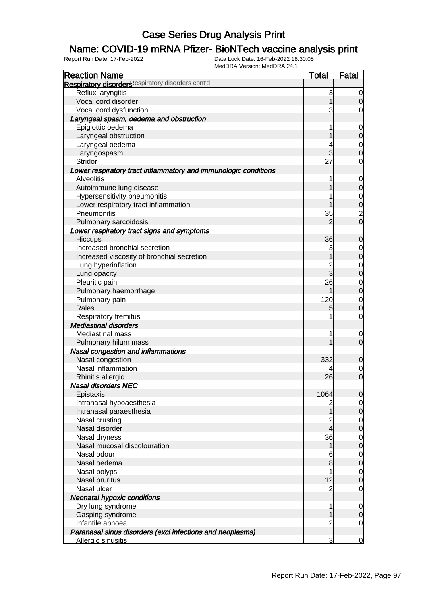### Name: COVID-19 mRNA Pfizer- BioNTech vaccine analysis print

| <b>Reaction Name</b>                                            | <u>Total</u>   | <b>Fatal</b>     |
|-----------------------------------------------------------------|----------------|------------------|
| Respiratory disorders espiratory disorders cont'd               |                |                  |
| Reflux laryngitis                                               | 3              | $\overline{0}$   |
| Vocal cord disorder                                             |                | $\overline{0}$   |
| Vocal cord dysfunction                                          | 3              | 0                |
| Laryngeal spasm, oedema and obstruction                         |                |                  |
|                                                                 |                |                  |
| Epiglottic oedema                                               |                | $\mathbf 0$      |
| Laryngeal obstruction                                           |                | $\mathbf 0$      |
| Laryngeal oedema                                                |                | $\mathbf 0$      |
| Laryngospasm                                                    | 3              | $\overline{0}$   |
| Stridor                                                         | 27             | $\mathbf 0$      |
| Lower respiratory tract inflammatory and immunologic conditions |                |                  |
| <b>Alveolitis</b>                                               |                | $\mathbf 0$      |
| Autoimmune lung disease                                         |                | $\mathbf 0$      |
| Hypersensitivity pneumonitis                                    |                | $\mathbf{0}$     |
| Lower respiratory tract inflammation                            |                | $\overline{0}$   |
| Pneumonitis                                                     | 35             | $\frac{2}{0}$    |
| Pulmonary sarcoidosis                                           | $\overline{2}$ |                  |
| Lower respiratory tract signs and symptoms                      |                |                  |
| Hiccups                                                         | 36             | $\boldsymbol{0}$ |
| Increased bronchial secretion                                   | 3              | $\mathbf 0$      |
| Increased viscosity of bronchial secretion                      |                | $\overline{0}$   |
| Lung hyperinflation                                             | 2<br>3         | $\mathbf 0$      |
| Lung opacity                                                    |                | $\overline{0}$   |
| Pleuritic pain                                                  | 26             | $\mathbf 0$      |
| Pulmonary haemorrhage                                           |                | $\overline{0}$   |
| Pulmonary pain                                                  | 120            | $\mathbf 0$      |
| Rales                                                           | 5              | $\overline{0}$   |
| Respiratory fremitus                                            |                | $\mathbf 0$      |
| <b>Mediastinal disorders</b>                                    |                |                  |
| <b>Mediastinal mass</b>                                         |                | $\mathbf 0$      |
| Pulmonary hilum mass                                            |                | $\overline{0}$   |
| Nasal congestion and inflammations                              |                |                  |
| Nasal congestion                                                | 332            | $\mathbf 0$      |
| Nasal inflammation                                              |                | $\mathbf 0$      |
| Rhinitis allergic                                               | 26             | $\overline{0}$   |
| <b>Nasal disorders NEC</b>                                      |                |                  |
| Epistaxis                                                       | 1064           | 0                |
| Intranasal hypoaesthesia                                        |                | $\overline{0}$   |
| Intranasal paraesthesia                                         |                | $\overline{O}$   |
| Nasal crusting                                                  |                | $\overline{0}$   |
| Nasal disorder                                                  | 4              | $\mathbf 0$      |
| Nasal dryness                                                   | 36             | $\overline{0}$   |
| Nasal mucosal discolouration                                    | 1              | $\mathbf 0$      |
| Nasal odour                                                     | 6              | $\overline{0}$   |
| Nasal oedema                                                    | 8              | $\mathbf 0$      |
| Nasal polyps                                                    |                | $\overline{0}$   |
| Nasal pruritus                                                  | 12             | $\mathbf 0$      |
| Nasal ulcer                                                     | $\overline{c}$ | $\mathbf 0$      |
| <b>Neonatal hypoxic conditions</b>                              |                |                  |
| Dry lung syndrome                                               | 1              | $\overline{0}$   |
| Gasping syndrome                                                |                | $\mathbf 0$      |
| Infantile apnoea                                                | 2              | $\mathbf 0$      |
| Paranasal sinus disorders (excl infections and neoplasms)       |                |                  |
| Allergic sinusitis                                              | 3              | $\overline{0}$   |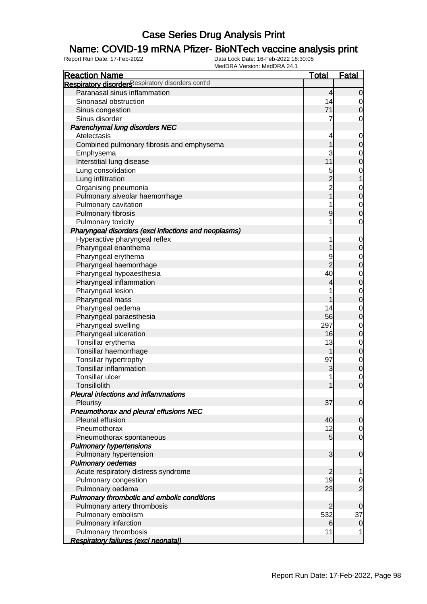### Name: COVID-19 mRNA Pfizer- BioNTech vaccine analysis print

| <b>Reaction Name</b>                                 | <b>Total</b>         | <b>Fatal</b>                         |
|------------------------------------------------------|----------------------|--------------------------------------|
| Respiratory disorders espiratory disorders cont'd    |                      |                                      |
| Paranasal sinus inflammation                         | $\overline{4}$       | $\overline{0}$                       |
| Sinonasal obstruction                                | 14                   |                                      |
| Sinus congestion                                     | 71                   | $\begin{matrix} 0 \\ 0 \end{matrix}$ |
| Sinus disorder                                       | 7                    | $\mathbf 0$                          |
| Parenchymal lung disorders NEC                       |                      |                                      |
| Atelectasis                                          | 4                    | $\mathbf{0}$                         |
| Combined pulmonary fibrosis and emphysema            | $\overline{1}$       | $\mathbf 0$                          |
| Emphysema                                            | 3                    |                                      |
| Interstitial lung disease                            | 11                   | $0$<br>0                             |
| Lung consolidation                                   |                      |                                      |
| Lung infiltration                                    |                      | $\begin{matrix} 0 \\ 1 \end{matrix}$ |
| Organising pneumonia                                 | $\frac{5}{2}$ 2<br>1 |                                      |
| Pulmonary alveolar haemorrhage                       |                      | $0\atop 0$                           |
| Pulmonary cavitation                                 | 1                    |                                      |
| Pulmonary fibrosis                                   | 9                    | $\begin{matrix}0\\0\end{matrix}$     |
|                                                      | 1                    | $\overline{O}$                       |
| Pulmonary toxicity                                   |                      |                                      |
| Pharyngeal disorders (excl infections and neoplasms) |                      |                                      |
| Hyperactive pharyngeal reflex                        | 1                    | $0\atop 0$                           |
| Pharyngeal enanthema                                 | 1                    |                                      |
| Pharyngeal erythema                                  | 9<br>$\overline{2}$  | $\begin{matrix}0\\0\end{matrix}$     |
| Pharyngeal haemorrhage                               |                      |                                      |
| Pharyngeal hypoaesthesia                             | 40                   | $\begin{matrix}0\\0\end{matrix}$     |
| Pharyngeal inflammation                              | 4                    |                                      |
| Pharyngeal lesion                                    | 1                    | $\begin{matrix}0\\0\end{matrix}$     |
| Pharyngeal mass                                      | 1                    |                                      |
| Pharyngeal oedema                                    | 14                   | $\begin{matrix}0\\0\end{matrix}$     |
| Pharyngeal paraesthesia                              | 56                   |                                      |
| Pharyngeal swelling                                  | 297                  | $\begin{matrix}0\\0\end{matrix}$     |
| Pharyngeal ulceration                                | 16                   |                                      |
| Tonsillar erythema                                   | 13                   | $\begin{matrix}0\\0\end{matrix}$     |
| Tonsillar haemorrhage                                | 1                    |                                      |
| Tonsillar hypertrophy                                | 97                   | $\begin{matrix}0\\0\end{matrix}$     |
| <b>Tonsillar inflammation</b>                        | 3                    |                                      |
| Tonsillar ulcer                                      | 1                    | $\begin{matrix} 0 \\ 0 \end{matrix}$ |
| Tonsillolith                                         | 1                    |                                      |
| <b>Pleural infections and inflammations</b>          |                      |                                      |
| Pleurisy                                             | 37                   | $\overline{0}$                       |
| Pneumothorax and pleural effusions NEC               |                      |                                      |
| Pleural effusion                                     | 40                   | $\mathbf 0$                          |
| Pneumothorax                                         | 12                   | $\begin{matrix} 0 \\ 0 \end{matrix}$ |
| Pneumothorax spontaneous                             | $5\overline{)}$      |                                      |
| <b>Pulmonary hypertensions</b>                       |                      |                                      |
| Pulmonary hypertension                               | $\overline{3}$       | $\boldsymbol{0}$                     |
| <b>Pulmonary oedemas</b>                             |                      |                                      |
| Acute respiratory distress syndrome                  | $\overline{c}$       | 1                                    |
| Pulmonary congestion                                 | 19                   |                                      |
| Pulmonary oedema                                     | 23                   | $\frac{0}{2}$                        |
| Pulmonary thrombotic and embolic conditions          |                      |                                      |
| Pulmonary artery thrombosis                          | $\overline{c}$       | 0                                    |
| Pulmonary embolism                                   | 532                  | 37                                   |
| Pulmonary infarction                                 | 6                    | $\mathbf 0$                          |
| Pulmonary thrombosis                                 | 11                   | 1                                    |
| Respiratory failures (excl neonatal)                 |                      |                                      |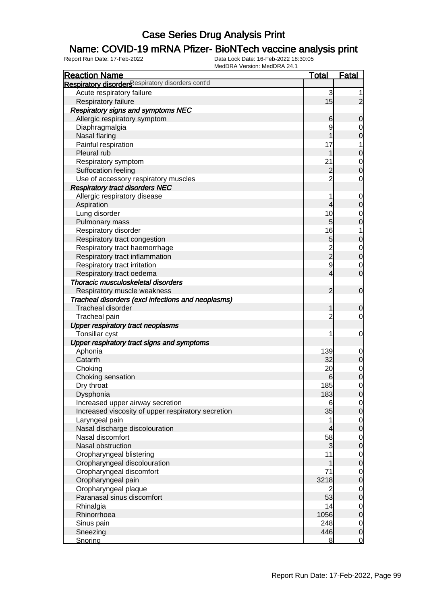### Name: COVID-19 mRNA Pfizer- BioNTech vaccine analysis print

| <b>Reaction Name</b>                                           | <b>Total</b>   | Fatal                         |
|----------------------------------------------------------------|----------------|-------------------------------|
| Respiratory disorders espiratory disorders cont'd              |                |                               |
| Acute respiratory failure                                      | 3              |                               |
| Respiratory failure                                            | 15             | $\overline{2}$                |
| <b>Respiratory signs and symptoms NEC</b>                      |                |                               |
| Allergic respiratory symptom                                   | 6              | $\mathbf 0$                   |
| Diaphragmalgia                                                 | 9              | 0                             |
| Nasal flaring                                                  |                | $\mathbf 0$                   |
| Painful respiration                                            | 17             | 1                             |
| Pleural rub                                                    | 1              | $\boldsymbol{0}$              |
| Respiratory symptom                                            | 21             | $\mathbf 0$                   |
| Suffocation feeling                                            | $\overline{c}$ | $\mathbf 0$                   |
| Use of accessory respiratory muscles                           | $\overline{2}$ | 0                             |
| <b>Respiratory tract disorders NEC</b>                         |                |                               |
| Allergic respiratory disease                                   |                | $\mathbf 0$                   |
| Aspiration                                                     | 4              | $\mathbf 0$                   |
| Lung disorder                                                  | 10             | 0                             |
| Pulmonary mass                                                 | 5              | $\mathbf 0$                   |
| Respiratory disorder                                           | 16             | 1                             |
| Respiratory tract congestion                                   | 5              | $\boldsymbol{0}$              |
| Respiratory tract haemorrhage                                  |                | $\mathbf 0$                   |
| Respiratory tract inflammation                                 | 2<br>2         | $\mathbf 0$                   |
|                                                                | 9              |                               |
| Respiratory tract irritation                                   | 4              | $\mathbf 0$<br>$\overline{0}$ |
| Respiratory tract oedema<br>Thoracic musculoskeletal disorders |                |                               |
|                                                                | $\overline{2}$ |                               |
| Respiratory muscle weakness                                    |                | $\mathbf 0$                   |
| Tracheal disorders (excl infections and neoplasms)             |                |                               |
| <b>Tracheal disorder</b>                                       | 1              | $\mathbf 0$                   |
| Tracheal pain                                                  | $\overline{c}$ | 0                             |
| <b>Upper respiratory tract neoplasms</b>                       |                |                               |
| Tonsillar cyst                                                 | 1              | 0                             |
| Upper respiratory tract signs and symptoms                     |                |                               |
| Aphonia                                                        | 139<br>32      | $\mathbf 0$                   |
| Catarrh                                                        |                | $\mathbf 0$                   |
| Choking                                                        | 20             | $\mathbf 0$                   |
| Choking sensation                                              | 6              | $\mathbf 0$                   |
| Dry throat                                                     | 185            | 0                             |
| Dysphonia                                                      | 183            | $\overline{0}$                |
| Increased upper airway secretion                               | 6              | $\overline{0}$                |
| Increased viscosity of upper respiratory secretion             | 35             | $\mathbf 0$                   |
| Laryngeal pain                                                 | 1              | $\overline{0}$                |
| Nasal discharge discolouration                                 | 4              | $\mathbf 0$                   |
| Nasal discomfort                                               | 58             | $\overline{0}$                |
| Nasal obstruction                                              | 3              | $\mathbf 0$                   |
| Oropharyngeal blistering                                       | 11             | $\overline{0}$                |
| Oropharyngeal discolouration                                   | 1              | $\mathbf 0$                   |
| Oropharyngeal discomfort                                       | 71             | $\overline{0}$                |
| Oropharyngeal pain                                             | 3218           | $\boldsymbol{0}$              |
| Oropharyngeal plaque                                           | 2              | $\overline{0}$                |
| Paranasal sinus discomfort                                     | 53             | $\mathbf 0$                   |
| Rhinalgia                                                      | 14             | $\overline{0}$                |
| Rhinorrhoea                                                    | 1056           | $\mathbf 0$                   |
| Sinus pain                                                     | 248            | $\overline{0}$                |
| Sneezing                                                       | 446            | $\mathbf 0$                   |
| Snoring                                                        | 8              | $\overline{0}$                |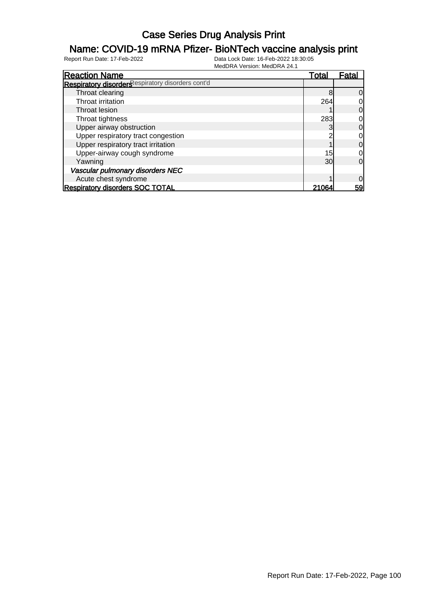### Name: COVID-19 mRNA Pfizer- BioNTech vaccine analysis print

| <b>Reaction Name</b>                              | Total | Fatal          |
|---------------------------------------------------|-------|----------------|
| Respiratory disorders espiratory disorders cont'd |       |                |
| Throat clearing                                   |       | $\overline{0}$ |
| Throat irritation                                 | 264   | $\overline{0}$ |
| Throat lesion                                     |       | $\overline{0}$ |
| Throat tightness                                  | 283   | 0              |
| Upper airway obstruction                          |       | $\overline{0}$ |
| Upper respiratory tract congestion                |       | $\overline{0}$ |
| Upper respiratory tract irritation                |       | $\overline{0}$ |
| Upper-airway cough syndrome                       | 15    | 0l             |
| Yawning                                           | 30    | $\Omega$       |
| Vascular pulmonary disorders NEC                  |       |                |
| Acute chest syndrome                              |       | $\overline{0}$ |
| <b>Respiratory disorders SOC TOTAL</b>            | 21064 | 59             |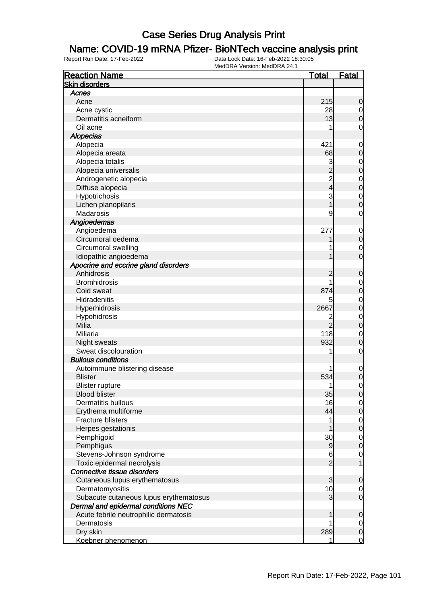#### Name: COVID-19 mRNA Pfizer- BioNTech vaccine analysis print

| <b>Reaction Name</b>                   | <u>Total</u>   | <u>Fatal</u>     |
|----------------------------------------|----------------|------------------|
| <b>Skin disorders</b>                  |                |                  |
| Acnes                                  |                |                  |
| Acne                                   | 215            | 0                |
| Acne cystic                            | 28             | $\overline{0}$   |
| Dermatitis acneiform                   | 13             | $\overline{0}$   |
| Oil acne                               | 1              | 0                |
| <b>Alopecias</b>                       |                |                  |
| Alopecia                               | 421            | $\mathbf 0$      |
| Alopecia areata                        | 68             | 0                |
| Alopecia totalis                       | 3              | 0                |
| Alopecia universalis                   | $\overline{c}$ | $\mathbf 0$      |
| Androgenetic alopecia                  | 2<br>4         | $\mathbf 0$      |
| Diffuse alopecia                       |                | $\mathbf 0$      |
| Hypotrichosis                          | 3              | $\mathbf 0$      |
| Lichen planopilaris                    |                | 0                |
| Madarosis                              | 9              | 0                |
| Angioedemas                            |                |                  |
| Angioedema                             | 277            | $\mathbf 0$      |
| Circumoral oedema                      |                | $\mathbf 0$      |
| Circumoral swelling                    |                | 0                |
| Idiopathic angioedema                  |                | 0                |
| Apocrine and eccrine gland disorders   |                |                  |
| Anhidrosis                             | 2              | 0                |
| <b>Bromhidrosis</b>                    | 1              | $\mathbf 0$      |
| Cold sweat                             | 874            | $\mathbf 0$      |
| Hidradenitis                           | 5              | $\mathbf 0$      |
| Hyperhidrosis                          | 2667           | $\mathbf 0$      |
| Hypohidrosis                           | 2              | $\mathbf 0$      |
| Milia                                  | $\overline{2}$ | $\mathbf 0$      |
| Miliaria                               | 118            | $\mathbf 0$      |
| Night sweats                           | 932            | 0                |
| Sweat discolouration                   | 1              | 0                |
| <b>Bullous conditions</b>              |                |                  |
| Autoimmune blistering disease          | 1              | $\mathbf 0$      |
| <b>Blister</b>                         | 534            | $\mathbf 0$      |
| <b>Blister rupture</b>                 | 1              | $\mathbf{0}$     |
| <b>Blood blister</b>                   | 35             | $\overline{0}$   |
| Dermatitis bullous                     | 16             | $\overline{0}$   |
| Erythema multiforme                    | 44             | $\mathbf 0$      |
| <b>Fracture blisters</b>               | 1              | $\overline{0}$   |
| Herpes gestationis                     |                | $\boldsymbol{0}$ |
| Pemphigoid                             | 30             | $\overline{0}$   |
| Pemphigus                              | 9              | $\boldsymbol{0}$ |
| Stevens-Johnson syndrome               | 6              | $\mathbf 0$      |
| Toxic epidermal necrolysis             | $\overline{2}$ | 1                |
| Connective tissue disorders            |                |                  |
| Cutaneous lupus erythematosus          | 3              | 0                |
| Dermatomyositis                        | 10             | $\overline{0}$   |
| Subacute cutaneous lupus erythematosus | 3              | $\boldsymbol{0}$ |
| Dermal and epidermal conditions NEC    |                |                  |
| Acute febrile neutrophilic dermatosis  | 1              | $\mathbf 0$      |
| Dermatosis                             |                | $\overline{0}$   |
| Dry skin                               | 289            | $\mathbf 0$      |
| Koebner phenomenon                     | 1              | $\mathbf 0$      |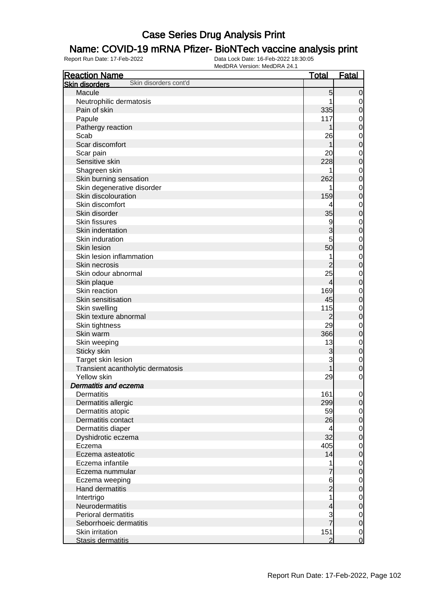#### Name: COVID-19 mRNA Pfizer- BioNTech vaccine analysis print

| <b>Reaction Name</b>                           | <u>Total</u>   | <b>Fatal</b>               |
|------------------------------------------------|----------------|----------------------------|
| Skin disorders cont'd<br><b>Skin disorders</b> |                |                            |
| Macule                                         | 5              | $\mathbf 0$                |
| Neutrophilic dermatosis                        |                | 0                          |
| Pain of skin                                   | 335            | $\mathbf 0$                |
| Papule                                         | 117            | $\mathbf 0$                |
| Pathergy reaction                              |                | $\mathbf 0$                |
| Scab                                           | 26             | $\mathbf 0$                |
| Scar discomfort                                |                | $\mathbf 0$                |
| Scar pain                                      | 20             | $\mathbf 0$                |
| Sensitive skin                                 | 228            | $\mathbf 0$                |
| Shagreen skin                                  |                | $\mathbf 0$                |
| Skin burning sensation                         | 262            | $\mathbf 0$                |
| Skin degenerative disorder                     |                | $\mathbf 0$                |
| Skin discolouration                            | 159            | $\mathbf 0$                |
| Skin discomfort                                |                | $\mathbf 0$                |
| Skin disorder                                  | 35             | $\mathbf 0$                |
| <b>Skin fissures</b>                           | 9              | $\mathbf 0$                |
| Skin indentation                               | 3              | $\mathbf 0$                |
| Skin induration                                | 5              | $\mathbf 0$                |
| Skin lesion                                    | 50             | $\mathbf 0$                |
| Skin lesion inflammation                       |                |                            |
| Skin necrosis                                  | $\overline{c}$ | $\mathbf 0$<br>$\mathbf 0$ |
| Skin odour abnormal                            | 25             |                            |
|                                                | $\overline{4}$ | $\mathbf 0$                |
| Skin plaque<br>Skin reaction                   | 169            | $\mathbf 0$                |
|                                                |                | $\mathbf 0$                |
| Skin sensitisation                             | 45             | $\mathbf 0$                |
| Skin swelling                                  | 115            | $\mathbf 0$                |
| Skin texture abnormal                          | $\overline{2}$ | $\mathbf 0$                |
| Skin tightness                                 | 29             | $\mathbf 0$                |
| Skin warm                                      | 366            | $\mathbf 0$                |
| Skin weeping                                   | 13             | $\mathbf 0$                |
| Sticky skin                                    | 3              | $\mathbf 0$                |
| Target skin lesion                             | 3              | $\mathbf 0$                |
| Transient acantholytic dermatosis              |                | $\mathbf 0$                |
| Yellow skin                                    | 29             | 0                          |
| <b>Dermatitis and eczema</b>                   |                |                            |
| Dermatitis                                     | 161            | $\overline{0}$             |
| Dermatitis allergic                            | 299            | $\mathbf 0$                |
| Dermatitis atopic                              | 59             | $\mathbf 0$                |
| Dermatitis contact                             | 26             | $\boldsymbol{0}$           |
| Dermatitis diaper                              | 4              | $\mathbf 0$                |
| Dyshidrotic eczema                             | 32             | $\boldsymbol{0}$           |
| Eczema                                         | 405            | $\mathbf 0$                |
| Eczema asteatotic                              | 14             | $\mathbf 0$                |
| Eczema infantile                               | 1              | $\mathbf 0$                |
| Eczema nummular                                | 7              | $\mathbf 0$                |
| Eczema weeping                                 | 6              | $\mathbf 0$                |
| Hand dermatitis                                | $\overline{2}$ | $\mathbf 0$                |
| Intertrigo                                     |                | $\mathbf 0$                |
| Neurodermatitis                                | 4              | $\mathbf 0$                |
| Perioral dermatitis                            | 3<br>7         | $\mathbf 0$                |
| Seborrhoeic dermatitis                         |                | $\boldsymbol{0}$           |
| Skin irritation                                | 151            | $\mathbf 0$                |
| Stasis dermatitis                              | $\overline{2}$ | $\overline{0}$             |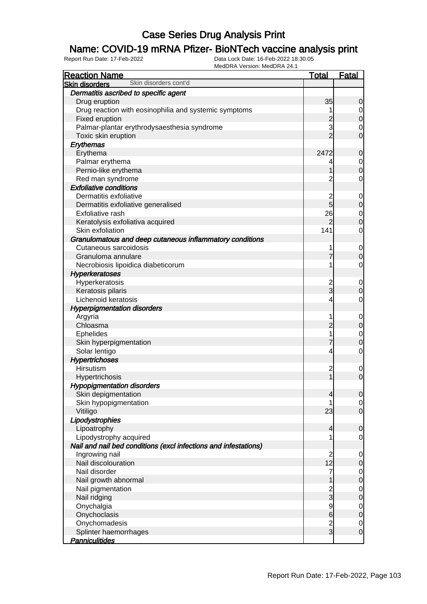### Name: COVID-19 mRNA Pfizer- BioNTech vaccine analysis print

| <b>Reaction Name</b>                                            | <b>Total</b>                     | <b>Fatal</b>                         |
|-----------------------------------------------------------------|----------------------------------|--------------------------------------|
| Skin disorders cont'd<br><b>Skin disorders</b>                  |                                  |                                      |
| Dermatitis ascribed to specific agent                           |                                  |                                      |
| Drug eruption                                                   | 35                               | $\mathbf 0$                          |
| Drug reaction with eosinophilia and systemic symptoms           | 1                                |                                      |
| Fixed eruption                                                  |                                  | $\begin{matrix} 0 \\ 0 \end{matrix}$ |
| Palmar-plantar erythrodysaesthesia syndrome                     | $\frac{2}{3}$                    | $\mathbf 0$                          |
| Toxic skin eruption                                             | $\overline{2}$                   | $\overline{0}$                       |
| Erythemas                                                       |                                  |                                      |
| Erythema                                                        | 2472                             | $\mathbf 0$                          |
| Palmar erythema                                                 | 4                                |                                      |
| Pernio-like erythema                                            | 1                                | $\begin{matrix} 0 \\ 0 \end{matrix}$ |
| Red man syndrome                                                | $\overline{2}$                   | 0                                    |
| <b>Exfoliative conditions</b>                                   |                                  |                                      |
| Dermatitis exfoliative                                          | $\overline{c}$                   | $\mathbf{0}$                         |
| Dermatitis exfoliative generalised                              | 5                                | $\overline{0}$                       |
| Exfoliative rash                                                | 26                               | $\begin{matrix}0\\0\end{matrix}$     |
| Keratolysis exfoliativa acquired                                | $\overline{2}$                   |                                      |
| Skin exfoliation                                                | 141                              | $\mathbf 0$                          |
| Granulomatous and deep cutaneous inflammatory conditions        |                                  |                                      |
| Cutaneous sarcoidosis                                           | 1                                | $\mathbf{0}$                         |
| Granuloma annulare                                              | $\overline{7}$                   | $\overline{0}$                       |
| Necrobiosis lipoidica diabeticorum                              | 1                                | $\mathbf 0$                          |
| <b>Hyperkeratoses</b>                                           |                                  |                                      |
| Hyperkeratosis                                                  | $\overline{c}$                   | $\mathbf{0}$                         |
| Keratosis pilaris                                               | $\overline{3}$                   | $\overline{0}$                       |
| Lichenoid keratosis                                             | 4                                | 0                                    |
| <b>Hyperpigmentation disorders</b>                              |                                  |                                      |
| Argyria                                                         | 1                                | $\mathbf{0}$                         |
| Chloasma                                                        | $\overline{c}$                   | $\overline{0}$                       |
| <b>Ephelides</b>                                                | 1                                | $\mathbf{0}$                         |
| Skin hyperpigmentation                                          | $\overline{7}$                   | $\overline{0}$                       |
| Solar lentigo                                                   | $\overline{4}$                   | $\mathbf 0$                          |
| <b>Hypertrichoses</b>                                           |                                  |                                      |
| Hirsutism                                                       | $\overline{c}$                   | $\mathbf 0$                          |
| Hypertrichosis                                                  | $\overline{1}$                   | $\overline{0}$                       |
| <b>Hypopigmentation disorders</b>                               |                                  |                                      |
| Skin depigmentation                                             | $\overline{4}$                   | 0                                    |
| Skin hypopigmentation                                           | 1                                | $\overline{0}$                       |
| Vitiligo                                                        | 23                               | $\overline{0}$                       |
| Lipodystrophies                                                 |                                  |                                      |
| Lipoatrophy                                                     | $\overline{4}$                   | $\mathbf 0$                          |
| Lipodystrophy acquired                                          | 1                                | $\mathbf 0$                          |
| Nail and nail bed conditions (excl infections and infestations) |                                  |                                      |
| Ingrowing nail                                                  | $\overline{2}$                   | $\mathbf 0$                          |
| Nail discolouration                                             | 12                               | $\mathbf 0$                          |
| Nail disorder                                                   | $\overline{7}$                   | $\mathbf{0}$                         |
| Nail growth abnormal                                            | 1                                | $\overline{0}$                       |
| Nail pigmentation                                               | $\frac{2}{3}$                    | $\mathbf{0}$                         |
| Nail ridging                                                    |                                  | $\overline{0}$                       |
| Onychalgia<br>Onychoclasis                                      | $\overline{9}$<br>$6\phantom{a}$ | $\mathbf{0}$<br>$\overline{0}$       |
| Onychomadesis                                                   |                                  |                                      |
| Splinter haemorrhages                                           | $\frac{2}{3}$                    | $\mathbf 0$<br>$\mathbf 0$           |
| <b>Panniculitides</b>                                           |                                  |                                      |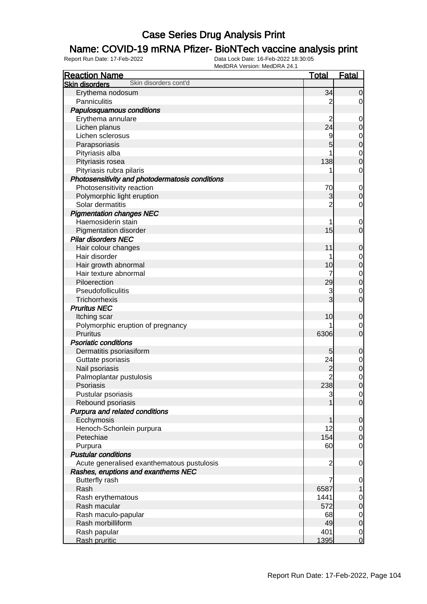### Name: COVID-19 mRNA Pfizer- BioNTech vaccine analysis print

| <b>Reaction Name</b>                            | <b>Total</b>   | <b>Fatal</b>                         |
|-------------------------------------------------|----------------|--------------------------------------|
| Skin disorders cont'd<br><b>Skin disorders</b>  |                |                                      |
| Erythema nodosum                                | 34             | $\overline{0}$                       |
| Panniculitis                                    | 2              | $\overline{0}$                       |
| Papulosquamous conditions                       |                |                                      |
| Erythema annulare                               | $\overline{c}$ | $\mathbf 0$                          |
| Lichen planus                                   | 24             | $\boldsymbol{0}$                     |
| Lichen sclerosus                                | 9              |                                      |
| Parapsoriasis                                   | 5              | $\begin{matrix} 0 \\ 0 \end{matrix}$ |
| Pityriasis alba                                 |                |                                      |
| Pityriasis rosea                                | 138            | $\begin{matrix} 0 \\ 0 \end{matrix}$ |
| Pityriasis rubra pilaris                        |                | $\mathbf 0$                          |
| Photosensitivity and photodermatosis conditions |                |                                      |
| Photosensitivity reaction                       | 70             | $\mathbf 0$                          |
| Polymorphic light eruption                      | 3              | $\pmb{0}$                            |
| Solar dermatitis                                | $\overline{2}$ | $\mathbf 0$                          |
| <b>Pigmentation changes NEC</b>                 |                |                                      |
| Haemosiderin stain                              | 1              | $\mathbf 0$                          |
| Pigmentation disorder                           | 15             | $\mathbf 0$                          |
| <b>Pilar disorders NEC</b>                      |                |                                      |
| Hair colour changes                             | 11             | $\mathbf 0$                          |
| Hair disorder                                   |                | $\overline{0}$                       |
| Hair growth abnormal                            | 10             | $\mathbf{0}$                         |
| Hair texture abnormal                           | 7              |                                      |
| Piloerection                                    | 29             | $\begin{matrix} 0 \\ 0 \end{matrix}$ |
| Pseudofolliculitis                              | 3              | $\mathbf 0$                          |
| Trichorrhexis                                   | 3              | $\overline{0}$                       |
| <b>Pruritus NEC</b>                             |                |                                      |
| Itching scar                                    | 10             | $\mathbf 0$                          |
| Polymorphic eruption of pregnancy               |                | $\overline{0}$                       |
| <b>Pruritus</b>                                 | 6306           | $\mathbf 0$                          |
| <b>Psoriatic conditions</b>                     |                |                                      |
| Dermatitis psoriasiform                         | 5              | $\mathbf 0$                          |
| Guttate psoriasis                               | 24             |                                      |
| Nail psoriasis                                  | $\overline{c}$ | $\begin{matrix} 0 \\ 0 \end{matrix}$ |
| Palmoplantar pustulosis                         | $\overline{2}$ | $\begin{matrix} 0 \\ 0 \end{matrix}$ |
| Psoriasis                                       | 238            |                                      |
| Pustular psoriasis                              | 3              | $\overline{0}$                       |
| Rebound psoriasis                               |                | $\overline{O}$                       |
| Purpura and related conditions                  |                |                                      |
| Ecchymosis                                      | 1              | $\mathbf 0$                          |
| Henoch-Schonlein purpura                        | 12             | $\overline{0}$                       |
| Petechiae                                       | 154            | $\pmb{0}$                            |
| Purpura                                         | 60             | $\mathbf 0$                          |
| <b>Pustular conditions</b>                      |                |                                      |
| Acute generalised exanthematous pustulosis      | $\overline{c}$ | $\mathbf 0$                          |
| Rashes, eruptions and exanthems NEC             |                |                                      |
| <b>Butterfly rash</b>                           | 7              | $\mathbf 0$                          |
| Rash                                            | 6587           | $\mathbf{1}$                         |
| Rash erythematous                               | 1441           | $\mathbf 0$                          |
| Rash macular                                    | 572            | $\mathbf 0$                          |
| Rash maculo-papular                             | 68             | $\overline{0}$                       |
| Rash morbilliform                               | 49             | $\mathbf 0$                          |
| Rash papular                                    | 401            | $\overline{0}$                       |
| Rash pruritic                                   | 1395           | $\overline{0}$                       |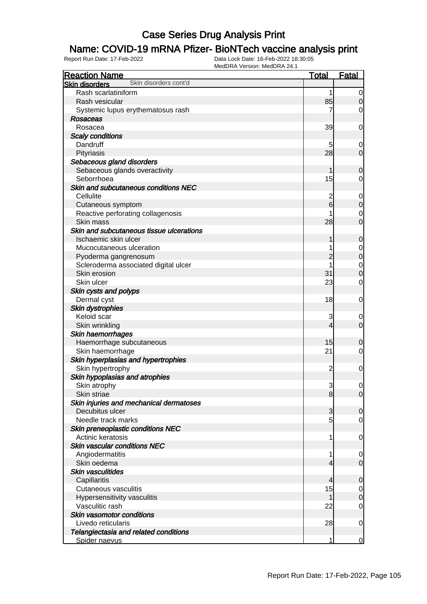### Name: COVID-19 mRNA Pfizer- BioNTech vaccine analysis print

| <b>Reaction Name</b>                           | <b>Total</b>    | Fatal            |
|------------------------------------------------|-----------------|------------------|
| Skin disorders cont'd<br><b>Skin disorders</b> |                 |                  |
| Rash scarlatiniform                            | 1               | $\overline{0}$   |
| Rash vesicular                                 | 85              | $\mathbf 0$      |
| Systemic lupus erythematosus rash              |                 | $\mathbf 0$      |
| <b>Rosaceas</b>                                |                 |                  |
| Rosacea                                        | 39              | 0                |
| <b>Scaly conditions</b>                        |                 |                  |
| Dandruff                                       | 5               | 0                |
| Pityriasis                                     | 28              | $\mathbf 0$      |
| Sebaceous gland disorders                      |                 |                  |
| Sebaceous glands overactivity                  | 1               | $\mathbf 0$      |
| Seborrhoea                                     | 15              | 0                |
| Skin and subcutaneous conditions NEC           |                 |                  |
| Cellulite                                      | $\overline{c}$  | $\mathbf 0$      |
| Cutaneous symptom                              | $6 \overline{}$ | $\pmb{0}$        |
| Reactive perforating collagenosis              |                 | $\mathbf 0$      |
| Skin mass                                      | 28              | $\overline{0}$   |
| Skin and subcutaneous tissue ulcerations       |                 |                  |
| Ischaemic skin ulcer                           | 1               | $\mathbf 0$      |
| Mucocutaneous ulceration                       |                 | $\mathbf 0$      |
| Pyoderma gangrenosum                           | 2               | $\boldsymbol{0}$ |
| Scleroderma associated digital ulcer           |                 | $\mathbf 0$      |
| Skin erosion                                   | 31              | $\boldsymbol{0}$ |
| Skin ulcer                                     | 23              | $\mathbf 0$      |
| Skin cysts and polyps                          |                 |                  |
| Dermal cyst                                    | 18              | 0                |
| <b>Skin dystrophies</b>                        |                 |                  |
| Keloid scar                                    | 3               | 0                |
| Skin wrinkling                                 | $\overline{4}$  | $\mathbf 0$      |
| Skin haemorrhages                              |                 |                  |
| Haemorrhage subcutaneous                       | 15              | $\mathbf 0$      |
| Skin haemorrhage                               | 21              | 0                |
| Skin hyperplasias and hypertrophies            |                 |                  |
| Skin hypertrophy                               | $\overline{c}$  | $\mathbf 0$      |
| Skin hypoplasias and atrophies                 |                 |                  |
| Skin atrophy                                   | 3               | 0                |
| Skin striae                                    | 8               | $\overline{0}$   |
| Skin injuries and mechanical dermatoses        |                 |                  |
| Decubitus ulcer                                | 3               | $\mathbf 0$      |
| Needle track marks                             | 5               | $\overline{0}$   |
| Skin preneoplastic conditions NEC              |                 |                  |
| Actinic keratosis                              | 1               | 0                |
| Skin vascular conditions NEC                   |                 |                  |
| Angiodermatitis                                | 1               | 0                |
| Skin oedema                                    | $\overline{4}$  | $\mathbf 0$      |
| Skin vasculitides                              |                 |                  |
| Capillaritis                                   | $\overline{4}$  | $\mathbf 0$      |
| Cutaneous vasculitis                           | 15              | 0                |
| Hypersensitivity vasculitis                    | 1               | $\boldsymbol{0}$ |
| Vasculitic rash                                | 22              | $\mathbf 0$      |
| Skin vasomotor conditions                      |                 |                  |
| Livedo reticularis                             | 28              | 0                |
| Telangiectasia and related conditions          |                 |                  |
| Spider naevus                                  | 1               | 0                |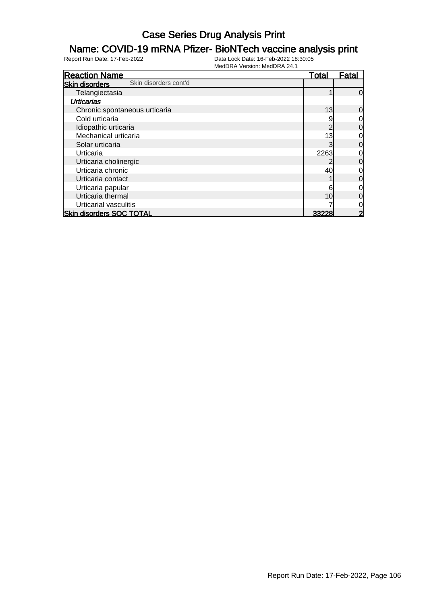### Name: COVID-19 mRNA Pfizer- BioNTech vaccine analysis print

| <b>Reaction Name</b>                           | <u>Total</u> | Fatal          |
|------------------------------------------------|--------------|----------------|
| Skin disorders cont'd<br><b>Skin disorders</b> |              |                |
| Telangiectasia                                 |              | $\overline{0}$ |
| <b>Urticarias</b>                              |              |                |
| Chronic spontaneous urticaria                  | 13           | $\overline{0}$ |
| Cold urticaria                                 |              | $\overline{0}$ |
| Idiopathic urticaria                           |              | $\overline{0}$ |
| Mechanical urticaria                           | 13           | $\overline{0}$ |
| Solar urticaria                                |              | $\overline{0}$ |
| Urticaria                                      | 2263         | $\overline{0}$ |
| Urticaria cholinergic                          |              | $\overline{0}$ |
| Urticaria chronic                              | 40           | $\overline{0}$ |
| Urticaria contact                              |              | $\overline{0}$ |
| Urticaria papular                              |              | $\overline{O}$ |
| Urticaria thermal                              | 10           | $\overline{0}$ |
| Urticarial vasculitis                          |              | $\overline{O}$ |
| <b>Skin disorders SOC TOTAL</b>                | 33228        | $\overline{2}$ |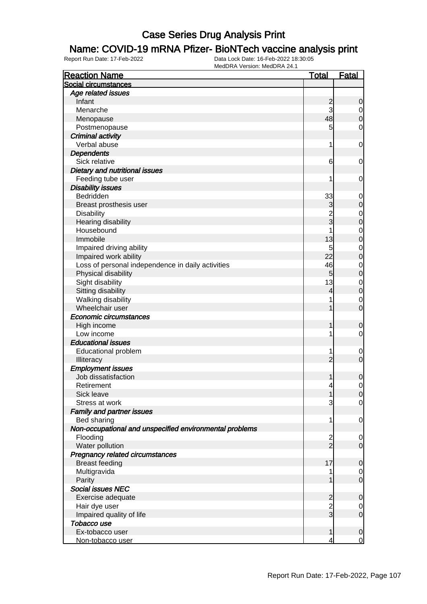#### Name: COVID-19 mRNA Pfizer- BioNTech vaccine analysis print

| <b>Reaction Name</b>                                    | <u>Total</u>            | <b>Fatal</b>     |
|---------------------------------------------------------|-------------------------|------------------|
| Social circumstances                                    |                         |                  |
| Age related issues                                      |                         |                  |
| Infant                                                  | $\overline{\mathbf{c}}$ | $\mathbf 0$      |
| Menarche                                                | 3                       | $\overline{0}$   |
| Menopause                                               | 48                      | $\mathbf 0$      |
| Postmenopause                                           | 5                       | $\mathbf 0$      |
| <b>Criminal activity</b>                                |                         |                  |
| Verbal abuse                                            | 1                       | $\mathbf 0$      |
| <b>Dependents</b>                                       |                         |                  |
| Sick relative                                           | 6                       | $\mathbf 0$      |
| Dietary and nutritional issues                          |                         |                  |
| Feeding tube user                                       | 1                       | $\mathbf 0$      |
| <b>Disability issues</b>                                |                         |                  |
| Bedridden                                               | 33                      | $\mathbf 0$      |
| Breast prosthesis user                                  | 3                       | 0                |
| <b>Disability</b>                                       | $\overline{2}$          | $\mathbf 0$      |
| Hearing disability                                      | $\overline{3}$          | $\mathbf 0$      |
| Housebound                                              |                         | $\mathbf 0$      |
| Immobile                                                | 13                      | $\mathbf 0$      |
| Impaired driving ability                                | 5                       | $\mathbf 0$      |
| Impaired work ability                                   | 22                      | $\mathbf 0$      |
| Loss of personal independence in daily activities       | 46                      | $\mathbf 0$      |
| Physical disability                                     | $5\overline{)}$         | $\mathbf 0$      |
| Sight disability                                        | 13                      | $\mathbf 0$      |
| Sitting disability                                      | 4                       | $\mathbf 0$      |
| Walking disability                                      | 1                       | $\mathbf 0$      |
| Wheelchair user                                         | 1                       | $\overline{0}$   |
| Economic circumstances                                  |                         |                  |
| High income                                             | 1                       | 0                |
| Low income                                              | 1                       | 0                |
| <b>Educational issues</b>                               |                         |                  |
| <b>Educational problem</b>                              | 1                       | $\mathbf 0$      |
| Illiteracy                                              | $\overline{2}$          | $\mathbf 0$      |
| <b>Employment issues</b>                                |                         |                  |
| Job dissatisfaction                                     | 1                       | 0                |
| Retirement                                              | 4                       | 0                |
| Sick leave                                              | 1                       | $\overline{0}$   |
| Stress at work                                          | 3                       | $\overline{0}$   |
| <b>Family and partner issues</b>                        |                         |                  |
| Bed sharing                                             | 1                       | $\mathbf 0$      |
| Non-occupational and unspecified environmental problems |                         |                  |
| Flooding                                                | $\overline{c}$          | 0                |
| Water pollution                                         | $\frac{1}{2}$           | $\mathbf 0$      |
| Pregnancy related circumstances                         |                         |                  |
| <b>Breast feeding</b>                                   | 17                      | $\mathbf 0$      |
| Multigravida                                            |                         | $\overline{0}$   |
| Parity                                                  |                         | $\mathbf 0$      |
| <b>Social issues NEC</b>                                |                         |                  |
| Exercise adequate                                       | $\overline{\mathbf{c}}$ | $\mathbf 0$      |
| Hair dye user                                           | $\overline{2}$          | 0                |
| Impaired quality of life                                | $\overline{3}$          | $\boldsymbol{0}$ |
| Tobacco use                                             |                         |                  |
| Ex-tobacco user                                         | 1                       | $\mathbf 0$      |
| Non-tobacco user                                        | 4                       | $\overline{0}$   |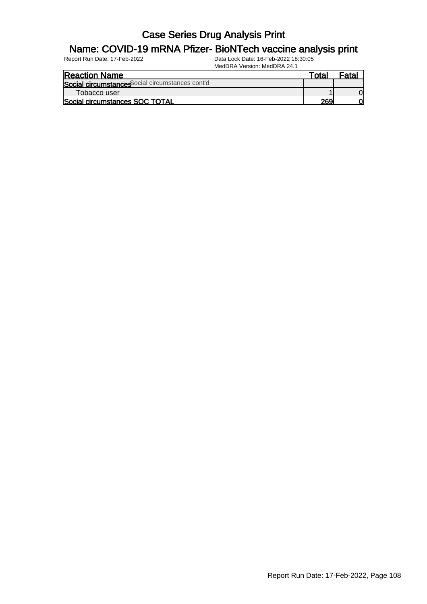#### Name: COVID-19 mRNA Pfizer- BioNTech vaccine analysis print

| <b>Reaction Name</b>                             | Γotal |  |
|--------------------------------------------------|-------|--|
| Social circumstances Social circumstances cont'd |       |  |
| Tobacco user                                     |       |  |
| Social circumstances SOC TOTAL                   | 269   |  |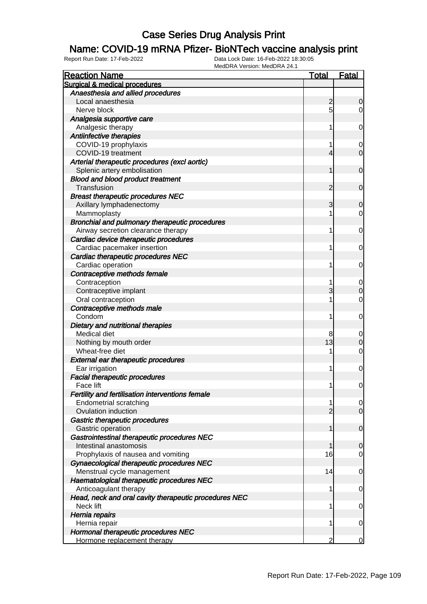#### Name: COVID-19 mRNA Pfizer- BioNTech vaccine analysis print

| <b>Reaction Name</b>                                  | <b>Total</b>   | <b>Fatal</b>   |
|-------------------------------------------------------|----------------|----------------|
| Surgical & medical procedures                         |                |                |
| Anaesthesia and allied procedures                     |                |                |
| Local anaesthesia                                     | $\overline{2}$ | $\mathbf 0$    |
| Nerve block                                           | 5              | $\overline{0}$ |
| Analgesia supportive care                             |                |                |
| Analgesic therapy                                     | 1              | $\mathbf 0$    |
| Antiinfective therapies                               |                |                |
| COVID-19 prophylaxis                                  | 1              | 0              |
| COVID-19 treatment                                    | 4              | $\overline{0}$ |
| Arterial therapeutic procedures (excl aortic)         |                |                |
| Splenic artery embolisation                           | 1              | $\mathbf 0$    |
| <b>Blood and blood product treatment</b>              |                |                |
| Transfusion                                           | 2              | $\mathbf 0$    |
| <b>Breast therapeutic procedures NEC</b>              |                |                |
| Axillary lymphadenectomy                              | 3              | $\mathbf 0$    |
| Mammoplasty                                           |                | $\overline{0}$ |
| Bronchial and pulmonary therapeutic procedures        |                |                |
| Airway secretion clearance therapy                    | 1              | $\mathbf 0$    |
| Cardiac device therapeutic procedures                 |                |                |
| Cardiac pacemaker insertion                           | 1              | 0              |
| Cardiac therapeutic procedures NEC                    |                |                |
| Cardiac operation                                     | 1              | 0              |
| Contraceptive methods female                          |                |                |
| Contraception                                         | 1              | $\mathbf 0$    |
| Contraceptive implant                                 | 3              | $\mathbf 0$    |
| Oral contraception                                    |                | $\mathbf 0$    |
| Contraceptive methods male                            |                |                |
| Condom                                                | 1              | $\mathbf 0$    |
| Dietary and nutritional therapies                     |                |                |
| Medical diet                                          | 8              | $\mathbf 0$    |
| Nothing by mouth order                                | 13             | $\mathbf 0$    |
| Wheat-free diet                                       |                | $\mathbf 0$    |
| <b>External ear therapeutic procedures</b>            |                |                |
| Ear irrigation                                        | 1              | $\mathbf 0$    |
| <b>Facial therapeutic procedures</b>                  |                |                |
| Face lift                                             | $\mathbf 1$    | $\mathbf 0$    |
| Fertility and fertilisation interventions female      |                |                |
| <b>Endometrial scratching</b>                         | 1              | $\overline{0}$ |
| Ovulation induction                                   | $\overline{2}$ | $\overline{0}$ |
| Gastric therapeutic procedures                        |                |                |
| Gastric operation                                     | 1              | $\mathbf 0$    |
| Gastrointestinal therapeutic procedures NEC           |                |                |
| Intestinal anastomosis                                | 1              | $\mathbf 0$    |
| Prophylaxis of nausea and vomiting                    | 16             | $\overline{0}$ |
| Gynaecological therapeutic procedures NEC             |                |                |
| Menstrual cycle management                            | 14             | $\mathbf 0$    |
| Haematological therapeutic procedures NEC             |                |                |
| Anticoagulant therapy                                 | 1              | $\mathbf 0$    |
| Head, neck and oral cavity therapeutic procedures NEC |                |                |
| Neck lift                                             | 1              | $\mathbf 0$    |
| Hernia repairs                                        |                |                |
| Hernia repair                                         | 1              | $\mathbf 0$    |
| Hormonal therapeutic procedures NEC                   |                |                |
| Hormone replacement therapy                           | 2              | 0              |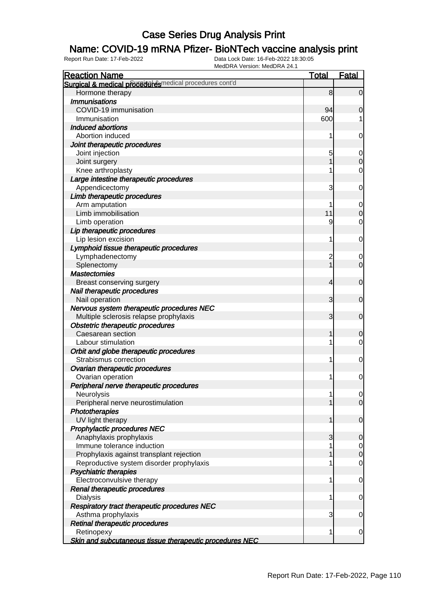#### Name: COVID-19 mRNA Pfizer- BioNTech vaccine analysis print

| <b>Reaction Name</b>                                       | <b>Total</b> | <b>Fatal</b>   |
|------------------------------------------------------------|--------------|----------------|
| Surgical & medical prodection estimation procedures cont'd |              |                |
| Hormone therapy                                            | 8            | $\overline{0}$ |
| <b>Immunisations</b>                                       |              |                |
| COVID-19 immunisation                                      | 94           | 0              |
| Immunisation                                               | 600          |                |
| <b>Induced abortions</b>                                   |              |                |
| Abortion induced                                           | 1            | 0              |
| Joint therapeutic procedures                               |              |                |
| Joint injection                                            | 5            | 0              |
| Joint surgery                                              |              | $\mathbf 0$    |
| Knee arthroplasty                                          |              | 0              |
| Large intestine therapeutic procedures                     |              |                |
| Appendicectomy                                             | 3            | 0              |
| Limb therapeutic procedures                                |              |                |
| Arm amputation                                             |              | 0              |
| Limb immobilisation                                        | 11           | $\mathbf 0$    |
| Limb operation                                             | 9            | 0              |
| Lip therapeutic procedures                                 |              |                |
| Lip lesion excision                                        | 1            | 0              |
| Lymphoid tissue therapeutic procedures                     |              |                |
| Lymphadenectomy                                            | 2            | 0              |
| Splenectomy                                                |              | $\overline{0}$ |
| <b>Mastectomies</b>                                        |              |                |
| Breast conserving surgery                                  | 4            | $\mathbf 0$    |
| Nail therapeutic procedures                                |              |                |
| Nail operation                                             | 3            | $\mathbf 0$    |
| Nervous system therapeutic procedures NEC                  |              |                |
| Multiple sclerosis relapse prophylaxis                     | 3            | $\mathbf 0$    |
| <b>Obstetric therapeutic procedures</b>                    |              |                |
| Caesarean section                                          |              | $\mathbf 0$    |
| Labour stimulation                                         |              | 0              |
| Orbit and globe therapeutic procedures                     |              |                |
| Strabismus correction                                      | 1            | 0              |
| Ovarian therapeutic procedures                             |              |                |
| Ovarian operation                                          | 1            | 0              |
| Peripheral nerve therapeutic procedures                    |              |                |
| Neurolysis                                                 |              | $\overline{0}$ |
| Peripheral nerve neurostimulation                          |              | $\overline{0}$ |
| <b>Phototherapies</b>                                      |              |                |
| UV light therapy                                           | 1            | $\mathbf 0$    |
| <b>Prophylactic procedures NEC</b>                         |              |                |
| Anaphylaxis prophylaxis                                    | 3            | $\mathbf 0$    |
| Immune tolerance induction                                 |              | $\overline{0}$ |
| Prophylaxis against transplant rejection                   |              | $\mathbf 0$    |
| Reproductive system disorder prophylaxis                   |              | $\mathbf 0$    |
| <b>Psychiatric therapies</b>                               |              |                |
| Electroconvulsive therapy                                  | 1            | $\mathbf 0$    |
| Renal therapeutic procedures                               |              |                |
| <b>Dialysis</b>                                            | 1            | $\mathbf 0$    |
| Respiratory tract therapeutic procedures NEC               |              |                |
| Asthma prophylaxis                                         | 3            | $\mathbf 0$    |
| Retinal therapeutic procedures                             |              |                |
| Retinopexy                                                 | 1            | $\mathbf 0$    |
| Skin and subcutaneous tissue therapeutic procedures NEC    |              |                |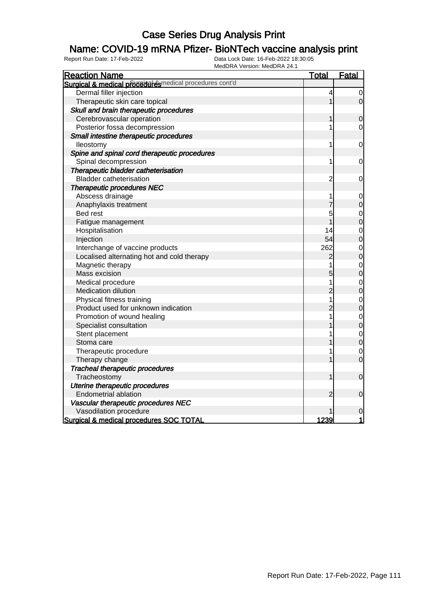#### Name: COVID-19 mRNA Pfizer- BioNTech vaccine analysis print

| MEUDINA VEISIOII. MEUDINA 24. I<br><b>Reaction Name</b>  | <u>Total</u>   | <b>Fatal</b>                     |
|----------------------------------------------------------|----------------|----------------------------------|
| Surgical & medical procedual esmedical procedures cont'd |                |                                  |
| Dermal filler injection                                  | 4              | $\mathbf 0$                      |
| Therapeutic skin care topical                            | 1              | $\mathbf 0$                      |
| Skull and brain therapeutic procedures                   |                |                                  |
| Cerebrovascular operation                                | 1              | $\mathbf 0$                      |
| Posterior fossa decompression                            | 1              | $\mathbf 0$                      |
| Small intestine therapeutic procedures                   |                |                                  |
| lleostomy                                                | 1              | 0                                |
| Spine and spinal cord therapeutic procedures             |                |                                  |
| Spinal decompression                                     | 1              | 0                                |
| Therapeutic bladder catheterisation                      |                |                                  |
| <b>Bladder catheterisation</b>                           | $\overline{c}$ | $\mathbf 0$                      |
| <b>Therapeutic procedures NEC</b>                        |                |                                  |
| Abscess drainage                                         |                | $\mathbf 0$                      |
| Anaphylaxis treatment                                    |                | $\mathbf 0$                      |
| <b>Bed rest</b>                                          | 5              | $\mathbf{O}$                     |
| Fatigue management                                       | 1              | $\overline{0}$                   |
| Hospitalisation                                          | 14             | $\overline{0}$                   |
| Injection                                                | 54             | $\overline{0}$                   |
| Interchange of vaccine products                          | 262            | $\mathbf 0$                      |
| Localised alternating hot and cold therapy               | $\overline{c}$ | $\overline{0}$                   |
| Magnetic therapy                                         | 1              |                                  |
| Mass excision                                            | 5              | $\begin{matrix}0\\0\end{matrix}$ |
| Medical procedure                                        | 1              | $\mathbf{0}$                     |
| Medication dilution                                      | $\overline{c}$ | $\overline{0}$                   |
| Physical fitness training                                | 1              |                                  |
| Product used for unknown indication                      | $\overline{2}$ | $\begin{matrix}0\\0\end{matrix}$ |
| Promotion of wound healing                               | 1              | $\mathbf{0}$                     |
| Specialist consultation                                  |                | $\overline{0}$                   |
| Stent placement                                          |                |                                  |
| Stoma care                                               |                | $\begin{matrix}0\\0\end{matrix}$ |
| Therapeutic procedure                                    | 1              | $\mathbf 0$                      |
| Therapy change                                           |                | $\overline{0}$                   |
| <b>Tracheal therapeutic procedures</b>                   |                |                                  |
| Tracheostomy                                             | 1              | $\mathbf 0$                      |
| Uterine therapeutic procedures                           |                |                                  |
| <b>Endometrial ablation</b>                              | 2              | $\mathbf 0$                      |
| Vascular therapeutic procedures NEC                      |                |                                  |
| Vasodilation procedure                                   |                | 0                                |
| Surgical & medical procedures SOC TOTAL                  | 1239           | 1                                |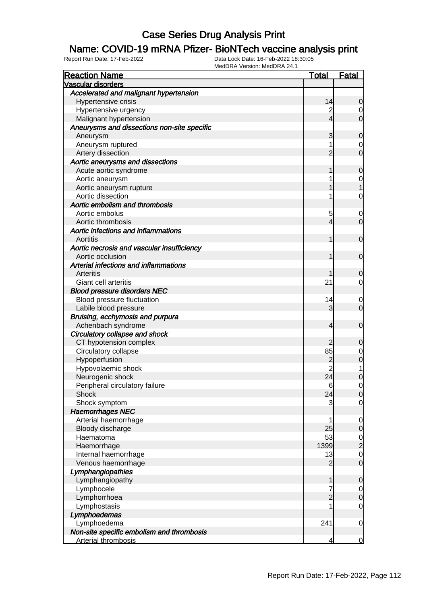#### Name: COVID-19 mRNA Pfizer- BioNTech vaccine analysis print

| <b>Reaction Name</b>                        | <b>Total</b>   | <b>Fatal</b>     |
|---------------------------------------------|----------------|------------------|
| Vascular disorders                          |                |                  |
| Accelerated and malignant hypertension      |                |                  |
| Hypertensive crisis                         | 14             | $\overline{0}$   |
| Hypertensive urgency                        | $\overline{c}$ | $\overline{0}$   |
| Malignant hypertension                      | $\overline{4}$ | $\overline{O}$   |
| Aneurysms and dissections non-site specific |                |                  |
| Aneurysm                                    | 3              | $\mathbf 0$      |
| Aneurysm ruptured                           | 1              | $\overline{0}$   |
| Artery dissection                           | $\overline{2}$ | $\overline{0}$   |
| Aortic aneurysms and dissections            |                |                  |
| Acute aortic syndrome                       | 1              | $\mathbf 0$      |
| Aortic aneurysm                             | 1              | $\mathbf{0}$     |
| Aortic aneurysm rupture                     |                | $\overline{1}$   |
| Aortic dissection                           | 1              | $\mathbf 0$      |
| Aortic embolism and thrombosis              |                |                  |
| Aortic embolus                              | 5              | $\mathbf 0$      |
| Aortic thrombosis                           | 4              | $\overline{0}$   |
| Aortic infections and inflammations         |                |                  |
| Aortitis                                    | 1              | $\boldsymbol{0}$ |
| Aortic necrosis and vascular insufficiency  |                |                  |
| Aortic occlusion                            | 1              | $\overline{0}$   |
| Arterial infections and inflammations       |                |                  |
| Arteritis                                   |                | 0                |
| Giant cell arteritis                        | 21             | $\overline{0}$   |
| <b>Blood pressure disorders NEC</b>         |                |                  |
| Blood pressure fluctuation                  | 14             | $\overline{0}$   |
| Labile blood pressure                       | 3              | $\overline{0}$   |
| Bruising, ecchymosis and purpura            |                |                  |
| Achenbach syndrome                          | 4              | $\boldsymbol{0}$ |
| Circulatory collapse and shock              |                |                  |
| CT hypotension complex                      | 2              | 0                |
| Circulatory collapse                        | 85             | $\mathbf{0}$     |
| Hypoperfusion                               | $\overline{c}$ | $\overline{0}$   |
| Hypovolaemic shock                          | $\overline{2}$ | $\overline{1}$   |
| Neurogenic shock                            | 24             | $\mathbf 0$      |
| Peripheral circulatory failure              | 6              | $\mathbf 0$      |
| Shock                                       | 24             | 0                |
| Shock symptom                               | 3              | $\overline{0}$   |
| <b>Haemorrhages NEC</b>                     |                |                  |
| Arterial haemorrhage                        | 1              | $\overline{0}$   |
| Bloody discharge                            | 25             | $\overline{0}$   |
| Haematoma                                   | 53             | $\frac{0}{2}$    |
| Haemorrhage                                 | 1399           |                  |
| Internal haemorrhage                        | 13             | $\overline{0}$   |
| Venous haemorrhage                          | $\overline{2}$ | $\mathbf 0$      |
| Lymphangiopathies                           |                |                  |
| Lymphangiopathy                             | 1              | $\mathbf 0$      |
| Lymphocele                                  | 7              | $\overline{0}$   |
| Lymphorrhoea                                | $\overline{2}$ | $\mathbf 0$      |
| Lymphostasis                                | 1              | $\overline{0}$   |
| Lymphoedemas                                |                |                  |
| Lymphoedema                                 | 241            | $\mathbf 0$      |
| Non-site specific embolism and thrombosis   |                |                  |
| <b>Arterial thrombosis</b>                  | 4              | $\overline{0}$   |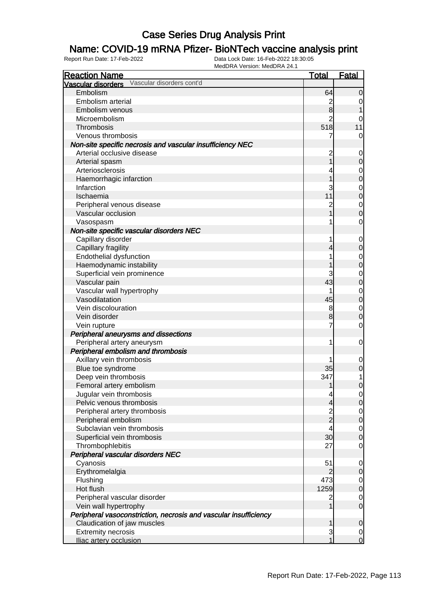#### Name: COVID-19 mRNA Pfizer- BioNTech vaccine analysis print

| <b>Reaction Name</b>                                             | <b>Total</b>   | <b>Fatal</b>     |
|------------------------------------------------------------------|----------------|------------------|
| Vascular disorders cont'd<br>Vascular disorders                  |                |                  |
| Embolism                                                         | 64             | $\mathbf 0$      |
| Embolism arterial                                                | $\overline{c}$ | 0                |
| Embolism venous                                                  | 8              |                  |
| Microembolism                                                    | $\overline{2}$ |                  |
| Thrombosis                                                       | 518            | 11               |
| Venous thrombosis                                                | 7              | 0                |
| Non-site specific necrosis and vascular insufficiency NEC        |                |                  |
| Arterial occlusive disease                                       | $\overline{c}$ | 0                |
| Arterial spasm                                                   |                | $\mathbf 0$      |
| Arteriosclerosis                                                 |                | 0                |
| Haemorrhagic infarction                                          |                | $\mathbf 0$      |
| Infarction                                                       | 3              | 0                |
| Ischaemia                                                        | 11             | $\boldsymbol{0}$ |
| Peripheral venous disease                                        | $\overline{c}$ | $\mathbf 0$      |
| Vascular occlusion                                               |                | $\mathbf 0$      |
| Vasospasm                                                        |                | 0                |
| Non-site specific vascular disorders NEC                         |                |                  |
| Capillary disorder                                               | 1              | $\mathbf 0$      |
| Capillary fragility                                              | 4              | $\mathbf 0$      |
| Endothelial dysfunction                                          |                | 0                |
| Haemodynamic instability                                         |                | $\boldsymbol{0}$ |
| Superficial vein prominence                                      | 3              | $\mathbf 0$      |
| Vascular pain                                                    | 43             | $\boldsymbol{0}$ |
| Vascular wall hypertrophy                                        |                | $\mathbf 0$      |
| Vasodilatation                                                   | 45             | $\boldsymbol{0}$ |
| Vein discolouration                                              | 8              | $\mathbf 0$      |
| Vein disorder                                                    | 8              | $\boldsymbol{0}$ |
| Vein rupture                                                     | 7              | 0                |
| Peripheral aneurysms and dissections                             |                |                  |
| Peripheral artery aneurysm                                       | 1              | 0                |
| Peripheral embolism and thrombosis                               |                |                  |
| Axillary vein thrombosis                                         |                | 0                |
| Blue toe syndrome                                                | 35             | $\mathbf 0$      |
| Deep vein thrombosis                                             | 347            | 1                |
| Femoral artery embolism                                          | 1              | $\mathbf 0$      |
| Jugular vein thrombosis                                          | 4              | $\overline{0}$   |
| Pelvic venous thrombosis                                         | $\overline{4}$ | $\overline{0}$   |
| Peripheral artery thrombosis                                     |                | $\overline{0}$   |
| Peripheral embolism                                              | $\frac{2}{2}$  | $\mathbf 0$      |
| Subclavian vein thrombosis                                       | 4              | $\overline{0}$   |
| Superficial vein thrombosis                                      | 30             | $\mathbf 0$      |
| Thrombophlebitis                                                 | 27             | $\mathbf 0$      |
| Peripheral vascular disorders NEC                                |                |                  |
| Cyanosis                                                         | 51             | 0                |
| Erythromelalgia                                                  | $\overline{2}$ | $\mathbf 0$      |
| Flushing                                                         | 473            | $\overline{0}$   |
| Hot flush                                                        | 1259           | $\mathbf 0$      |
| Peripheral vascular disorder                                     | $\overline{c}$ | $\overline{0}$   |
| Vein wall hypertrophy                                            | $\mathbf 1$    | $\overline{0}$   |
| Peripheral vasoconstriction, necrosis and vascular insufficiency |                |                  |
| Claudication of jaw muscles                                      | 1              | $\mathbf 0$      |
| <b>Extremity necrosis</b>                                        | 3              | $\overline{0}$   |
| Iliac artery occlusion                                           |                | $\mathbf 0$      |